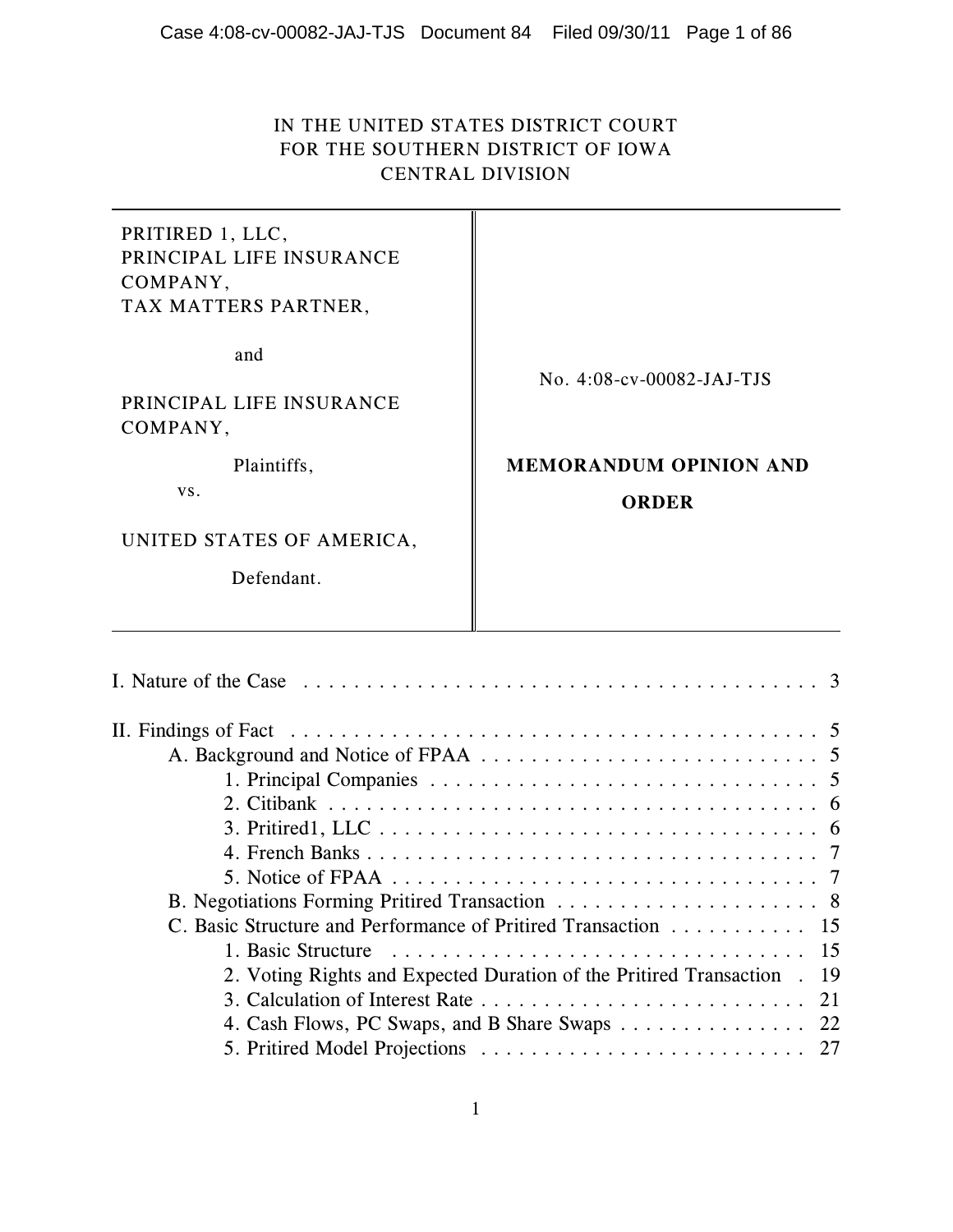# IN THE UNITED STATES DISTRICT COURT FOR THE SOUTHERN DISTRICT OF IOWA CENTRAL DIVISION

PRITIRED 1, LLC, PRINCIPAL LIFE INSURANCE COMPANY, TAX MATTERS PARTNER,

and

PRINCIPAL LIFE INSURANCE COMPANY,

Plaintiffs,

vs.

UNITED STATES OF AMERICA,

Defendant.

No. 4:08-cv-00082-JAJ-TJS

# **MEMORANDUM OPINION AND ORDER**

| C. Basic Structure and Performance of Pritired Transaction 15           |
|-------------------------------------------------------------------------|
|                                                                         |
| 2. Voting Rights and Expected Duration of the Pritired Transaction . 19 |
|                                                                         |
| 4. Cash Flows, PC Swaps, and B Share Swaps 22                           |
|                                                                         |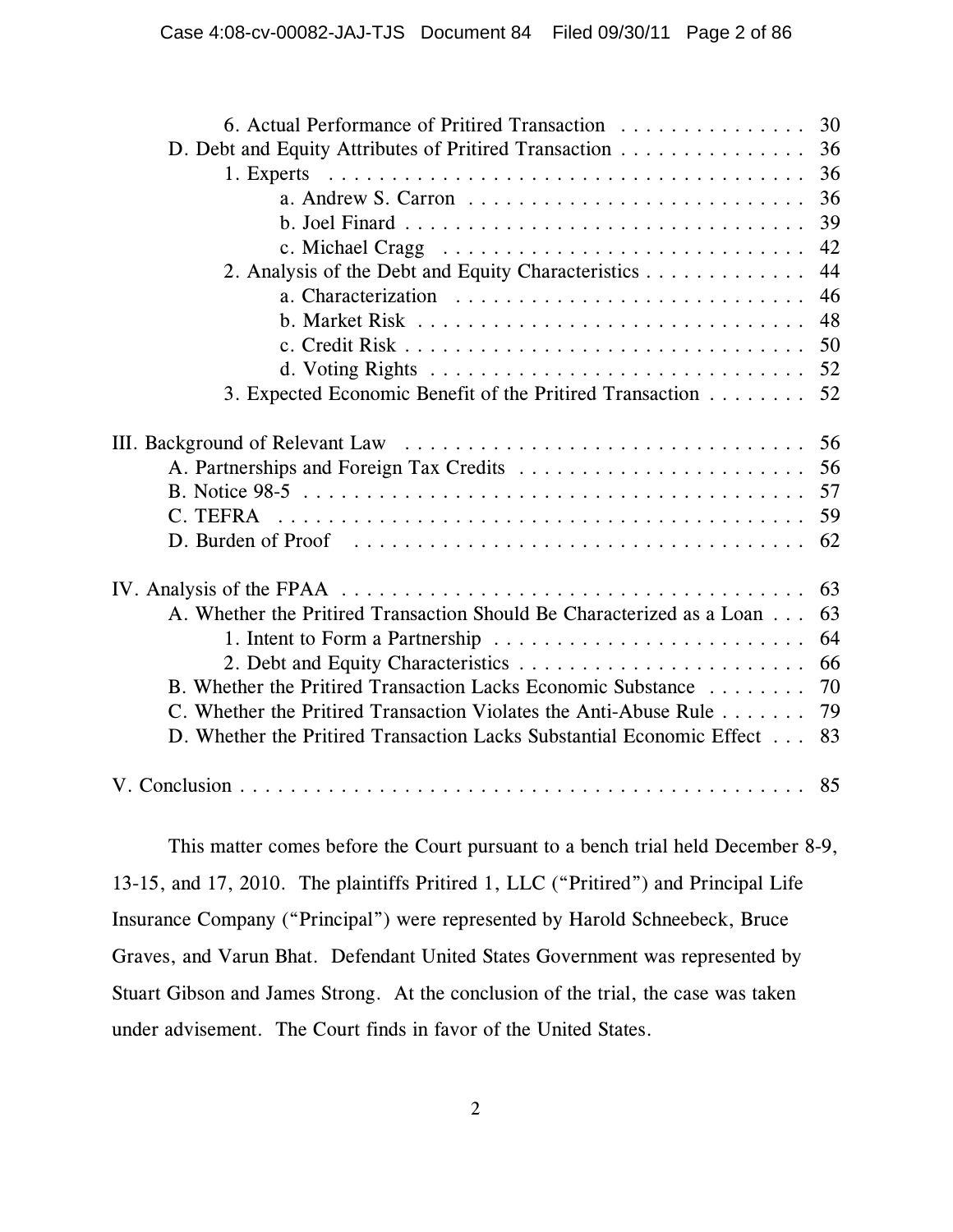| 6. Actual Performance of Pritired Transaction                                                                  | 30 |
|----------------------------------------------------------------------------------------------------------------|----|
| D. Debt and Equity Attributes of Pritired Transaction                                                          | 36 |
|                                                                                                                | 36 |
|                                                                                                                | 36 |
|                                                                                                                | 39 |
|                                                                                                                | 42 |
| 2. Analysis of the Debt and Equity Characteristics                                                             | 44 |
|                                                                                                                | 46 |
|                                                                                                                | 48 |
|                                                                                                                | 50 |
|                                                                                                                | 52 |
| 3. Expected Economic Benefit of the Pritired Transaction                                                       | 52 |
|                                                                                                                | 56 |
|                                                                                                                | 56 |
|                                                                                                                | 57 |
| C. TEFRA                                                                                                       | 59 |
|                                                                                                                | 62 |
| IV. Analysis of the FPAA $\ldots \ldots \ldots \ldots \ldots \ldots \ldots \ldots \ldots \ldots \ldots \ldots$ | 63 |
| A. Whether the Pritired Transaction Should Be Characterized as a Loan                                          | 63 |
|                                                                                                                | 64 |
|                                                                                                                | 66 |
| B. Whether the Pritired Transaction Lacks Economic Substance                                                   | 70 |
| C. Whether the Pritired Transaction Violates the Anti-Abuse Rule                                               | 79 |
| D. Whether the Pritired Transaction Lacks Substantial Economic Effect                                          | 83 |
|                                                                                                                | 85 |

This matter comes before the Court pursuant to a bench trial held December 8-9, 13-15, and 17, 2010. The plaintiffs Pritired 1, LLC ("Pritired") and Principal Life Insurance Company ("Principal") were represented by Harold Schneebeck, Bruce Graves, and Varun Bhat. Defendant United States Government was represented by Stuart Gibson and James Strong. At the conclusion of the trial, the case was taken under advisement. The Court finds in favor of the United States.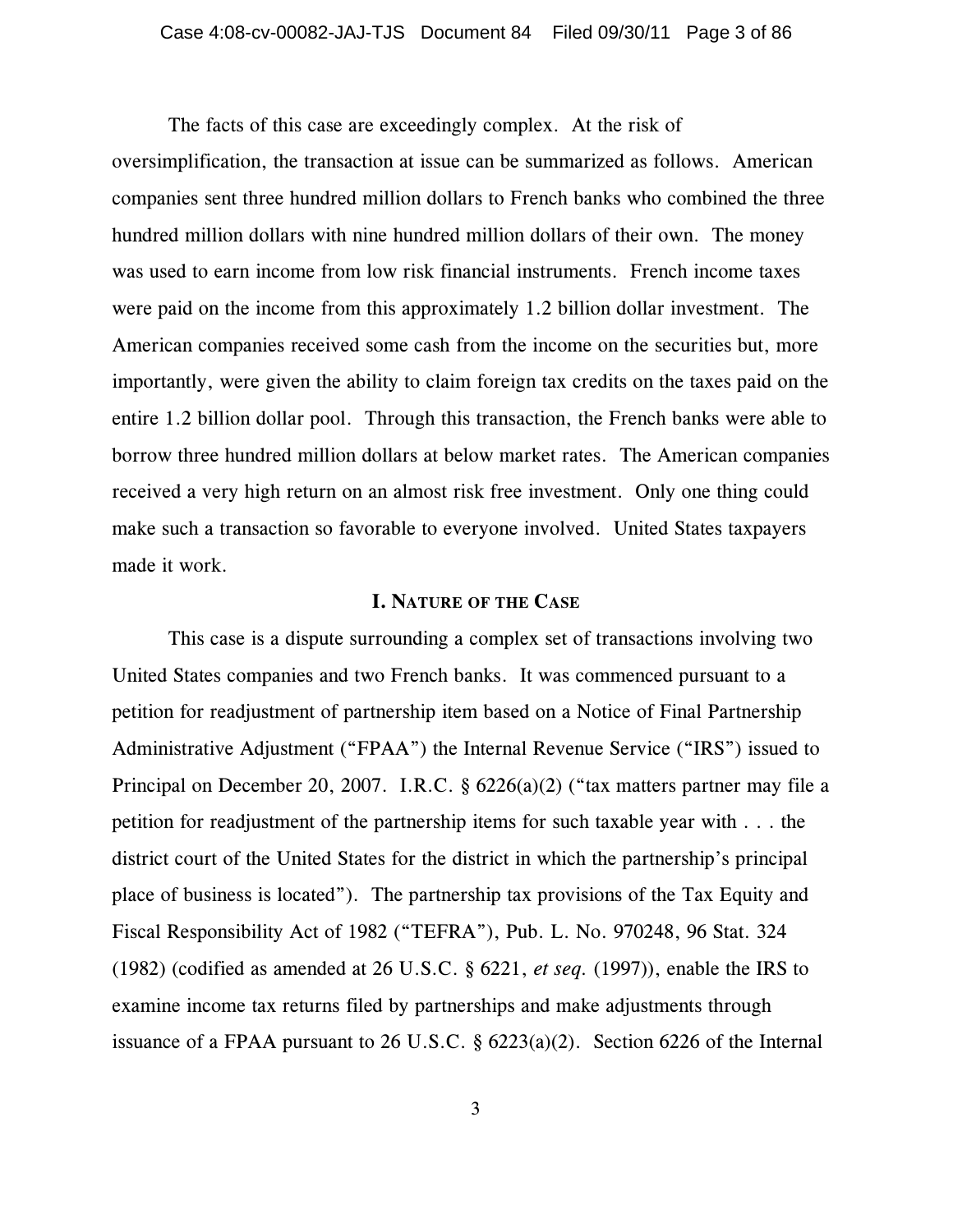The facts of this case are exceedingly complex. At the risk of oversimplification, the transaction at issue can be summarized as follows. American companies sent three hundred million dollars to French banks who combined the three hundred million dollars with nine hundred million dollars of their own. The money was used to earn income from low risk financial instruments. French income taxes were paid on the income from this approximately 1.2 billion dollar investment. The American companies received some cash from the income on the securities but, more importantly, were given the ability to claim foreign tax credits on the taxes paid on the entire 1.2 billion dollar pool. Through this transaction, the French banks were able to borrow three hundred million dollars at below market rates. The American companies received a very high return on an almost risk free investment. Only one thing could make such a transaction so favorable to everyone involved. United States taxpayers made it work.

#### **I. NATURE OF THE CASE**

This case is a dispute surrounding a complex set of transactions involving two United States companies and two French banks. It was commenced pursuant to a petition for readjustment of partnership item based on a Notice of Final Partnership Administrative Adjustment ("FPAA") the Internal Revenue Service ("IRS") issued to Principal on December 20, 2007. I.R.C. § 6226(a)(2) ("tax matters partner may file a petition for readjustment of the partnership items for such taxable year with . . . the district court of the United States for the district in which the partnership's principal place of business is located"). The partnership tax provisions of the Tax Equity and Fiscal Responsibility Act of 1982 ("TEFRA"), Pub. L. No. 970248, 96 Stat. 324 (1982) (codified as amended at 26 U.S.C. § 6221, *et seq.* (1997)), enable the IRS to examine income tax returns filed by partnerships and make adjustments through issuance of a FPAA pursuant to 26 U.S.C.  $\S$  6223(a)(2). Section 6226 of the Internal

3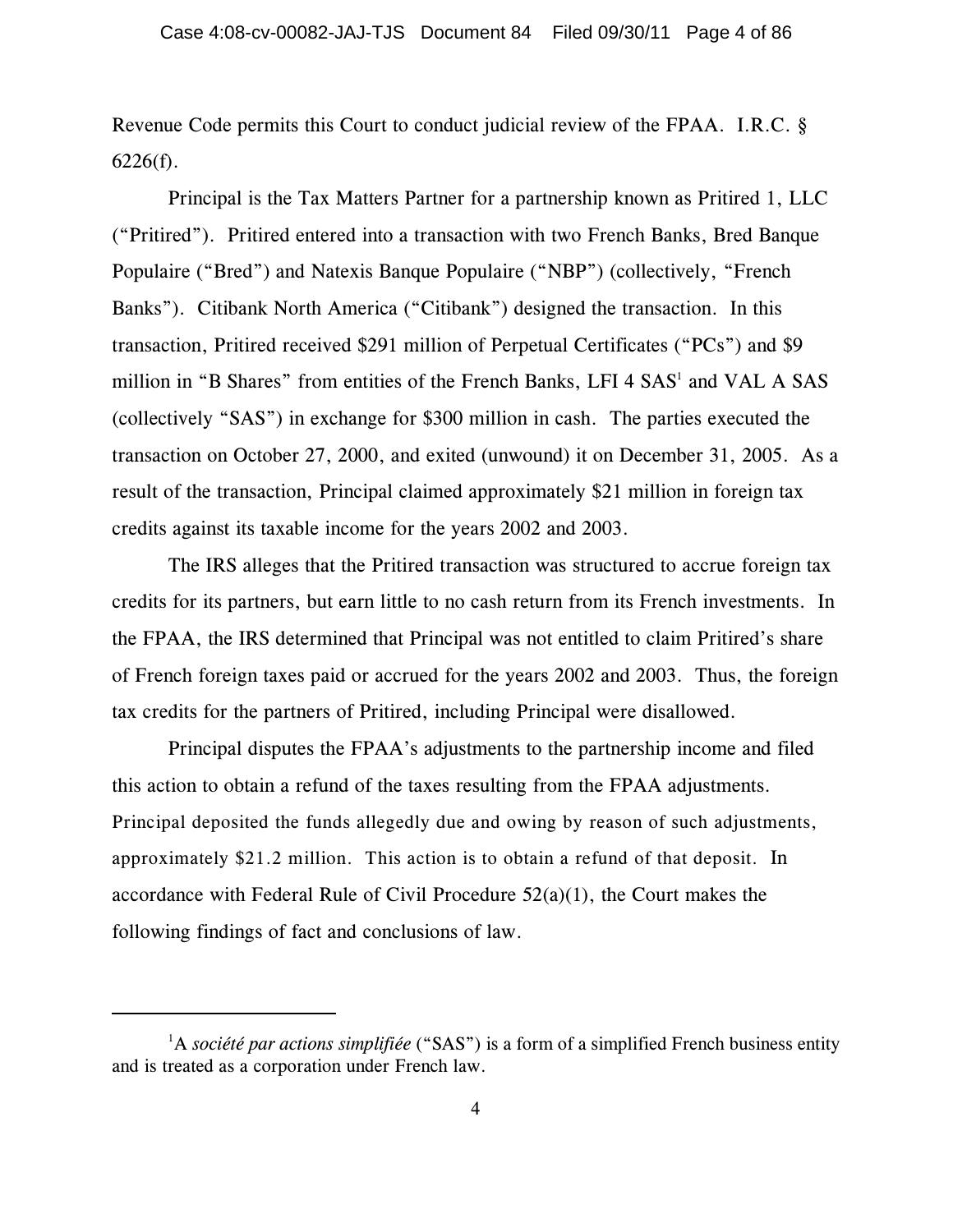Revenue Code permits this Court to conduct judicial review of the FPAA. I.R.C. §  $6226(f)$ .

Principal is the Tax Matters Partner for a partnership known as Pritired 1, LLC ("Pritired"). Pritired entered into a transaction with two French Banks, Bred Banque Populaire ("Bred") and Natexis Banque Populaire ("NBP") (collectively, "French Banks"). Citibank North America ("Citibank") designed the transaction. In this transaction, Pritired received \$291 million of Perpetual Certificates ("PCs") and \$9 million in "B Shares" from entities of the French Banks, LFI 4 SAS<sup>1</sup> and VAL A SAS (collectively "SAS") in exchange for \$300 million in cash. The parties executed the transaction on October 27, 2000, and exited (unwound) it on December 31, 2005. As a result of the transaction, Principal claimed approximately \$21 million in foreign tax credits against its taxable income for the years 2002 and 2003.

The IRS alleges that the Pritired transaction was structured to accrue foreign tax credits for its partners, but earn little to no cash return from its French investments. In the FPAA, the IRS determined that Principal was not entitled to claim Pritired's share of French foreign taxes paid or accrued for the years 2002 and 2003. Thus, the foreign tax credits for the partners of Pritired, including Principal were disallowed.

Principal disputes the FPAA's adjustments to the partnership income and filed this action to obtain a refund of the taxes resulting from the FPAA adjustments. Principal deposited the funds allegedly due and owing by reason of such adjustments, approximately \$21.2 million. This action is to obtain a refund of that deposit. In accordance with Federal Rule of Civil Procedure  $52(a)(1)$ , the Court makes the following findings of fact and conclusions of law.

<sup>&</sup>lt;sup>1</sup>A *société par actions simplifiée* ("SAS") is a form of a simplified French business entity and is treated as a corporation under French law.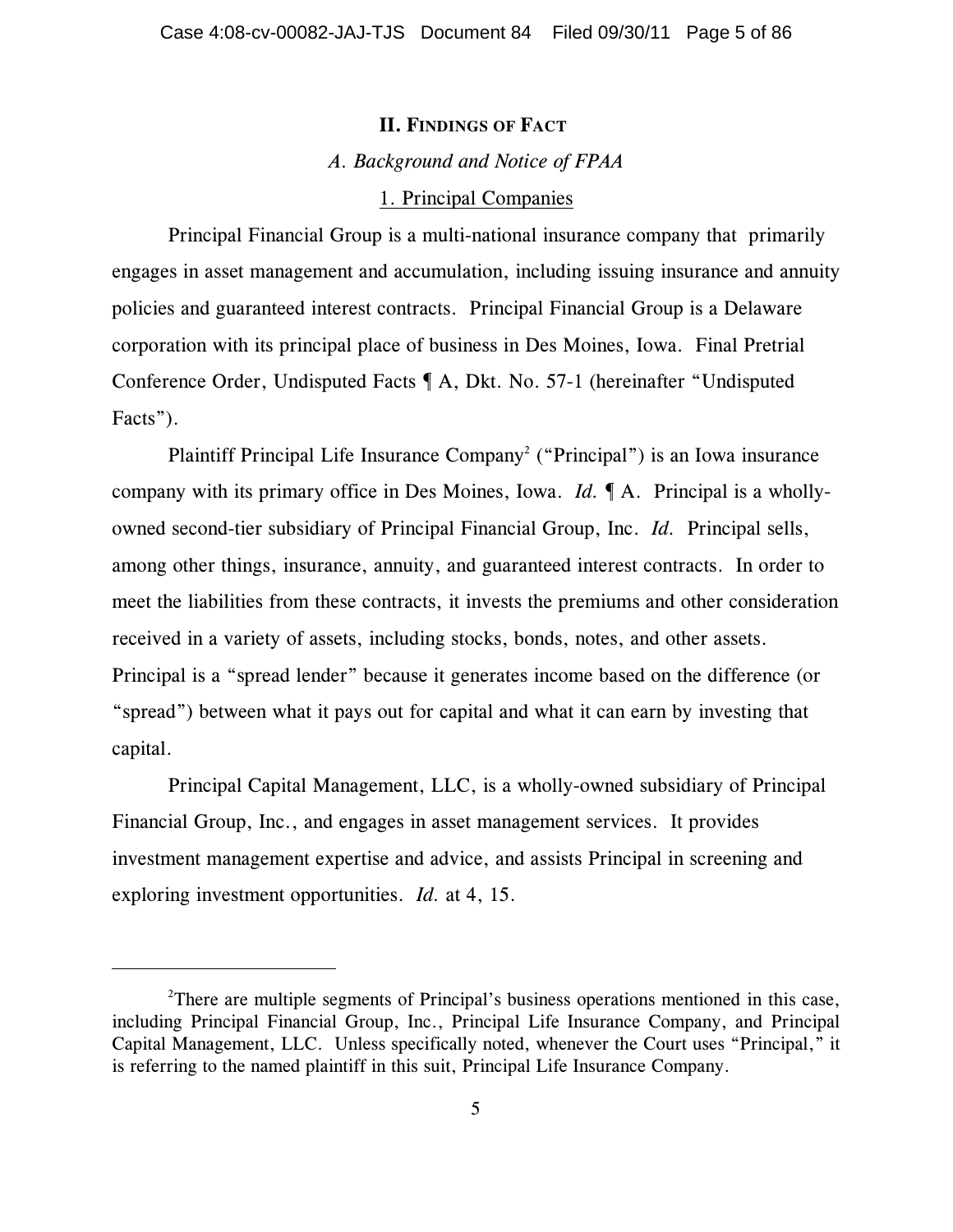## **II. FINDINGS OF FACT**

# *A. Background and Notice of FPAA*

### 1. Principal Companies

Principal Financial Group is a multi-national insurance company that primarily engages in asset management and accumulation, including issuing insurance and annuity policies and guaranteed interest contracts. Principal Financial Group is a Delaware corporation with its principal place of business in Des Moines, Iowa. Final Pretrial Conference Order, Undisputed Facts ¶ A, Dkt. No. 57-1 (hereinafter "Undisputed Facts").

Plaintiff Principal Life Insurance Company<sup>2</sup> ("Principal") is an Iowa insurance company with its primary office in Des Moines, Iowa. *Id.* ¶ A. Principal is a whollyowned second-tier subsidiary of Principal Financial Group, Inc. *Id.* Principal sells, among other things, insurance, annuity, and guaranteed interest contracts. In order to meet the liabilities from these contracts, it invests the premiums and other consideration received in a variety of assets, including stocks, bonds, notes, and other assets. Principal is a "spread lender" because it generates income based on the difference (or "spread") between what it pays out for capital and what it can earn by investing that capital.

Principal Capital Management, LLC, is a wholly-owned subsidiary of Principal Financial Group, Inc., and engages in asset management services. It provides investment management expertise and advice, and assists Principal in screening and exploring investment opportunities. *Id.* at 4, 15.

<sup>&</sup>lt;sup>2</sup>There are multiple segments of Principal's business operations mentioned in this case, including Principal Financial Group, Inc., Principal Life Insurance Company, and Principal Capital Management, LLC. Unless specifically noted, whenever the Court uses "Principal," it is referring to the named plaintiff in this suit, Principal Life Insurance Company.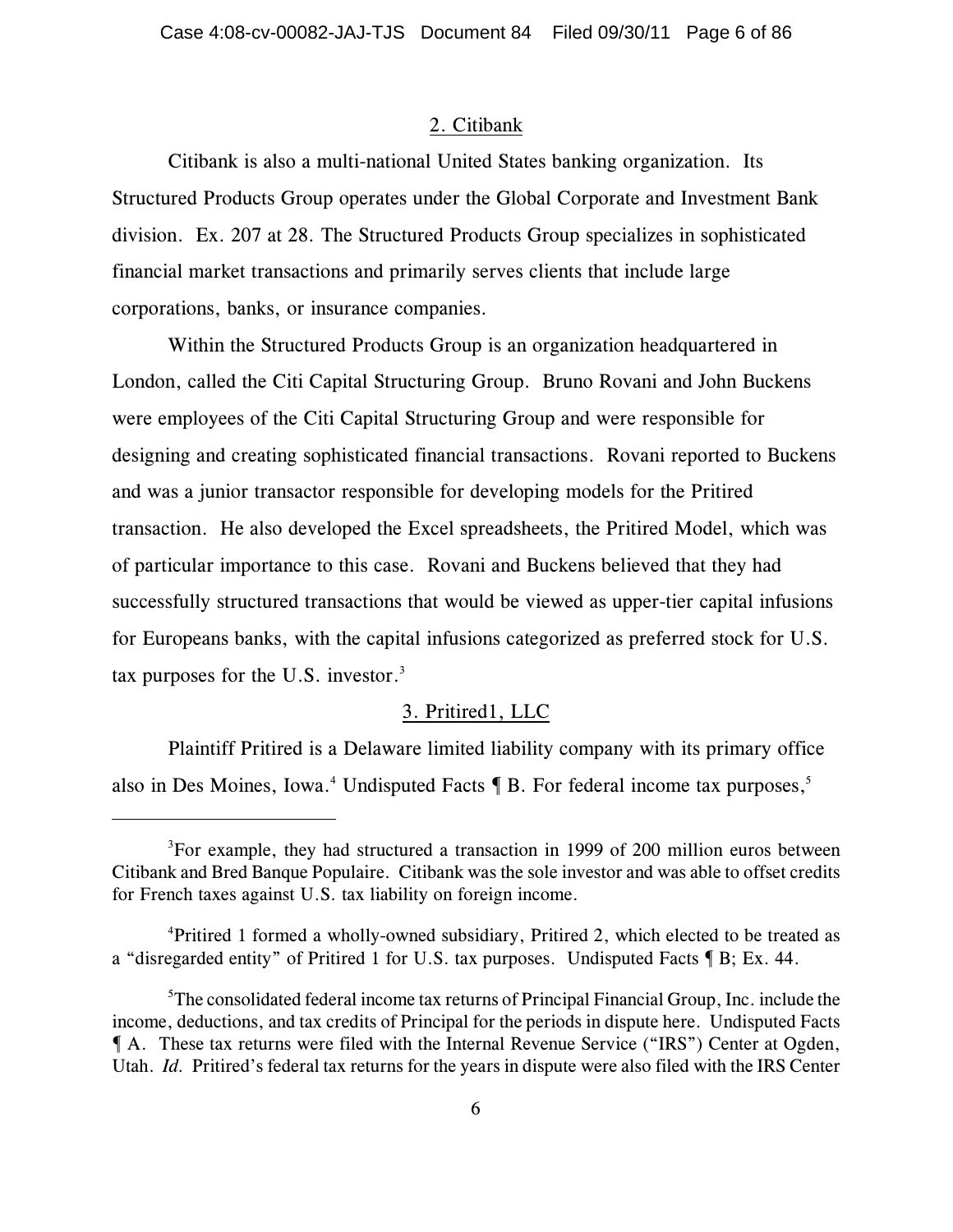# 2. Citibank

Citibank is also a multi-national United States banking organization. Its Structured Products Group operates under the Global Corporate and Investment Bank division. Ex. 207 at 28. The Structured Products Group specializes in sophisticated financial market transactions and primarily serves clients that include large corporations, banks, or insurance companies.

Within the Structured Products Group is an organization headquartered in London, called the Citi Capital Structuring Group. Bruno Rovani and John Buckens were employees of the Citi Capital Structuring Group and were responsible for designing and creating sophisticated financial transactions. Rovani reported to Buckens and was a junior transactor responsible for developing models for the Pritired transaction. He also developed the Excel spreadsheets, the Pritired Model, which was of particular importance to this case. Rovani and Buckens believed that they had successfully structured transactions that would be viewed as upper-tier capital infusions for Europeans banks, with the capital infusions categorized as preferred stock for U.S. tax purposes for the U.S. investor. $3$ 

## 3. Pritired1, LLC

Plaintiff Pritired is a Delaware limited liability company with its primary office also in Des Moines, Iowa.<sup>4</sup> Undisputed Facts  $\P$  B. For federal income tax purposes,<sup>5</sup>

 ${}^{3}$ For example, they had structured a transaction in 1999 of 200 million euros between Citibank and Bred Banque Populaire. Citibank was the sole investor and was able to offset credits for French taxes against U.S. tax liability on foreign income.

<sup>&</sup>lt;sup>4</sup>Pritired 1 formed a wholly-owned subsidiary, Pritired 2, which elected to be treated as a "disregarded entity" of Pritired 1 for U.S. tax purposes. Undisputed Facts ¶ B; Ex. 44.

 $5$ The consolidated federal income tax returns of Principal Financial Group, Inc. include the income, deductions, and tax credits of Principal for the periods in dispute here. Undisputed Facts ¶ A. These tax returns were filed with the Internal Revenue Service ("IRS") Center at Ogden, Utah. *Id.* Pritired's federal tax returns for the years in dispute were also filed with the IRS Center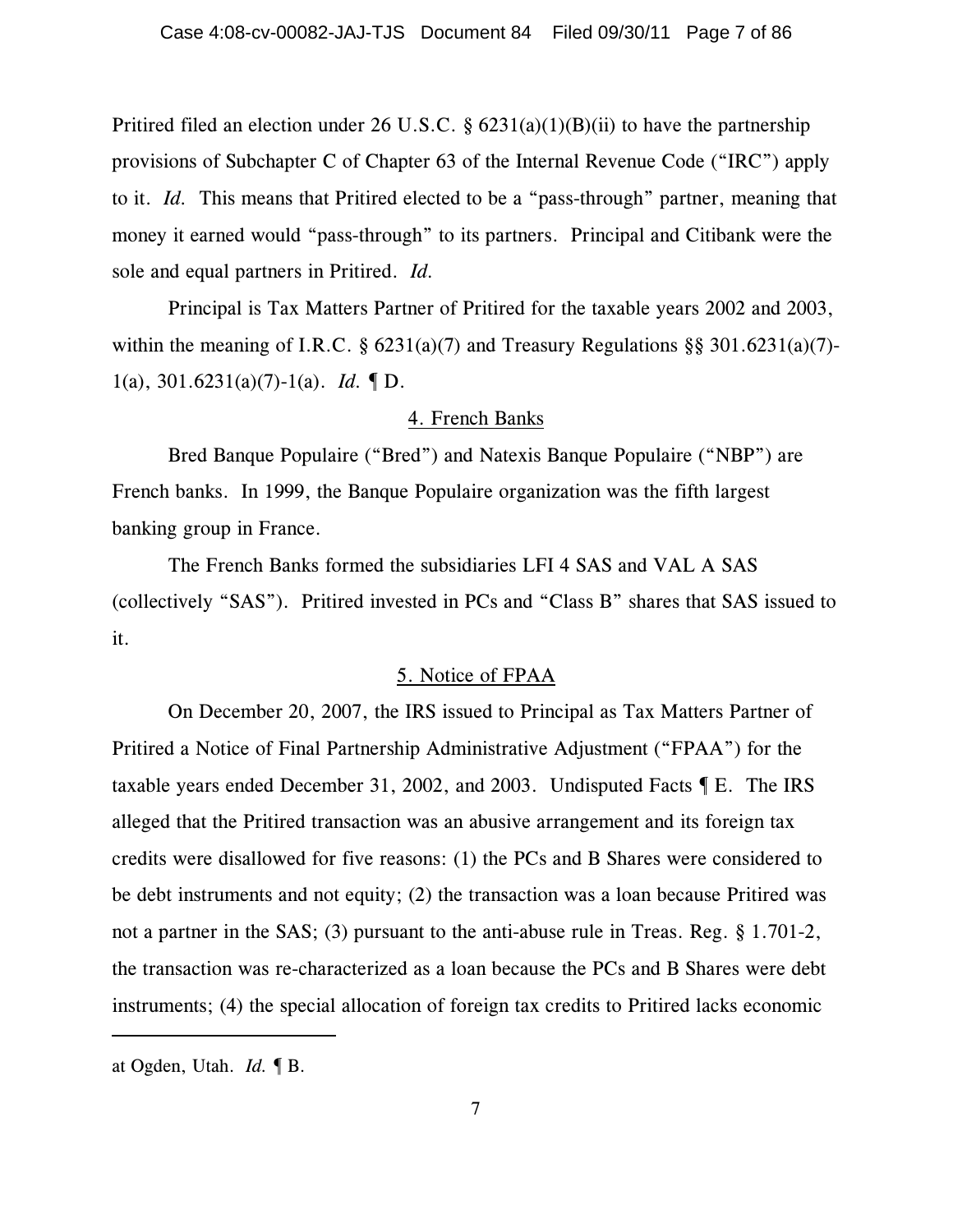Pritired filed an election under 26 U.S.C. §  $6231(a)(1)(B)(ii)$  to have the partnership provisions of Subchapter C of Chapter 63 of the Internal Revenue Code ("IRC") apply to it. *Id.* This means that Pritired elected to be a "pass-through" partner, meaning that money it earned would "pass-through" to its partners. Principal and Citibank were the sole and equal partners in Pritired. *Id.*

Principal is Tax Matters Partner of Pritired for the taxable years 2002 and 2003, within the meaning of I.R.C.  $\S$  6231(a)(7) and Treasury Regulations  $\S$ § 301.6231(a)(7)-1(a), 301.6231(a)(7)-1(a). *Id.* ¶ D.

#### 4. French Banks

Bred Banque Populaire ("Bred") and Natexis Banque Populaire ("NBP") are French banks. In 1999, the Banque Populaire organization was the fifth largest banking group in France.

The French Banks formed the subsidiaries LFI 4 SAS and VAL A SAS (collectively "SAS"). Pritired invested in PCs and "Class B" shares that SAS issued to it.

## 5. Notice of FPAA

On December 20, 2007, the IRS issued to Principal as Tax Matters Partner of Pritired a Notice of Final Partnership Administrative Adjustment ("FPAA") for the taxable years ended December 31, 2002, and 2003. Undisputed Facts ¶ E. The IRS alleged that the Pritired transaction was an abusive arrangement and its foreign tax credits were disallowed for five reasons: (1) the PCs and B Shares were considered to be debt instruments and not equity; (2) the transaction was a loan because Pritired was not a partner in the SAS; (3) pursuant to the anti-abuse rule in Treas. Reg. § 1.701-2, the transaction was re-characterized as a loan because the PCs and B Shares were debt instruments; (4) the special allocation of foreign tax credits to Pritired lacks economic

at Ogden, Utah. *Id.* ¶ B.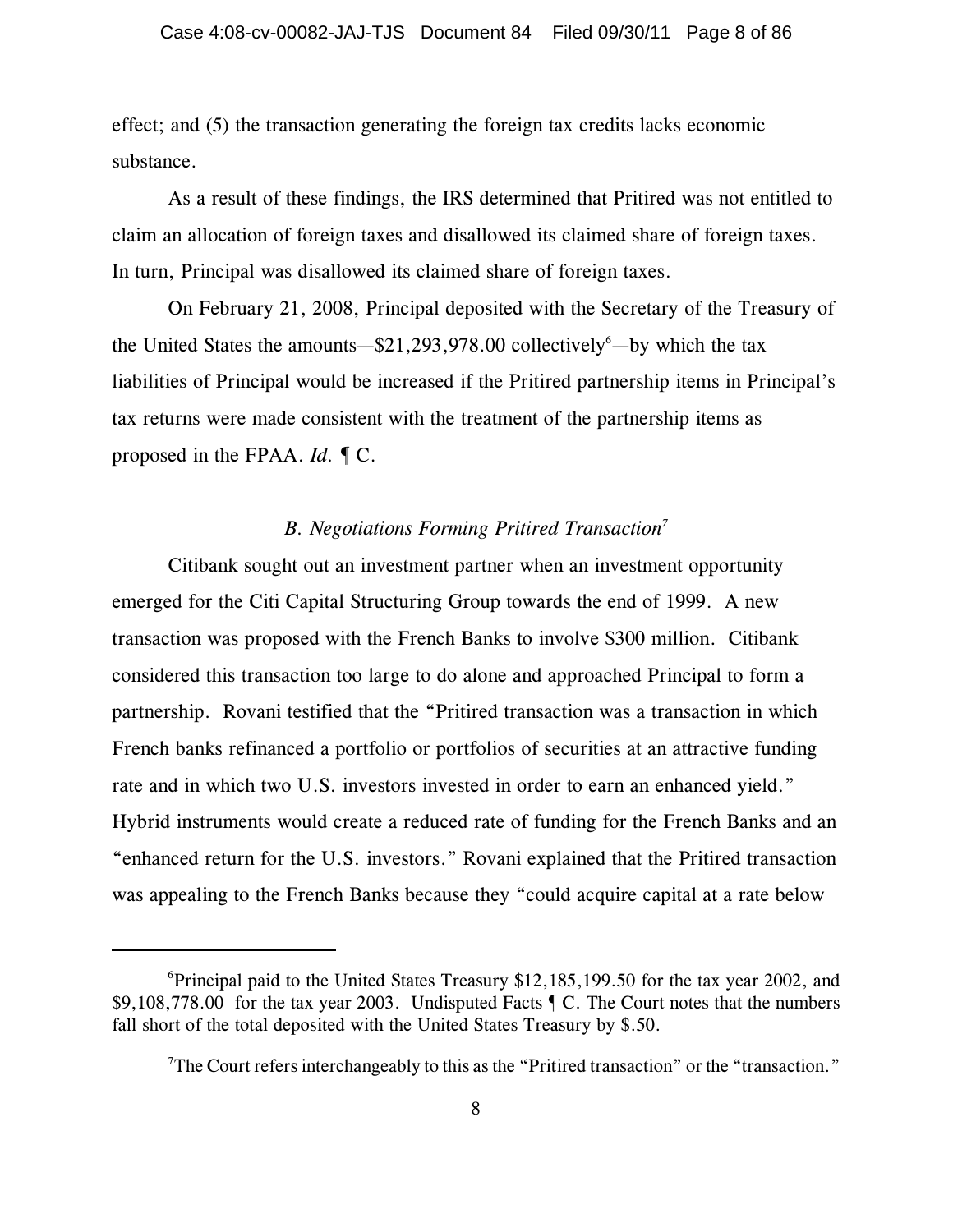effect; and (5) the transaction generating the foreign tax credits lacks economic substance.

As a result of these findings, the IRS determined that Pritired was not entitled to claim an allocation of foreign taxes and disallowed its claimed share of foreign taxes. In turn, Principal was disallowed its claimed share of foreign taxes.

On February 21, 2008, Principal deposited with the Secretary of the Treasury of the United States the amounts— $$21,293,978.00$  collectively<sup>6</sup>—by which the tax liabilities of Principal would be increased if the Pritired partnership items in Principal's tax returns were made consistent with the treatment of the partnership items as proposed in the FPAA. *Id.* ¶ C.

## *B. Negotiations Forming Pritired Transaction<sup>7</sup>*

Citibank sought out an investment partner when an investment opportunity emerged for the Citi Capital Structuring Group towards the end of 1999. A new transaction was proposed with the French Banks to involve \$300 million. Citibank considered this transaction too large to do alone and approached Principal to form a partnership. Rovani testified that the "Pritired transaction was a transaction in which French banks refinanced a portfolio or portfolios of securities at an attractive funding rate and in which two U.S. investors invested in order to earn an enhanced yield." Hybrid instruments would create a reduced rate of funding for the French Banks and an "enhanced return for the U.S. investors." Rovani explained that the Pritired transaction was appealing to the French Banks because they "could acquire capital at a rate below

 ${}^{6}$ Principal paid to the United States Treasury \$12,185,199.50 for the tax year 2002, and \$9,108,778.00 for the tax year 2003. Undisputed Facts ¶ C. The Court notes that the numbers fall short of the total deposited with the United States Treasury by \$.50.

<sup>&</sup>lt;sup>7</sup>The Court refers interchangeably to this as the "Pritired transaction" or the "transaction."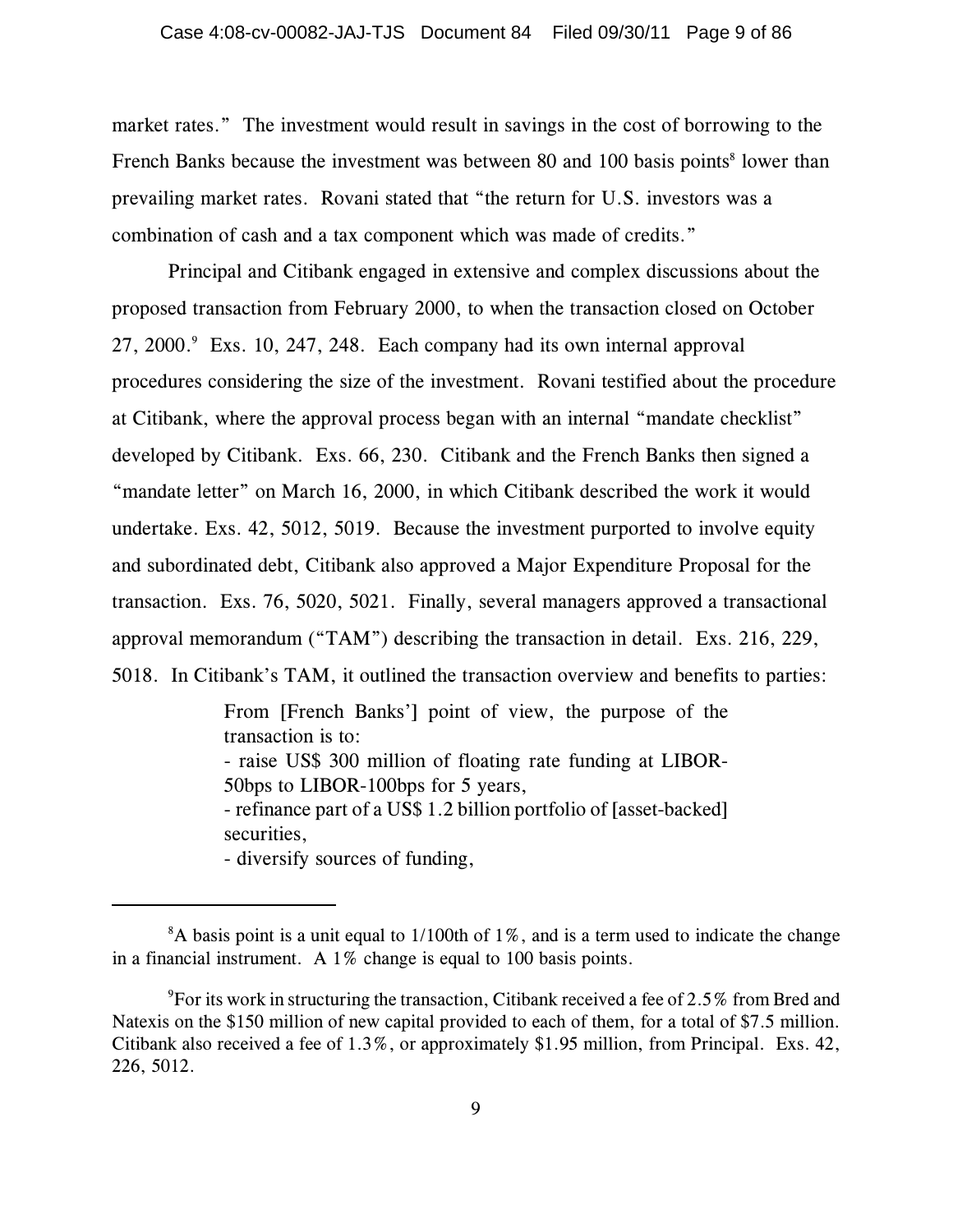market rates." The investment would result in savings in the cost of borrowing to the French Banks because the investment was between 80 and 100 basis points<sup>8</sup> lower than prevailing market rates. Rovani stated that "the return for U.S. investors was a combination of cash and a tax component which was made of credits."

Principal and Citibank engaged in extensive and complex discussions about the proposed transaction from February 2000, to when the transaction closed on October  $27, 2000$ . Exs. 10, 247, 248. Each company had its own internal approval procedures considering the size of the investment. Rovani testified about the procedure at Citibank, where the approval process began with an internal "mandate checklist" developed by Citibank. Exs. 66, 230. Citibank and the French Banks then signed a "mandate letter" on March 16, 2000, in which Citibank described the work it would undertake. Exs. 42, 5012, 5019. Because the investment purported to involve equity and subordinated debt, Citibank also approved a Major Expenditure Proposal for the transaction. Exs. 76, 5020, 5021. Finally, several managers approved a transactional approval memorandum ("TAM") describing the transaction in detail. Exs. 216, 229, 5018. In Citibank's TAM, it outlined the transaction overview and benefits to parties:

> From [French Banks'] point of view, the purpose of the transaction is to:

> - raise US\$ 300 million of floating rate funding at LIBOR-50bps to LIBOR-100bps for 5 years,

> - refinance part of a US\$ 1.2 billion portfolio of [asset-backed] securities,

- diversify sources of funding,

 ${}^{8}$ A basis point is a unit equal to 1/100th of 1%, and is a term used to indicate the change in a financial instrument. A 1% change is equal to 100 basis points.

<sup>&</sup>lt;sup>9</sup>For its work in structuring the transaction, Citibank received a fee of 2.5% from Bred and Natexis on the \$150 million of new capital provided to each of them, for a total of \$7.5 million. Citibank also received a fee of 1.3%, or approximately \$1.95 million, from Principal. Exs. 42, 226, 5012.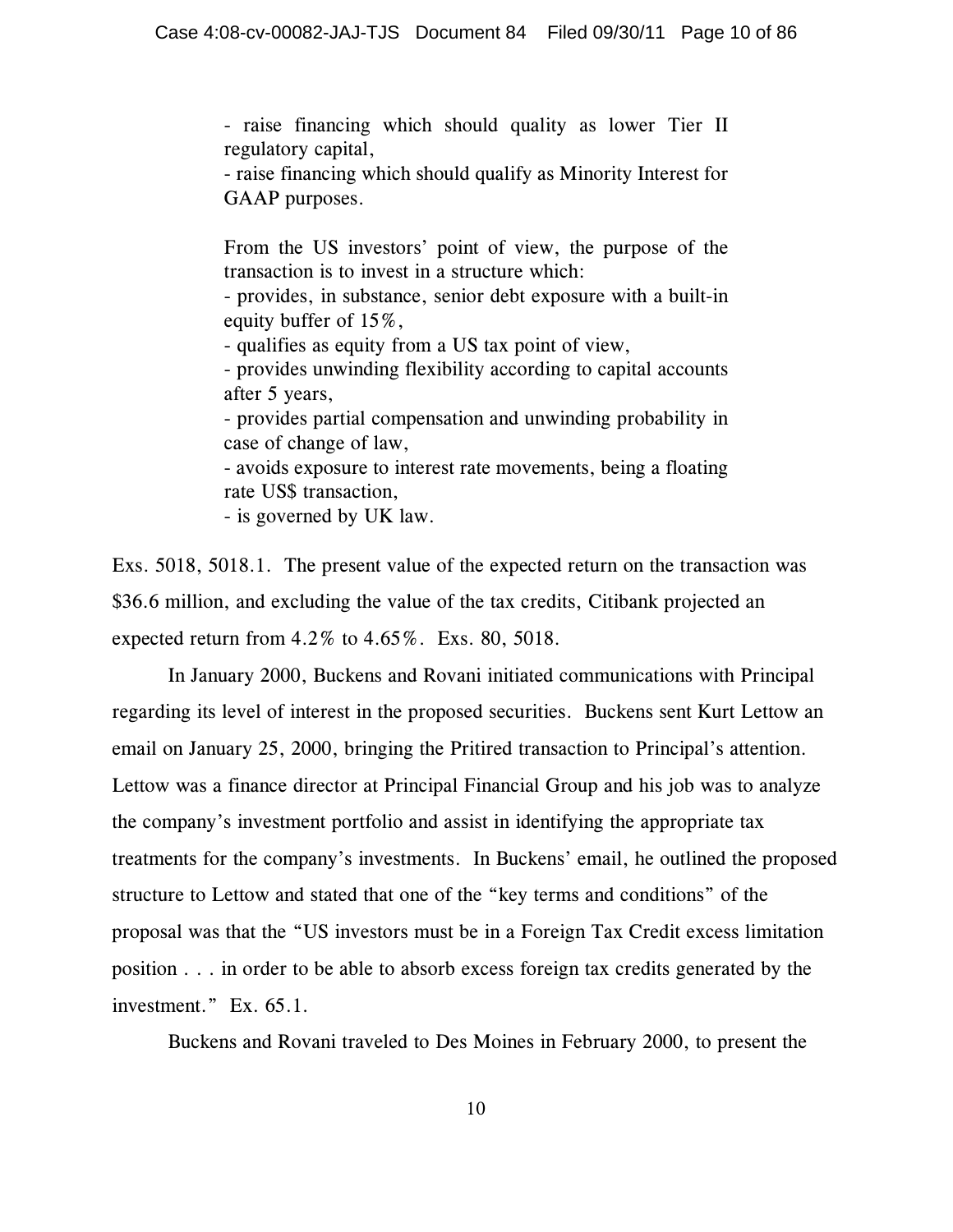- raise financing which should quality as lower Tier II regulatory capital,

- raise financing which should qualify as Minority Interest for GAAP purposes.

From the US investors' point of view, the purpose of the transaction is to invest in a structure which:

- provides, in substance, senior debt exposure with a built-in equity buffer of 15%,

- qualifies as equity from a US tax point of view,

- provides unwinding flexibility according to capital accounts after 5 years,

- provides partial compensation and unwinding probability in case of change of law,

- avoids exposure to interest rate movements, being a floating rate US\$ transaction,

- is governed by UK law.

Exs. 5018, 5018.1. The present value of the expected return on the transaction was \$36.6 million, and excluding the value of the tax credits, Citibank projected an expected return from 4.2% to 4.65%. Exs. 80, 5018.

In January 2000, Buckens and Rovani initiated communications with Principal regarding its level of interest in the proposed securities. Buckens sent Kurt Lettow an email on January 25, 2000, bringing the Pritired transaction to Principal's attention. Lettow was a finance director at Principal Financial Group and his job was to analyze the company's investment portfolio and assist in identifying the appropriate tax treatments for the company's investments. In Buckens' email, he outlined the proposed structure to Lettow and stated that one of the "key terms and conditions" of the proposal was that the "US investors must be in a Foreign Tax Credit excess limitation position . . . in order to be able to absorb excess foreign tax credits generated by the investment." Ex. 65.1.

Buckens and Rovani traveled to Des Moines in February 2000, to present the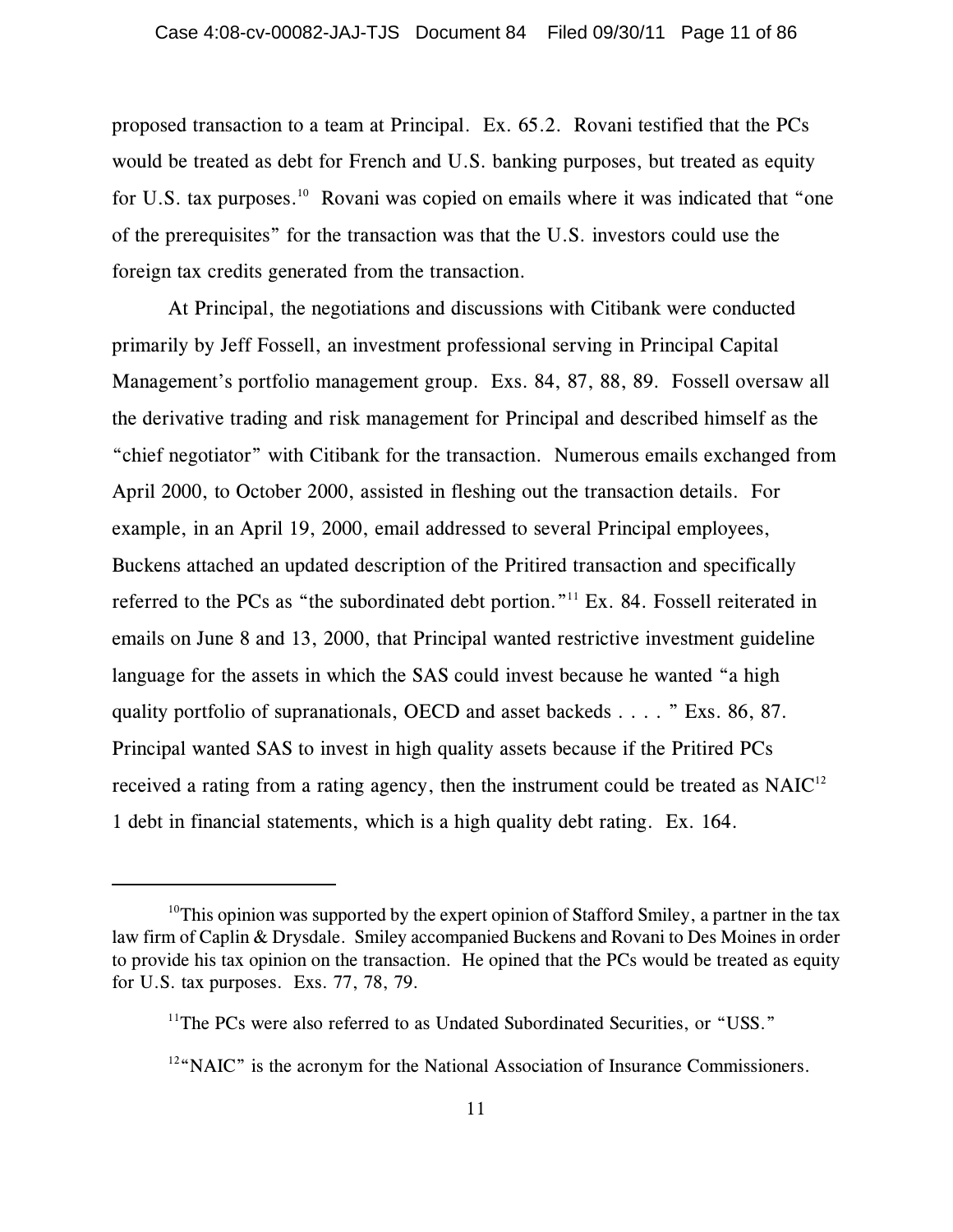proposed transaction to a team at Principal. Ex. 65.2. Rovani testified that the PCs would be treated as debt for French and U.S. banking purposes, but treated as equity for U.S. tax purposes.<sup>10</sup> Rovani was copied on emails where it was indicated that "one of the prerequisites" for the transaction was that the U.S. investors could use the foreign tax credits generated from the transaction.

At Principal, the negotiations and discussions with Citibank were conducted primarily by Jeff Fossell, an investment professional serving in Principal Capital Management's portfolio management group. Exs. 84, 87, 88, 89. Fossell oversaw all the derivative trading and risk management for Principal and described himself as the "chief negotiator" with Citibank for the transaction. Numerous emails exchanged from April 2000, to October 2000, assisted in fleshing out the transaction details. For example, in an April 19, 2000, email addressed to several Principal employees, Buckens attached an updated description of the Pritired transaction and specifically referred to the PCs as "the subordinated debt portion."<sup>11</sup> Ex. 84. Fossell reiterated in emails on June 8 and 13, 2000, that Principal wanted restrictive investment guideline language for the assets in which the SAS could invest because he wanted "a high quality portfolio of supranationals, OECD and asset backeds . . . . " Exs. 86, 87. Principal wanted SAS to invest in high quality assets because if the Pritired PCs received a rating from a rating agency, then the instrument could be treated as NAIC<sup>12</sup> 1 debt in financial statements, which is a high quality debt rating. Ex. 164.

<sup>&</sup>lt;sup>10</sup>This opinion was supported by the expert opinion of Stafford Smiley, a partner in the tax law firm of Caplin & Drysdale. Smiley accompanied Buckens and Rovani to Des Moines in order to provide his tax opinion on the transaction. He opined that the PCs would be treated as equity for U.S. tax purposes. Exs. 77, 78, 79.

 $11$ <sup>The PCs were also referred to as Undated Subordinated Securities, or "USS."</sup>

 $12^{\omega}$  NAIC" is the acronym for the National Association of Insurance Commissioners.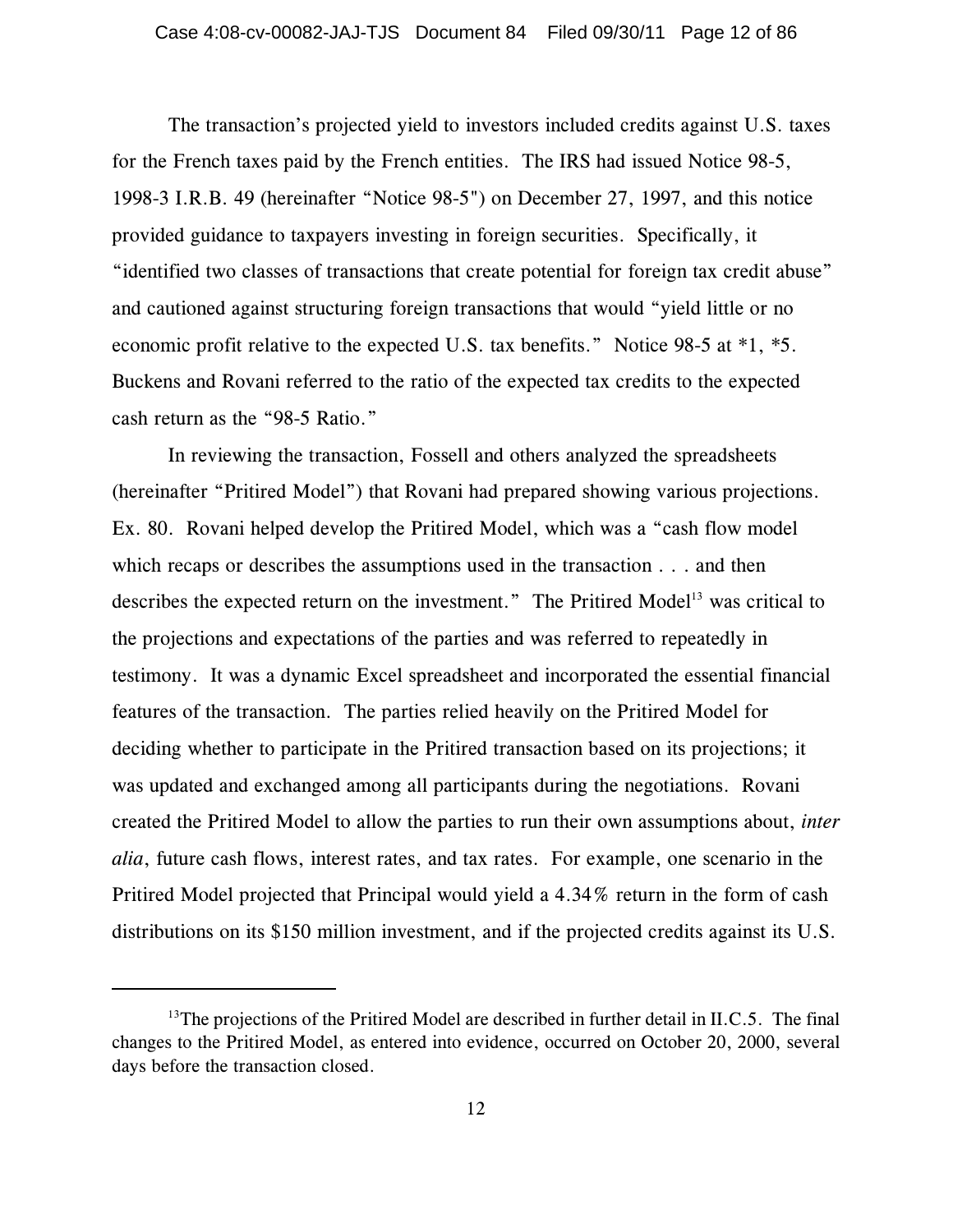The transaction's projected yield to investors included credits against U.S. taxes for the French taxes paid by the French entities. The IRS had issued Notice 98-5, 1998-3 I.R.B. 49 (hereinafter "Notice 98-5") on December 27, 1997, and this notice provided guidance to taxpayers investing in foreign securities. Specifically, it "identified two classes of transactions that create potential for foreign tax credit abuse" and cautioned against structuring foreign transactions that would "yield little or no economic profit relative to the expected U.S. tax benefits." Notice 98-5 at \*1, \*5. Buckens and Rovani referred to the ratio of the expected tax credits to the expected cash return as the "98-5 Ratio."

In reviewing the transaction, Fossell and others analyzed the spreadsheets (hereinafter "Pritired Model") that Rovani had prepared showing various projections. Ex. 80. Rovani helped develop the Pritired Model, which was a "cash flow model which recaps or describes the assumptions used in the transaction . . . and then describes the expected return on the investment." The Pritired Model<sup>13</sup> was critical to the projections and expectations of the parties and was referred to repeatedly in testimony. It was a dynamic Excel spreadsheet and incorporated the essential financial features of the transaction. The parties relied heavily on the Pritired Model for deciding whether to participate in the Pritired transaction based on its projections; it was updated and exchanged among all participants during the negotiations. Rovani created the Pritired Model to allow the parties to run their own assumptions about, *inter alia*, future cash flows, interest rates, and tax rates. For example, one scenario in the Pritired Model projected that Principal would yield a 4.34% return in the form of cash distributions on its \$150 million investment, and if the projected credits against its U.S.

 $13$ <sup>13</sup>The projections of the Pritired Model are described in further detail in II.C.5. The final changes to the Pritired Model, as entered into evidence, occurred on October 20, 2000, several days before the transaction closed.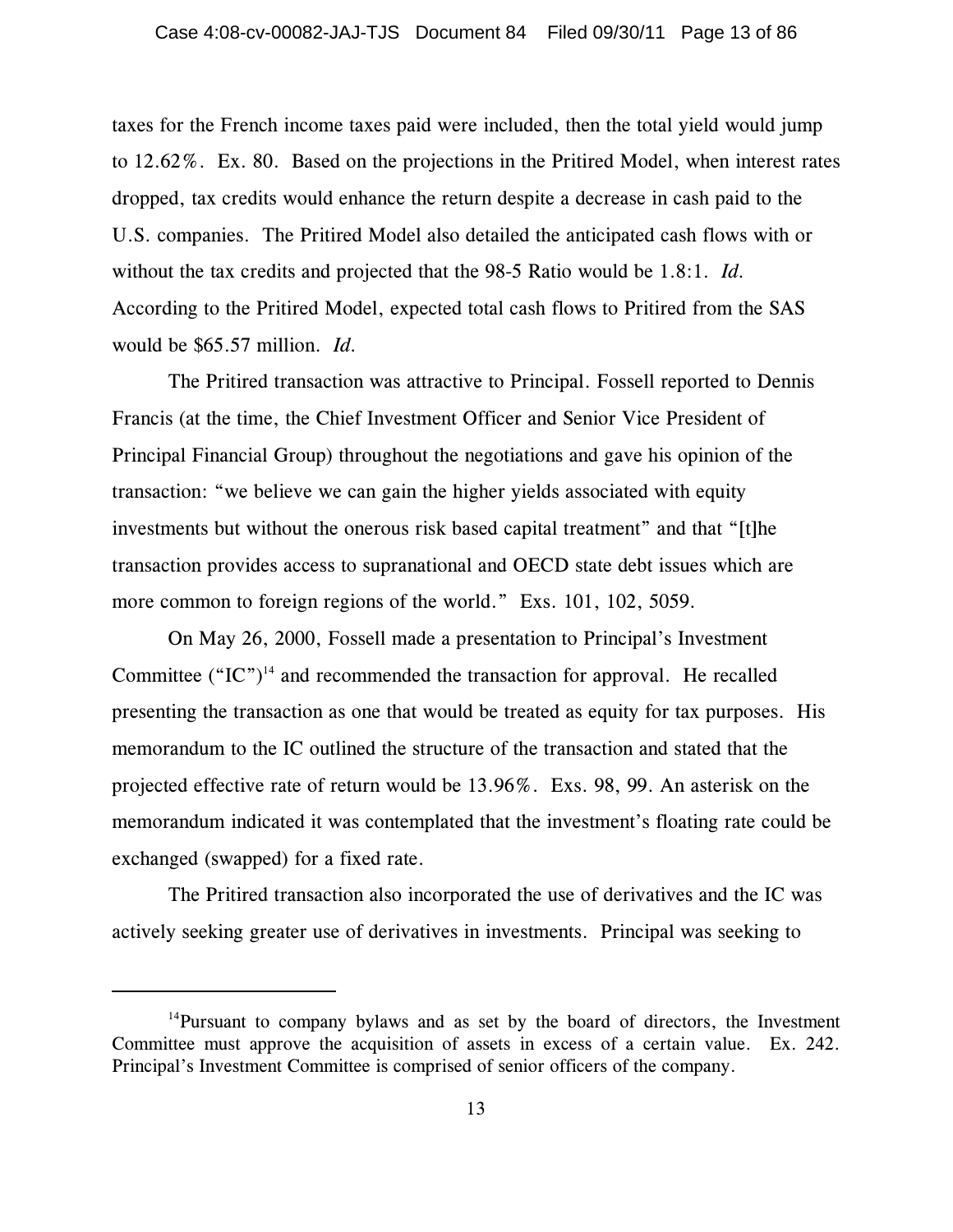taxes for the French income taxes paid were included, then the total yield would jump to 12.62%. Ex. 80. Based on the projections in the Pritired Model, when interest rates dropped, tax credits would enhance the return despite a decrease in cash paid to the U.S. companies. The Pritired Model also detailed the anticipated cash flows with or without the tax credits and projected that the 98-5 Ratio would be 1.8:1. *Id.* According to the Pritired Model, expected total cash flows to Pritired from the SAS would be \$65.57 million. *Id.*

The Pritired transaction was attractive to Principal. Fossell reported to Dennis Francis (at the time, the Chief Investment Officer and Senior Vice President of Principal Financial Group) throughout the negotiations and gave his opinion of the transaction: "we believe we can gain the higher yields associated with equity investments but without the onerous risk based capital treatment" and that "[t]he transaction provides access to supranational and OECD state debt issues which are more common to foreign regions of the world." Exs. 101, 102, 5059.

On May 26, 2000, Fossell made a presentation to Principal's Investment Committee  $("IC")<sup>14</sup>$  and recommended the transaction for approval. He recalled presenting the transaction as one that would be treated as equity for tax purposes. His memorandum to the IC outlined the structure of the transaction and stated that the projected effective rate of return would be 13.96%. Exs. 98, 99. An asterisk on the memorandum indicated it was contemplated that the investment's floating rate could be exchanged (swapped) for a fixed rate.

The Pritired transaction also incorporated the use of derivatives and the IC was actively seeking greater use of derivatives in investments. Principal was seeking to

<sup>&</sup>lt;sup>14</sup>Pursuant to company bylaws and as set by the board of directors, the Investment Committee must approve the acquisition of assets in excess of a certain value. Ex. 242. Principal's Investment Committee is comprised of senior officers of the company.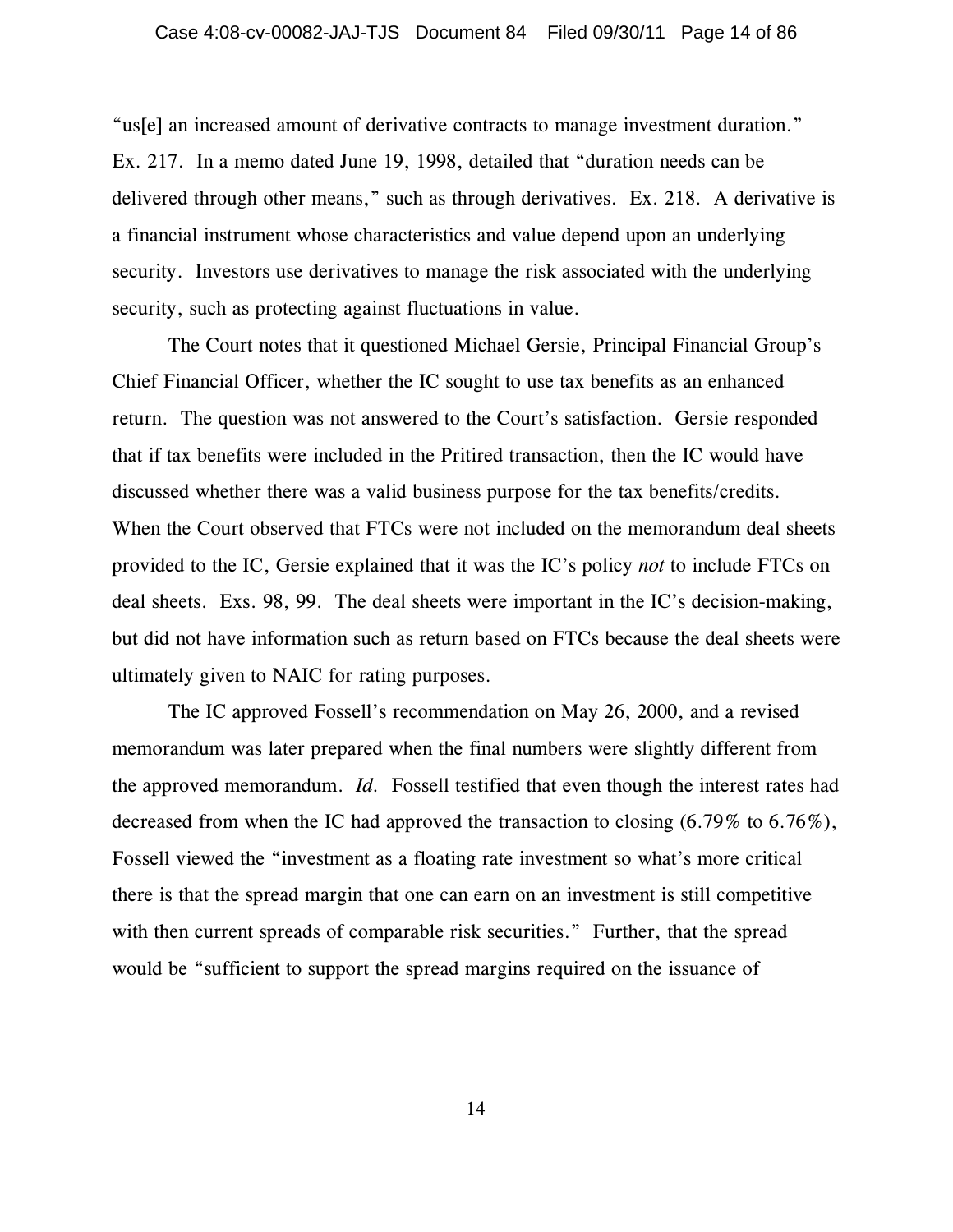"us[e] an increased amount of derivative contracts to manage investment duration." Ex. 217. In a memo dated June 19, 1998, detailed that "duration needs can be delivered through other means," such as through derivatives. Ex. 218. A derivative is a financial instrument whose characteristics and value depend upon an underlying security. Investors use derivatives to manage the risk associated with the underlying security, such as protecting against fluctuations in value.

The Court notes that it questioned Michael Gersie, Principal Financial Group's Chief Financial Officer, whether the IC sought to use tax benefits as an enhanced return. The question was not answered to the Court's satisfaction. Gersie responded that if tax benefits were included in the Pritired transaction, then the IC would have discussed whether there was a valid business purpose for the tax benefits/credits. When the Court observed that FTCs were not included on the memorandum deal sheets provided to the IC, Gersie explained that it was the IC's policy *not* to include FTCs on deal sheets. Exs. 98, 99. The deal sheets were important in the IC's decision-making, but did not have information such as return based on FTCs because the deal sheets were ultimately given to NAIC for rating purposes.

The IC approved Fossell's recommendation on May 26, 2000, and a revised memorandum was later prepared when the final numbers were slightly different from the approved memorandum. *Id.* Fossell testified that even though the interest rates had decreased from when the IC had approved the transaction to closing (6.79% to 6.76%), Fossell viewed the "investment as a floating rate investment so what's more critical there is that the spread margin that one can earn on an investment is still competitive with then current spreads of comparable risk securities." Further, that the spread would be "sufficient to support the spread margins required on the issuance of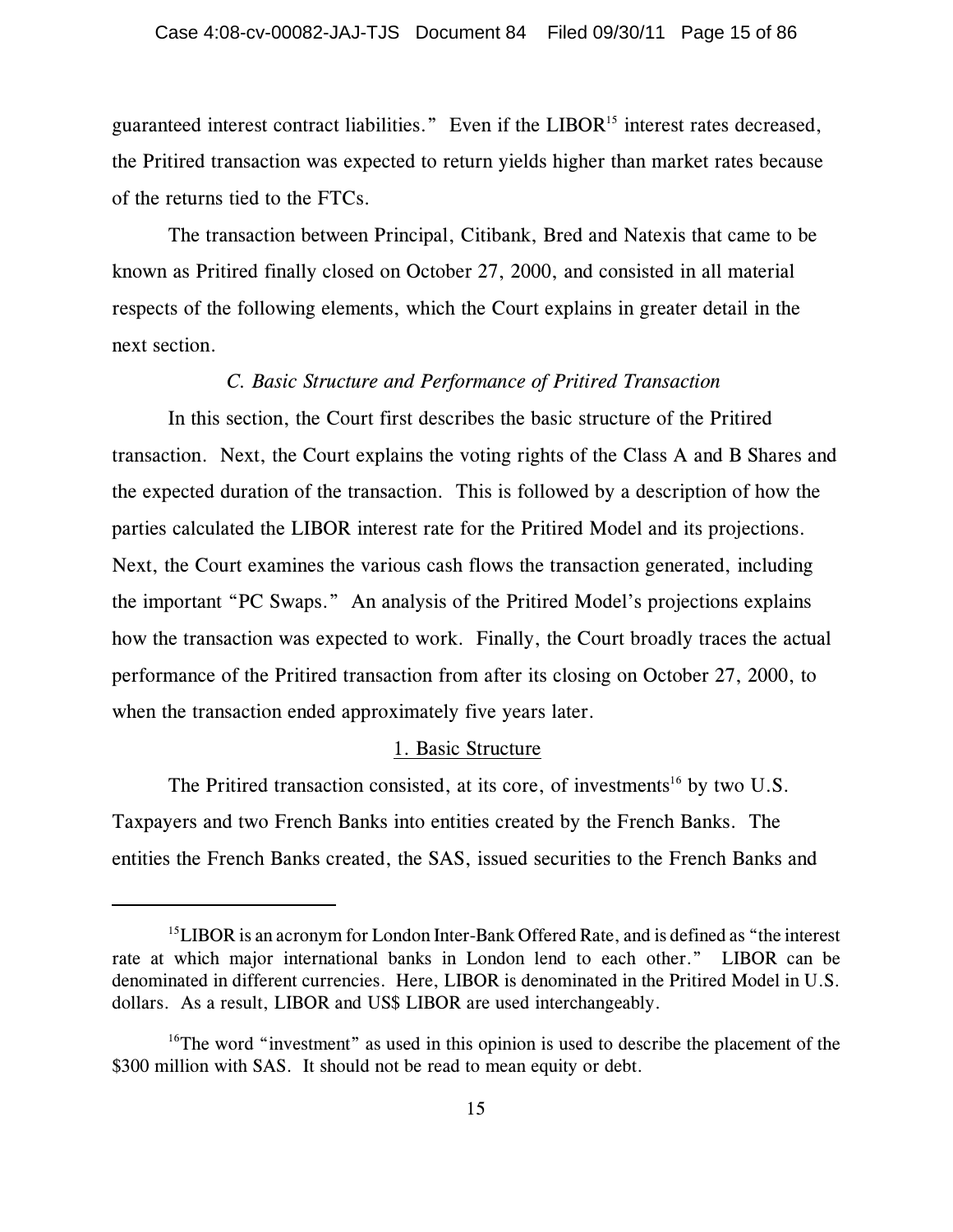guaranteed interest contract liabilities." Even if the LIBOR<sup>15</sup> interest rates decreased, the Pritired transaction was expected to return yields higher than market rates because of the returns tied to the FTCs.

The transaction between Principal, Citibank, Bred and Natexis that came to be known as Pritired finally closed on October 27, 2000, and consisted in all material respects of the following elements, which the Court explains in greater detail in the next section.

#### *C. Basic Structure and Performance of Pritired Transaction*

In this section, the Court first describes the basic structure of the Pritired transaction. Next, the Court explains the voting rights of the Class A and B Shares and the expected duration of the transaction. This is followed by a description of how the parties calculated the LIBOR interest rate for the Pritired Model and its projections. Next, the Court examines the various cash flows the transaction generated, including the important "PC Swaps." An analysis of the Pritired Model's projections explains how the transaction was expected to work. Finally, the Court broadly traces the actual performance of the Pritired transaction from after its closing on October 27, 2000, to when the transaction ended approximately five years later.

### 1. Basic Structure

The Pritired transaction consisted, at its core, of investments<sup>16</sup> by two U.S. Taxpayers and two French Banks into entities created by the French Banks. The entities the French Banks created, the SAS, issued securities to the French Banks and

 $15$ LIBOR is an acronym for London Inter-Bank Offered Rate, and is defined as "the interest rate at which major international banks in London lend to each other." LIBOR can be denominated in different currencies. Here, LIBOR is denominated in the Pritired Model in U.S. dollars. As a result, LIBOR and US\$ LIBOR are used interchangeably.

 $16$ <sup>16</sup>The word "investment" as used in this opinion is used to describe the placement of the \$300 million with SAS. It should not be read to mean equity or debt.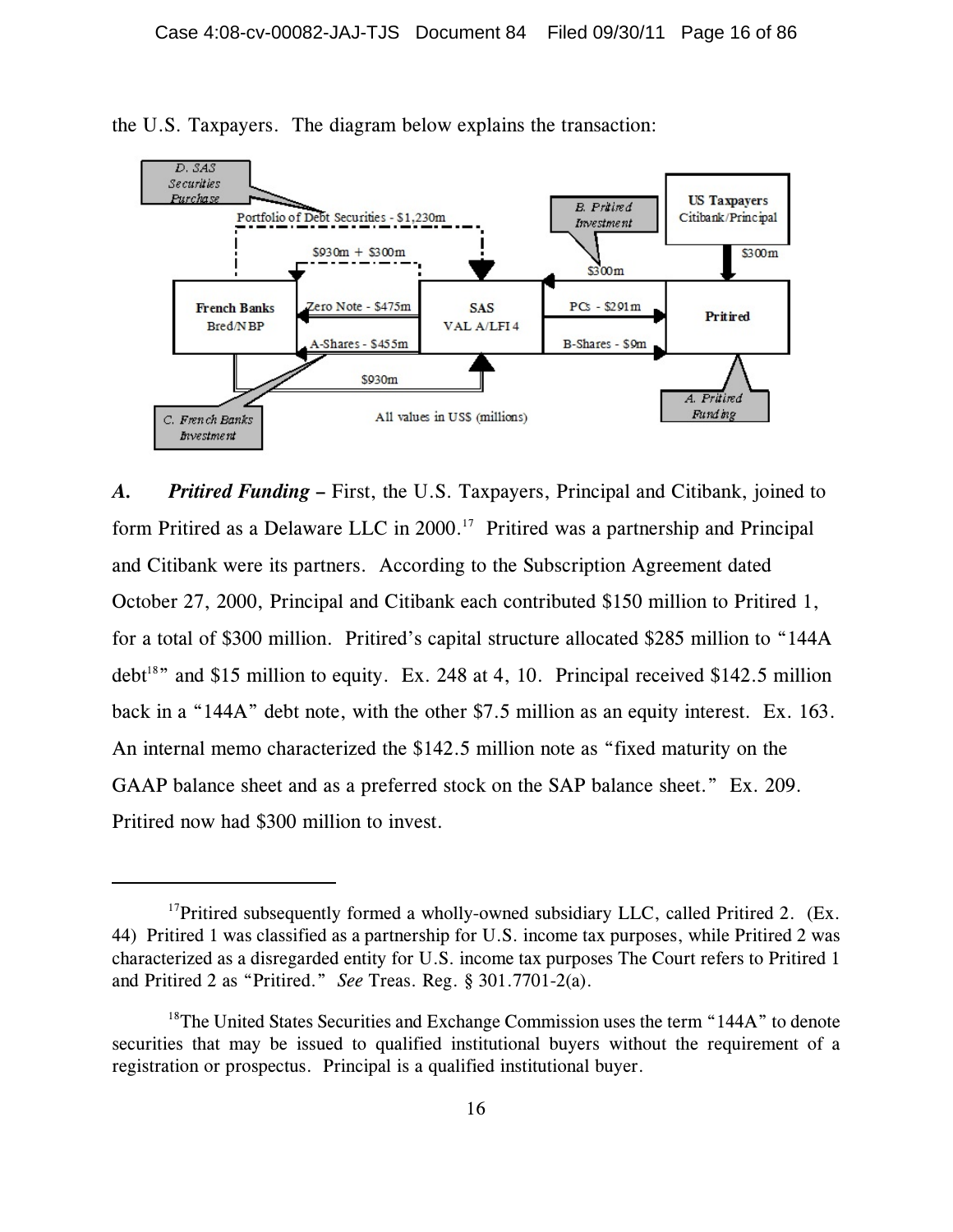

the U.S. Taxpayers. The diagram below explains the transaction:

*A. Pritired Funding* **–** First, the U.S. Taxpayers, Principal and Citibank, joined to form Pritired as a Delaware LLC in  $2000$ .<sup>17</sup> Pritired was a partnership and Principal and Citibank were its partners. According to the Subscription Agreement dated October 27, 2000, Principal and Citibank each contributed \$150 million to Pritired 1, for a total of \$300 million. Pritired's capital structure allocated \$285 million to "144A debt<sup>18</sup>" and \$15 million to equity. Ex. 248 at 4, 10. Principal received \$142.5 million back in a "144A" debt note, with the other \$7.5 million as an equity interest. Ex. 163. An internal memo characterized the \$142.5 million note as "fixed maturity on the GAAP balance sheet and as a preferred stock on the SAP balance sheet." Ex. 209. Pritired now had \$300 million to invest.

<sup>&</sup>lt;sup>17</sup>Pritired subsequently formed a wholly-owned subsidiary LLC, called Pritired 2. (Ex. 44) Pritired 1 was classified as a partnership for U.S. income tax purposes, while Pritired 2 was characterized as a disregarded entity for U.S. income tax purposes The Court refers to Pritired 1 and Pritired 2 as "Pritired." *See* Treas. Reg. § 301.7701-2(a).

<sup>&</sup>lt;sup>18</sup>The United States Securities and Exchange Commission uses the term "144A" to denote securities that may be issued to qualified institutional buyers without the requirement of a registration or prospectus. Principal is a qualified institutional buyer.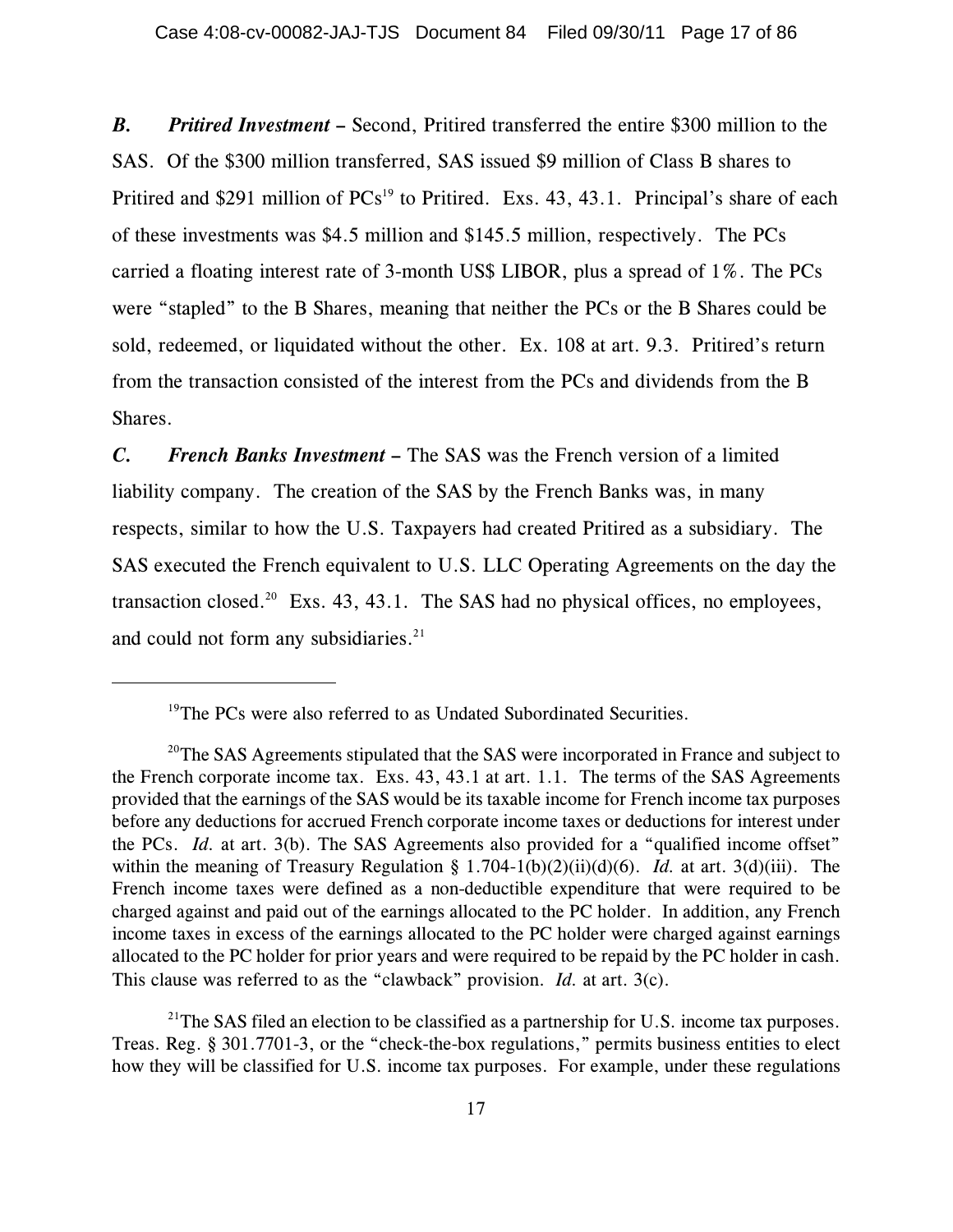*B. Pritired Investment* **–** Second, Pritired transferred the entire \$300 million to the SAS. Of the \$300 million transferred, SAS issued \$9 million of Class B shares to Pritired and \$291 million of  $PCs<sup>19</sup>$  to Pritired. Exs. 43, 43.1. Principal's share of each of these investments was \$4.5 million and \$145.5 million, respectively. The PCs carried a floating interest rate of 3-month US\$ LIBOR, plus a spread of 1%. The PCs were "stapled" to the B Shares, meaning that neither the PCs or the B Shares could be sold, redeemed, or liquidated without the other. Ex. 108 at art. 9.3. Pritired's return from the transaction consisted of the interest from the PCs and dividends from the B Shares.

*C.**French Banks Investment* **–** The SAS was the French version of a limited liability company. The creation of the SAS by the French Banks was, in many respects, similar to how the U.S. Taxpayers had created Pritired as a subsidiary. The SAS executed the French equivalent to U.S. LLC Operating Agreements on the day the transaction closed.<sup>20</sup> Exs. 43, 43.1. The SAS had no physical offices, no employees, and could not form any subsidiaries.<sup>21</sup>

 $19$ <sup>19</sup>The PCs were also referred to as Undated Subordinated Securities.

 $20$ <sup>20</sup>The SAS Agreements stipulated that the SAS were incorporated in France and subject to the French corporate income tax. Exs. 43, 43.1 at art. 1.1. The terms of the SAS Agreements provided that the earnings of the SAS would be its taxable income for French income tax purposes before any deductions for accrued French corporate income taxes or deductions for interest under the PCs. *Id.* at art. 3(b). The SAS Agreements also provided for a "qualified income offset" within the meaning of Treasury Regulation § 1.704-1(b)(2)(ii)(d)(6). *Id.* at art. 3(d)(iii). The French income taxes were defined as a non-deductible expenditure that were required to be charged against and paid out of the earnings allocated to the PC holder. In addition, any French income taxes in excess of the earnings allocated to the PC holder were charged against earnings allocated to the PC holder for prior years and were required to be repaid by the PC holder in cash. This clause was referred to as the "clawback" provision. *Id.* at art. 3(c).

<sup>&</sup>lt;sup>21</sup>The SAS filed an election to be classified as a partnership for U.S. income tax purposes. Treas. Reg. § 301.7701-3, or the "check-the-box regulations," permits business entities to elect how they will be classified for U.S. income tax purposes. For example, under these regulations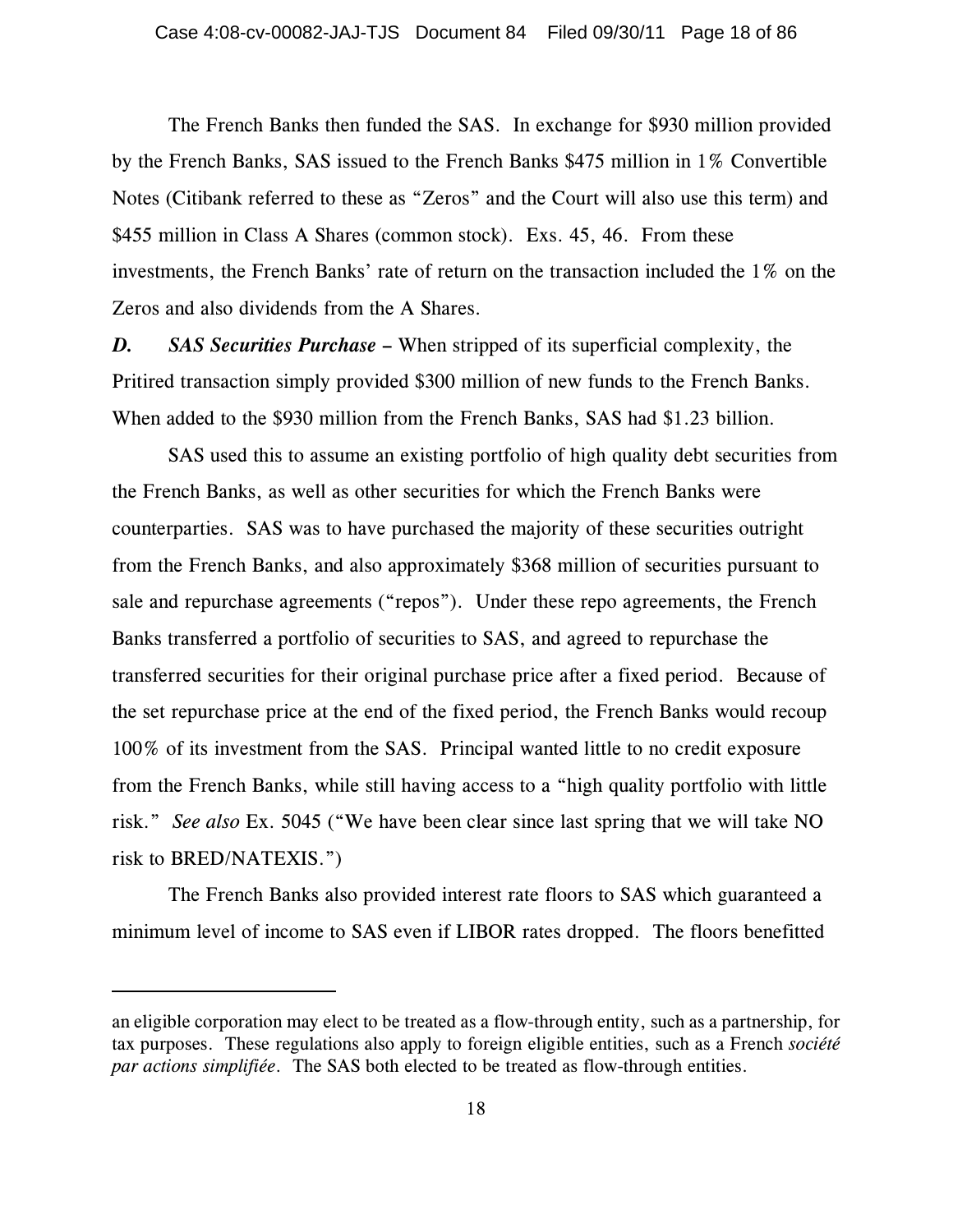The French Banks then funded the SAS. In exchange for \$930 million provided by the French Banks, SAS issued to the French Banks \$475 million in 1% Convertible Notes (Citibank referred to these as "Zeros" and the Court will also use this term) and \$455 million in Class A Shares (common stock). Exs. 45, 46. From these investments, the French Banks' rate of return on the transaction included the 1% on the Zeros and also dividends from the A Shares.

*D. SAS Securities Purchase* **–** When stripped of its superficial complexity, the Pritired transaction simply provided \$300 million of new funds to the French Banks. When added to the \$930 million from the French Banks, SAS had \$1.23 billion.

SAS used this to assume an existing portfolio of high quality debt securities from the French Banks, as well as other securities for which the French Banks were counterparties. SAS was to have purchased the majority of these securities outright from the French Banks, and also approximately \$368 million of securities pursuant to sale and repurchase agreements ("repos"). Under these repo agreements, the French Banks transferred a portfolio of securities to SAS, and agreed to repurchase the transferred securities for their original purchase price after a fixed period. Because of the set repurchase price at the end of the fixed period, the French Banks would recoup 100% of its investment from the SAS. Principal wanted little to no credit exposure from the French Banks, while still having access to a "high quality portfolio with little risk." *See also* Ex. 5045 ("We have been clear since last spring that we will take NO risk to BRED/NATEXIS.")

The French Banks also provided interest rate floors to SAS which guaranteed a minimum level of income to SAS even if LIBOR rates dropped. The floors benefitted

an eligible corporation may elect to be treated as a flow-through entity, such as a partnership, for tax purposes. These regulations also apply to foreign eligible entities, such as a French *société par actions simplifiée*. The SAS both elected to be treated as flow-through entities.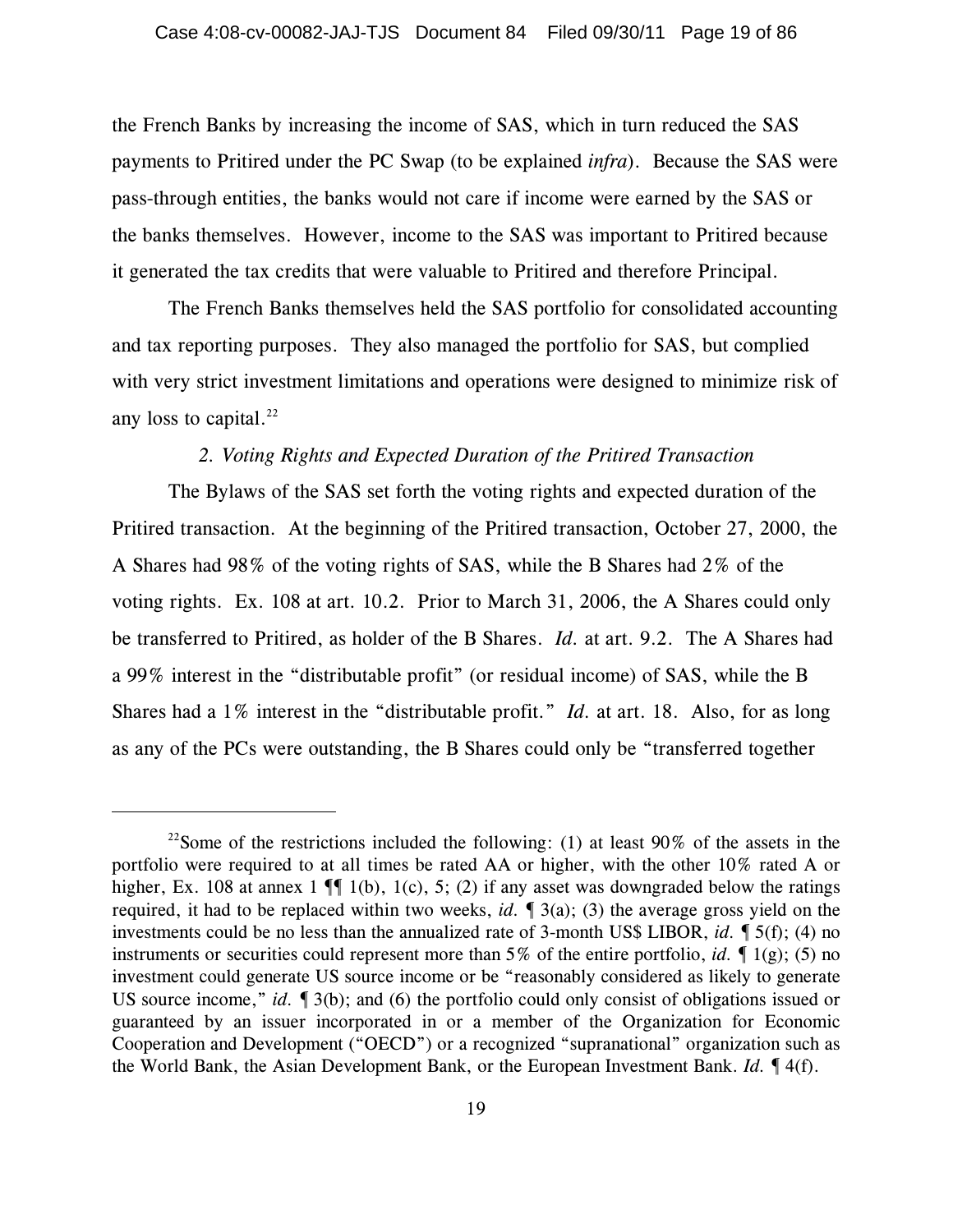the French Banks by increasing the income of SAS, which in turn reduced the SAS payments to Pritired under the PC Swap (to be explained *infra*). Because the SAS were pass-through entities, the banks would not care if income were earned by the SAS or the banks themselves. However, income to the SAS was important to Pritired because it generated the tax credits that were valuable to Pritired and therefore Principal.

The French Banks themselves held the SAS portfolio for consolidated accounting and tax reporting purposes. They also managed the portfolio for SAS, but complied with very strict investment limitations and operations were designed to minimize risk of any loss to capital. $^{22}$ 

# *2. Voting Rights and Expected Duration of the Pritired Transaction*

The Bylaws of the SAS set forth the voting rights and expected duration of the Pritired transaction. At the beginning of the Pritired transaction, October 27, 2000, the A Shares had 98% of the voting rights of SAS, while the B Shares had 2% of the voting rights. Ex. 108 at art. 10.2. Prior to March 31, 2006, the A Shares could only be transferred to Pritired, as holder of the B Shares. *Id.* at art. 9.2. The A Shares had a 99% interest in the "distributable profit" (or residual income) of SAS, while the B Shares had a 1% interest in the "distributable profit." *Id.* at art. 18. Also, for as long as any of the PCs were outstanding, the B Shares could only be "transferred together

<sup>&</sup>lt;sup>22</sup>Some of the restrictions included the following: (1) at least 90% of the assets in the portfolio were required to at all times be rated AA or higher, with the other 10% rated A or higher, Ex. 108 at annex 1  $\P$  1(b), 1(c), 5; (2) if any asset was downgraded below the ratings required, it had to be replaced within two weeks, *id.* ¶ 3(a); (3) the average gross yield on the investments could be no less than the annualized rate of 3-month US\$ LIBOR, *id.* ¶ 5(f); (4) no instruments or securities could represent more than 5% of the entire portfolio, *id.* ¶ 1(g); (5) no investment could generate US source income or be "reasonably considered as likely to generate US source income," *id.*  $\lceil 3(b) \rceil$ ; and (6) the portfolio could only consist of obligations issued or guaranteed by an issuer incorporated in or a member of the Organization for Economic Cooperation and Development ("OECD") or a recognized "supranational" organization such as the World Bank, the Asian Development Bank, or the European Investment Bank. *Id.* ¶ 4(f).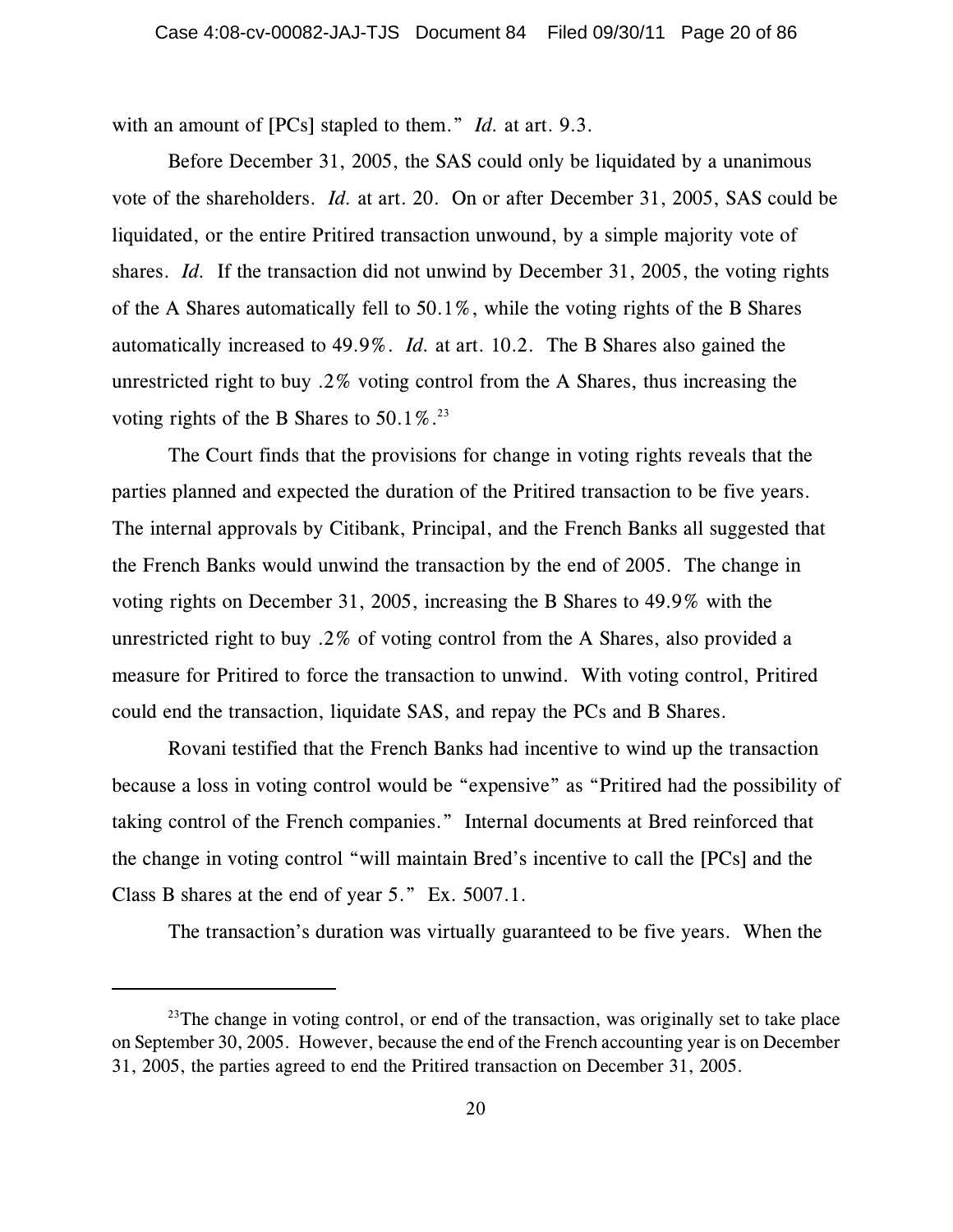with an amount of [PCs] stapled to them." *Id.* at art. 9.3.

Before December 31, 2005, the SAS could only be liquidated by a unanimous vote of the shareholders. *Id.* at art. 20. On or after December 31, 2005, SAS could be liquidated, or the entire Pritired transaction unwound, by a simple majority vote of shares. *Id.* If the transaction did not unwind by December 31, 2005, the voting rights of the A Shares automatically fell to 50.1%, while the voting rights of the B Shares automatically increased to 49.9%. *Id.* at art. 10.2. The B Shares also gained the unrestricted right to buy .2% voting control from the A Shares, thus increasing the voting rights of the B Shares to  $50.1\%$ .<sup>23</sup>

The Court finds that the provisions for change in voting rights reveals that the parties planned and expected the duration of the Pritired transaction to be five years. The internal approvals by Citibank, Principal, and the French Banks all suggested that the French Banks would unwind the transaction by the end of 2005. The change in voting rights on December 31, 2005, increasing the B Shares to 49.9% with the unrestricted right to buy .2% of voting control from the A Shares, also provided a measure for Pritired to force the transaction to unwind. With voting control, Pritired could end the transaction, liquidate SAS, and repay the PCs and B Shares.

Rovani testified that the French Banks had incentive to wind up the transaction because a loss in voting control would be "expensive" as "Pritired had the possibility of taking control of the French companies." Internal documents at Bred reinforced that the change in voting control "will maintain Bred's incentive to call the [PCs] and the Class B shares at the end of year 5." Ex. 5007.1.

The transaction's duration was virtually guaranteed to be five years. When the

 $23$ The change in voting control, or end of the transaction, was originally set to take place on September 30, 2005. However, because the end of the French accounting year is on December 31, 2005, the parties agreed to end the Pritired transaction on December 31, 2005.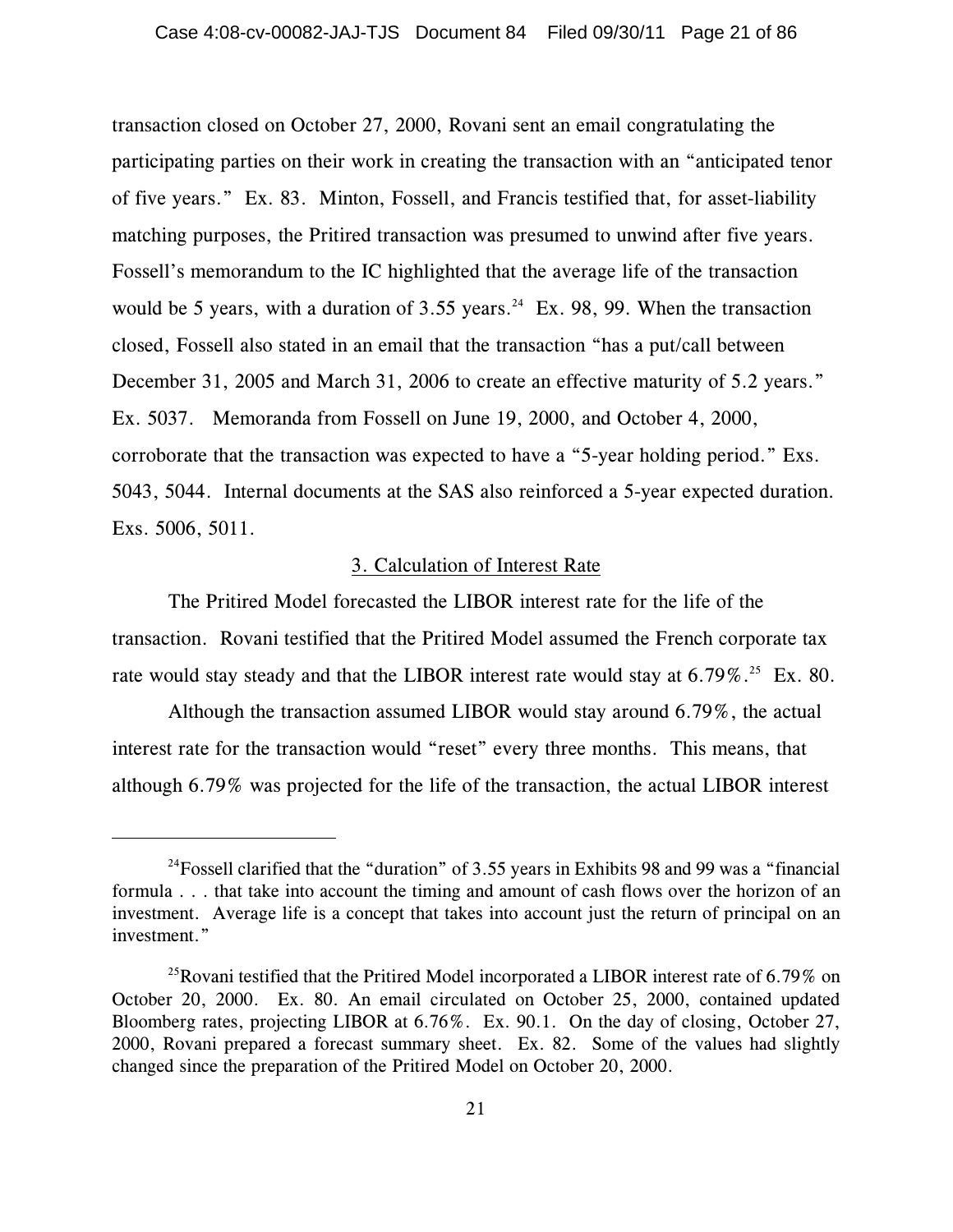transaction closed on October 27, 2000, Rovani sent an email congratulating the participating parties on their work in creating the transaction with an "anticipated tenor of five years." Ex. 83. Minton, Fossell, and Francis testified that, for asset-liability matching purposes, the Pritired transaction was presumed to unwind after five years. Fossell's memorandum to the IC highlighted that the average life of the transaction would be 5 years, with a duration of  $3.55$  years.<sup>24</sup> Ex. 98, 99. When the transaction closed, Fossell also stated in an email that the transaction "has a put/call between December 31, 2005 and March 31, 2006 to create an effective maturity of 5.2 years." Ex. 5037. Memoranda from Fossell on June 19, 2000, and October 4, 2000, corroborate that the transaction was expected to have a "5-year holding period." Exs. 5043, 5044. Internal documents at the SAS also reinforced a 5-year expected duration. Exs. 5006, 5011.

#### 3. Calculation of Interest Rate

The Pritired Model forecasted the LIBOR interest rate for the life of the transaction. Rovani testified that the Pritired Model assumed the French corporate tax rate would stay steady and that the LIBOR interest rate would stay at  $6.79\%$ .<sup>25</sup> Ex. 80.

Although the transaction assumed LIBOR would stay around 6.79%, the actual interest rate for the transaction would "reset" every three months. This means, that although 6.79% was projected for the life of the transaction, the actual LIBOR interest

<sup>&</sup>lt;sup>24</sup> Fossell clarified that the "duration" of 3.55 years in Exhibits 98 and 99 was a "financial" formula . . . that take into account the timing and amount of cash flows over the horizon of an investment. Average life is a concept that takes into account just the return of principal on an investment."

<sup>&</sup>lt;sup>25</sup>Rovani testified that the Pritired Model incorporated a LIBOR interest rate of 6.79% on October 20, 2000. Ex. 80. An email circulated on October 25, 2000, contained updated Bloomberg rates, projecting LIBOR at 6.76%. Ex. 90.1. On the day of closing, October 27, 2000, Rovani prepared a forecast summary sheet. Ex. 82. Some of the values had slightly changed since the preparation of the Pritired Model on October 20, 2000.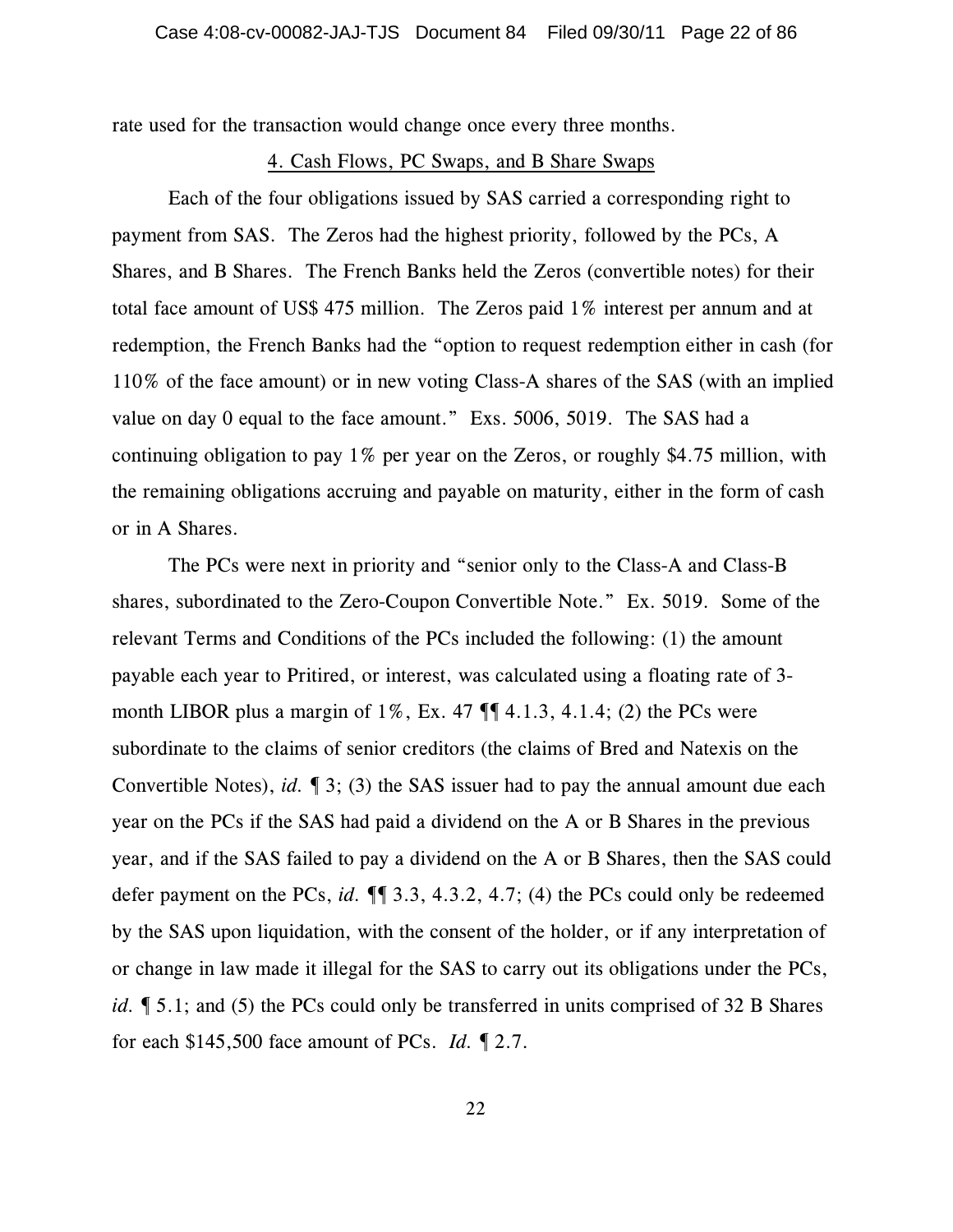rate used for the transaction would change once every three months.

#### 4. Cash Flows, PC Swaps, and B Share Swaps

Each of the four obligations issued by SAS carried a corresponding right to payment from SAS. The Zeros had the highest priority, followed by the PCs, A Shares, and B Shares. The French Banks held the Zeros (convertible notes) for their total face amount of US\$ 475 million. The Zeros paid 1% interest per annum and at redemption, the French Banks had the "option to request redemption either in cash (for 110% of the face amount) or in new voting Class-A shares of the SAS (with an implied value on day 0 equal to the face amount." Exs. 5006, 5019. The SAS had a continuing obligation to pay 1% per year on the Zeros, or roughly \$4.75 million, with the remaining obligations accruing and payable on maturity, either in the form of cash or in A Shares.

The PCs were next in priority and "senior only to the Class-A and Class-B shares, subordinated to the Zero-Coupon Convertible Note." Ex. 5019. Some of the relevant Terms and Conditions of the PCs included the following: (1) the amount payable each year to Pritired, or interest, was calculated using a floating rate of 3 month LIBOR plus a margin of  $1\%$ , Ex. 47  $\P$  $\P$  $4.1.3$ , 4.1.4; (2) the PCs were subordinate to the claims of senior creditors (the claims of Bred and Natexis on the Convertible Notes), *id.* ¶ 3; (3) the SAS issuer had to pay the annual amount due each year on the PCs if the SAS had paid a dividend on the A or B Shares in the previous year, and if the SAS failed to pay a dividend on the A or B Shares, then the SAS could defer payment on the PCs, *id.* ¶¶ 3.3, 4.3.2, 4.7; (4) the PCs could only be redeemed by the SAS upon liquidation, with the consent of the holder, or if any interpretation of or change in law made it illegal for the SAS to carry out its obligations under the PCs, *id.*  $\llbracket 5.1$ ; and (5) the PCs could only be transferred in units comprised of 32 B Shares for each \$145,500 face amount of PCs. *Id.* ¶ 2.7.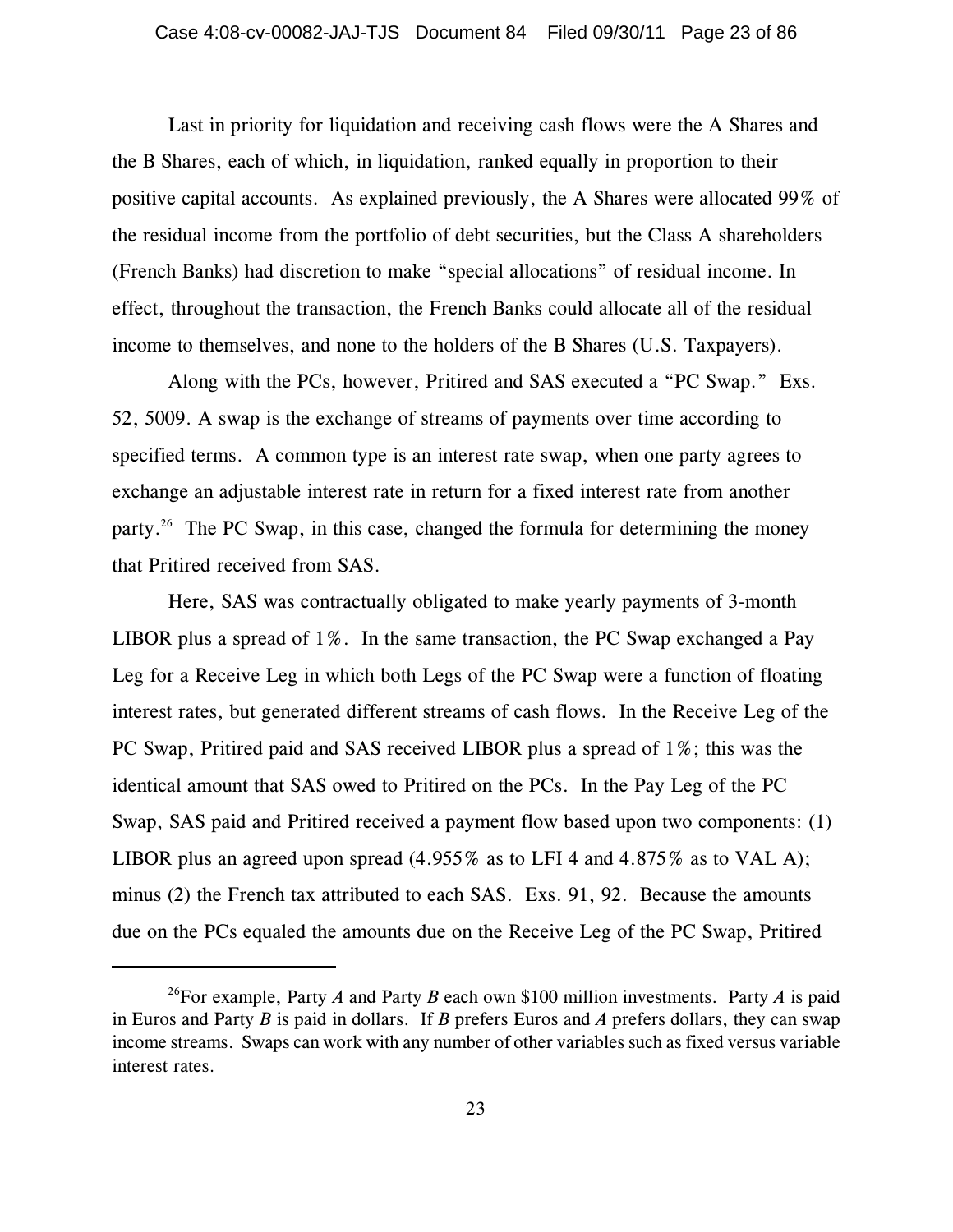Last in priority for liquidation and receiving cash flows were the A Shares and the B Shares, each of which, in liquidation, ranked equally in proportion to their positive capital accounts. As explained previously, the A Shares were allocated 99% of the residual income from the portfolio of debt securities, but the Class A shareholders (French Banks) had discretion to make "special allocations" of residual income. In effect, throughout the transaction, the French Banks could allocate all of the residual income to themselves, and none to the holders of the B Shares (U.S. Taxpayers).

Along with the PCs, however, Pritired and SAS executed a "PC Swap." Exs. 52, 5009. A swap is the exchange of streams of payments over time according to specified terms. A common type is an interest rate swap, when one party agrees to exchange an adjustable interest rate in return for a fixed interest rate from another party.<sup>26</sup> The PC Swap, in this case, changed the formula for determining the money that Pritired received from SAS.

Here, SAS was contractually obligated to make yearly payments of 3-month LIBOR plus a spread of 1%. In the same transaction, the PC Swap exchanged a Pay Leg for a Receive Leg in which both Legs of the PC Swap were a function of floating interest rates, but generated different streams of cash flows. In the Receive Leg of the PC Swap, Pritired paid and SAS received LIBOR plus a spread of 1%; this was the identical amount that SAS owed to Pritired on the PCs. In the Pay Leg of the PC Swap, SAS paid and Pritired received a payment flow based upon two components: (1) LIBOR plus an agreed upon spread (4.955% as to LFI 4 and 4.875% as to VAL A); minus (2) the French tax attributed to each SAS. Exs. 91, 92. Because the amounts due on the PCs equaled the amounts due on the Receive Leg of the PC Swap, Pritired

<sup>&</sup>lt;sup>26</sup>For example, Party *A* and Party *B* each own \$100 million investments. Party *A* is paid in Euros and Party *B* is paid in dollars. If *B* prefers Euros and *A* prefers dollars, they can swap income streams. Swaps can work with any number of other variables such as fixed versus variable interest rates.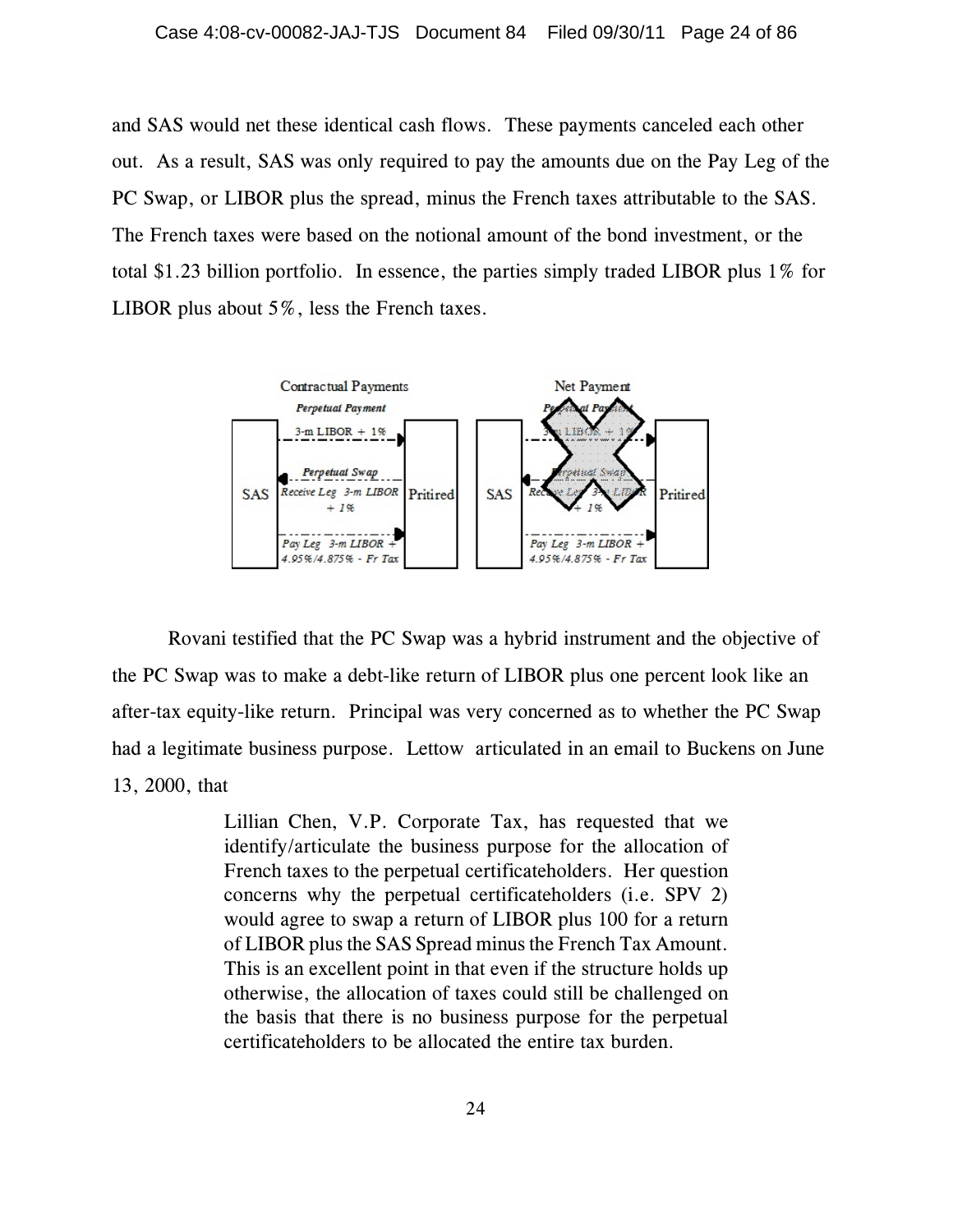and SAS would net these identical cash flows. These payments canceled each other out. As a result, SAS was only required to pay the amounts due on the Pay Leg of the PC Swap, or LIBOR plus the spread, minus the French taxes attributable to the SAS. The French taxes were based on the notional amount of the bond investment, or the total \$1.23 billion portfolio. In essence, the parties simply traded LIBOR plus 1% for LIBOR plus about 5%, less the French taxes.



Rovani testified that the PC Swap was a hybrid instrument and the objective of the PC Swap was to make a debt-like return of LIBOR plus one percent look like an after-tax equity-like return. Principal was very concerned as to whether the PC Swap had a legitimate business purpose. Lettow articulated in an email to Buckens on June 13, 2000, that

> Lillian Chen, V.P. Corporate Tax, has requested that we identify/articulate the business purpose for the allocation of French taxes to the perpetual certificateholders. Her question concerns why the perpetual certificateholders (i.e. SPV 2) would agree to swap a return of LIBOR plus 100 for a return of LIBOR plus the SAS Spread minus the French Tax Amount. This is an excellent point in that even if the structure holds up otherwise, the allocation of taxes could still be challenged on the basis that there is no business purpose for the perpetual certificateholders to be allocated the entire tax burden.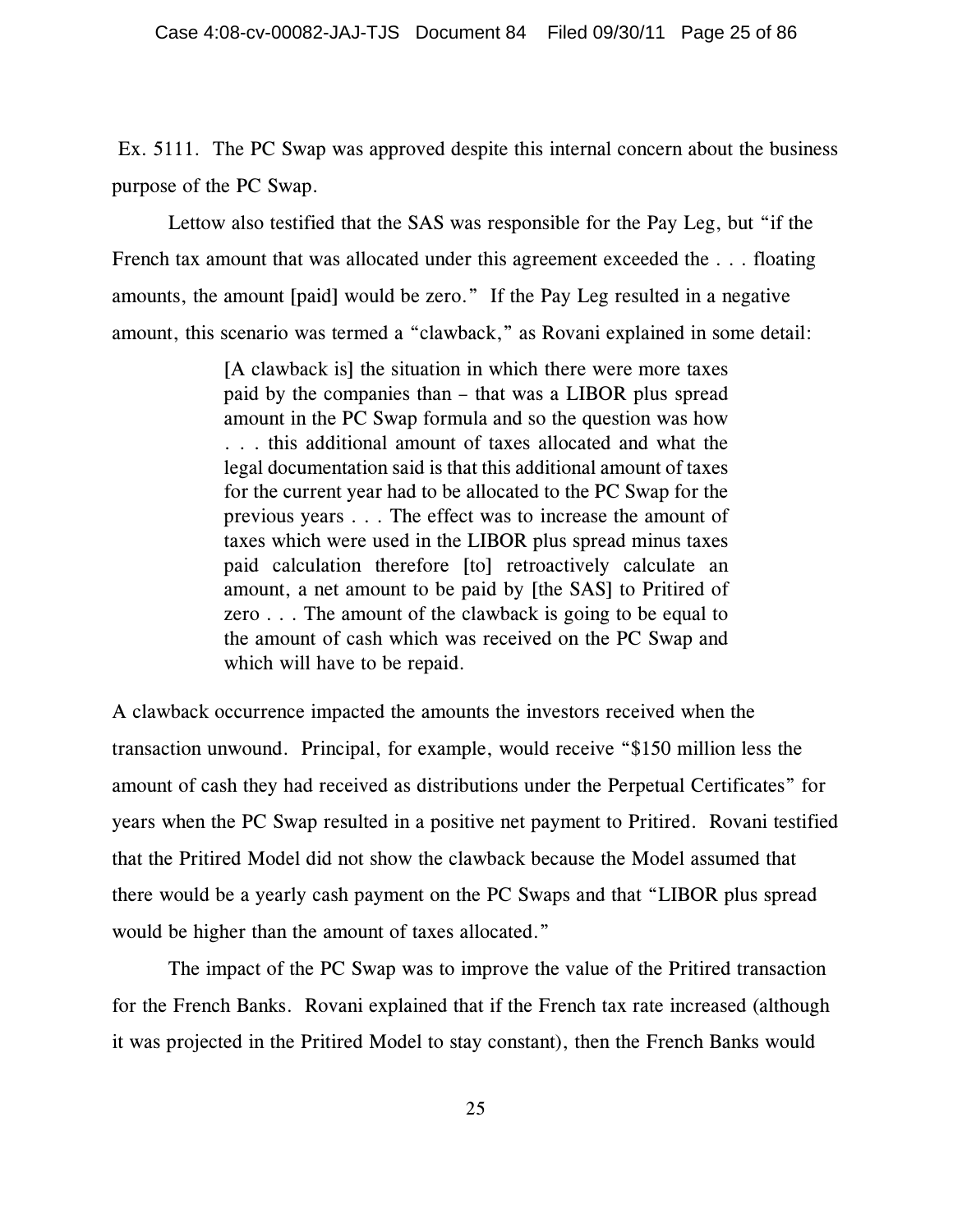Ex. 5111. The PC Swap was approved despite this internal concern about the business purpose of the PC Swap.

Lettow also testified that the SAS was responsible for the Pay Leg, but "if the French tax amount that was allocated under this agreement exceeded the . . . floating amounts, the amount [paid] would be zero." If the Pay Leg resulted in a negative amount, this scenario was termed a "clawback," as Rovani explained in some detail:

> [A clawback is] the situation in which there were more taxes paid by the companies than – that was a LIBOR plus spread amount in the PC Swap formula and so the question was how . . . this additional amount of taxes allocated and what the legal documentation said is that this additional amount of taxes for the current year had to be allocated to the PC Swap for the previous years . . . The effect was to increase the amount of taxes which were used in the LIBOR plus spread minus taxes paid calculation therefore [to] retroactively calculate an amount, a net amount to be paid by [the SAS] to Pritired of zero . . . The amount of the clawback is going to be equal to the amount of cash which was received on the PC Swap and which will have to be repaid.

A clawback occurrence impacted the amounts the investors received when the transaction unwound. Principal, for example, would receive "\$150 million less the amount of cash they had received as distributions under the Perpetual Certificates" for years when the PC Swap resulted in a positive net payment to Pritired. Rovani testified that the Pritired Model did not show the clawback because the Model assumed that there would be a yearly cash payment on the PC Swaps and that "LIBOR plus spread would be higher than the amount of taxes allocated."

The impact of the PC Swap was to improve the value of the Pritired transaction for the French Banks. Rovani explained that if the French tax rate increased (although it was projected in the Pritired Model to stay constant), then the French Banks would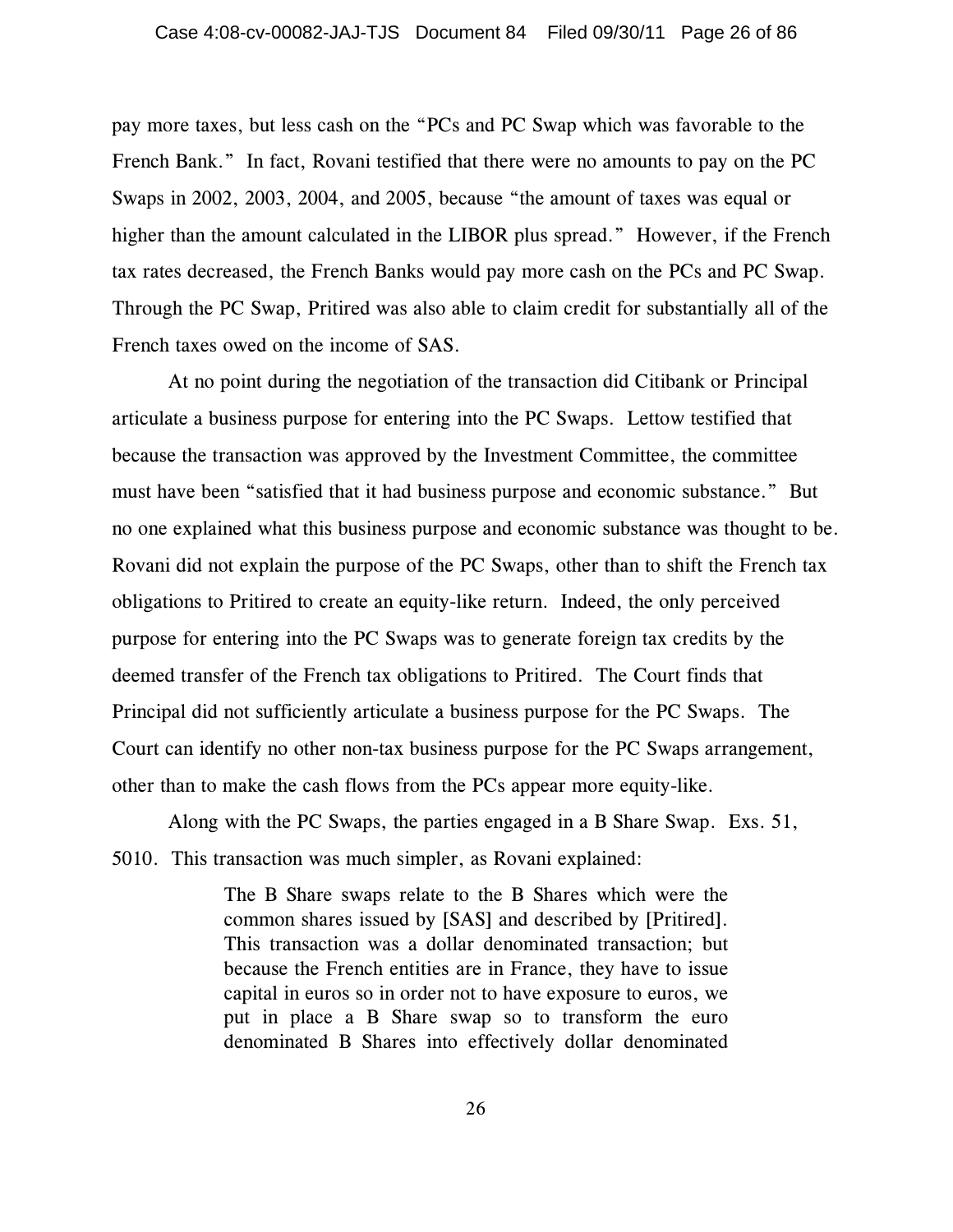pay more taxes, but less cash on the "PCs and PC Swap which was favorable to the French Bank." In fact, Rovani testified that there were no amounts to pay on the PC Swaps in 2002, 2003, 2004, and 2005, because "the amount of taxes was equal or higher than the amount calculated in the LIBOR plus spread." However, if the French tax rates decreased, the French Banks would pay more cash on the PCs and PC Swap. Through the PC Swap, Pritired was also able to claim credit for substantially all of the French taxes owed on the income of SAS.

At no point during the negotiation of the transaction did Citibank or Principal articulate a business purpose for entering into the PC Swaps. Lettow testified that because the transaction was approved by the Investment Committee, the committee must have been "satisfied that it had business purpose and economic substance." But no one explained what this business purpose and economic substance was thought to be. Rovani did not explain the purpose of the PC Swaps, other than to shift the French tax obligations to Pritired to create an equity-like return. Indeed, the only perceived purpose for entering into the PC Swaps was to generate foreign tax credits by the deemed transfer of the French tax obligations to Pritired. The Court finds that Principal did not sufficiently articulate a business purpose for the PC Swaps. The Court can identify no other non-tax business purpose for the PC Swaps arrangement, other than to make the cash flows from the PCs appear more equity-like.

Along with the PC Swaps, the parties engaged in a B Share Swap. Exs. 51, 5010. This transaction was much simpler, as Rovani explained:

> The B Share swaps relate to the B Shares which were the common shares issued by [SAS] and described by [Pritired]. This transaction was a dollar denominated transaction; but because the French entities are in France, they have to issue capital in euros so in order not to have exposure to euros, we put in place a B Share swap so to transform the euro denominated B Shares into effectively dollar denominated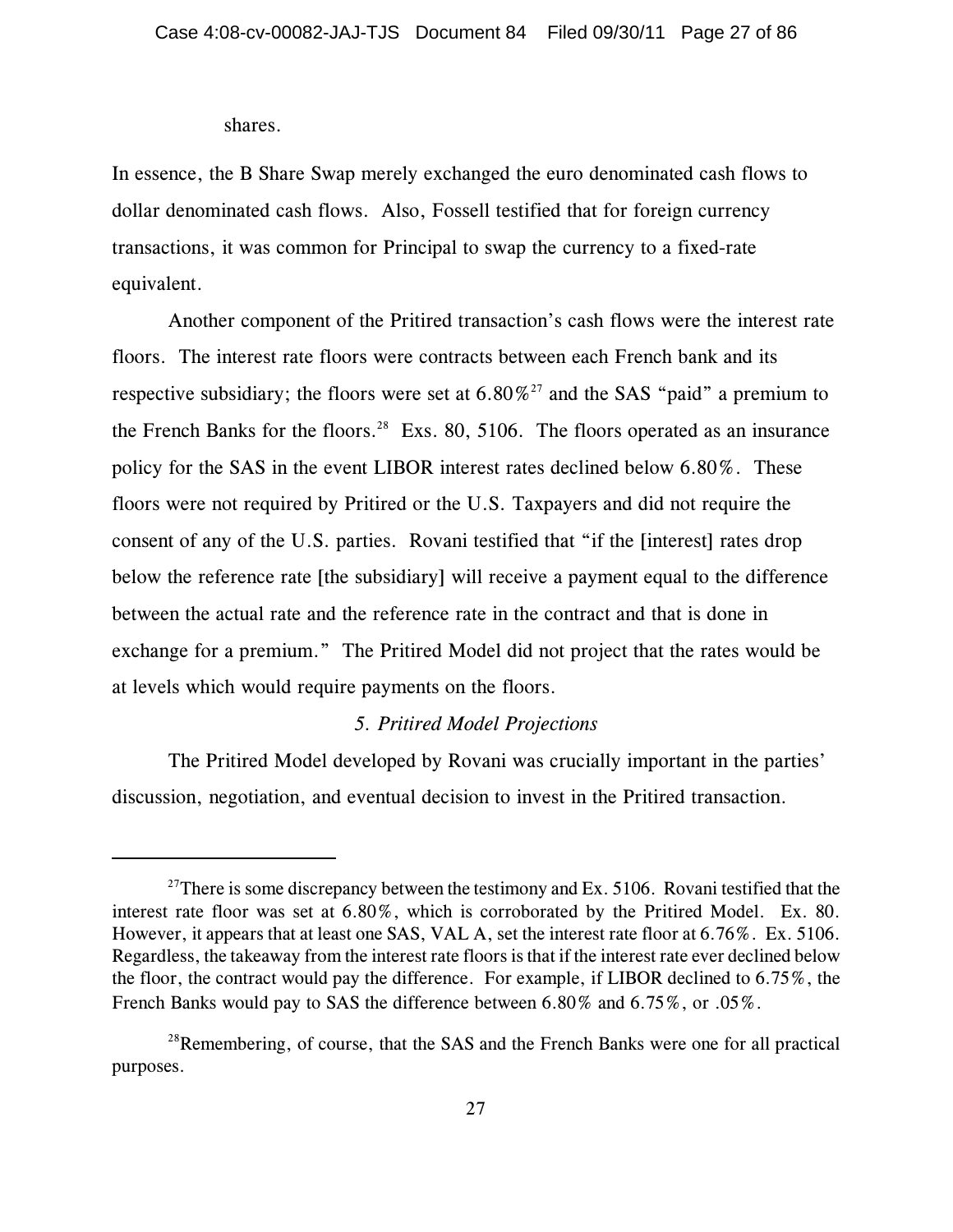#### shares.

In essence, the B Share Swap merely exchanged the euro denominated cash flows to dollar denominated cash flows. Also, Fossell testified that for foreign currency transactions, it was common for Principal to swap the currency to a fixed-rate equivalent.

Another component of the Pritired transaction's cash flows were the interest rate floors. The interest rate floors were contracts between each French bank and its respective subsidiary; the floors were set at  $6.80\%^{27}$  and the SAS "paid" a premium to the French Banks for the floors.<sup>28</sup> Exs. 80, 5106. The floors operated as an insurance policy for the SAS in the event LIBOR interest rates declined below 6.80%. These floors were not required by Pritired or the U.S. Taxpayers and did not require the consent of any of the U.S. parties. Rovani testified that "if the [interest] rates drop below the reference rate [the subsidiary] will receive a payment equal to the difference between the actual rate and the reference rate in the contract and that is done in exchange for a premium." The Pritired Model did not project that the rates would be at levels which would require payments on the floors.

# *5. Pritired Model Projections*

The Pritired Model developed by Rovani was crucially important in the parties' discussion, negotiation, and eventual decision to invest in the Pritired transaction.

<sup>&</sup>lt;sup>27</sup>There is some discrepancy between the testimony and Ex. 5106. Rovani testified that the interest rate floor was set at 6.80%, which is corroborated by the Pritired Model. Ex. 80. However, it appears that at least one SAS, VAL A, set the interest rate floor at 6.76%. Ex. 5106. Regardless, the takeaway from the interest rate floors is that if the interest rate ever declined below the floor, the contract would pay the difference. For example, if LIBOR declined to 6.75%, the French Banks would pay to SAS the difference between 6.80% and 6.75%, or .05%.

 $28$ Remembering, of course, that the SAS and the French Banks were one for all practical purposes.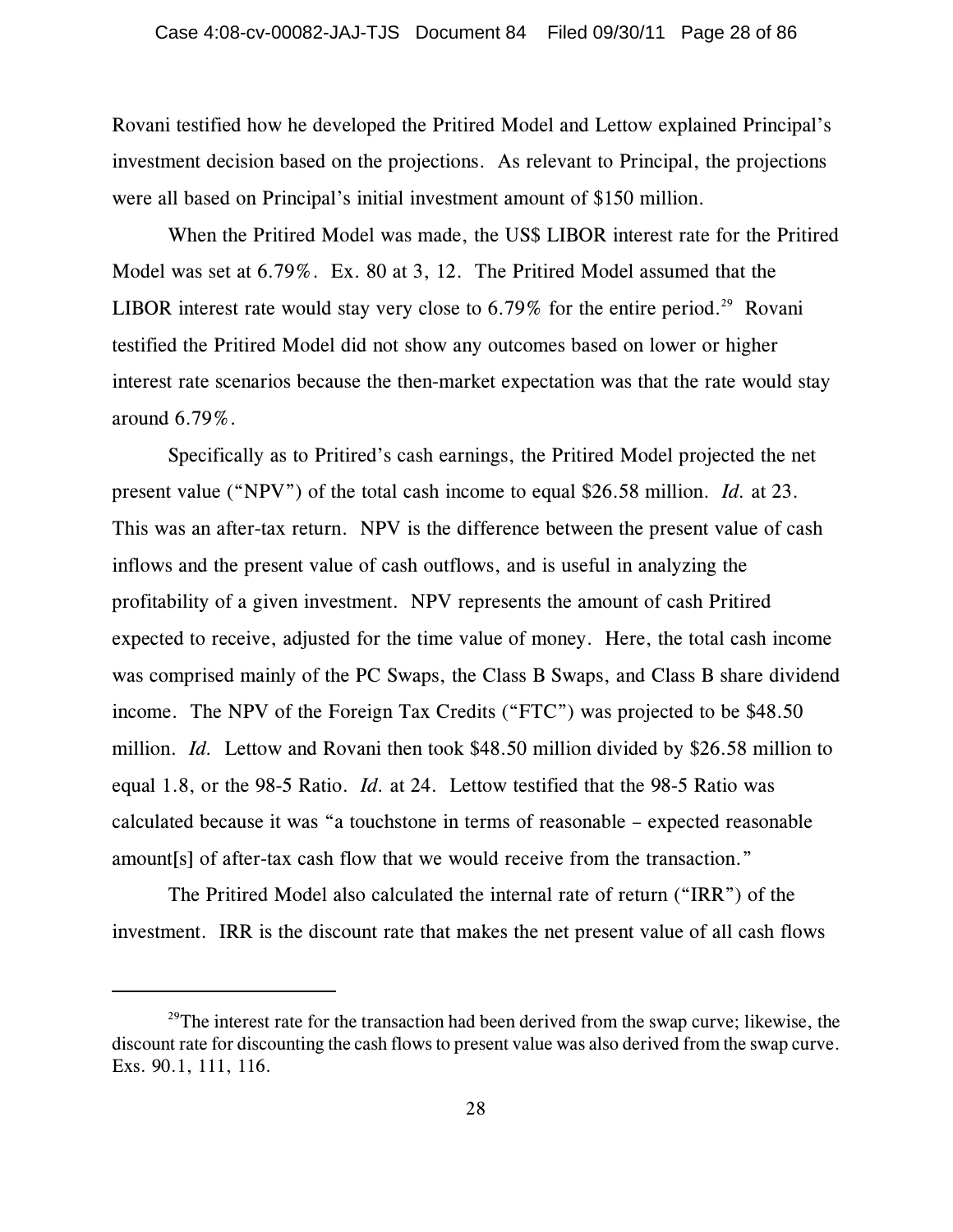Rovani testified how he developed the Pritired Model and Lettow explained Principal's investment decision based on the projections. As relevant to Principal, the projections were all based on Principal's initial investment amount of \$150 million.

When the Pritired Model was made, the US\$ LIBOR interest rate for the Pritired Model was set at 6.79%. Ex. 80 at 3, 12. The Pritired Model assumed that the LIBOR interest rate would stay very close to  $6.79\%$  for the entire period.<sup>29</sup> Rovani testified the Pritired Model did not show any outcomes based on lower or higher interest rate scenarios because the then-market expectation was that the rate would stay around 6.79%.

Specifically as to Pritired's cash earnings, the Pritired Model projected the net present value ("NPV") of the total cash income to equal \$26.58 million. *Id.* at 23. This was an after-tax return. NPV is the difference between the present value of cash inflows and the present value of cash outflows, and is useful in analyzing the profitability of a given investment. NPV represents the amount of cash Pritired expected to receive, adjusted for the time value of money. Here, the total cash income was comprised mainly of the PC Swaps, the Class B Swaps, and Class B share dividend income. The NPV of the Foreign Tax Credits ("FTC") was projected to be \$48.50 million. *Id.* Lettow and Rovani then took \$48.50 million divided by \$26.58 million to equal 1.8, or the 98-5 Ratio. *Id.* at 24. Lettow testified that the 98-5 Ratio was calculated because it was "a touchstone in terms of reasonable – expected reasonable amount[s] of after-tax cash flow that we would receive from the transaction."

The Pritired Model also calculated the internal rate of return ("IRR") of the investment. IRR is the discount rate that makes the net present value of all cash flows

 $29$ <sup>29</sup>The interest rate for the transaction had been derived from the swap curve; likewise, the discount rate for discounting the cash flows to present value was also derived from the swap curve. Exs. 90.1, 111, 116.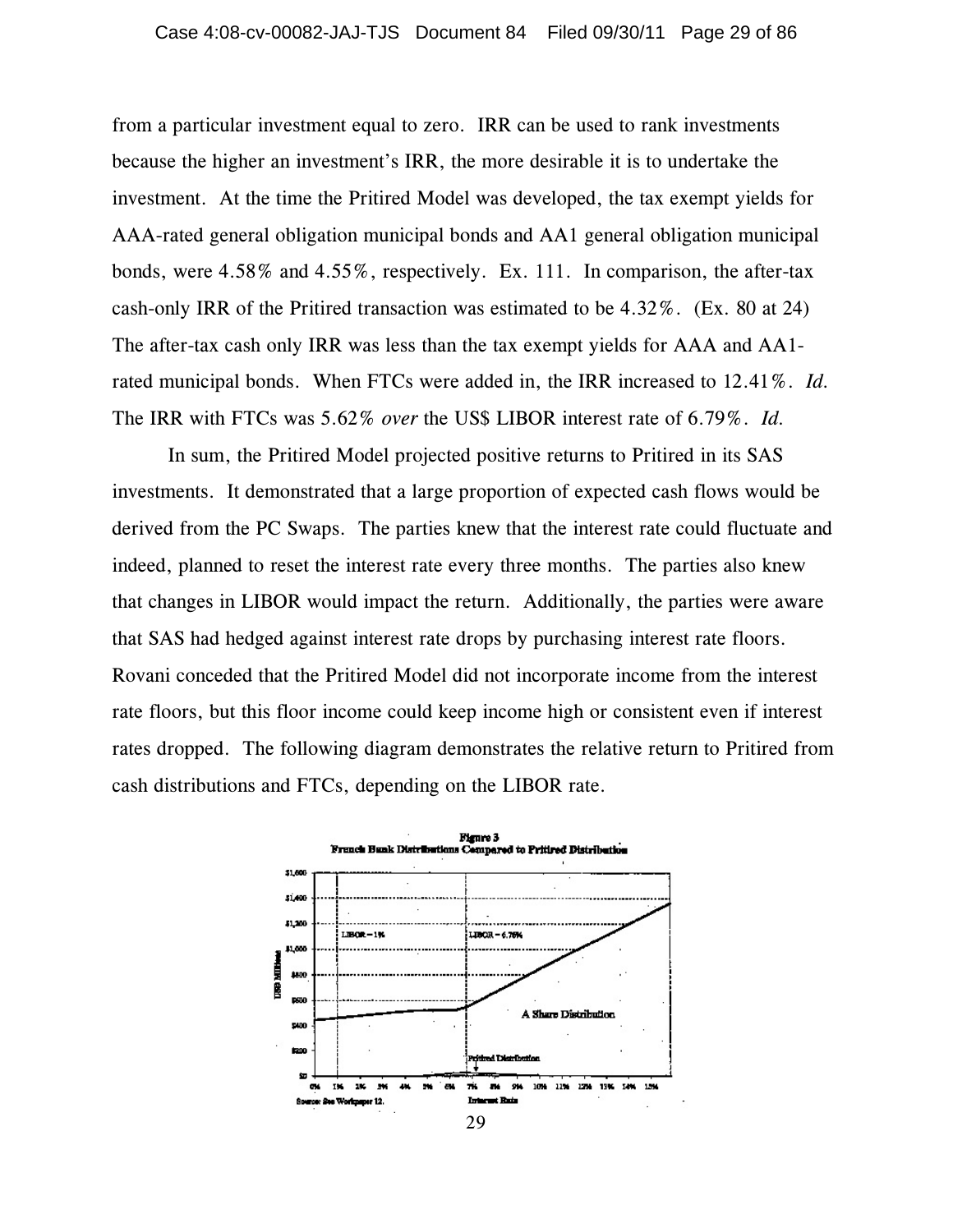from a particular investment equal to zero. IRR can be used to rank investments because the higher an investment's IRR, the more desirable it is to undertake the investment. At the time the Pritired Model was developed, the tax exempt yields for AAA-rated general obligation municipal bonds and AA1 general obligation municipal bonds, were 4.58% and 4.55%, respectively. Ex. 111. In comparison, the after-tax cash-only IRR of the Pritired transaction was estimated to be 4.32%. (Ex. 80 at 24) The after-tax cash only IRR was less than the tax exempt yields for AAA and AA1 rated municipal bonds. When FTCs were added in, the IRR increased to 12.41%. *Id.* The IRR with FTCs was 5.62% *over* the US\$ LIBOR interest rate of 6.79%. *Id.*

In sum, the Pritired Model projected positive returns to Pritired in its SAS investments. It demonstrated that a large proportion of expected cash flows would be derived from the PC Swaps. The parties knew that the interest rate could fluctuate and indeed, planned to reset the interest rate every three months. The parties also knew that changes in LIBOR would impact the return. Additionally, the parties were aware that SAS had hedged against interest rate drops by purchasing interest rate floors. Rovani conceded that the Pritired Model did not incorporate income from the interest rate floors, but this floor income could keep income high or consistent even if interest rates dropped. The following diagram demonstrates the relative return to Pritired from cash distributions and FTCs, depending on the LIBOR rate.

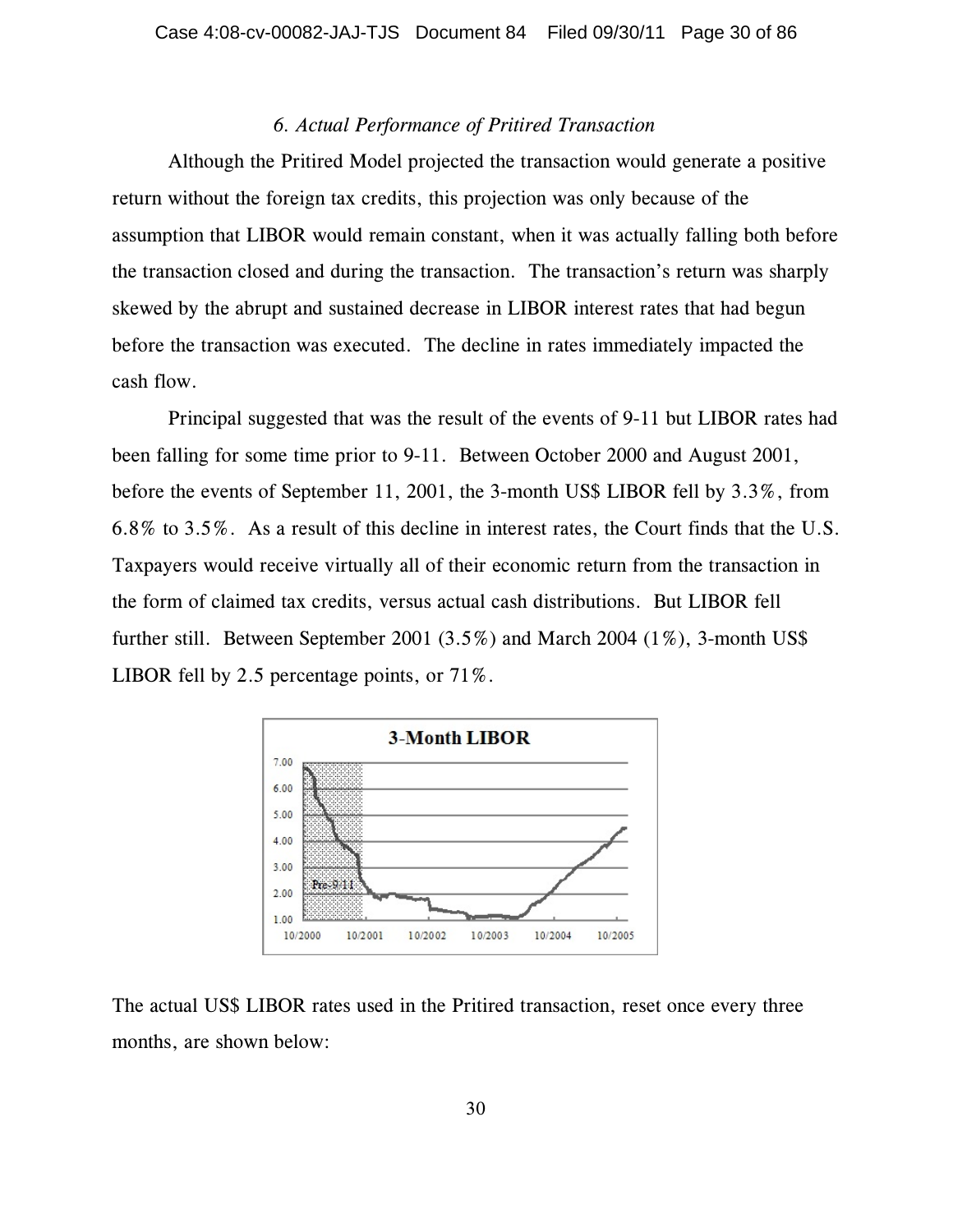### *6. Actual Performance of Pritired Transaction*

Although the Pritired Model projected the transaction would generate a positive return without the foreign tax credits, this projection was only because of the assumption that LIBOR would remain constant, when it was actually falling both before the transaction closed and during the transaction. The transaction's return was sharply skewed by the abrupt and sustained decrease in LIBOR interest rates that had begun before the transaction was executed. The decline in rates immediately impacted the cash flow.

Principal suggested that was the result of the events of 9-11 but LIBOR rates had been falling for some time prior to 9-11. Between October 2000 and August 2001, before the events of September 11, 2001, the 3-month US\$ LIBOR fell by 3.3%, from 6.8% to 3.5%. As a result of this decline in interest rates, the Court finds that the U.S. Taxpayers would receive virtually all of their economic return from the transaction in the form of claimed tax credits, versus actual cash distributions. But LIBOR fell further still. Between September 2001 (3.5%) and March 2004 (1%), 3-month US\$ LIBOR fell by 2.5 percentage points, or 71%.



The actual US\$ LIBOR rates used in the Pritired transaction, reset once every three months, are shown below: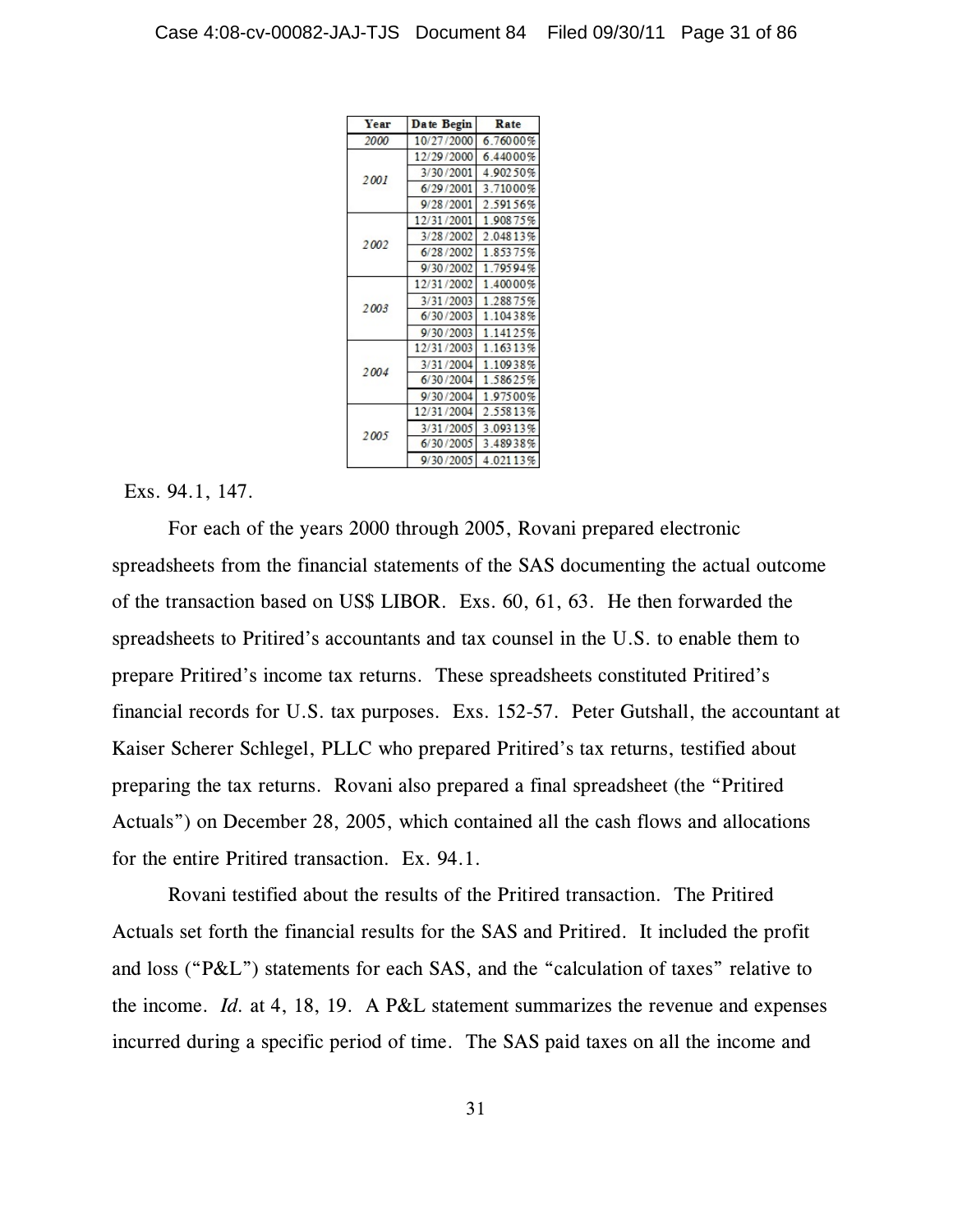| Year | Date Begin | Rate     |
|------|------------|----------|
| 2000 | 10/27/2000 | 6.76000% |
| 2001 | 12/29/2000 | 6.44000% |
|      | 3/30/2001  | 4.90250% |
|      | 6/29/2001  | 3.71000% |
|      | 9/28/2001  | 2.59156% |
|      | 12/31/2001 | 1.90875% |
| 2002 | 3/28/2002  | 2.04813% |
|      | 6/28/2002  | 1.85375% |
|      | 9/30/2002  | 1.79594% |
| 2003 | 12/31/2002 | 1.40000% |
|      | 3/31/2003  | 1.28875% |
|      | 6/30/2003  | 1.10438% |
|      | 9/30/2003  | 1.14125% |
|      | 12/31/2003 | 1.16313% |
| 2004 | 3/31/2004  | 1.10938% |
|      | 6/30/2004  | 1.58625% |
|      | 9/30/2004  | 1.97500% |
| 2005 | 12/31/2004 | 2.55813% |
|      | 3/31/2005  | 3.09313% |
|      | 6/30/2005  | 3.48938% |
|      | 9/30/2005  | 4.02113% |

### Exs. 94.1, 147.

For each of the years 2000 through 2005, Rovani prepared electronic spreadsheets from the financial statements of the SAS documenting the actual outcome of the transaction based on US\$ LIBOR. Exs. 60, 61, 63. He then forwarded the spreadsheets to Pritired's accountants and tax counsel in the U.S. to enable them to prepare Pritired's income tax returns. These spreadsheets constituted Pritired's financial records for U.S. tax purposes. Exs. 152-57. Peter Gutshall, the accountant at Kaiser Scherer Schlegel, PLLC who prepared Pritired's tax returns, testified about preparing the tax returns. Rovani also prepared a final spreadsheet (the "Pritired Actuals") on December 28, 2005, which contained all the cash flows and allocations for the entire Pritired transaction. Ex. 94.1.

Rovani testified about the results of the Pritired transaction. The Pritired Actuals set forth the financial results for the SAS and Pritired. It included the profit and loss ("P&L") statements for each SAS, and the "calculation of taxes" relative to the income. *Id.* at 4, 18, 19. A P&L statement summarizes the revenue and expenses incurred during a specific period of time. The SAS paid taxes on all the income and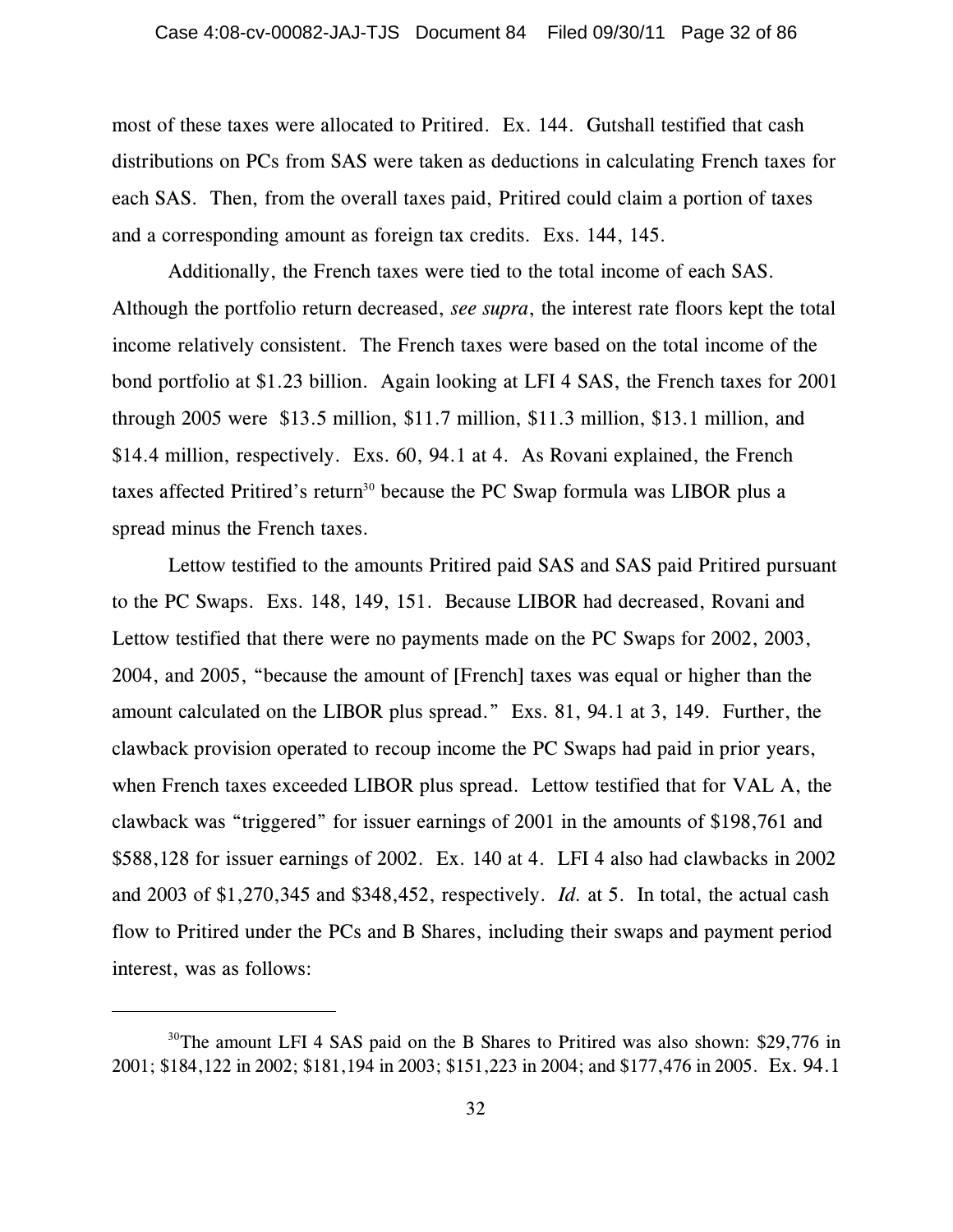most of these taxes were allocated to Pritired. Ex. 144. Gutshall testified that cash distributions on PCs from SAS were taken as deductions in calculating French taxes for each SAS. Then, from the overall taxes paid, Pritired could claim a portion of taxes and a corresponding amount as foreign tax credits. Exs. 144, 145.

Additionally, the French taxes were tied to the total income of each SAS. Although the portfolio return decreased, *see supra*, the interest rate floors kept the total income relatively consistent. The French taxes were based on the total income of the bond portfolio at \$1.23 billion. Again looking at LFI 4 SAS, the French taxes for 2001 through 2005 were \$13.5 million, \$11.7 million, \$11.3 million, \$13.1 million, and \$14.4 million, respectively. Exs. 60, 94.1 at 4. As Rovani explained, the French taxes affected Pritired's return<sup>30</sup> because the PC Swap formula was LIBOR plus a spread minus the French taxes.

Lettow testified to the amounts Pritired paid SAS and SAS paid Pritired pursuant to the PC Swaps. Exs. 148, 149, 151. Because LIBOR had decreased, Rovani and Lettow testified that there were no payments made on the PC Swaps for 2002, 2003, 2004, and 2005, "because the amount of [French] taxes was equal or higher than the amount calculated on the LIBOR plus spread." Exs. 81, 94.1 at 3, 149. Further, the clawback provision operated to recoup income the PC Swaps had paid in prior years, when French taxes exceeded LIBOR plus spread. Lettow testified that for VAL A, the clawback was "triggered" for issuer earnings of 2001 in the amounts of \$198,761 and \$588,128 for issuer earnings of 2002. Ex. 140 at 4. LFI 4 also had clawbacks in 2002 and 2003 of \$1,270,345 and \$348,452, respectively. *Id.* at 5. In total, the actual cash flow to Pritired under the PCs and B Shares, including their swaps and payment period interest, was as follows:

 $30$ <sup>30</sup>The amount LFI 4 SAS paid on the B Shares to Pritired was also shown: \$29,776 in 2001; \$184,122 in 2002; \$181,194 in 2003; \$151,223 in 2004; and \$177,476 in 2005. Ex. 94.1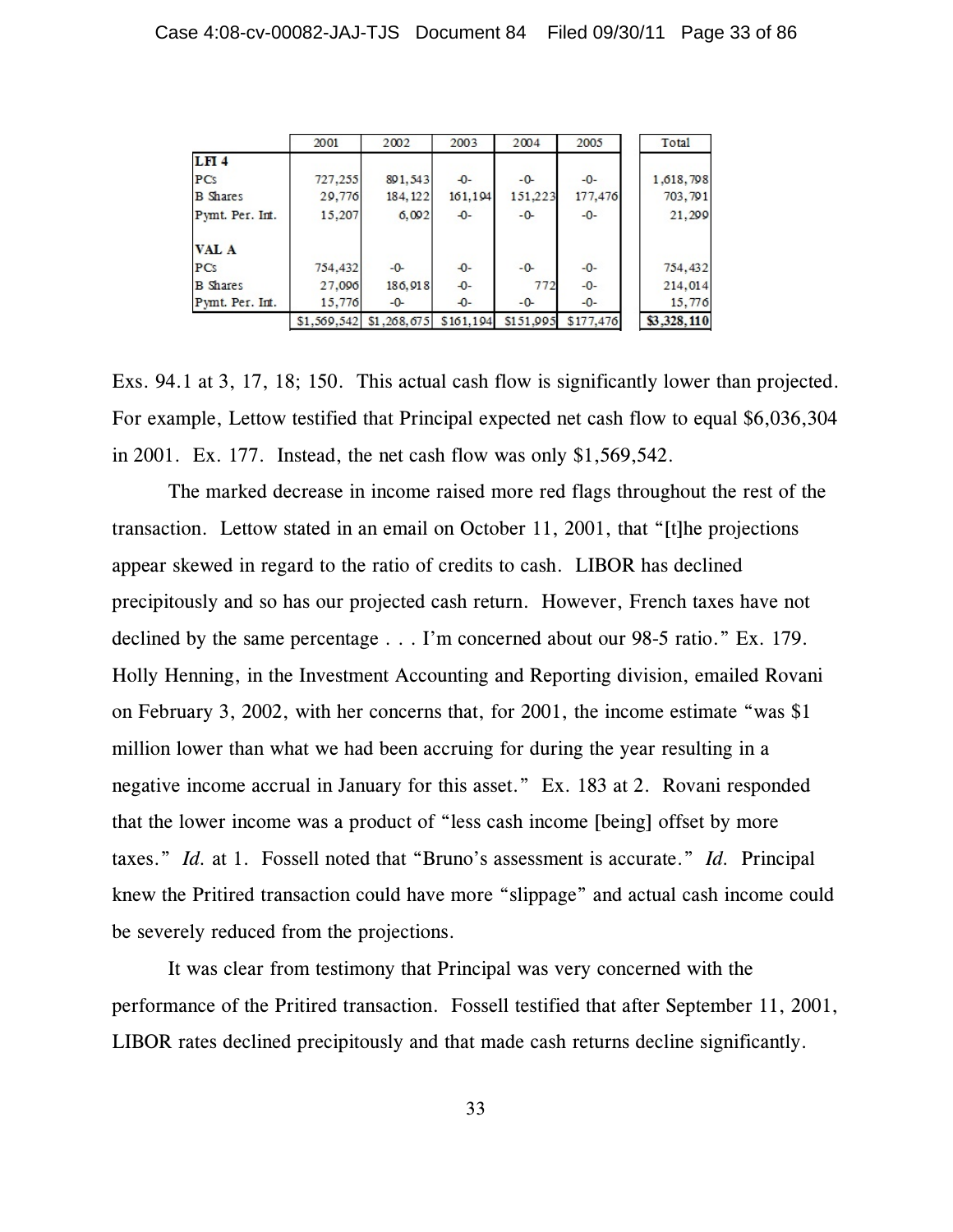|                 | 2001    | 2002                    | 2003      | 2004      | 2005      | Total       |
|-----------------|---------|-------------------------|-----------|-----------|-----------|-------------|
| <b>LFI4</b>     |         |                         |           |           |           |             |
| PCs             | 727,255 | 891,543                 | $-0-$     | $-0-$     | $-0-$     | 1,618,798   |
| <b>B</b> Shares | 29,776  | 184, 122                | 161,194   | 151,223   | 177,476   | 703,791     |
| Pymt. Per. Int. | 15,207  | 6,092                   | $-0-$     | $-0-$     | $-0-$     | 21,299      |
| <b>VAL A</b>    |         |                         |           |           |           |             |
| PCs             | 754,432 | $-0-$                   | $-0-$     | $-0-$     | $-0-$     | 754,432     |
| <b>B</b> Shares | 27,096  | 186,918                 | $-0-$     | 772       | $-0-$     | 214,014     |
| Pymt. Per. Int. | 15,776  | $-0-$                   | $-0-$     | $-0-$     | $-0-$     | 15,776      |
|                 |         | \$1,569,542 \$1,268,675 | \$161,194 | \$151,995 | \$177,476 | \$3,328,110 |

Exs. 94.1 at 3, 17, 18; 150. This actual cash flow is significantly lower than projected. For example, Lettow testified that Principal expected net cash flow to equal \$6,036,304 in 2001. Ex. 177. Instead, the net cash flow was only \$1,569,542.

The marked decrease in income raised more red flags throughout the rest of the transaction. Lettow stated in an email on October 11, 2001, that "[t]he projections appear skewed in regard to the ratio of credits to cash. LIBOR has declined precipitously and so has our projected cash return. However, French taxes have not declined by the same percentage . . . I'm concerned about our 98-5 ratio." Ex. 179. Holly Henning, in the Investment Accounting and Reporting division, emailed Rovani on February 3, 2002, with her concerns that, for 2001, the income estimate "was \$1 million lower than what we had been accruing for during the year resulting in a negative income accrual in January for this asset." Ex. 183 at 2. Rovani responded that the lower income was a product of "less cash income [being] offset by more taxes." *Id.* at 1. Fossell noted that "Bruno's assessment is accurate." *Id.* Principal knew the Pritired transaction could have more "slippage" and actual cash income could be severely reduced from the projections.

It was clear from testimony that Principal was very concerned with the performance of the Pritired transaction. Fossell testified that after September 11, 2001, LIBOR rates declined precipitously and that made cash returns decline significantly.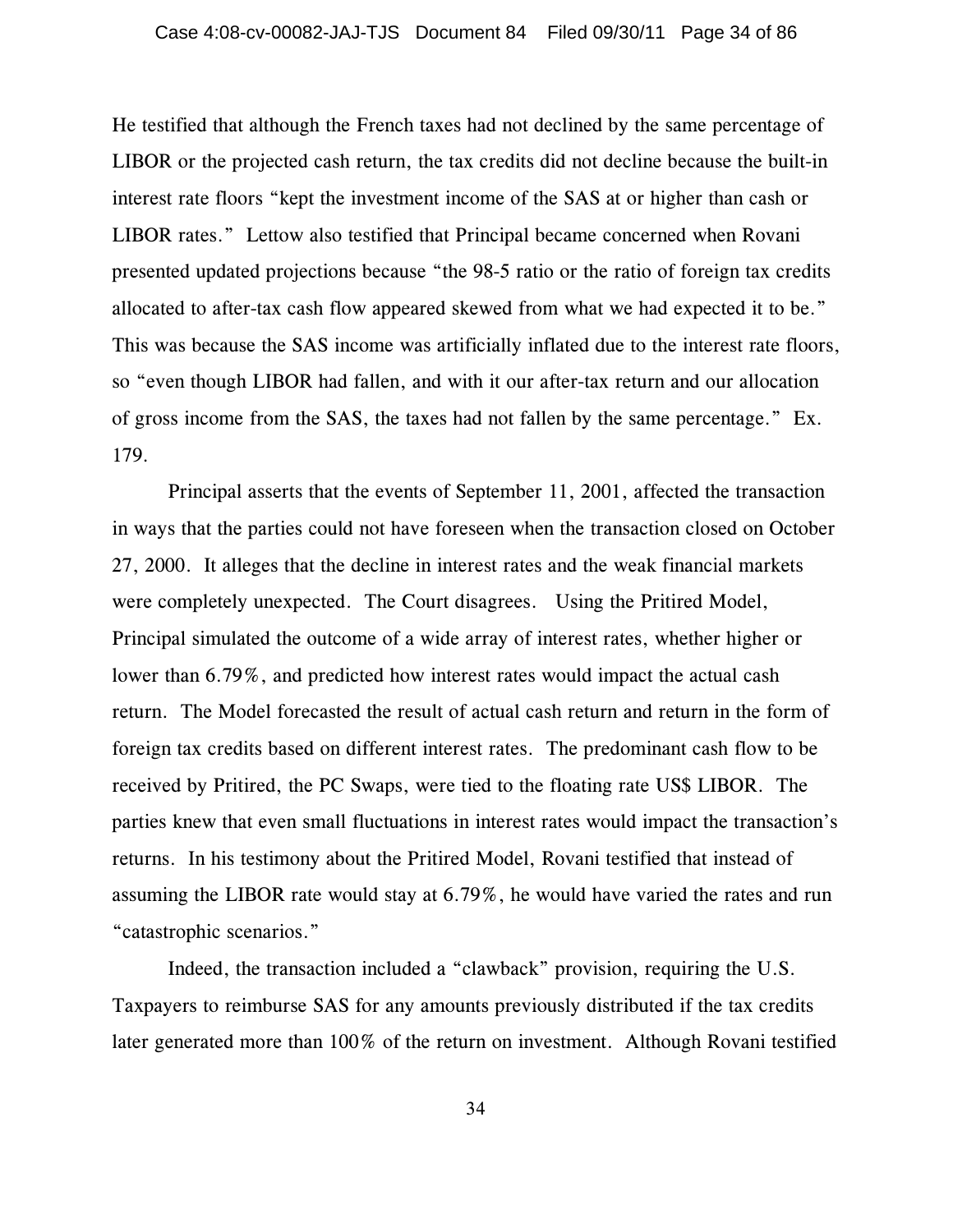He testified that although the French taxes had not declined by the same percentage of LIBOR or the projected cash return, the tax credits did not decline because the built-in interest rate floors "kept the investment income of the SAS at or higher than cash or LIBOR rates." Lettow also testified that Principal became concerned when Rovani presented updated projections because "the 98-5 ratio or the ratio of foreign tax credits allocated to after-tax cash flow appeared skewed from what we had expected it to be." This was because the SAS income was artificially inflated due to the interest rate floors, so "even though LIBOR had fallen, and with it our after-tax return and our allocation of gross income from the SAS, the taxes had not fallen by the same percentage." Ex. 179.

Principal asserts that the events of September 11, 2001, affected the transaction in ways that the parties could not have foreseen when the transaction closed on October 27, 2000. It alleges that the decline in interest rates and the weak financial markets were completely unexpected. The Court disagrees. Using the Pritired Model, Principal simulated the outcome of a wide array of interest rates, whether higher or lower than 6.79%, and predicted how interest rates would impact the actual cash return. The Model forecasted the result of actual cash return and return in the form of foreign tax credits based on different interest rates. The predominant cash flow to be received by Pritired, the PC Swaps, were tied to the floating rate US\$ LIBOR. The parties knew that even small fluctuations in interest rates would impact the transaction's returns. In his testimony about the Pritired Model, Rovani testified that instead of assuming the LIBOR rate would stay at 6.79%, he would have varied the rates and run "catastrophic scenarios."

Indeed, the transaction included a "clawback" provision, requiring the U.S. Taxpayers to reimburse SAS for any amounts previously distributed if the tax credits later generated more than 100% of the return on investment. Although Rovani testified

34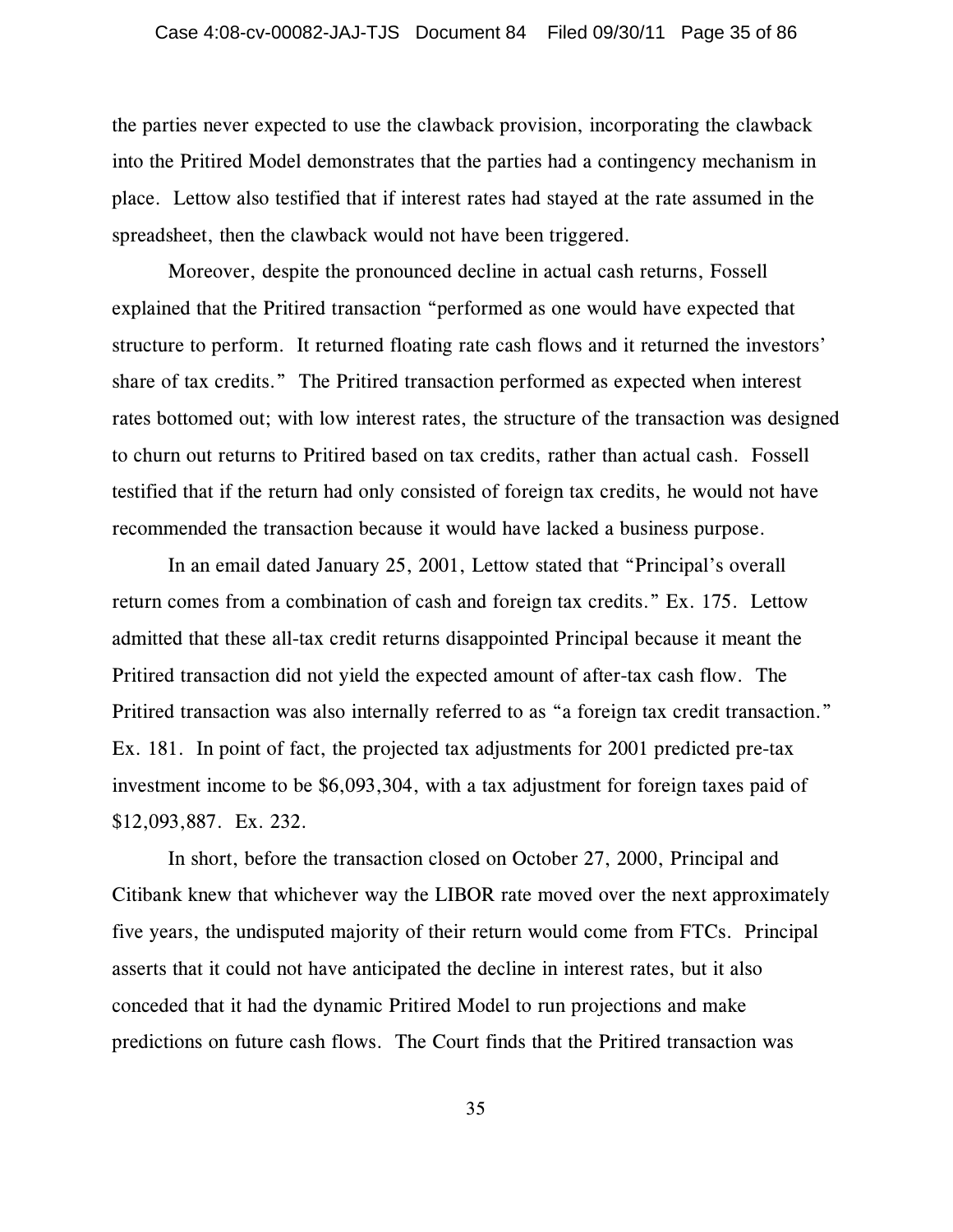the parties never expected to use the clawback provision, incorporating the clawback into the Pritired Model demonstrates that the parties had a contingency mechanism in place. Lettow also testified that if interest rates had stayed at the rate assumed in the spreadsheet, then the clawback would not have been triggered.

Moreover, despite the pronounced decline in actual cash returns, Fossell explained that the Pritired transaction "performed as one would have expected that structure to perform. It returned floating rate cash flows and it returned the investors' share of tax credits." The Pritired transaction performed as expected when interest rates bottomed out; with low interest rates, the structure of the transaction was designed to churn out returns to Pritired based on tax credits, rather than actual cash. Fossell testified that if the return had only consisted of foreign tax credits, he would not have recommended the transaction because it would have lacked a business purpose.

In an email dated January 25, 2001, Lettow stated that "Principal's overall return comes from a combination of cash and foreign tax credits." Ex. 175. Lettow admitted that these all-tax credit returns disappointed Principal because it meant the Pritired transaction did not yield the expected amount of after-tax cash flow. The Pritired transaction was also internally referred to as "a foreign tax credit transaction." Ex. 181. In point of fact, the projected tax adjustments for 2001 predicted pre-tax investment income to be \$6,093,304, with a tax adjustment for foreign taxes paid of \$12,093,887. Ex. 232.

In short, before the transaction closed on October 27, 2000, Principal and Citibank knew that whichever way the LIBOR rate moved over the next approximately five years, the undisputed majority of their return would come from FTCs. Principal asserts that it could not have anticipated the decline in interest rates, but it also conceded that it had the dynamic Pritired Model to run projections and make predictions on future cash flows. The Court finds that the Pritired transaction was

35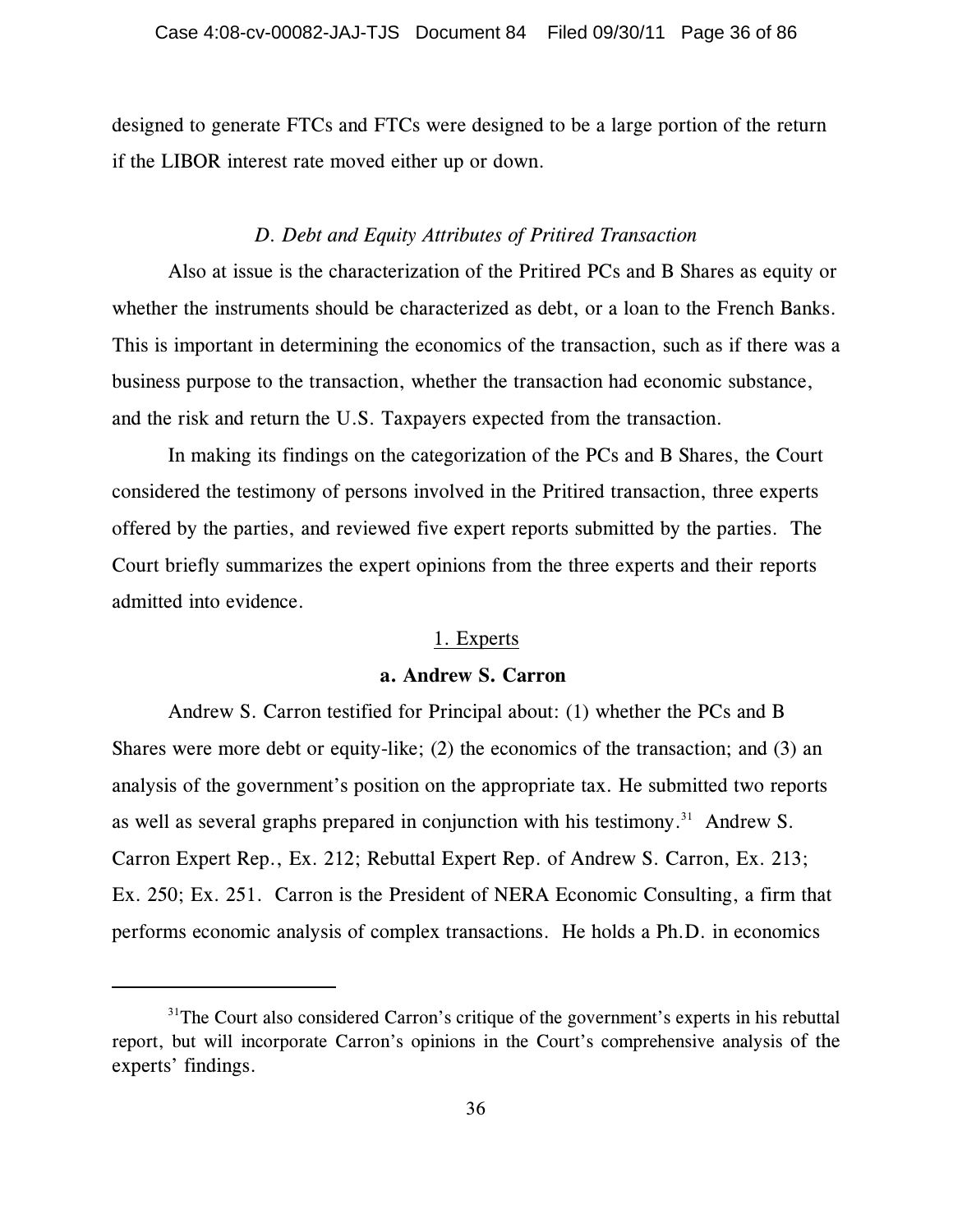designed to generate FTCs and FTCs were designed to be a large portion of the return if the LIBOR interest rate moved either up or down.

## *D. Debt and Equity Attributes of Pritired Transaction*

Also at issue is the characterization of the Pritired PCs and B Shares as equity or whether the instruments should be characterized as debt, or a loan to the French Banks. This is important in determining the economics of the transaction, such as if there was a business purpose to the transaction, whether the transaction had economic substance, and the risk and return the U.S. Taxpayers expected from the transaction.

In making its findings on the categorization of the PCs and B Shares, the Court considered the testimony of persons involved in the Pritired transaction, three experts offered by the parties, and reviewed five expert reports submitted by the parties. The Court briefly summarizes the expert opinions from the three experts and their reports admitted into evidence.

#### 1. Experts

### **a. Andrew S. Carron**

Andrew S. Carron testified for Principal about: (1) whether the PCs and B Shares were more debt or equity-like; (2) the economics of the transaction; and (3) an analysis of the government's position on the appropriate tax. He submitted two reports as well as several graphs prepared in conjunction with his testimony.<sup>31</sup> Andrew S. Carron Expert Rep., Ex. 212; Rebuttal Expert Rep. of Andrew S. Carron, Ex. 213; Ex. 250; Ex. 251. Carron is the President of NERA Economic Consulting, a firm that performs economic analysis of complex transactions. He holds a Ph.D. in economics

 $31$ <sup>1</sup>The Court also considered Carron's critique of the government's experts in his rebuttal report, but will incorporate Carron's opinions in the Court's comprehensive analysis of the experts' findings.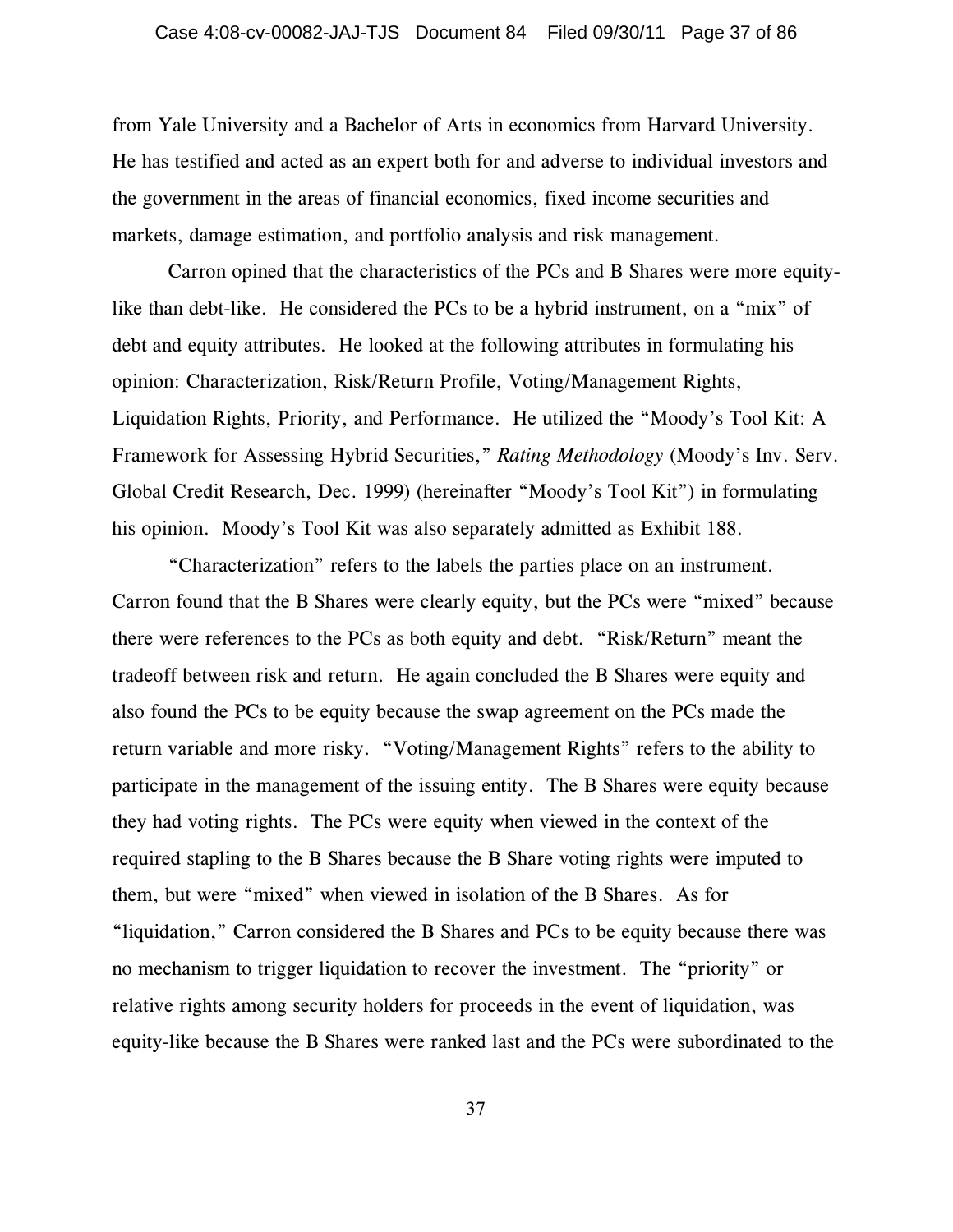from Yale University and a Bachelor of Arts in economics from Harvard University. He has testified and acted as an expert both for and adverse to individual investors and the government in the areas of financial economics, fixed income securities and markets, damage estimation, and portfolio analysis and risk management.

Carron opined that the characteristics of the PCs and B Shares were more equitylike than debt-like. He considered the PCs to be a hybrid instrument, on a "mix" of debt and equity attributes. He looked at the following attributes in formulating his opinion: Characterization, Risk/Return Profile, Voting/Management Rights, Liquidation Rights, Priority, and Performance. He utilized the "Moody's Tool Kit: A Framework for Assessing Hybrid Securities," *Rating Methodology* (Moody's Inv. Serv. Global Credit Research, Dec. 1999) (hereinafter "Moody's Tool Kit") in formulating his opinion. Moody's Tool Kit was also separately admitted as Exhibit 188.

"Characterization" refers to the labels the parties place on an instrument. Carron found that the B Shares were clearly equity, but the PCs were "mixed" because there were references to the PCs as both equity and debt. "Risk/Return" meant the tradeoff between risk and return. He again concluded the B Shares were equity and also found the PCs to be equity because the swap agreement on the PCs made the return variable and more risky. "Voting/Management Rights" refers to the ability to participate in the management of the issuing entity. The B Shares were equity because they had voting rights. The PCs were equity when viewed in the context of the required stapling to the B Shares because the B Share voting rights were imputed to them, but were "mixed" when viewed in isolation of the B Shares. As for "liquidation," Carron considered the B Shares and PCs to be equity because there was no mechanism to trigger liquidation to recover the investment. The "priority" or relative rights among security holders for proceeds in the event of liquidation, was equity-like because the B Shares were ranked last and the PCs were subordinated to the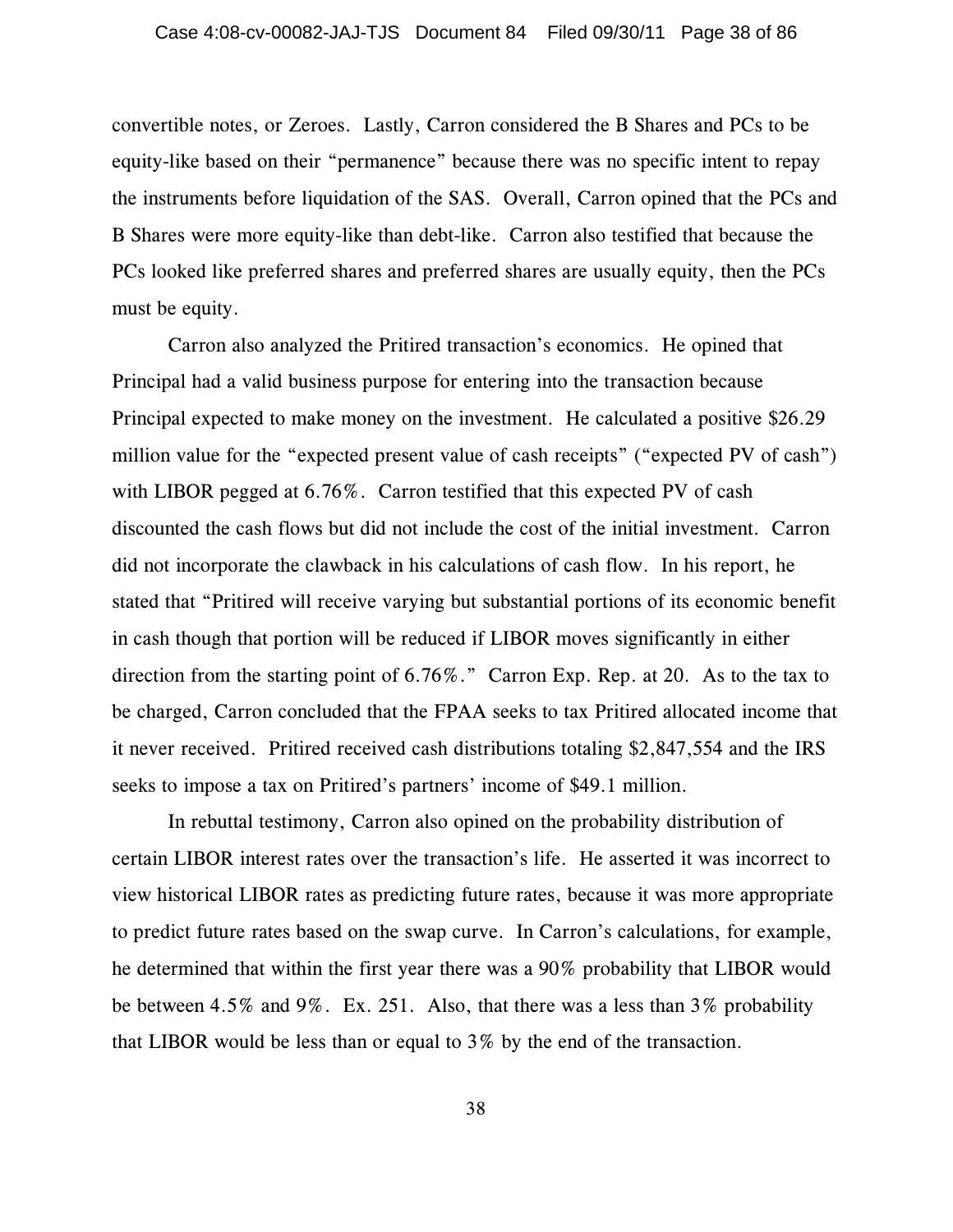convertible notes, or Zeroes. Lastly, Carron considered the B Shares and PCs to be equity-like based on their "permanence" because there was no specific intent to repay the instruments before liquidation of the SAS. Overall, Carron opined that the PCs and B Shares were more equity-like than debt-like. Carron also testified that because the PCs looked like preferred shares and preferred shares are usually equity, then the PCs must be equity.

Carron also analyzed the Pritired transaction's economics. He opined that Principal had a valid business purpose for entering into the transaction because Principal expected to make money on the investment. He calculated a positive \$26.29 million value for the "expected present value of cash receipts" ("expected PV of cash") with LIBOR pegged at 6.76%. Carron testified that this expected PV of cash discounted the cash flows but did not include the cost of the initial investment. Carron did not incorporate the clawback in his calculations of cash flow. In his report, he stated that "Pritired will receive varying but substantial portions of its economic benefit in cash though that portion will be reduced if LIBOR moves significantly in either direction from the starting point of 6.76%." Carron Exp. Rep. at 20. As to the tax to be charged, Carron concluded that the FPAA seeks to tax Pritired allocated income that it never received. Pritired received cash distributions totaling \$2,847,554 and the IRS seeks to impose a tax on Pritired's partners' income of \$49.1 million.

In rebuttal testimony, Carron also opined on the probability distribution of certain LIBOR interest rates over the transaction's life. He asserted it was incorrect to view historical LIBOR rates as predicting future rates, because it was more appropriate to predict future rates based on the swap curve. In Carron's calculations, for example, he determined that within the first year there was a 90% probability that LIBOR would be between 4.5% and 9%. Ex. 251. Also, that there was a less than 3% probability that LIBOR would be less than or equal to 3% by the end of the transaction.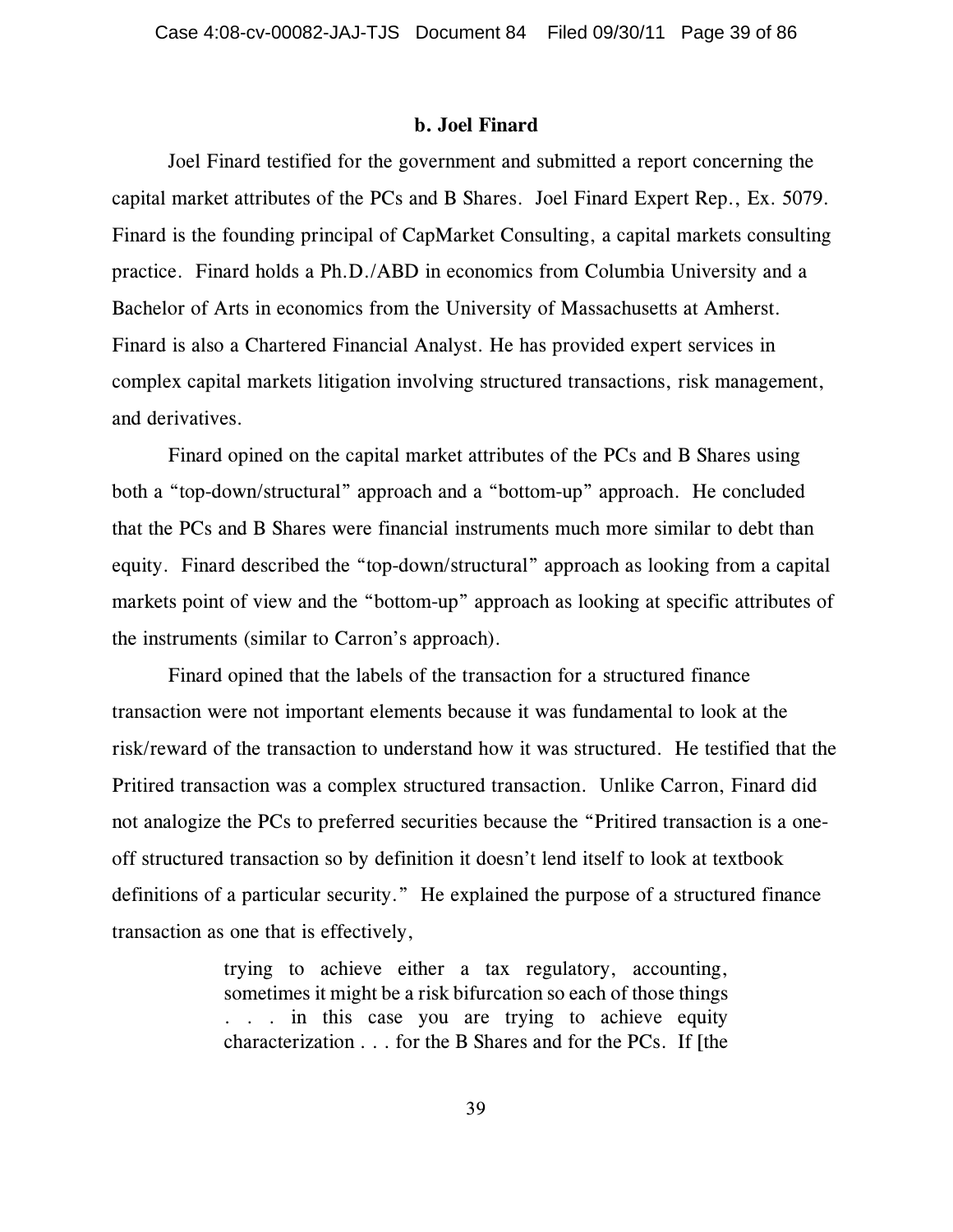#### **b. Joel Finard**

Joel Finard testified for the government and submitted a report concerning the capital market attributes of the PCs and B Shares. Joel Finard Expert Rep., Ex. 5079. Finard is the founding principal of CapMarket Consulting, a capital markets consulting practice. Finard holds a Ph.D./ABD in economics from Columbia University and a Bachelor of Arts in economics from the University of Massachusetts at Amherst. Finard is also a Chartered Financial Analyst. He has provided expert services in complex capital markets litigation involving structured transactions, risk management, and derivatives.

Finard opined on the capital market attributes of the PCs and B Shares using both a "top-down/structural" approach and a "bottom-up" approach. He concluded that the PCs and B Shares were financial instruments much more similar to debt than equity. Finard described the "top-down/structural" approach as looking from a capital markets point of view and the "bottom-up" approach as looking at specific attributes of the instruments (similar to Carron's approach).

Finard opined that the labels of the transaction for a structured finance transaction were not important elements because it was fundamental to look at the risk/reward of the transaction to understand how it was structured. He testified that the Pritired transaction was a complex structured transaction. Unlike Carron, Finard did not analogize the PCs to preferred securities because the "Pritired transaction is a oneoff structured transaction so by definition it doesn't lend itself to look at textbook definitions of a particular security." He explained the purpose of a structured finance transaction as one that is effectively,

> trying to achieve either a tax regulatory, accounting, sometimes it might be a risk bifurcation so each of those things . . . in this case you are trying to achieve equity characterization . . . for the B Shares and for the PCs. If [the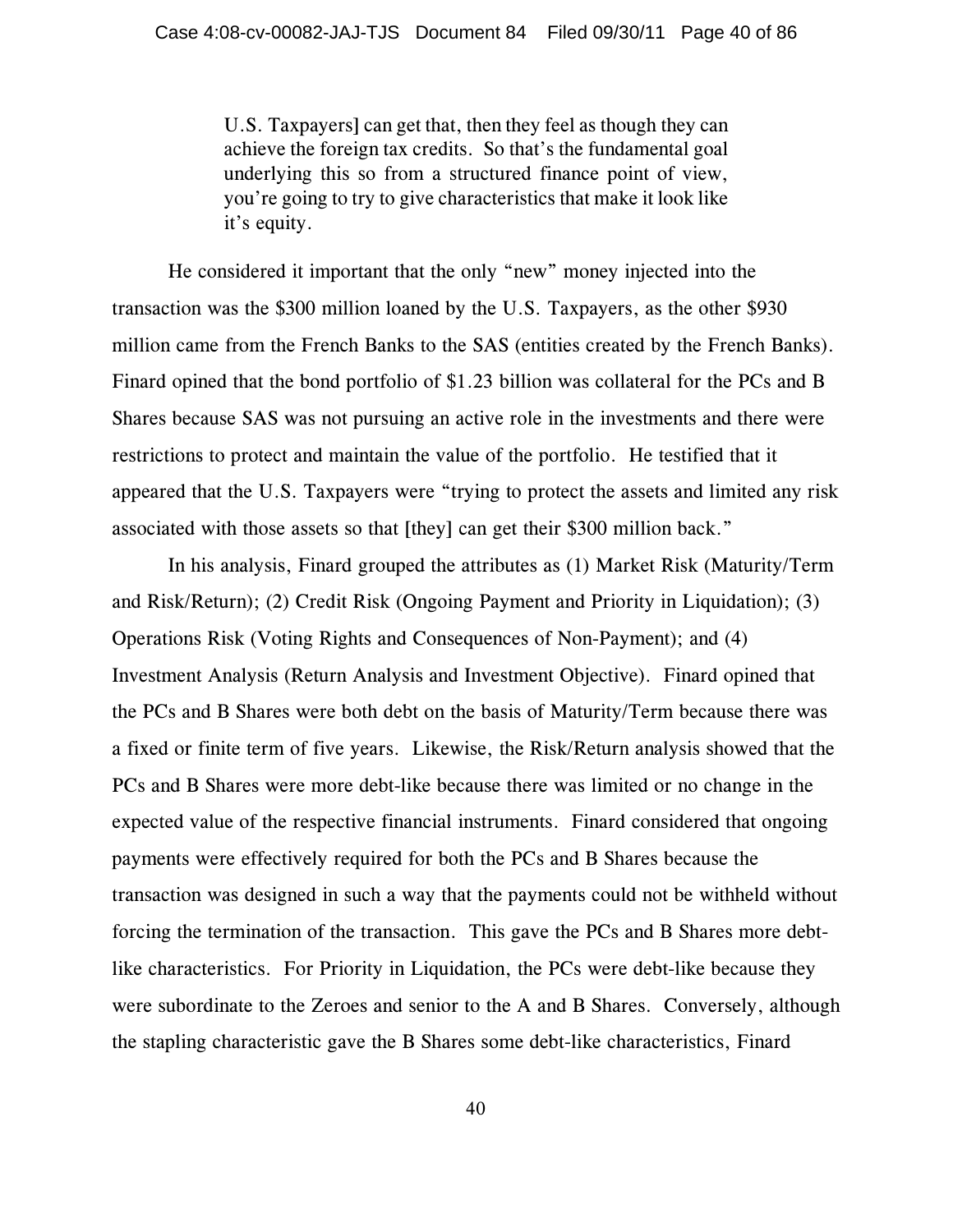U.S. Taxpayers] can get that, then they feel as though they can achieve the foreign tax credits. So that's the fundamental goal underlying this so from a structured finance point of view, you're going to try to give characteristics that make it look like it's equity.

He considered it important that the only "new" money injected into the transaction was the \$300 million loaned by the U.S. Taxpayers, as the other \$930 million came from the French Banks to the SAS (entities created by the French Banks). Finard opined that the bond portfolio of \$1.23 billion was collateral for the PCs and B Shares because SAS was not pursuing an active role in the investments and there were restrictions to protect and maintain the value of the portfolio. He testified that it appeared that the U.S. Taxpayers were "trying to protect the assets and limited any risk associated with those assets so that [they] can get their \$300 million back."

In his analysis, Finard grouped the attributes as (1) Market Risk (Maturity/Term and Risk/Return); (2) Credit Risk (Ongoing Payment and Priority in Liquidation); (3) Operations Risk (Voting Rights and Consequences of Non-Payment); and (4) Investment Analysis (Return Analysis and Investment Objective). Finard opined that the PCs and B Shares were both debt on the basis of Maturity/Term because there was a fixed or finite term of five years. Likewise, the Risk/Return analysis showed that the PCs and B Shares were more debt-like because there was limited or no change in the expected value of the respective financial instruments. Finard considered that ongoing payments were effectively required for both the PCs and B Shares because the transaction was designed in such a way that the payments could not be withheld without forcing the termination of the transaction. This gave the PCs and B Shares more debtlike characteristics. For Priority in Liquidation, the PCs were debt-like because they were subordinate to the Zeroes and senior to the A and B Shares. Conversely, although the stapling characteristic gave the B Shares some debt-like characteristics, Finard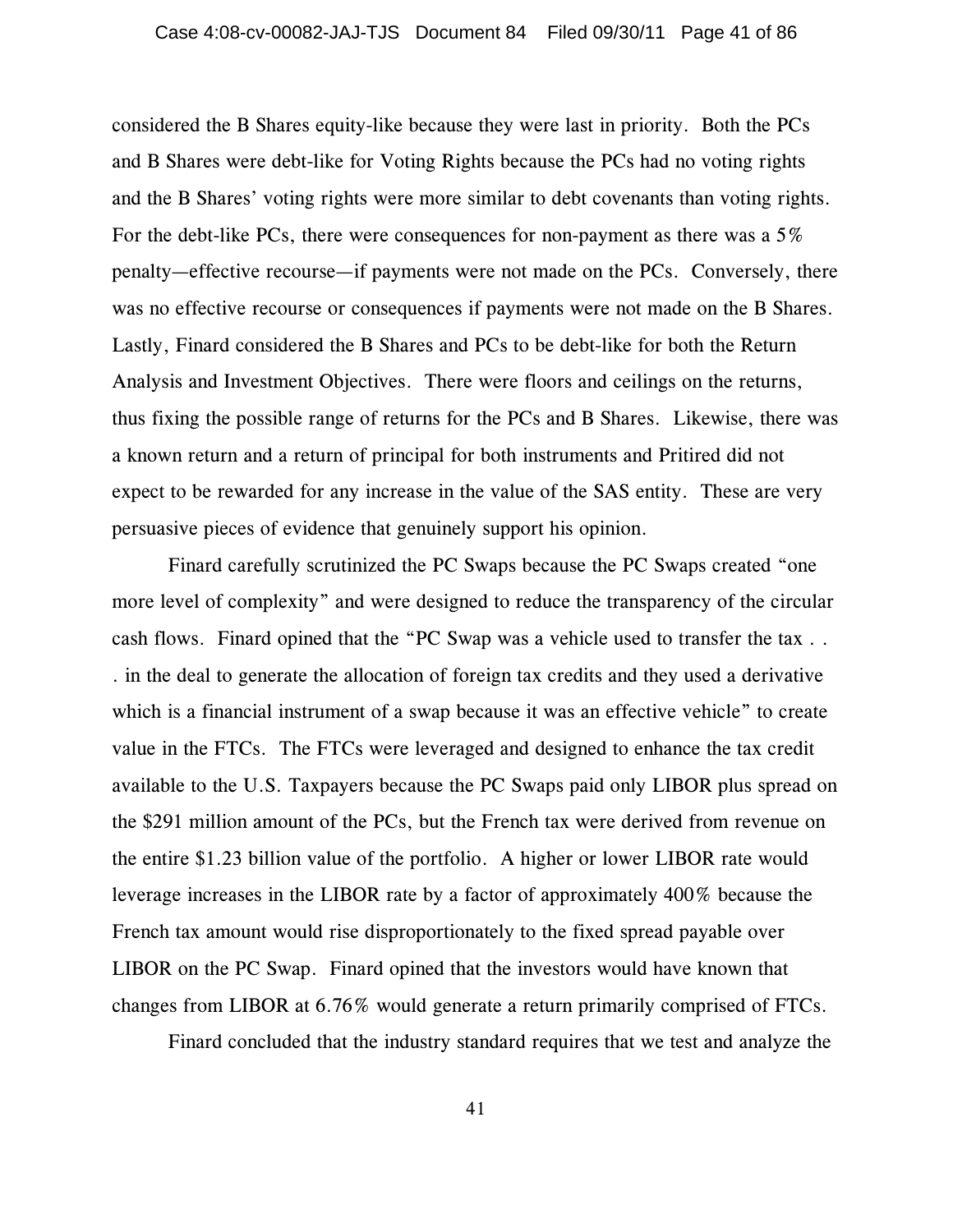considered the B Shares equity-like because they were last in priority. Both the PCs and B Shares were debt-like for Voting Rights because the PCs had no voting rights and the B Shares' voting rights were more similar to debt covenants than voting rights. For the debt-like PCs, there were consequences for non-payment as there was a 5% penalty—effective recourse—if payments were not made on the PCs. Conversely, there was no effective recourse or consequences if payments were not made on the B Shares. Lastly, Finard considered the B Shares and PCs to be debt-like for both the Return Analysis and Investment Objectives. There were floors and ceilings on the returns, thus fixing the possible range of returns for the PCs and B Shares. Likewise, there was a known return and a return of principal for both instruments and Pritired did not expect to be rewarded for any increase in the value of the SAS entity. These are very persuasive pieces of evidence that genuinely support his opinion.

Finard carefully scrutinized the PC Swaps because the PC Swaps created "one more level of complexity" and were designed to reduce the transparency of the circular cash flows. Finard opined that the "PC Swap was a vehicle used to transfer the tax . . . in the deal to generate the allocation of foreign tax credits and they used a derivative which is a financial instrument of a swap because it was an effective vehicle" to create value in the FTCs. The FTCs were leveraged and designed to enhance the tax credit available to the U.S. Taxpayers because the PC Swaps paid only LIBOR plus spread on the \$291 million amount of the PCs, but the French tax were derived from revenue on the entire \$1.23 billion value of the portfolio. A higher or lower LIBOR rate would leverage increases in the LIBOR rate by a factor of approximately 400% because the French tax amount would rise disproportionately to the fixed spread payable over LIBOR on the PC Swap. Finard opined that the investors would have known that changes from LIBOR at 6.76% would generate a return primarily comprised of FTCs.

Finard concluded that the industry standard requires that we test and analyze the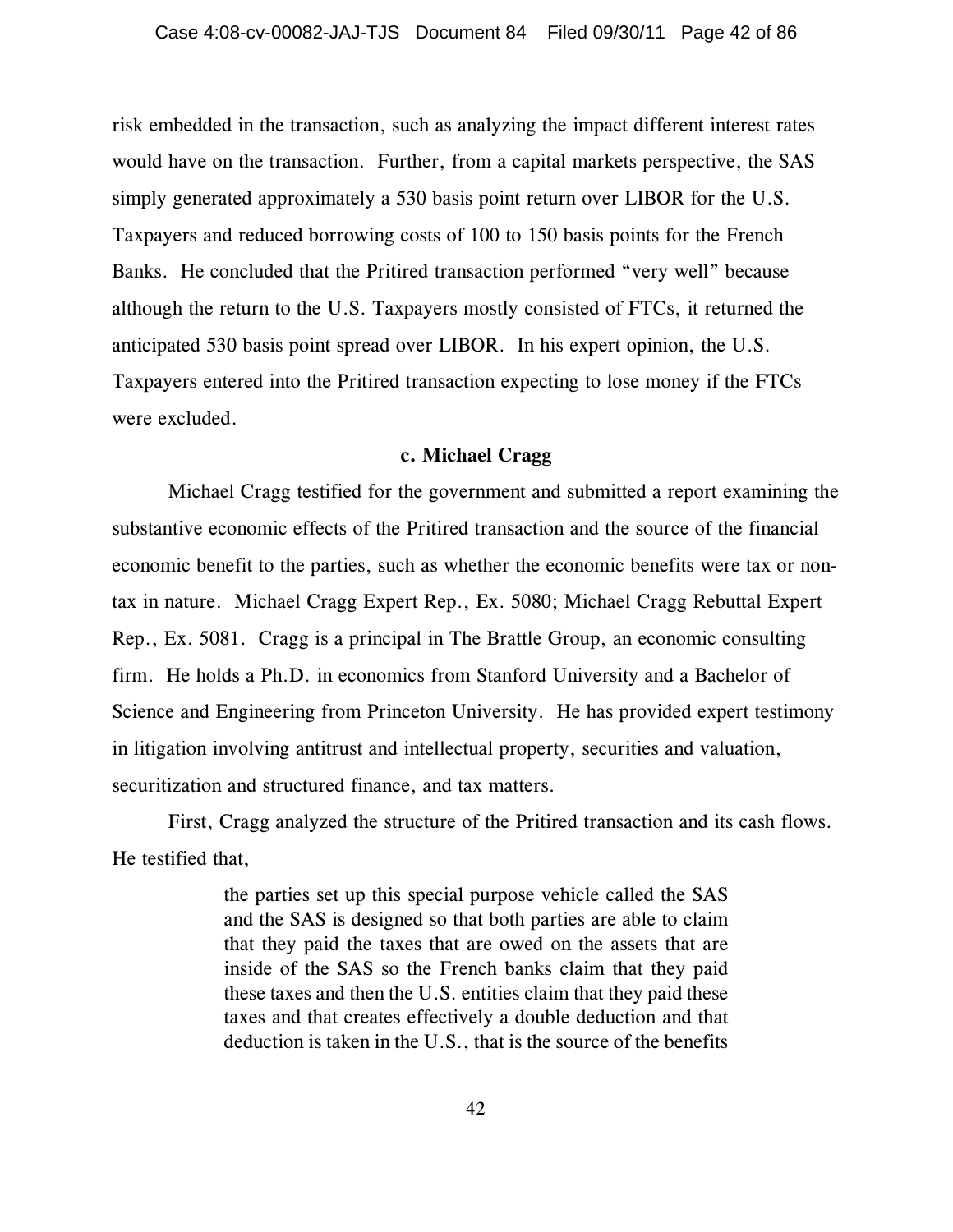risk embedded in the transaction, such as analyzing the impact different interest rates would have on the transaction. Further, from a capital markets perspective, the SAS simply generated approximately a 530 basis point return over LIBOR for the U.S. Taxpayers and reduced borrowing costs of 100 to 150 basis points for the French Banks. He concluded that the Pritired transaction performed "very well" because although the return to the U.S. Taxpayers mostly consisted of FTCs, it returned the anticipated 530 basis point spread over LIBOR. In his expert opinion, the U.S. Taxpayers entered into the Pritired transaction expecting to lose money if the FTCs were excluded.

## **c. Michael Cragg**

Michael Cragg testified for the government and submitted a report examining the substantive economic effects of the Pritired transaction and the source of the financial economic benefit to the parties, such as whether the economic benefits were tax or nontax in nature. Michael Cragg Expert Rep., Ex. 5080; Michael Cragg Rebuttal Expert Rep., Ex. 5081. Cragg is a principal in The Brattle Group, an economic consulting firm. He holds a Ph.D. in economics from Stanford University and a Bachelor of Science and Engineering from Princeton University. He has provided expert testimony in litigation involving antitrust and intellectual property, securities and valuation, securitization and structured finance, and tax matters.

First, Cragg analyzed the structure of the Pritired transaction and its cash flows. He testified that,

> the parties set up this special purpose vehicle called the SAS and the SAS is designed so that both parties are able to claim that they paid the taxes that are owed on the assets that are inside of the SAS so the French banks claim that they paid these taxes and then the U.S. entities claim that they paid these taxes and that creates effectively a double deduction and that deduction is taken in the U.S., that is the source of the benefits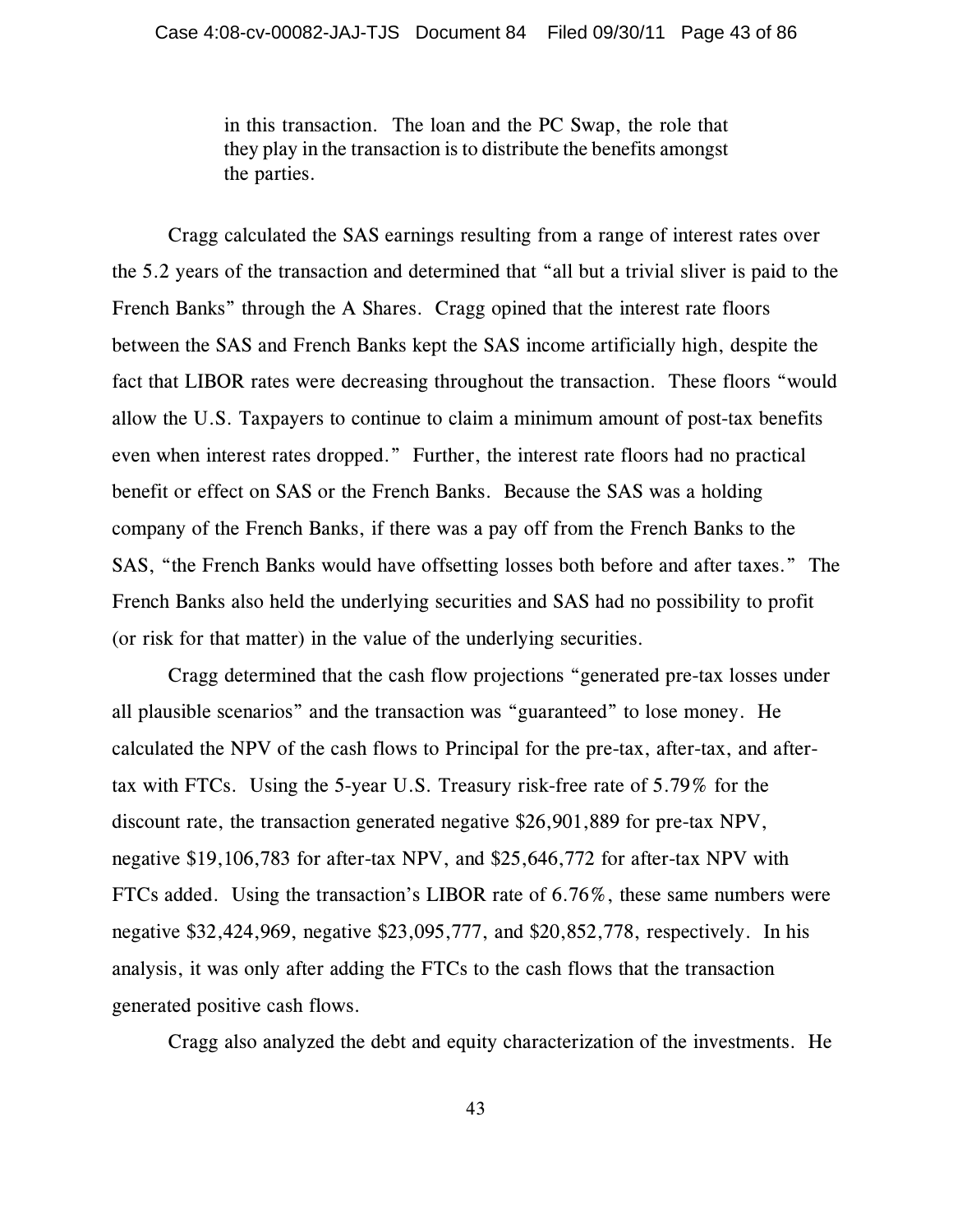in this transaction. The loan and the PC Swap, the role that they play in the transaction is to distribute the benefits amongst the parties.

Cragg calculated the SAS earnings resulting from a range of interest rates over the 5.2 years of the transaction and determined that "all but a trivial sliver is paid to the French Banks" through the A Shares. Cragg opined that the interest rate floors between the SAS and French Banks kept the SAS income artificially high, despite the fact that LIBOR rates were decreasing throughout the transaction. These floors "would allow the U.S. Taxpayers to continue to claim a minimum amount of post-tax benefits even when interest rates dropped." Further, the interest rate floors had no practical benefit or effect on SAS or the French Banks. Because the SAS was a holding company of the French Banks, if there was a pay off from the French Banks to the SAS, "the French Banks would have offsetting losses both before and after taxes." The French Banks also held the underlying securities and SAS had no possibility to profit (or risk for that matter) in the value of the underlying securities.

Cragg determined that the cash flow projections "generated pre-tax losses under all plausible scenarios" and the transaction was "guaranteed" to lose money. He calculated the NPV of the cash flows to Principal for the pre-tax, after-tax, and aftertax with FTCs. Using the 5-year U.S. Treasury risk-free rate of 5.79% for the discount rate, the transaction generated negative \$26,901,889 for pre-tax NPV, negative \$19,106,783 for after-tax NPV, and \$25,646,772 for after-tax NPV with FTCs added. Using the transaction's LIBOR rate of 6.76%, these same numbers were negative \$32,424,969, negative \$23,095,777, and \$20,852,778, respectively. In his analysis, it was only after adding the FTCs to the cash flows that the transaction generated positive cash flows.

Cragg also analyzed the debt and equity characterization of the investments. He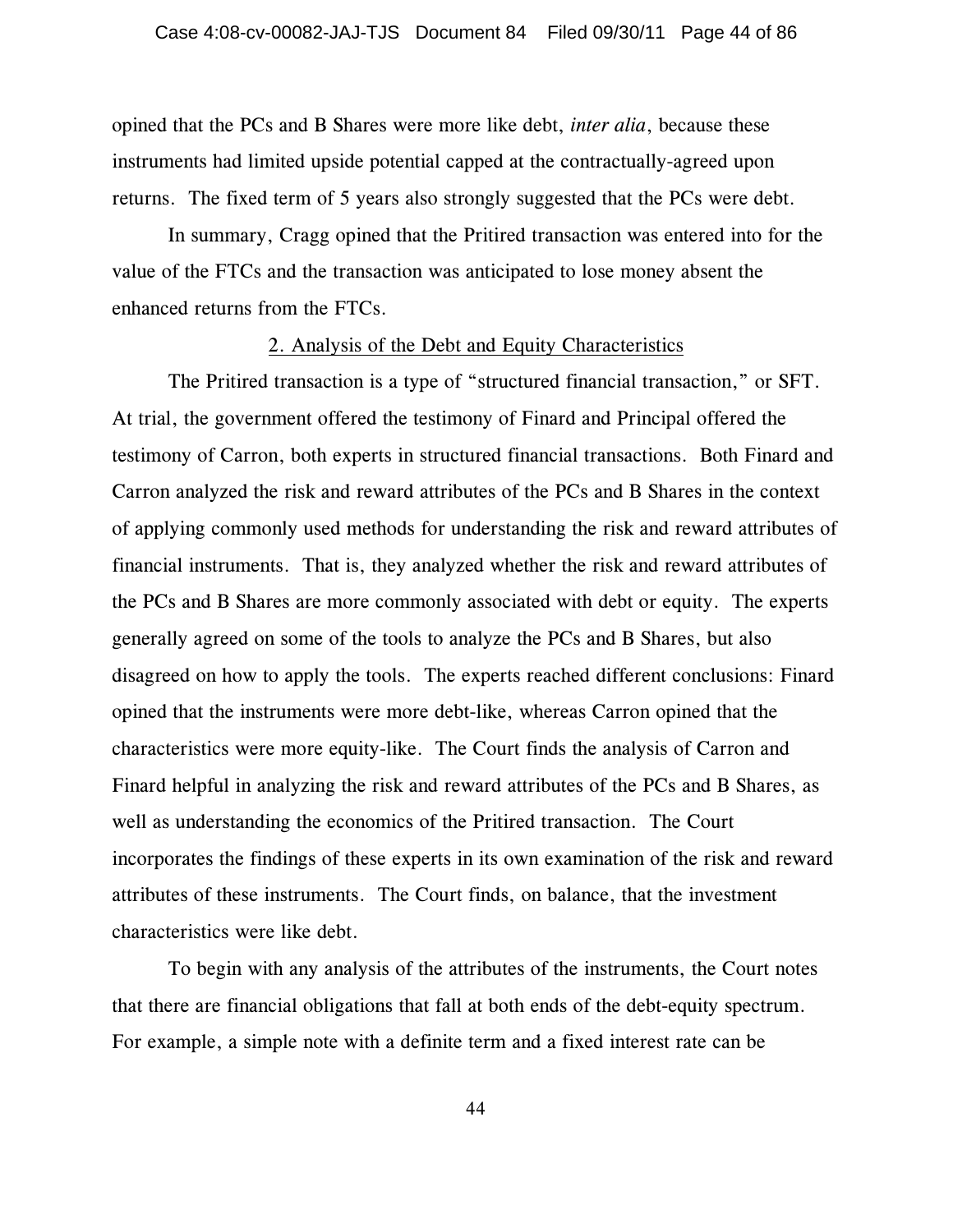opined that the PCs and B Shares were more like debt, *inter alia*, because these instruments had limited upside potential capped at the contractually-agreed upon returns. The fixed term of 5 years also strongly suggested that the PCs were debt.

In summary, Cragg opined that the Pritired transaction was entered into for the value of the FTCs and the transaction was anticipated to lose money absent the enhanced returns from the FTCs.

#### 2. Analysis of the Debt and Equity Characteristics

The Pritired transaction is a type of "structured financial transaction," or SFT. At trial, the government offered the testimony of Finard and Principal offered the testimony of Carron, both experts in structured financial transactions. Both Finard and Carron analyzed the risk and reward attributes of the PCs and B Shares in the context of applying commonly used methods for understanding the risk and reward attributes of financial instruments. That is, they analyzed whether the risk and reward attributes of the PCs and B Shares are more commonly associated with debt or equity. The experts generally agreed on some of the tools to analyze the PCs and B Shares, but also disagreed on how to apply the tools. The experts reached different conclusions: Finard opined that the instruments were more debt-like, whereas Carron opined that the characteristics were more equity-like. The Court finds the analysis of Carron and Finard helpful in analyzing the risk and reward attributes of the PCs and B Shares, as well as understanding the economics of the Pritired transaction. The Court incorporates the findings of these experts in its own examination of the risk and reward attributes of these instruments. The Court finds, on balance, that the investment characteristics were like debt.

To begin with any analysis of the attributes of the instruments, the Court notes that there are financial obligations that fall at both ends of the debt-equity spectrum. For example, a simple note with a definite term and a fixed interest rate can be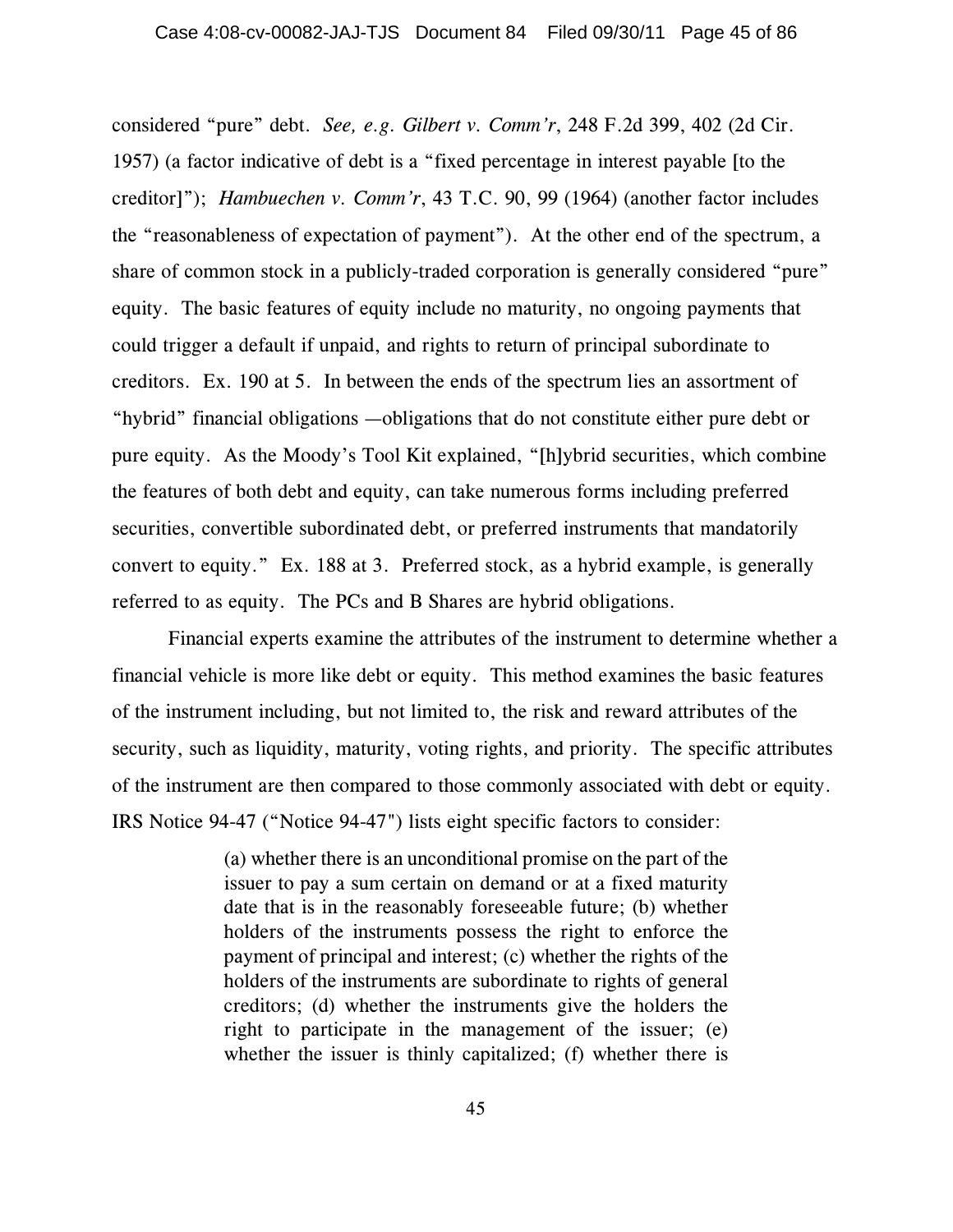considered "pure" debt. *See, e.g. Gilbert v. Comm'r*, 248 F.2d 399, 402 (2d Cir. 1957) (a factor indicative of debt is a "fixed percentage in interest payable [to the creditor]"); *Hambuechen v. Comm'r*, 43 T.C. 90, 99 (1964) (another factor includes the "reasonableness of expectation of payment"). At the other end of the spectrum, a share of common stock in a publicly-traded corporation is generally considered "pure" equity. The basic features of equity include no maturity, no ongoing payments that could trigger a default if unpaid, and rights to return of principal subordinate to creditors. Ex. 190 at 5. In between the ends of the spectrum lies an assortment of "hybrid" financial obligations —obligations that do not constitute either pure debt or pure equity. As the Moody's Tool Kit explained, "[h]ybrid securities, which combine the features of both debt and equity, can take numerous forms including preferred securities, convertible subordinated debt, or preferred instruments that mandatorily convert to equity." Ex. 188 at 3. Preferred stock, as a hybrid example, is generally referred to as equity. The PCs and B Shares are hybrid obligations.

Financial experts examine the attributes of the instrument to determine whether a financial vehicle is more like debt or equity. This method examines the basic features of the instrument including, but not limited to, the risk and reward attributes of the security, such as liquidity, maturity, voting rights, and priority. The specific attributes of the instrument are then compared to those commonly associated with debt or equity. IRS Notice 94-47 ("Notice 94-47") lists eight specific factors to consider:

> (a) whether there is an unconditional promise on the part of the issuer to pay a sum certain on demand or at a fixed maturity date that is in the reasonably foreseeable future; (b) whether holders of the instruments possess the right to enforce the payment of principal and interest; (c) whether the rights of the holders of the instruments are subordinate to rights of general creditors; (d) whether the instruments give the holders the right to participate in the management of the issuer; (e) whether the issuer is thinly capitalized; (f) whether there is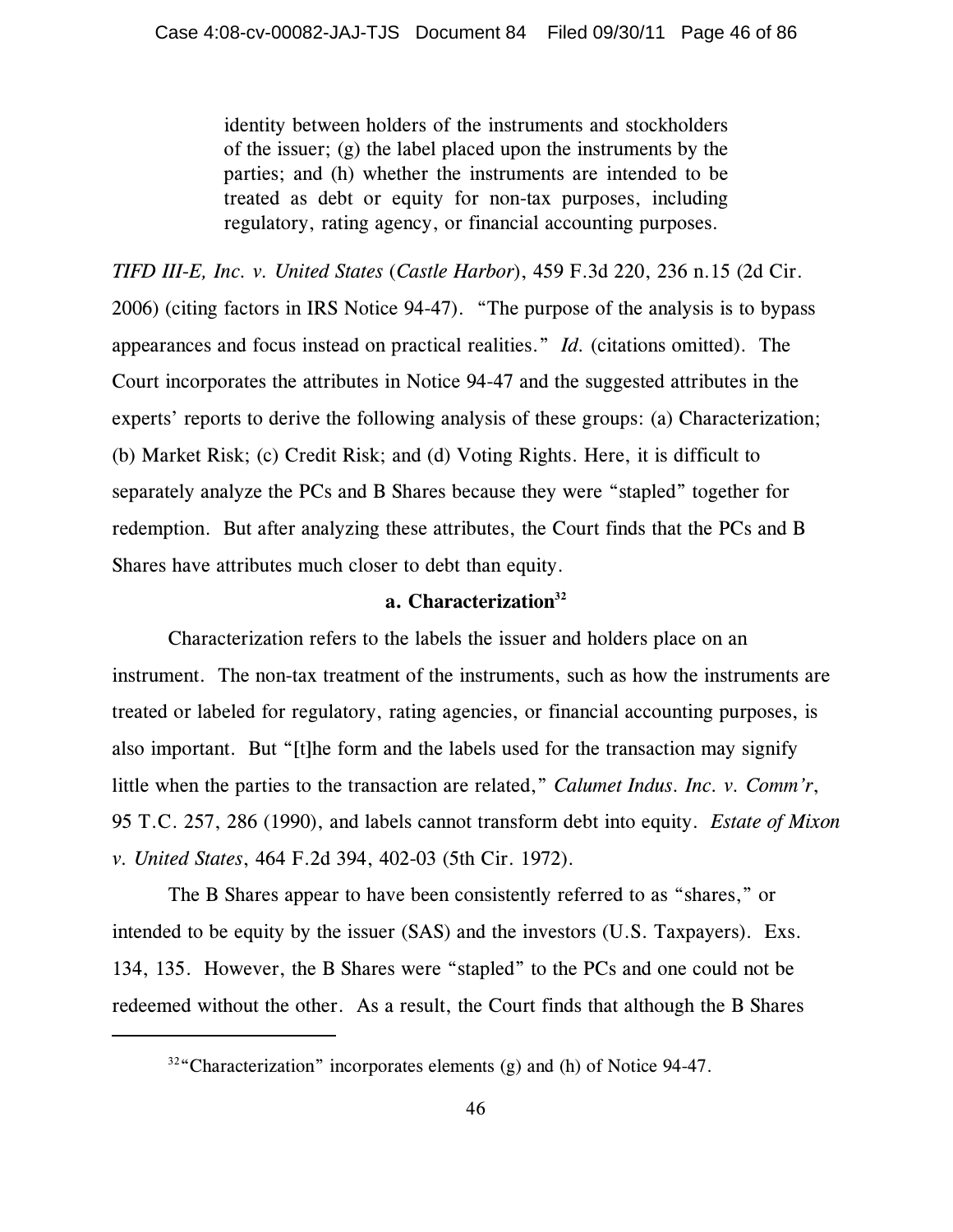identity between holders of the instruments and stockholders of the issuer; (g) the label placed upon the instruments by the parties; and (h) whether the instruments are intended to be treated as debt or equity for non-tax purposes, including regulatory, rating agency, or financial accounting purposes.

*TIFD III-E, Inc. v. United States* (*Castle Harbor*), 459 F.3d 220, 236 n.15 (2d Cir. 2006) (citing factors in IRS Notice 94-47). "The purpose of the analysis is to bypass appearances and focus instead on practical realities." *Id.* (citations omitted). The Court incorporates the attributes in Notice 94-47 and the suggested attributes in the experts' reports to derive the following analysis of these groups: (a) Characterization; (b) Market Risk; (c) Credit Risk; and (d) Voting Rights. Here, it is difficult to separately analyze the PCs and B Shares because they were "stapled" together for redemption. But after analyzing these attributes, the Court finds that the PCs and B Shares have attributes much closer to debt than equity.

#### **a. Characterization<sup>32</sup>**

Characterization refers to the labels the issuer and holders place on an instrument. The non-tax treatment of the instruments, such as how the instruments are treated or labeled for regulatory, rating agencies, or financial accounting purposes, is also important. But "[t]he form and the labels used for the transaction may signify little when the parties to the transaction are related," *Calumet Indus. Inc. v. Comm'r*, 95 T.C. 257, 286 (1990), and labels cannot transform debt into equity. *Estate of Mixon v. United States*, 464 F.2d 394, 402-03 (5th Cir. 1972).

The B Shares appear to have been consistently referred to as "shares," or intended to be equity by the issuer (SAS) and the investors (U.S. Taxpayers). Exs. 134, 135. However, the B Shares were "stapled" to the PCs and one could not be redeemed without the other. As a result, the Court finds that although the B Shares

 $32\degree$ Characterization" incorporates elements (g) and (h) of Notice 94-47.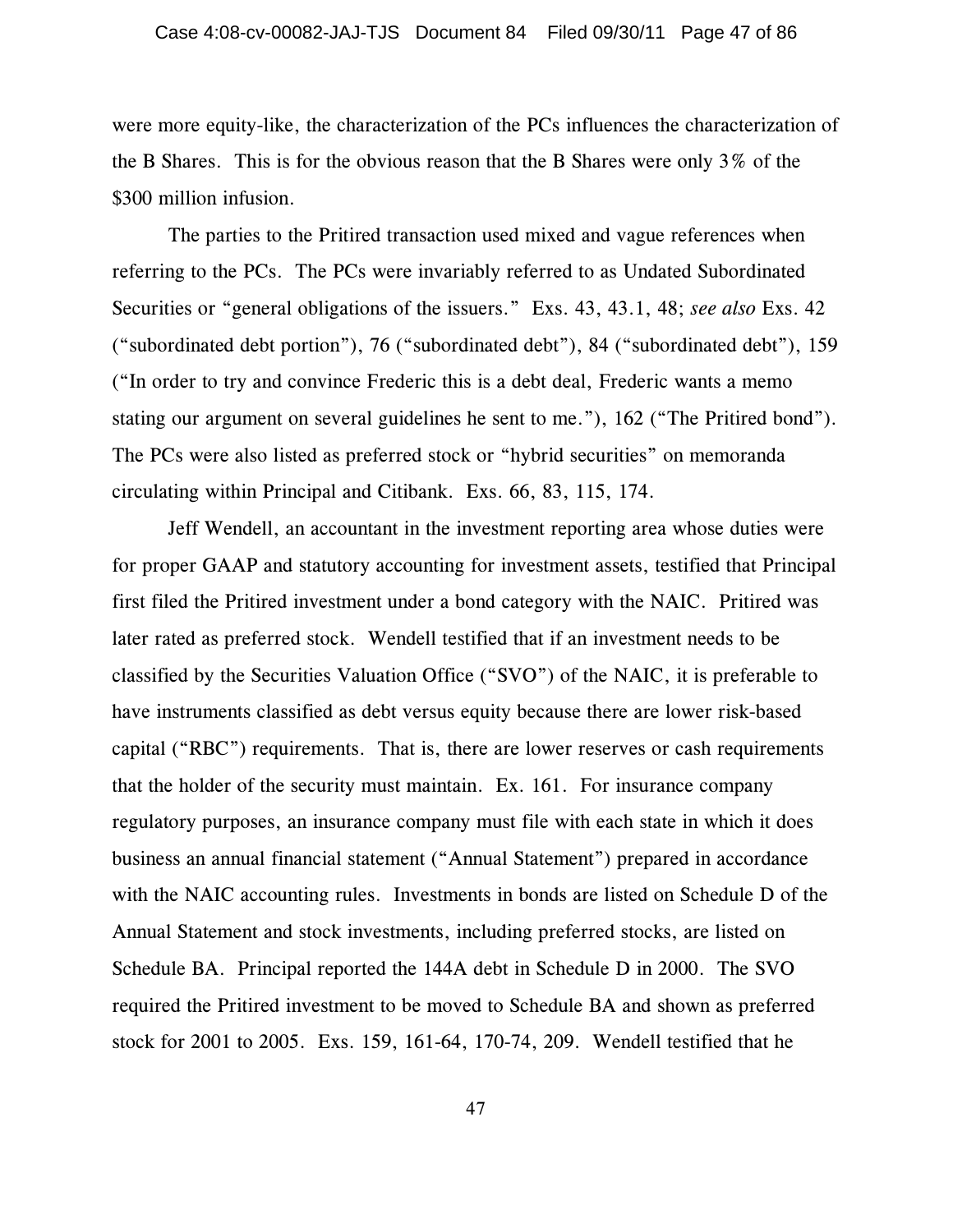were more equity-like, the characterization of the PCs influences the characterization of the B Shares. This is for the obvious reason that the B Shares were only 3% of the \$300 million infusion.

The parties to the Pritired transaction used mixed and vague references when referring to the PCs. The PCs were invariably referred to as Undated Subordinated Securities or "general obligations of the issuers." Exs. 43, 43.1, 48; *see also* Exs. 42 ("subordinated debt portion"), 76 ("subordinated debt"), 84 ("subordinated debt"), 159 ("In order to try and convince Frederic this is a debt deal, Frederic wants a memo stating our argument on several guidelines he sent to me."), 162 ("The Pritired bond"). The PCs were also listed as preferred stock or "hybrid securities" on memoranda circulating within Principal and Citibank. Exs. 66, 83, 115, 174.

Jeff Wendell, an accountant in the investment reporting area whose duties were for proper GAAP and statutory accounting for investment assets, testified that Principal first filed the Pritired investment under a bond category with the NAIC. Pritired was later rated as preferred stock. Wendell testified that if an investment needs to be classified by the Securities Valuation Office ("SVO") of the NAIC, it is preferable to have instruments classified as debt versus equity because there are lower risk-based capital ("RBC") requirements. That is, there are lower reserves or cash requirements that the holder of the security must maintain. Ex. 161. For insurance company regulatory purposes, an insurance company must file with each state in which it does business an annual financial statement ("Annual Statement") prepared in accordance with the NAIC accounting rules. Investments in bonds are listed on Schedule D of the Annual Statement and stock investments, including preferred stocks, are listed on Schedule BA. Principal reported the 144A debt in Schedule D in 2000. The SVO required the Pritired investment to be moved to Schedule BA and shown as preferred stock for 2001 to 2005. Exs. 159, 161-64, 170-74, 209. Wendell testified that he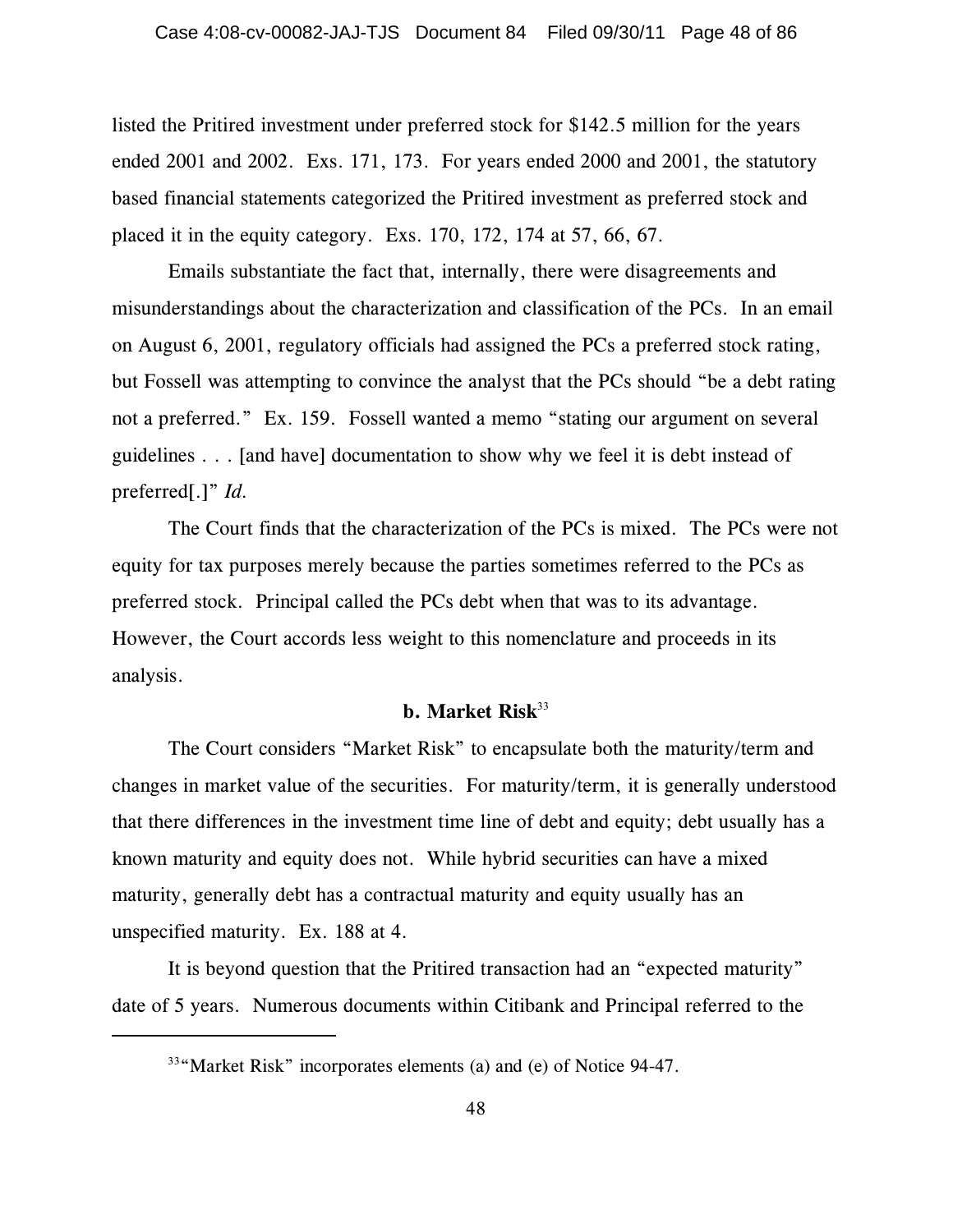listed the Pritired investment under preferred stock for \$142.5 million for the years ended 2001 and 2002. Exs. 171, 173. For years ended 2000 and 2001, the statutory based financial statements categorized the Pritired investment as preferred stock and placed it in the equity category. Exs. 170, 172, 174 at 57, 66, 67.

Emails substantiate the fact that, internally, there were disagreements and misunderstandings about the characterization and classification of the PCs. In an email on August 6, 2001, regulatory officials had assigned the PCs a preferred stock rating, but Fossell was attempting to convince the analyst that the PCs should "be a debt rating not a preferred." Ex. 159. Fossell wanted a memo "stating our argument on several guidelines . . . [and have] documentation to show why we feel it is debt instead of preferred[.]" *Id.* 

The Court finds that the characterization of the PCs is mixed. The PCs were not equity for tax purposes merely because the parties sometimes referred to the PCs as preferred stock. Principal called the PCs debt when that was to its advantage. However, the Court accords less weight to this nomenclature and proceeds in its analysis.

# **b. Market Risk**<sup>33</sup>

The Court considers "Market Risk" to encapsulate both the maturity/term and changes in market value of the securities. For maturity/term, it is generally understood that there differences in the investment time line of debt and equity; debt usually has a known maturity and equity does not. While hybrid securities can have a mixed maturity, generally debt has a contractual maturity and equity usually has an unspecified maturity. Ex. 188 at 4.

It is beyond question that the Pritired transaction had an "expected maturity" date of 5 years. Numerous documents within Citibank and Principal referred to the

 $33\degree$ Market Risk" incorporates elements (a) and (e) of Notice 94-47.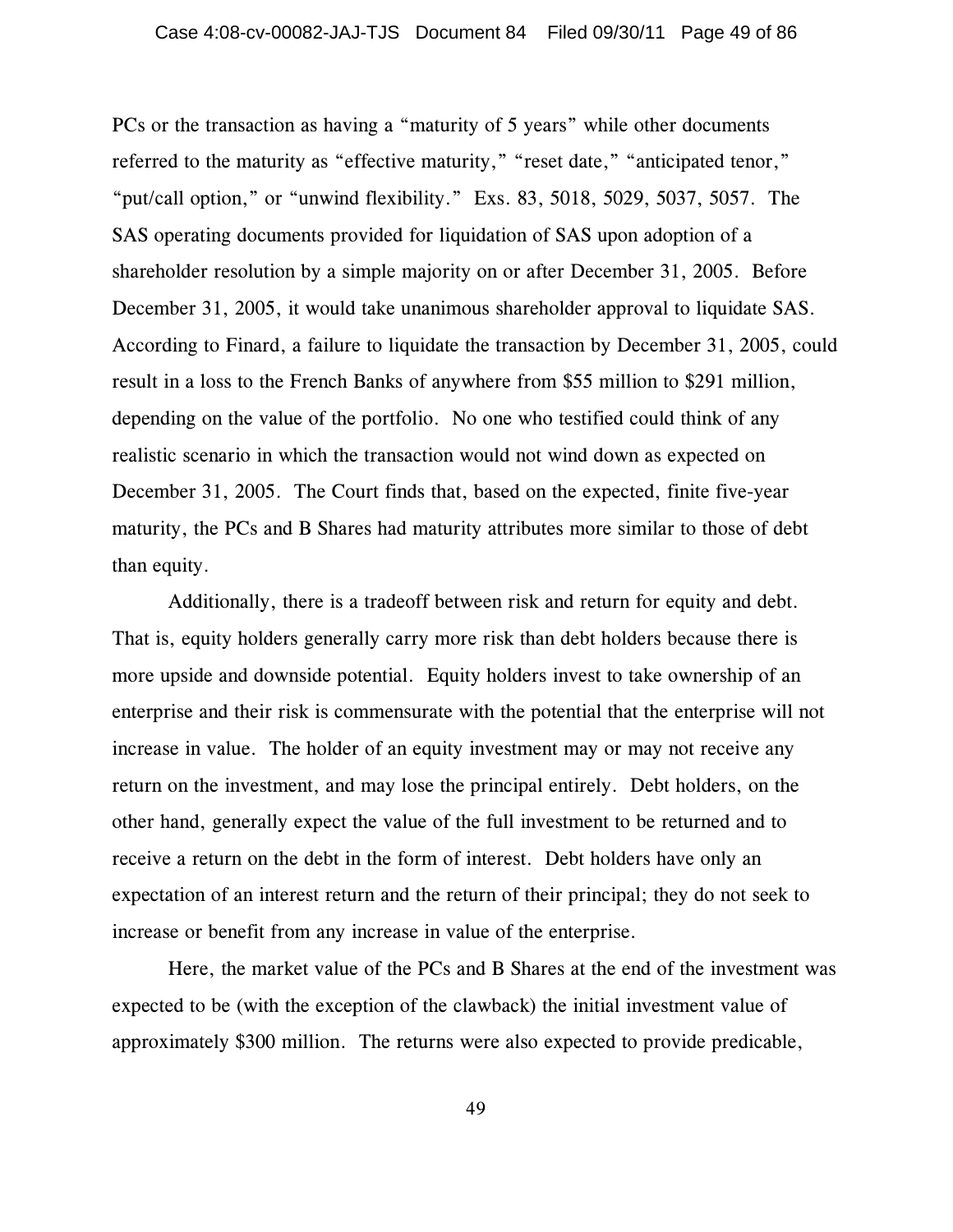PCs or the transaction as having a "maturity of 5 years" while other documents referred to the maturity as "effective maturity," "reset date," "anticipated tenor," "put/call option," or "unwind flexibility." Exs. 83, 5018, 5029, 5037, 5057. The SAS operating documents provided for liquidation of SAS upon adoption of a shareholder resolution by a simple majority on or after December 31, 2005. Before December 31, 2005, it would take unanimous shareholder approval to liquidate SAS. According to Finard, a failure to liquidate the transaction by December 31, 2005, could result in a loss to the French Banks of anywhere from \$55 million to \$291 million, depending on the value of the portfolio. No one who testified could think of any realistic scenario in which the transaction would not wind down as expected on December 31, 2005. The Court finds that, based on the expected, finite five-year maturity, the PCs and B Shares had maturity attributes more similar to those of debt than equity.

Additionally, there is a tradeoff between risk and return for equity and debt. That is, equity holders generally carry more risk than debt holders because there is more upside and downside potential. Equity holders invest to take ownership of an enterprise and their risk is commensurate with the potential that the enterprise will not increase in value. The holder of an equity investment may or may not receive any return on the investment, and may lose the principal entirely. Debt holders, on the other hand, generally expect the value of the full investment to be returned and to receive a return on the debt in the form of interest. Debt holders have only an expectation of an interest return and the return of their principal; they do not seek to increase or benefit from any increase in value of the enterprise.

Here, the market value of the PCs and B Shares at the end of the investment was expected to be (with the exception of the clawback) the initial investment value of approximately \$300 million. The returns were also expected to provide predicable,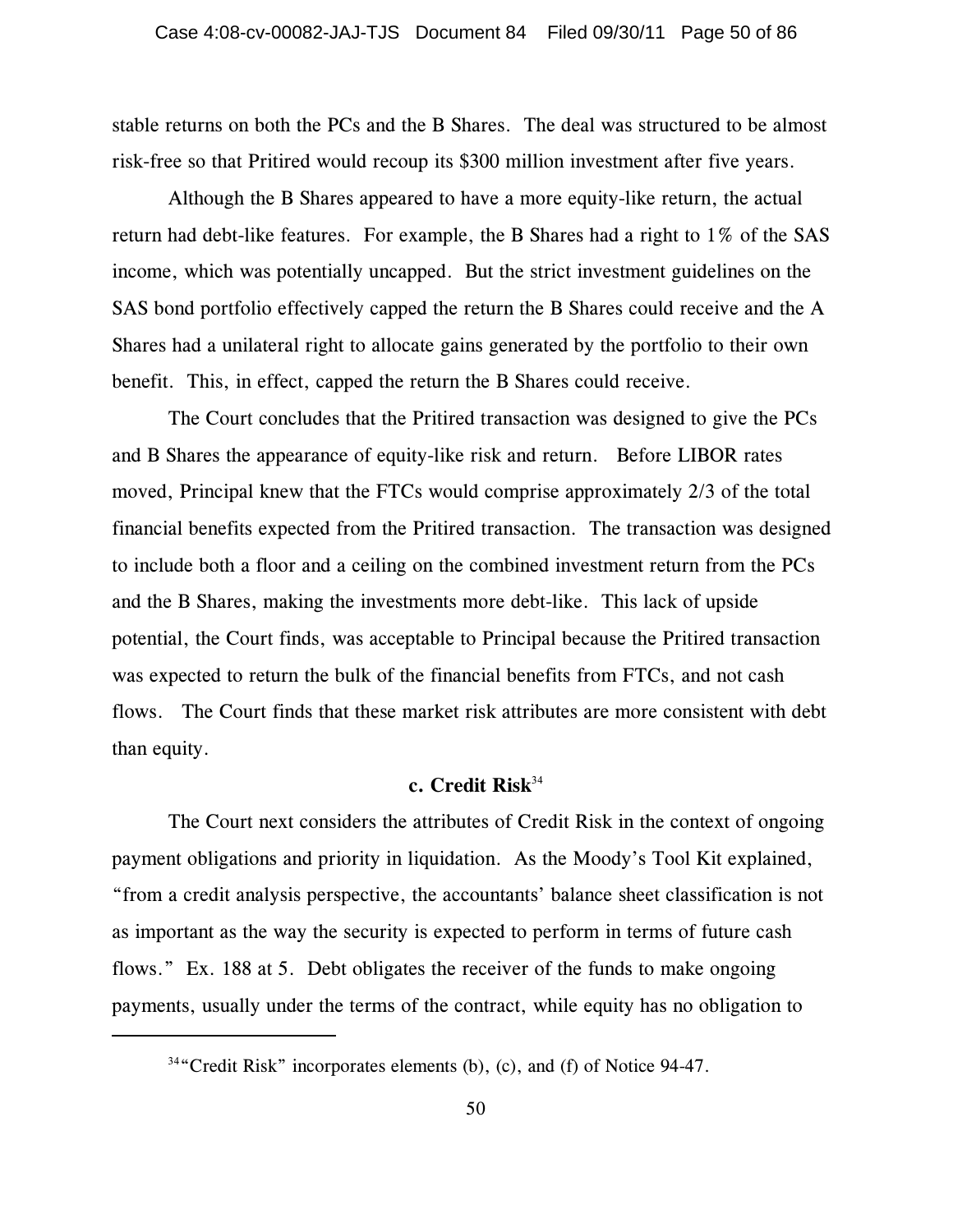stable returns on both the PCs and the B Shares. The deal was structured to be almost risk-free so that Pritired would recoup its \$300 million investment after five years.

Although the B Shares appeared to have a more equity-like return, the actual return had debt-like features. For example, the B Shares had a right to 1% of the SAS income, which was potentially uncapped. But the strict investment guidelines on the SAS bond portfolio effectively capped the return the B Shares could receive and the A Shares had a unilateral right to allocate gains generated by the portfolio to their own benefit. This, in effect, capped the return the B Shares could receive.

The Court concludes that the Pritired transaction was designed to give the PCs and B Shares the appearance of equity-like risk and return. Before LIBOR rates moved, Principal knew that the FTCs would comprise approximately 2/3 of the total financial benefits expected from the Pritired transaction. The transaction was designed to include both a floor and a ceiling on the combined investment return from the PCs and the B Shares, making the investments more debt-like. This lack of upside potential, the Court finds, was acceptable to Principal because the Pritired transaction was expected to return the bulk of the financial benefits from FTCs, and not cash flows. The Court finds that these market risk attributes are more consistent with debt than equity.

# **c. Credit Risk**<sup>34</sup>

The Court next considers the attributes of Credit Risk in the context of ongoing payment obligations and priority in liquidation. As the Moody's Tool Kit explained, "from a credit analysis perspective, the accountants' balance sheet classification is not as important as the way the security is expected to perform in terms of future cash flows." Ex. 188 at 5. Debt obligates the receiver of the funds to make ongoing payments, usually under the terms of the contract, while equity has no obligation to

 $34\degree$ Credit Risk" incorporates elements (b), (c), and (f) of Notice 94-47.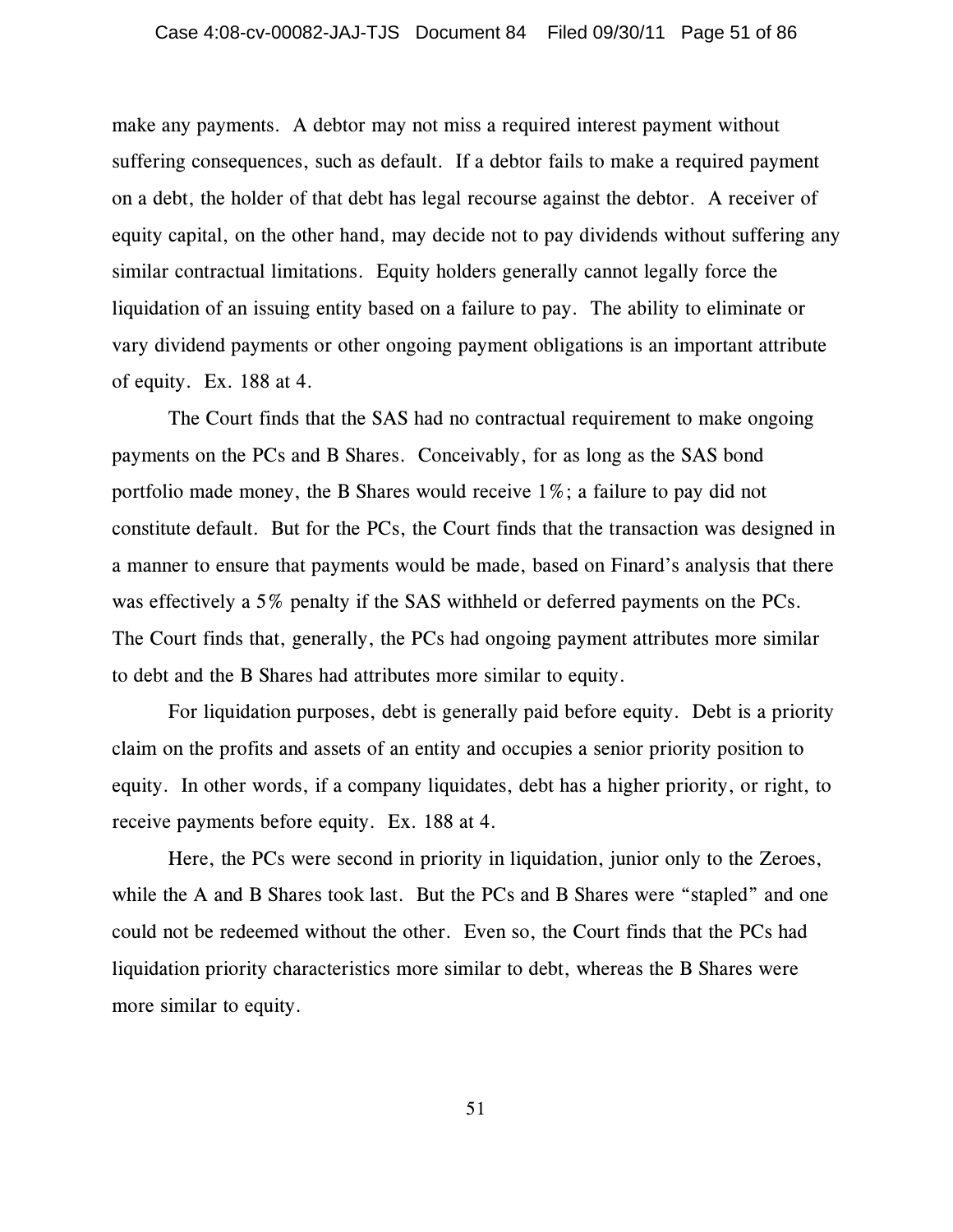make any payments. A debtor may not miss a required interest payment without suffering consequences, such as default. If a debtor fails to make a required payment on a debt, the holder of that debt has legal recourse against the debtor. A receiver of equity capital, on the other hand, may decide not to pay dividends without suffering any similar contractual limitations. Equity holders generally cannot legally force the liquidation of an issuing entity based on a failure to pay. The ability to eliminate or vary dividend payments or other ongoing payment obligations is an important attribute of equity. Ex. 188 at 4.

The Court finds that the SAS had no contractual requirement to make ongoing payments on the PCs and B Shares. Conceivably, for as long as the SAS bond portfolio made money, the B Shares would receive 1%; a failure to pay did not constitute default. But for the PCs, the Court finds that the transaction was designed in a manner to ensure that payments would be made, based on Finard's analysis that there was effectively a 5% penalty if the SAS withheld or deferred payments on the PCs. The Court finds that, generally, the PCs had ongoing payment attributes more similar to debt and the B Shares had attributes more similar to equity.

For liquidation purposes, debt is generally paid before equity. Debt is a priority claim on the profits and assets of an entity and occupies a senior priority position to equity. In other words, if a company liquidates, debt has a higher priority, or right, to receive payments before equity. Ex. 188 at 4.

Here, the PCs were second in priority in liquidation, junior only to the Zeroes, while the A and B Shares took last. But the PCs and B Shares were "stapled" and one could not be redeemed without the other. Even so, the Court finds that the PCs had liquidation priority characteristics more similar to debt, whereas the B Shares were more similar to equity.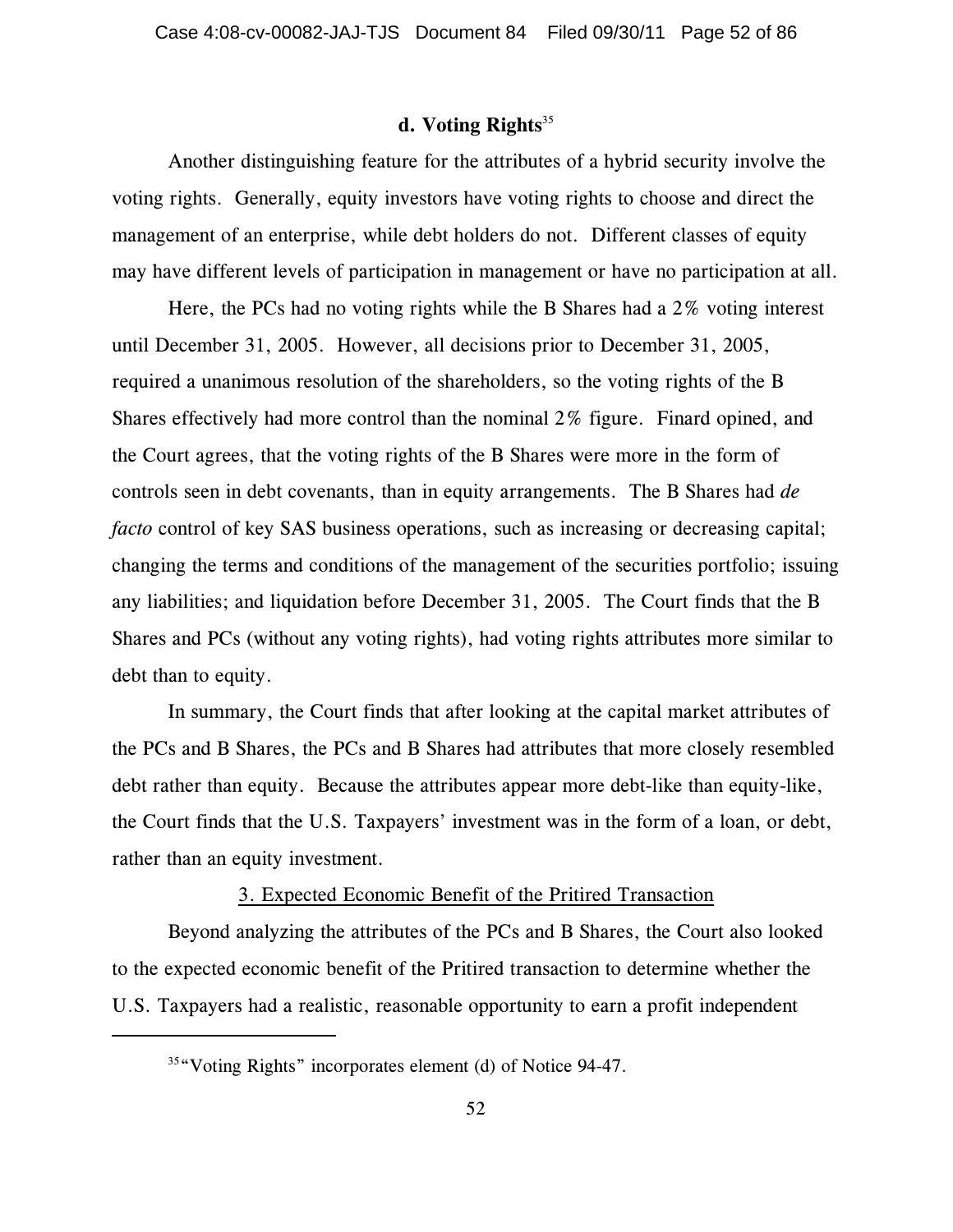# **d. Voting Rights**<sup>35</sup>

Another distinguishing feature for the attributes of a hybrid security involve the voting rights. Generally, equity investors have voting rights to choose and direct the management of an enterprise, while debt holders do not. Different classes of equity may have different levels of participation in management or have no participation at all.

Here, the PCs had no voting rights while the B Shares had a 2% voting interest until December 31, 2005. However, all decisions prior to December 31, 2005, required a unanimous resolution of the shareholders, so the voting rights of the B Shares effectively had more control than the nominal 2% figure. Finard opined, and the Court agrees, that the voting rights of the B Shares were more in the form of controls seen in debt covenants, than in equity arrangements. The B Shares had *de facto* control of key SAS business operations, such as increasing or decreasing capital; changing the terms and conditions of the management of the securities portfolio; issuing any liabilities; and liquidation before December 31, 2005. The Court finds that the B Shares and PCs (without any voting rights), had voting rights attributes more similar to debt than to equity.

In summary, the Court finds that after looking at the capital market attributes of the PCs and B Shares, the PCs and B Shares had attributes that more closely resembled debt rather than equity. Because the attributes appear more debt-like than equity-like, the Court finds that the U.S. Taxpayers' investment was in the form of a loan, or debt, rather than an equity investment.

#### 3. Expected Economic Benefit of the Pritired Transaction

Beyond analyzing the attributes of the PCs and B Shares, the Court also looked to the expected economic benefit of the Pritired transaction to determine whether the U.S. Taxpayers had a realistic, reasonable opportunity to earn a profit independent

 $35\degree$  Voting Rights" incorporates element (d) of Notice 94-47.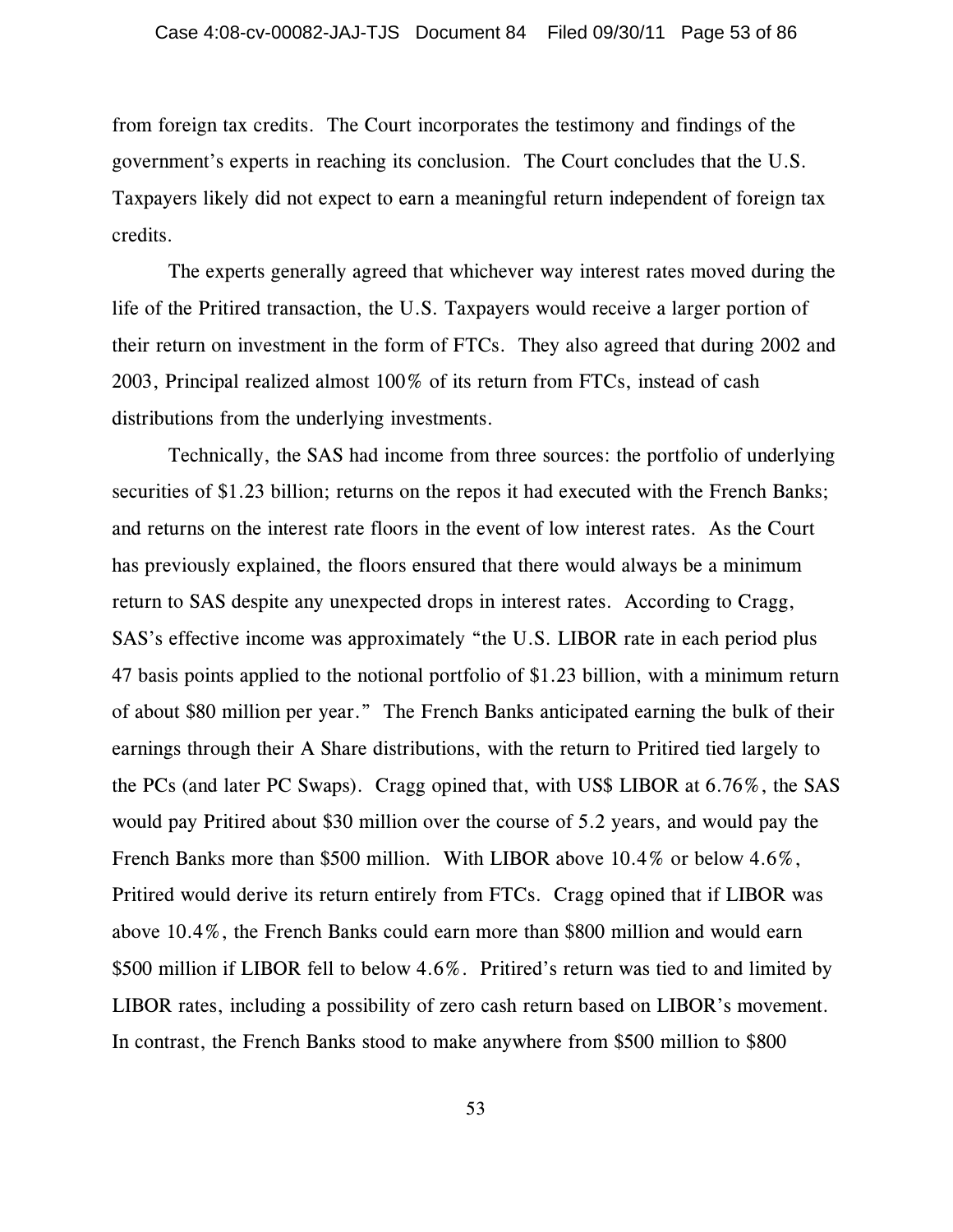from foreign tax credits. The Court incorporates the testimony and findings of the government's experts in reaching its conclusion. The Court concludes that the U.S. Taxpayers likely did not expect to earn a meaningful return independent of foreign tax credits.

The experts generally agreed that whichever way interest rates moved during the life of the Pritired transaction, the U.S. Taxpayers would receive a larger portion of their return on investment in the form of FTCs. They also agreed that during 2002 and 2003, Principal realized almost 100% of its return from FTCs, instead of cash distributions from the underlying investments.

Technically, the SAS had income from three sources: the portfolio of underlying securities of \$1.23 billion; returns on the repos it had executed with the French Banks; and returns on the interest rate floors in the event of low interest rates. As the Court has previously explained, the floors ensured that there would always be a minimum return to SAS despite any unexpected drops in interest rates. According to Cragg, SAS's effective income was approximately "the U.S. LIBOR rate in each period plus 47 basis points applied to the notional portfolio of \$1.23 billion, with a minimum return of about \$80 million per year." The French Banks anticipated earning the bulk of their earnings through their A Share distributions, with the return to Pritired tied largely to the PCs (and later PC Swaps). Cragg opined that, with US\$ LIBOR at 6.76%, the SAS would pay Pritired about \$30 million over the course of 5.2 years, and would pay the French Banks more than \$500 million. With LIBOR above 10.4% or below 4.6%, Pritired would derive its return entirely from FTCs. Cragg opined that if LIBOR was above 10.4%, the French Banks could earn more than \$800 million and would earn \$500 million if LIBOR fell to below 4.6%. Pritired's return was tied to and limited by LIBOR rates, including a possibility of zero cash return based on LIBOR's movement. In contrast, the French Banks stood to make anywhere from \$500 million to \$800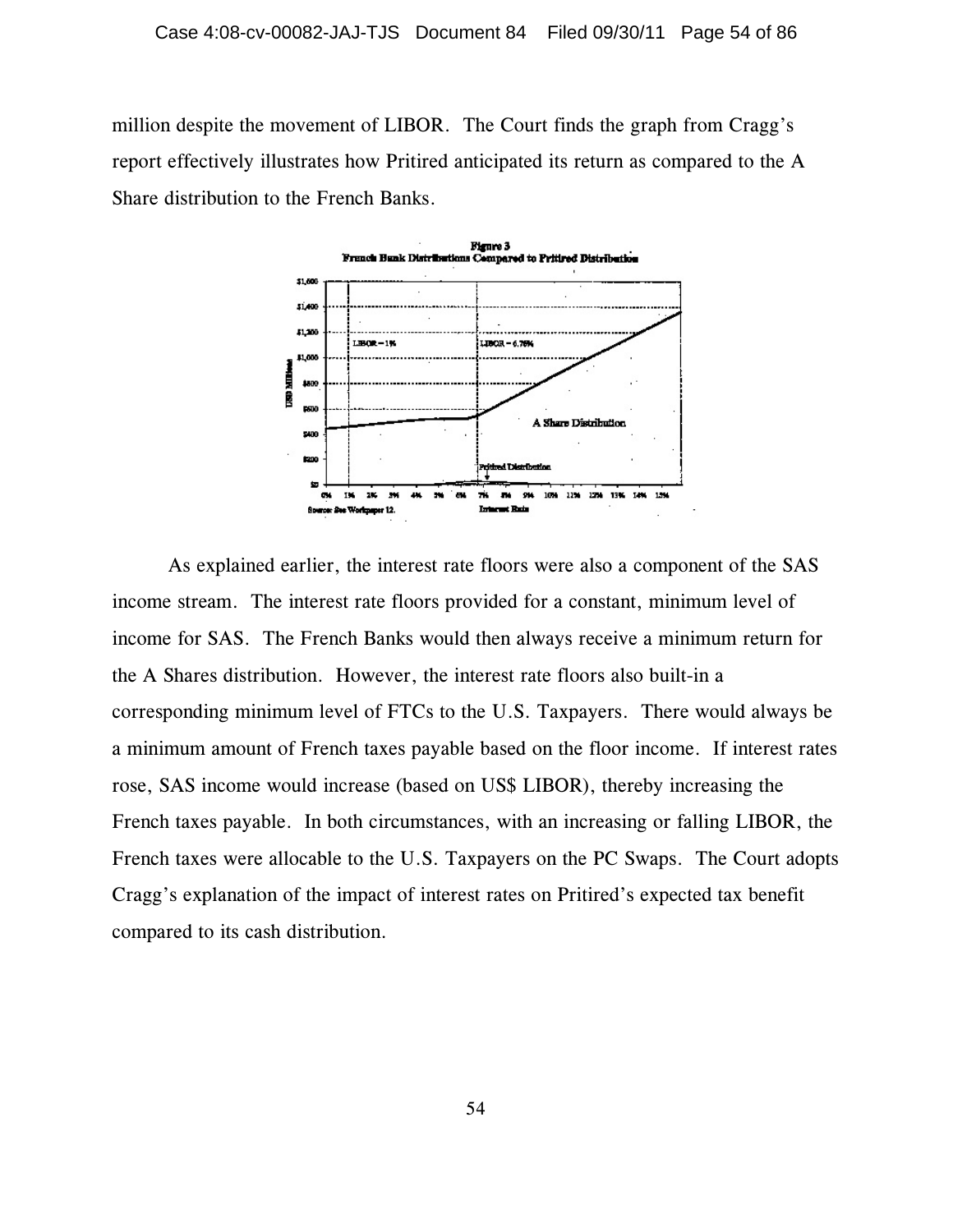million despite the movement of LIBOR. The Court finds the graph from Cragg's report effectively illustrates how Pritired anticipated its return as compared to the A Share distribution to the French Banks.



As explained earlier, the interest rate floors were also a component of the SAS income stream. The interest rate floors provided for a constant, minimum level of income for SAS. The French Banks would then always receive a minimum return for the A Shares distribution. However, the interest rate floors also built-in a corresponding minimum level of FTCs to the U.S. Taxpayers. There would always be a minimum amount of French taxes payable based on the floor income. If interest rates rose, SAS income would increase (based on US\$ LIBOR), thereby increasing the French taxes payable. In both circumstances, with an increasing or falling LIBOR, the French taxes were allocable to the U.S. Taxpayers on the PC Swaps. The Court adopts Cragg's explanation of the impact of interest rates on Pritired's expected tax benefit compared to its cash distribution.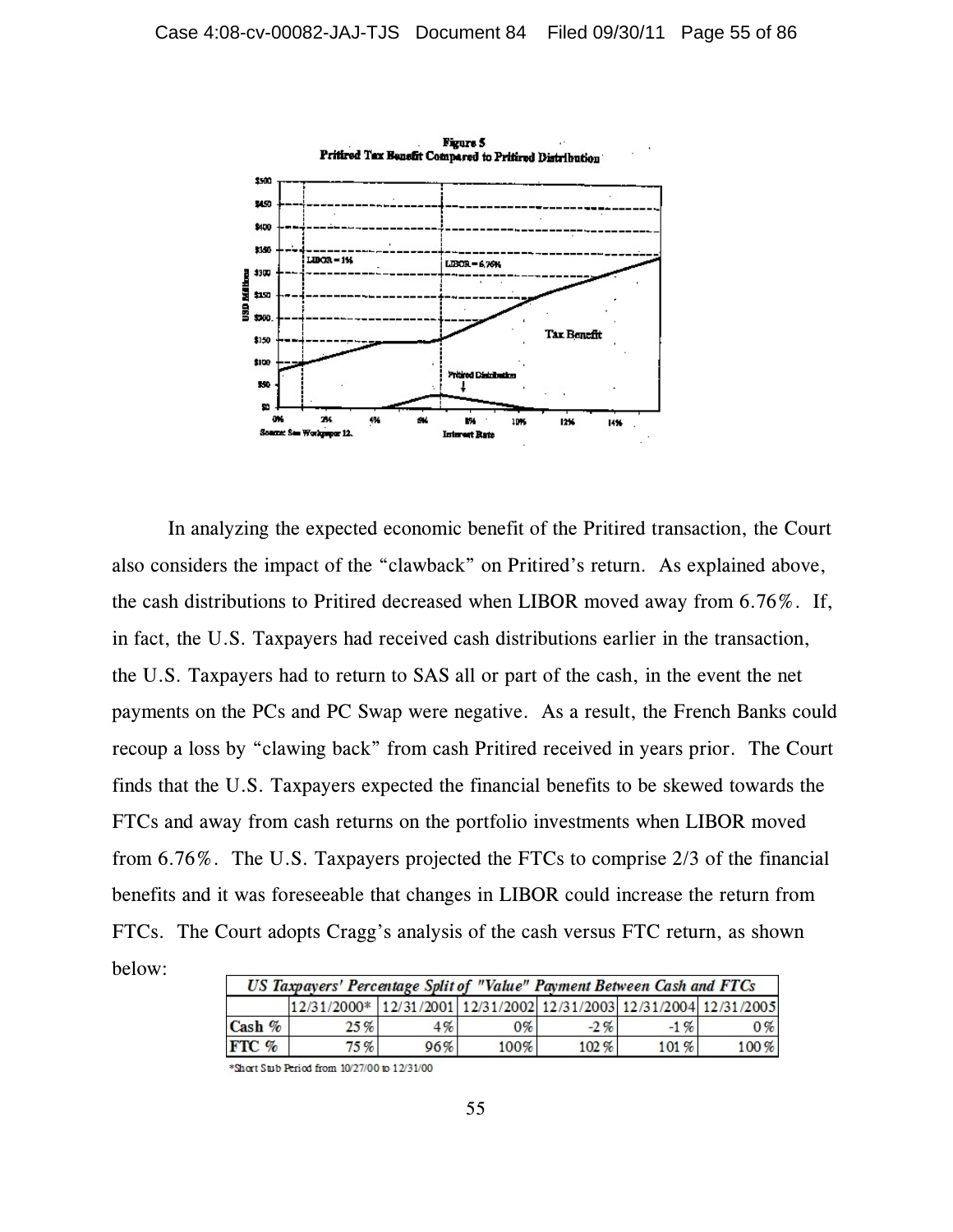

In analyzing the expected economic benefit of the Pritired transaction, the Court also considers the impact of the "clawback" on Pritired's return. As explained above, the cash distributions to Pritired decreased when LIBOR moved away from 6.76%. If, in fact, the U.S. Taxpayers had received cash distributions earlier in the transaction, the U.S. Taxpayers had to return to SAS all or part of the cash, in the event the net payments on the PCs and PC Swap were negative. As a result, the French Banks could recoup a loss by "clawing back" from cash Pritired received in years prior. The Court finds that the U.S. Taxpayers expected the financial benefits to be skewed towards the FTCs and away from cash returns on the portfolio investments when LIBOR moved from 6.76%. The U.S. Taxpayers projected the FTCs to comprise 2/3 of the financial benefits and it was foreseeable that changes in LIBOR could increase the return from FTCs. The Court adopts Cragg's analysis of the cash versus FTC return, as shown below:

| US Taxpayers' Percentage Split of "Value" Payment Between Cash and FTCs |                                                                    |     |       |        |         |         |
|-------------------------------------------------------------------------|--------------------------------------------------------------------|-----|-------|--------|---------|---------|
|                                                                         | 12/31/2000* 12/31/2001 12/31/2002 12/31/2003 12/31/2004 12/31/2005 |     |       |        |         |         |
| $\cosh \%$                                                              | 25%                                                                | 4%  | $0\%$ | $-2\%$ | $-1 \%$ | $0\%$   |
| $ETC$ %                                                                 | 75%                                                                | 96% | 100%  | 102%   | 101%    | $100\%$ |

\*Short Stub Period from 10/27/00 to 12/31/00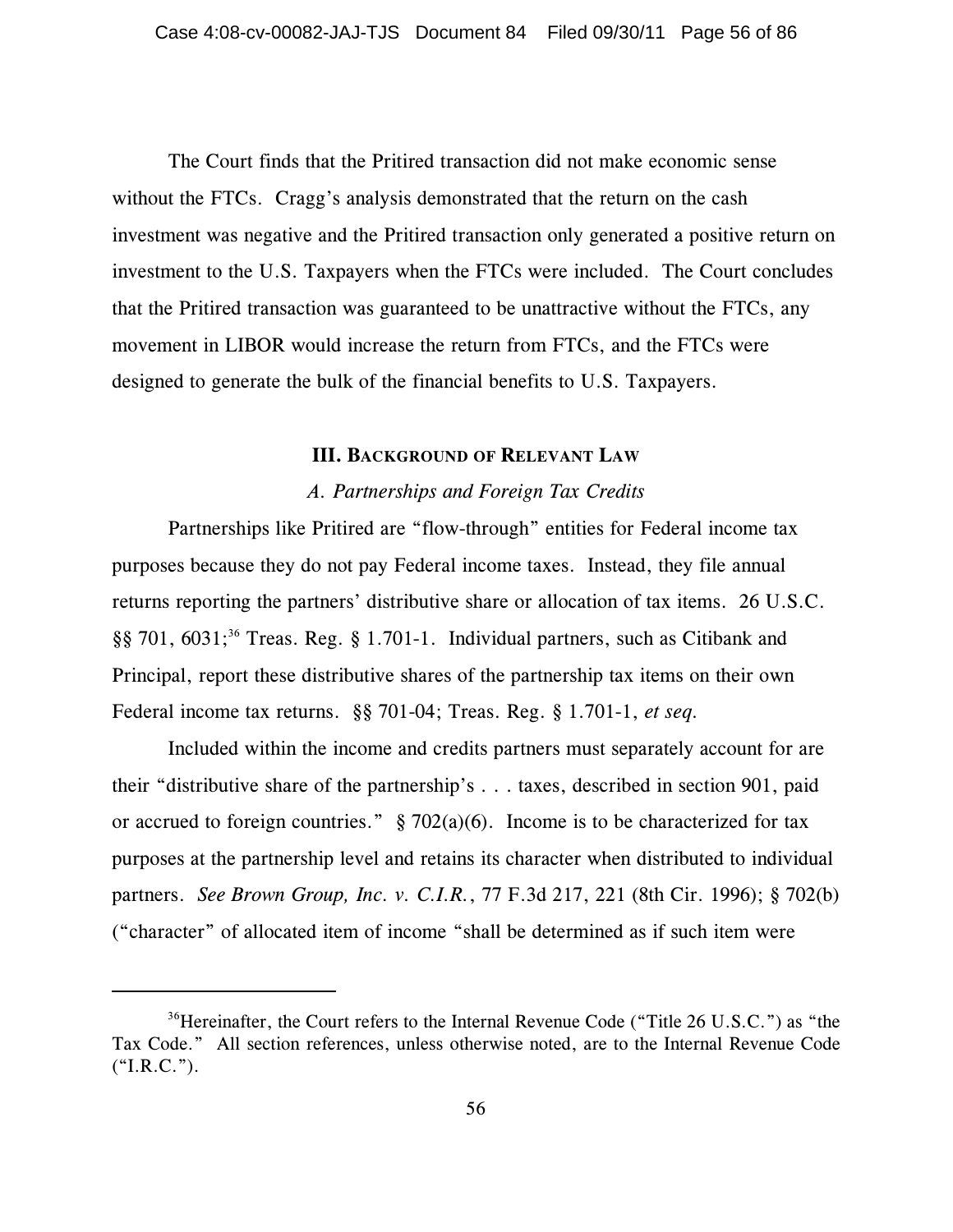The Court finds that the Pritired transaction did not make economic sense without the FTCs. Cragg's analysis demonstrated that the return on the cash investment was negative and the Pritired transaction only generated a positive return on investment to the U.S. Taxpayers when the FTCs were included. The Court concludes that the Pritired transaction was guaranteed to be unattractive without the FTCs, any movement in LIBOR would increase the return from FTCs, and the FTCs were designed to generate the bulk of the financial benefits to U.S. Taxpayers.

#### **III. BACKGROUND OF RELEVANT LAW**

# *A. Partnerships and Foreign Tax Credits*

Partnerships like Pritired are "flow-through" entities for Federal income tax purposes because they do not pay Federal income taxes. Instead, they file annual returns reporting the partners' distributive share or allocation of tax items. 26 U.S.C. §§ 701,  $6031$ ;<sup>36</sup> Treas. Reg. § 1.701-1. Individual partners, such as Citibank and Principal, report these distributive shares of the partnership tax items on their own Federal income tax returns. §§ 701-04; Treas. Reg. § 1.701-1, *et seq.*

Included within the income and credits partners must separately account for are their "distributive share of the partnership's . . . taxes, described in section 901, paid or accrued to foreign countries."  $\S$  702(a)(6). Income is to be characterized for tax purposes at the partnership level and retains its character when distributed to individual partners. *See Brown Group, Inc. v. C.I.R.*, 77 F.3d 217, 221 (8th Cir. 1996); § 702(b) ("character" of allocated item of income "shall be determined as if such item were

 $36$ Hereinafter, the Court refers to the Internal Revenue Code ("Title 26 U.S.C.") as "the Tax Code." All section references, unless otherwise noted, are to the Internal Revenue Code  $(*I.R.C.").$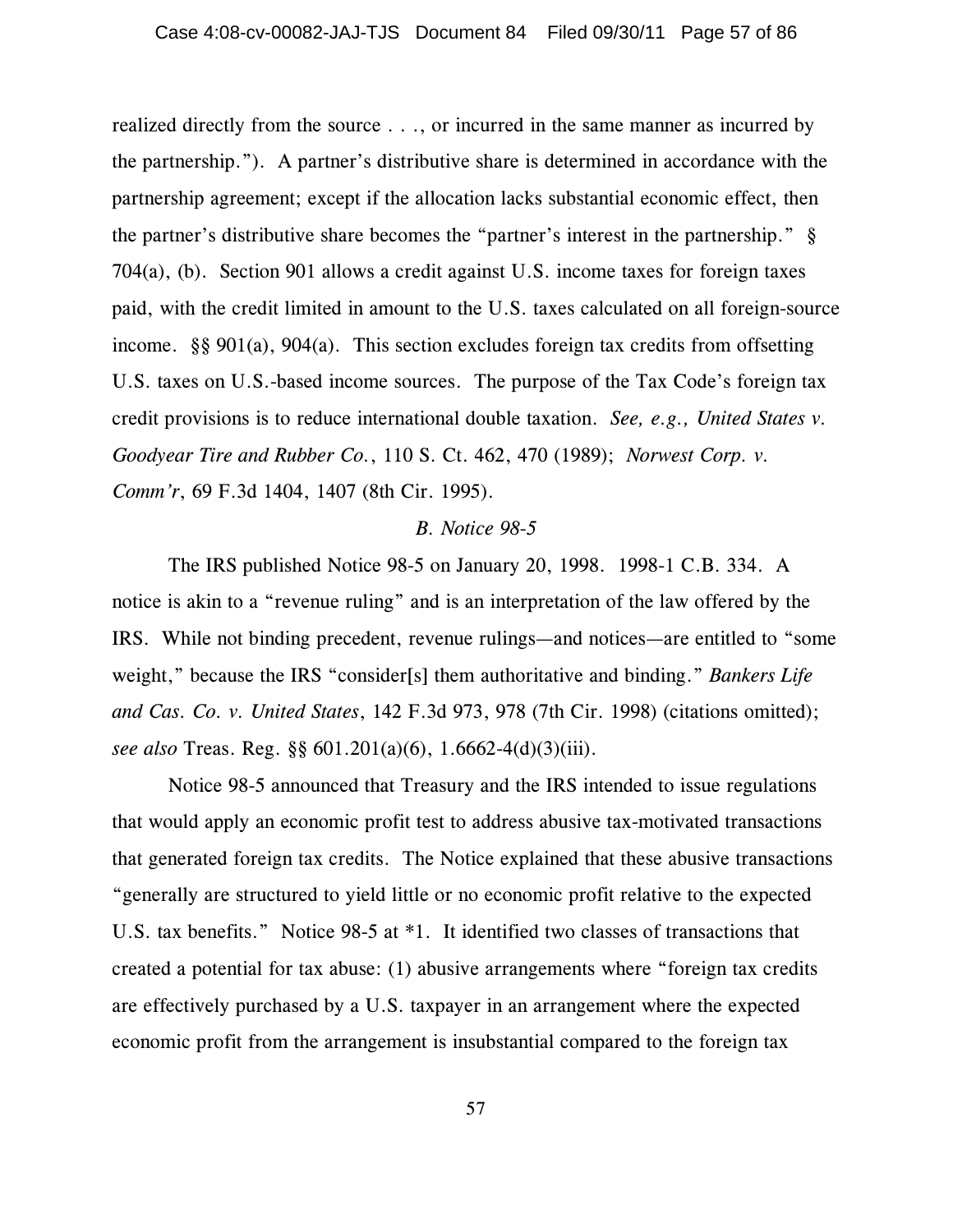realized directly from the source . . ., or incurred in the same manner as incurred by the partnership."). A partner's distributive share is determined in accordance with the partnership agreement; except if the allocation lacks substantial economic effect, then the partner's distributive share becomes the "partner's interest in the partnership." § 704(a), (b). Section 901 allows a credit against U.S. income taxes for foreign taxes paid, with the credit limited in amount to the U.S. taxes calculated on all foreign-source income. §§ 901(a), 904(a). This section excludes foreign tax credits from offsetting U.S. taxes on U.S.-based income sources. The purpose of the Tax Code's foreign tax credit provisions is to reduce international double taxation. *See, e.g., United States v. Goodyear Tire and Rubber Co.*, 110 S. Ct. 462, 470 (1989); *Norwest Corp. v. Comm'r*, 69 F.3d 1404, 1407 (8th Cir. 1995).

#### *B. Notice 98-5*

The IRS published Notice 98-5 on January 20, 1998. 1998-1 C.B. 334. A notice is akin to a "revenue ruling" and is an interpretation of the law offered by the IRS. While not binding precedent, revenue rulings—and notices—are entitled to "some weight," because the IRS "consider[s] them authoritative and binding." *Bankers Life and Cas. Co. v. United States*, 142 F.3d 973, 978 (7th Cir. 1998) (citations omitted); *see also* Treas. Reg. §§ 601.201(a)(6), 1.6662-4(d)(3)(iii).

Notice 98-5 announced that Treasury and the IRS intended to issue regulations that would apply an economic profit test to address abusive tax-motivated transactions that generated foreign tax credits. The Notice explained that these abusive transactions "generally are structured to yield little or no economic profit relative to the expected U.S. tax benefits." Notice 98-5 at \*1. It identified two classes of transactions that created a potential for tax abuse: (1) abusive arrangements where "foreign tax credits are effectively purchased by a U.S. taxpayer in an arrangement where the expected economic profit from the arrangement is insubstantial compared to the foreign tax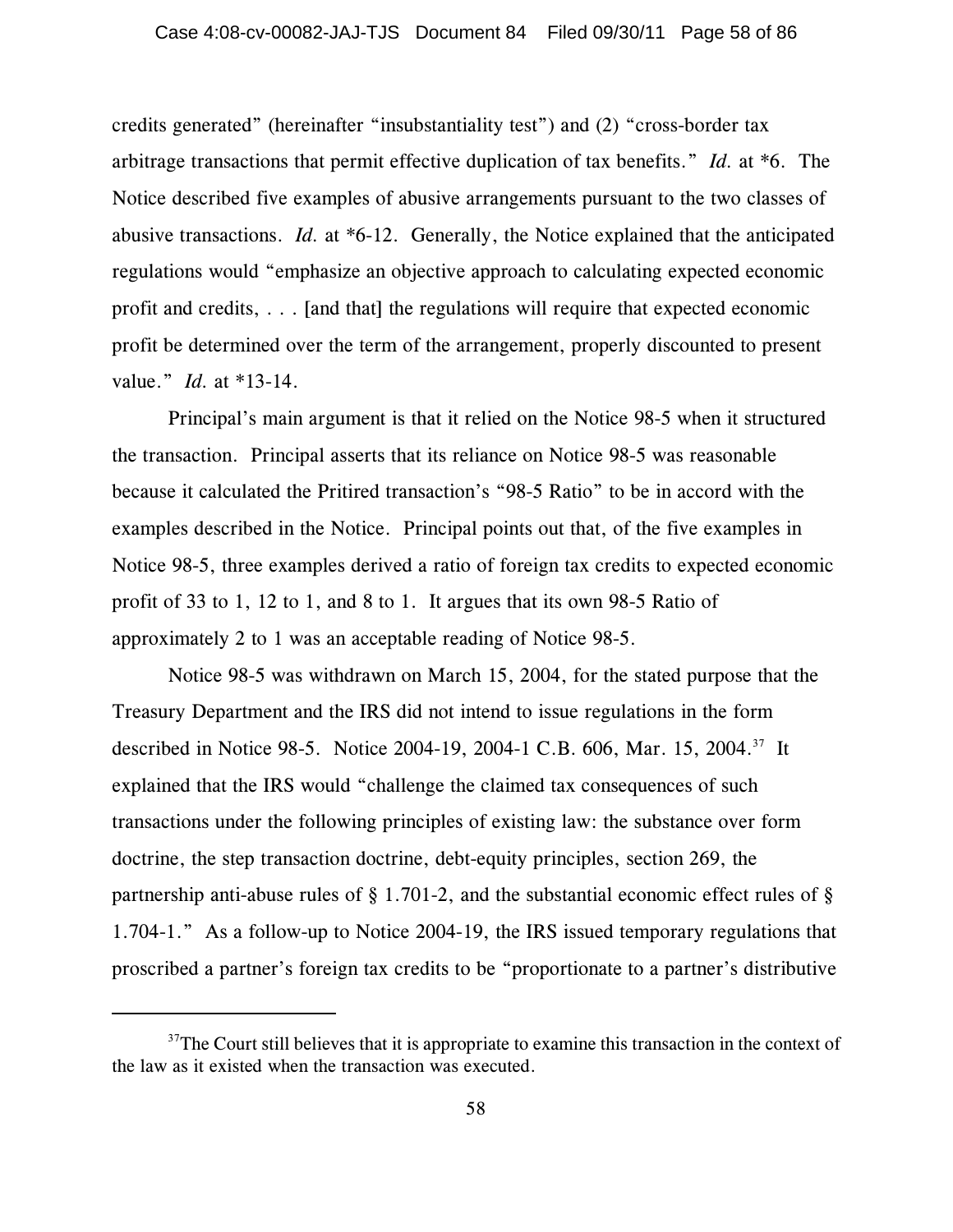credits generated" (hereinafter "insubstantiality test") and (2) "cross-border tax arbitrage transactions that permit effective duplication of tax benefits." *Id.* at \*6. The Notice described five examples of abusive arrangements pursuant to the two classes of abusive transactions. *Id.* at \*6-12. Generally, the Notice explained that the anticipated regulations would "emphasize an objective approach to calculating expected economic profit and credits, . . . [and that] the regulations will require that expected economic profit be determined over the term of the arrangement, properly discounted to present value." *Id.* at \*13-14.

Principal's main argument is that it relied on the Notice 98-5 when it structured the transaction. Principal asserts that its reliance on Notice 98-5 was reasonable because it calculated the Pritired transaction's "98-5 Ratio" to be in accord with the examples described in the Notice. Principal points out that, of the five examples in Notice 98-5, three examples derived a ratio of foreign tax credits to expected economic profit of 33 to 1, 12 to 1, and 8 to 1. It argues that its own 98-5 Ratio of approximately 2 to 1 was an acceptable reading of Notice 98-5.

Notice 98-5 was withdrawn on March 15, 2004, for the stated purpose that the Treasury Department and the IRS did not intend to issue regulations in the form described in Notice 98-5. Notice 2004-19, 2004-1 C.B. 606, Mar. 15, 2004.<sup>37</sup> It explained that the IRS would "challenge the claimed tax consequences of such transactions under the following principles of existing law: the substance over form doctrine, the step transaction doctrine, debt-equity principles, section 269, the partnership anti-abuse rules of § 1.701-2, and the substantial economic effect rules of § 1.704-1." As a follow-up to Notice 2004-19, the IRS issued temporary regulations that proscribed a partner's foreign tax credits to be "proportionate to a partner's distributive

 $37$ The Court still believes that it is appropriate to examine this transaction in the context of the law as it existed when the transaction was executed.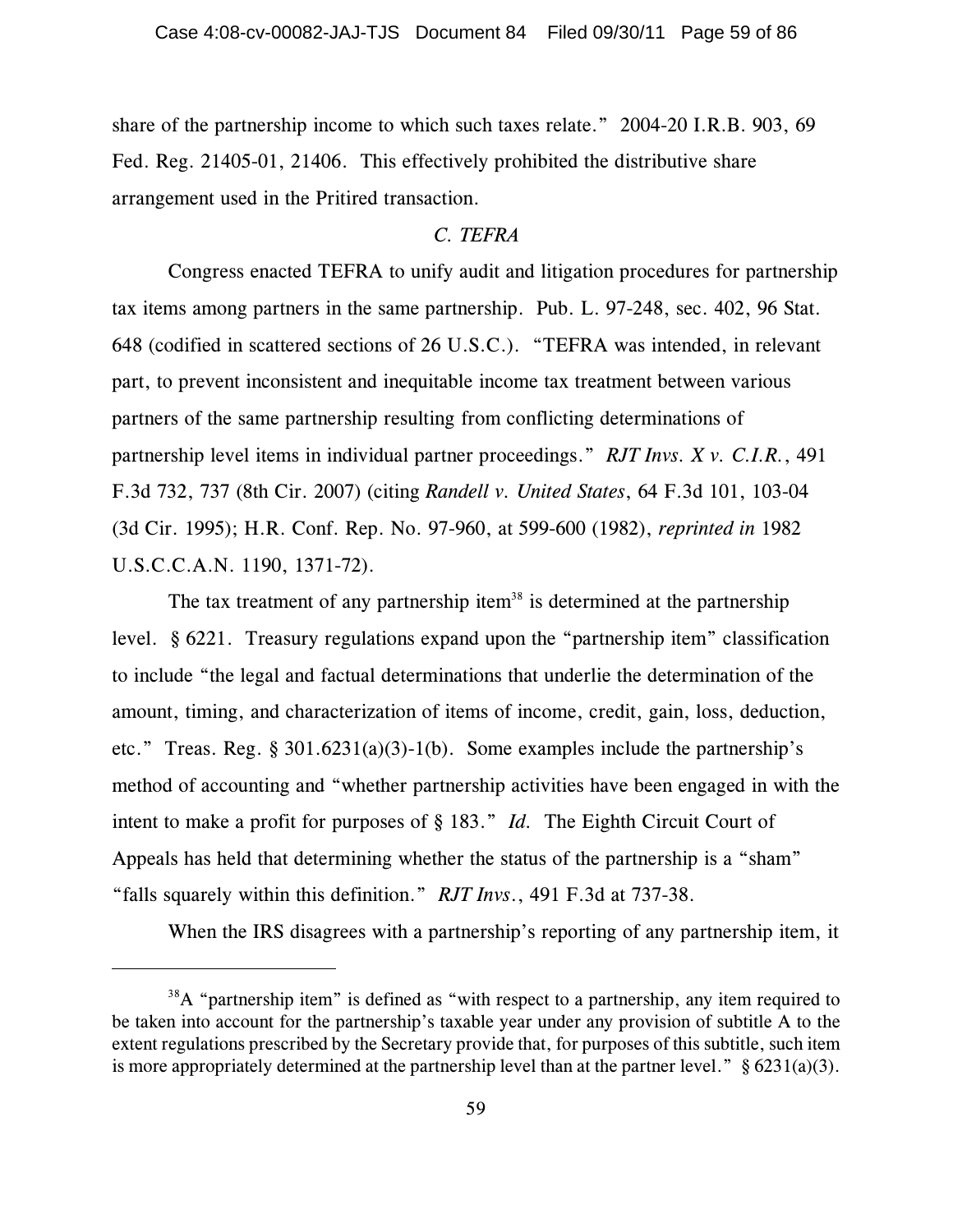share of the partnership income to which such taxes relate." 2004-20 I.R.B. 903, 69 Fed. Reg. 21405-01, 21406. This effectively prohibited the distributive share arrangement used in the Pritired transaction.

# *C. TEFRA*

Congress enacted TEFRA to unify audit and litigation procedures for partnership tax items among partners in the same partnership. Pub. L. 97-248, sec. 402, 96 Stat. 648 (codified in scattered sections of 26 U.S.C.). "TEFRA was intended, in relevant part, to prevent inconsistent and inequitable income tax treatment between various partners of the same partnership resulting from conflicting determinations of partnership level items in individual partner proceedings." *RJT Invs. X v. C.I.R.*, 491 F.3d 732, 737 (8th Cir. 2007) (citing *Randell v. United States*, 64 F.3d 101, 103-04 (3d Cir. 1995); H.R. Conf. Rep. No. 97-960, at 599-600 (1982), *reprinted in* 1982 U.S.C.C.A.N. 1190, 1371-72).

The tax treatment of any partnership item<sup>38</sup> is determined at the partnership level. § 6221. Treasury regulations expand upon the "partnership item" classification to include "the legal and factual determinations that underlie the determination of the amount, timing, and characterization of items of income, credit, gain, loss, deduction, etc." Treas. Reg. § 301.6231(a)(3)-1(b). Some examples include the partnership's method of accounting and "whether partnership activities have been engaged in with the intent to make a profit for purposes of § 183." *Id.* The Eighth Circuit Court of Appeals has held that determining whether the status of the partnership is a "sham" "falls squarely within this definition." *RJT Invs*., 491 F.3d at 737-38.

When the IRS disagrees with a partnership's reporting of any partnership item, it

 $38A$  "partnership item" is defined as "with respect to a partnership, any item required to be taken into account for the partnership's taxable year under any provision of subtitle A to the extent regulations prescribed by the Secretary provide that, for purposes of this subtitle, such item is more appropriately determined at the partnership level than at the partner level."  $§ 6231(a)(3)$ .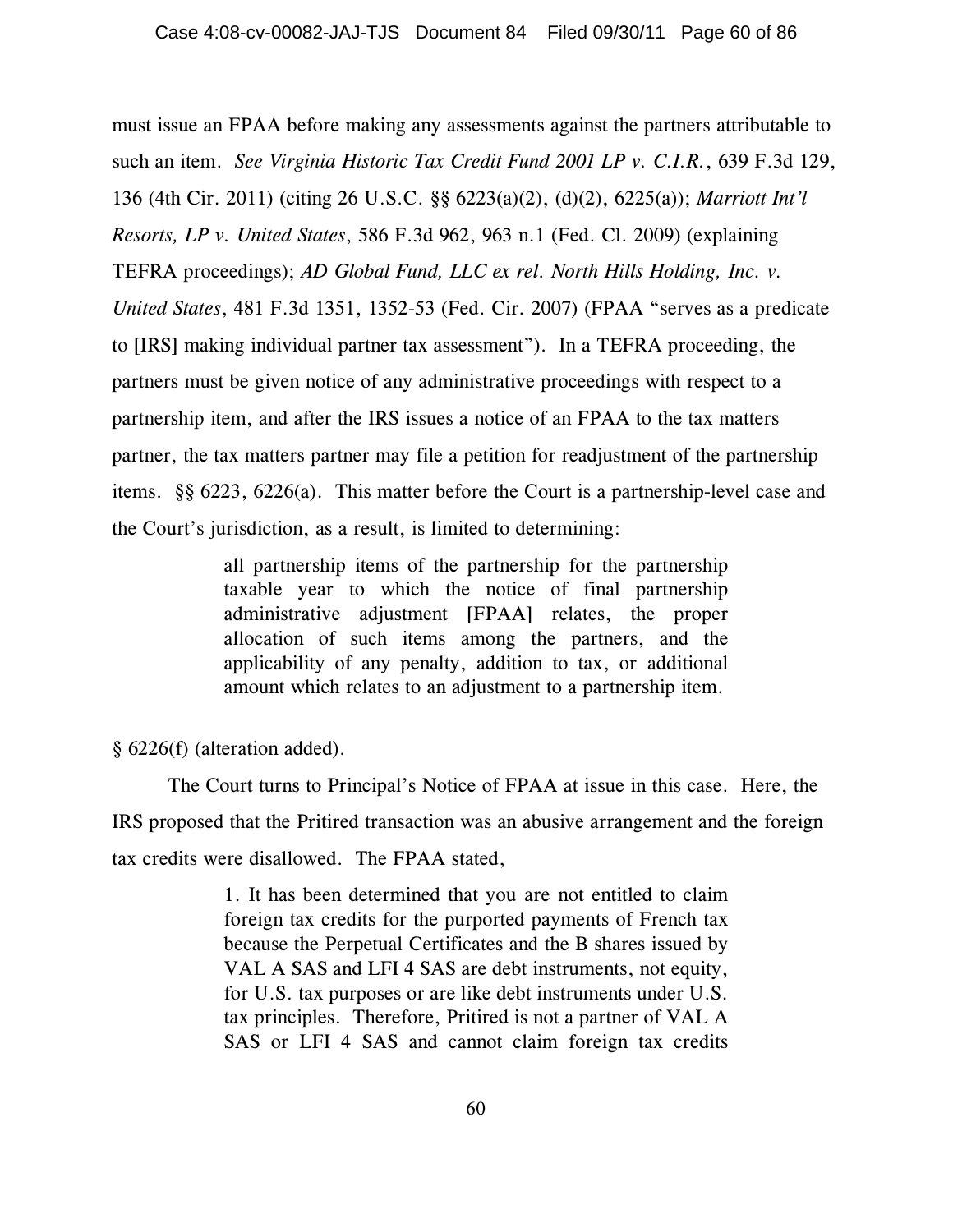must issue an FPAA before making any assessments against the partners attributable to such an item. *See Virginia Historic Tax Credit Fund 2001 LP v. C.I.R.*, 639 F.3d 129, 136 (4th Cir. 2011) (citing 26 U.S.C. §§ 6223(a)(2), (d)(2), 6225(a)); *Marriott Int'l Resorts, LP v. United States*, 586 F.3d 962, 963 n.1 (Fed. Cl. 2009) (explaining TEFRA proceedings); *AD Global Fund, LLC ex rel. North Hills Holding, Inc. v. United States*, 481 F.3d 1351, 1352-53 (Fed. Cir. 2007) (FPAA "serves as a predicate to [IRS] making individual partner tax assessment"). In a TEFRA proceeding, the partners must be given notice of any administrative proceedings with respect to a partnership item, and after the IRS issues a notice of an FPAA to the tax matters partner, the tax matters partner may file a petition for readjustment of the partnership items. §§ 6223, 6226(a). This matter before the Court is a partnership-level case and the Court's jurisdiction, as a result, is limited to determining:

> all partnership items of the partnership for the partnership taxable year to which the notice of final partnership administrative adjustment [FPAA] relates, the proper allocation of such items among the partners, and the applicability of any penalty, addition to tax, or additional amount which relates to an adjustment to a partnership item.

§ 6226(f) (alteration added).

The Court turns to Principal's Notice of FPAA at issue in this case. Here, the IRS proposed that the Pritired transaction was an abusive arrangement and the foreign tax credits were disallowed. The FPAA stated,

> 1. It has been determined that you are not entitled to claim foreign tax credits for the purported payments of French tax because the Perpetual Certificates and the B shares issued by VAL A SAS and LFI 4 SAS are debt instruments, not equity, for U.S. tax purposes or are like debt instruments under U.S. tax principles. Therefore, Pritired is not a partner of VAL A SAS or LFI 4 SAS and cannot claim foreign tax credits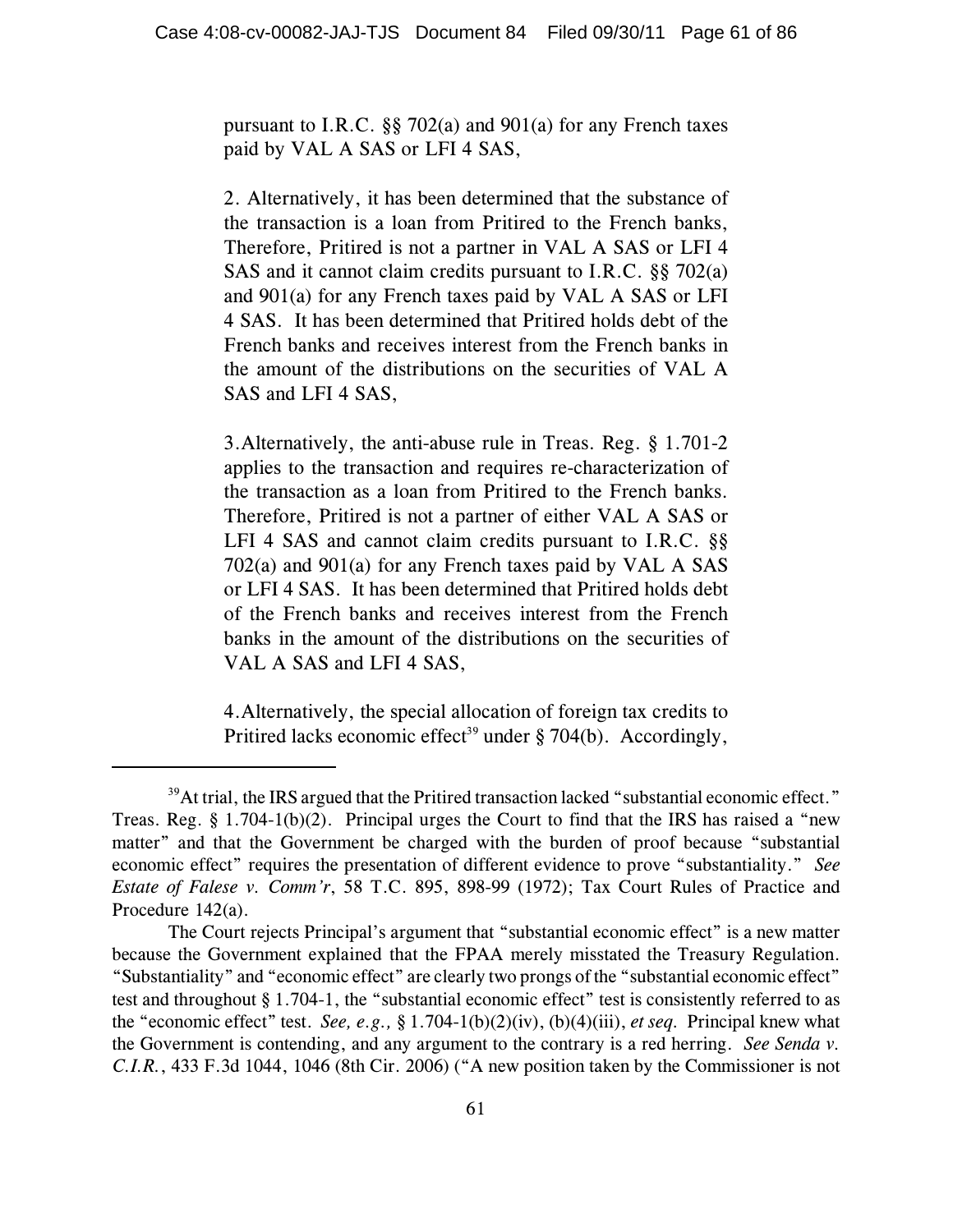pursuant to I.R.C. §§ 702(a) and 901(a) for any French taxes paid by VAL A SAS or LFI 4 SAS,

2. Alternatively, it has been determined that the substance of the transaction is a loan from Pritired to the French banks, Therefore, Pritired is not a partner in VAL A SAS or LFI 4 SAS and it cannot claim credits pursuant to I.R.C. §§ 702(a) and 901(a) for any French taxes paid by VAL A SAS or LFI 4 SAS. It has been determined that Pritired holds debt of the French banks and receives interest from the French banks in the amount of the distributions on the securities of VAL A SAS and LFI 4 SAS,

3.Alternatively, the anti-abuse rule in Treas. Reg. § 1.701-2 applies to the transaction and requires re-characterization of the transaction as a loan from Pritired to the French banks. Therefore, Pritired is not a partner of either VAL A SAS or LFI 4 SAS and cannot claim credits pursuant to I.R.C. §§ 702(a) and 901(a) for any French taxes paid by VAL A SAS or LFI 4 SAS. It has been determined that Pritired holds debt of the French banks and receives interest from the French banks in the amount of the distributions on the securities of VAL A SAS and LFI 4 SAS,

4.Alternatively, the special allocation of foreign tax credits to Pritired lacks economic effect<sup>39</sup> under § 704(b). Accordingly,

 $39$ At trial, the IRS argued that the Pritired transaction lacked "substantial economic effect." Treas. Reg.  $\S 1.704-1(b)(2)$ . Principal urges the Court to find that the IRS has raised a "new matter" and that the Government be charged with the burden of proof because "substantial economic effect" requires the presentation of different evidence to prove "substantiality." *See Estate of Falese v. Comm'r*, 58 T.C. 895, 898-99 (1972); Tax Court Rules of Practice and Procedure 142(a).

The Court rejects Principal's argument that "substantial economic effect" is a new matter because the Government explained that the FPAA merely misstated the Treasury Regulation. "Substantiality" and "economic effect" are clearly two prongs of the "substantial economic effect" test and throughout § 1.704-1, the "substantial economic effect" test is consistently referred to as the "economic effect" test. *See, e.g.,* § 1.704-1(b)(2)(iv), (b)(4)(iii), *et seq.* Principal knew what the Government is contending, and any argument to the contrary is a red herring. *See Senda v. C.I.R.*, 433 F.3d 1044, 1046 (8th Cir. 2006) ("A new position taken by the Commissioner is not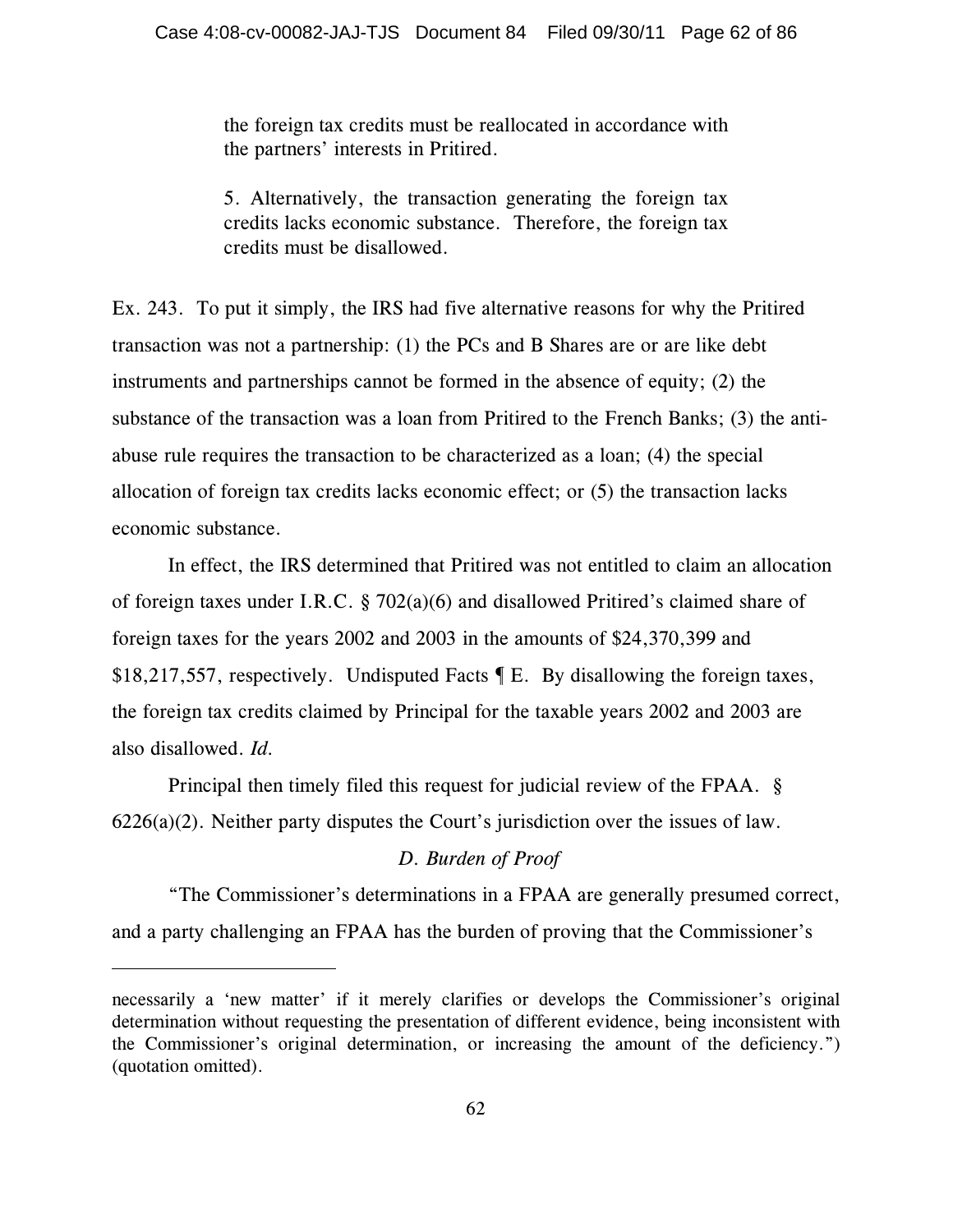the foreign tax credits must be reallocated in accordance with the partners' interests in Pritired.

5. Alternatively, the transaction generating the foreign tax credits lacks economic substance. Therefore, the foreign tax credits must be disallowed.

Ex. 243. To put it simply, the IRS had five alternative reasons for why the Pritired transaction was not a partnership: (1) the PCs and B Shares are or are like debt instruments and partnerships cannot be formed in the absence of equity; (2) the substance of the transaction was a loan from Pritired to the French Banks; (3) the antiabuse rule requires the transaction to be characterized as a loan; (4) the special allocation of foreign tax credits lacks economic effect; or (5) the transaction lacks economic substance.

In effect, the IRS determined that Pritired was not entitled to claim an allocation of foreign taxes under I.R.C. § 702(a)(6) and disallowed Pritired's claimed share of foreign taxes for the years 2002 and 2003 in the amounts of \$24,370,399 and \$18,217,557, respectively. Undisputed Facts ¶ E. By disallowing the foreign taxes, the foreign tax credits claimed by Principal for the taxable years 2002 and 2003 are also disallowed. *Id.*

Principal then timely filed this request for judicial review of the FPAA. § 6226(a)(2). Neither party disputes the Court's jurisdiction over the issues of law.

# *D. Burden of Proof*

"The Commissioner's determinations in a FPAA are generally presumed correct, and a party challenging an FPAA has the burden of proving that the Commissioner's

necessarily a 'new matter' if it merely clarifies or develops the Commissioner's original determination without requesting the presentation of different evidence, being inconsistent with the Commissioner's original determination, or increasing the amount of the deficiency.") (quotation omitted).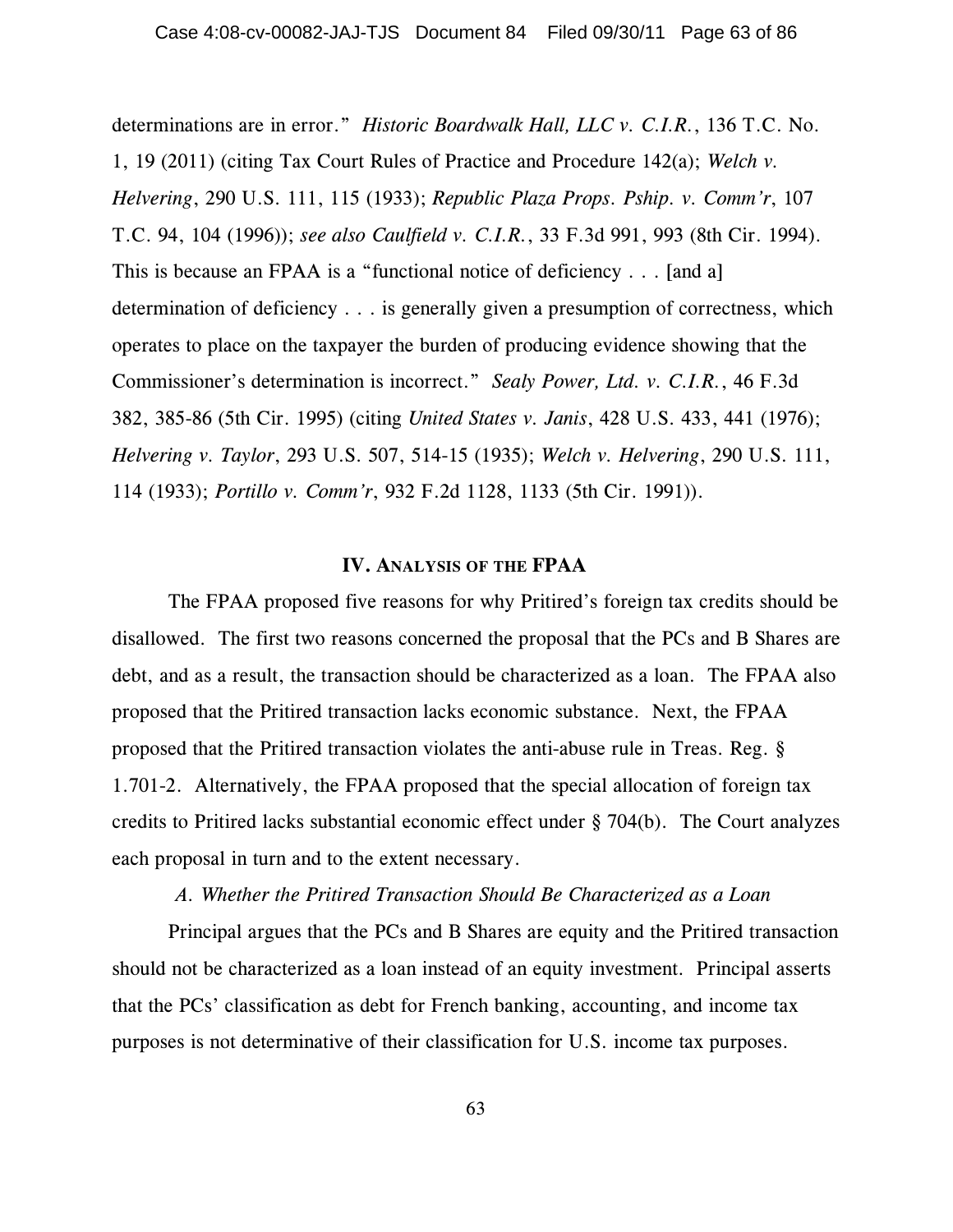determinations are in error." *Historic Boardwalk Hall, LLC v. C.I.R.*, 136 T.C. No. 1, 19 (2011) (citing Tax Court Rules of Practice and Procedure 142(a); *Welch v. Helvering*, 290 U.S. 111, 115 (1933); *Republic Plaza Props. Pship. v. Comm'r*, 107 T.C. 94, 104 (1996)); *see also Caulfield v. C.I.R.*, 33 F.3d 991, 993 (8th Cir. 1994). This is because an FPAA is a "functional notice of deficiency . . . [and a] determination of deficiency . . . is generally given a presumption of correctness, which operates to place on the taxpayer the burden of producing evidence showing that the Commissioner's determination is incorrect." *Sealy Power, Ltd. v. C.I.R.*, 46 F.3d 382, 385-86 (5th Cir. 1995) (citing *United States v. Janis*, 428 U.S. 433, 441 (1976); *Helvering v. Taylor*, 293 U.S. 507, 514-15 (1935); *Welch v. Helvering*, 290 U.S. 111, 114 (1933); *Portillo v. Comm'r*, 932 F.2d 1128, 1133 (5th Cir. 1991)).

#### **IV. ANALYSIS OF THE FPAA**

The FPAA proposed five reasons for why Pritired's foreign tax credits should be disallowed. The first two reasons concerned the proposal that the PCs and B Shares are debt, and as a result, the transaction should be characterized as a loan. The FPAA also proposed that the Pritired transaction lacks economic substance. Next, the FPAA proposed that the Pritired transaction violates the anti-abuse rule in Treas. Reg. § 1.701-2. Alternatively, the FPAA proposed that the special allocation of foreign tax credits to Pritired lacks substantial economic effect under § 704(b). The Court analyzes each proposal in turn and to the extent necessary.

# *A. Whether the Pritired Transaction Should Be Characterized as a Loan*

Principal argues that the PCs and B Shares are equity and the Pritired transaction should not be characterized as a loan instead of an equity investment. Principal asserts that the PCs' classification as debt for French banking, accounting, and income tax purposes is not determinative of their classification for U.S. income tax purposes.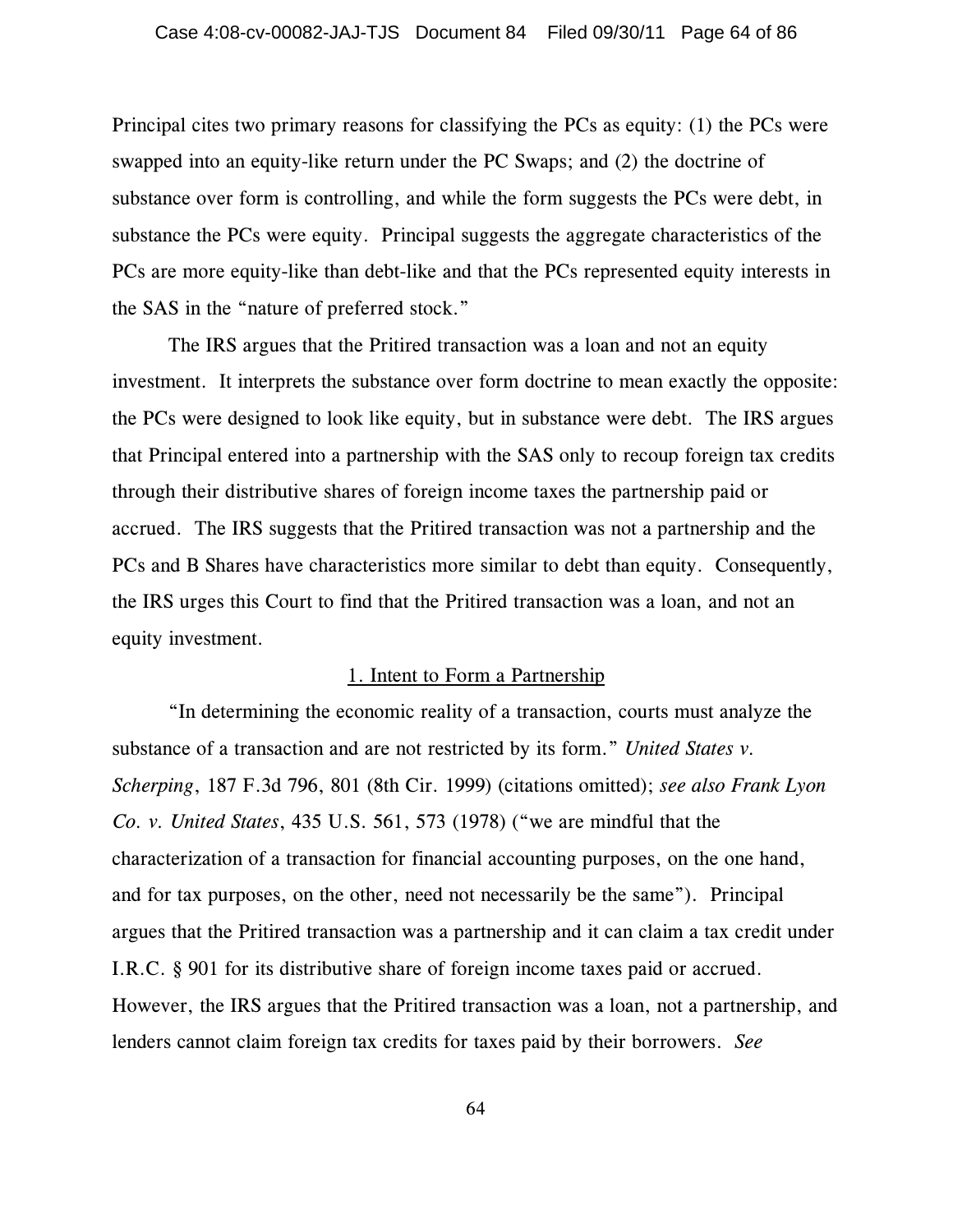Principal cites two primary reasons for classifying the PCs as equity: (1) the PCs were swapped into an equity-like return under the PC Swaps; and (2) the doctrine of substance over form is controlling, and while the form suggests the PCs were debt, in substance the PCs were equity. Principal suggests the aggregate characteristics of the PCs are more equity-like than debt-like and that the PCs represented equity interests in the SAS in the "nature of preferred stock."

The IRS argues that the Pritired transaction was a loan and not an equity investment. It interprets the substance over form doctrine to mean exactly the opposite: the PCs were designed to look like equity, but in substance were debt. The IRS argues that Principal entered into a partnership with the SAS only to recoup foreign tax credits through their distributive shares of foreign income taxes the partnership paid or accrued. The IRS suggests that the Pritired transaction was not a partnership and the PCs and B Shares have characteristics more similar to debt than equity. Consequently, the IRS urges this Court to find that the Pritired transaction was a loan, and not an equity investment.

## 1. Intent to Form a Partnership

"In determining the economic reality of a transaction, courts must analyze the substance of a transaction and are not restricted by its form." *United States v. Scherping*, 187 F.3d 796, 801 (8th Cir. 1999) (citations omitted); *see also Frank Lyon Co. v. United States*, 435 U.S. 561, 573 (1978) ("we are mindful that the characterization of a transaction for financial accounting purposes, on the one hand, and for tax purposes, on the other, need not necessarily be the same"). Principal argues that the Pritired transaction was a partnership and it can claim a tax credit under I.R.C. § 901 for its distributive share of foreign income taxes paid or accrued. However, the IRS argues that the Pritired transaction was a loan, not a partnership, and lenders cannot claim foreign tax credits for taxes paid by their borrowers. *See*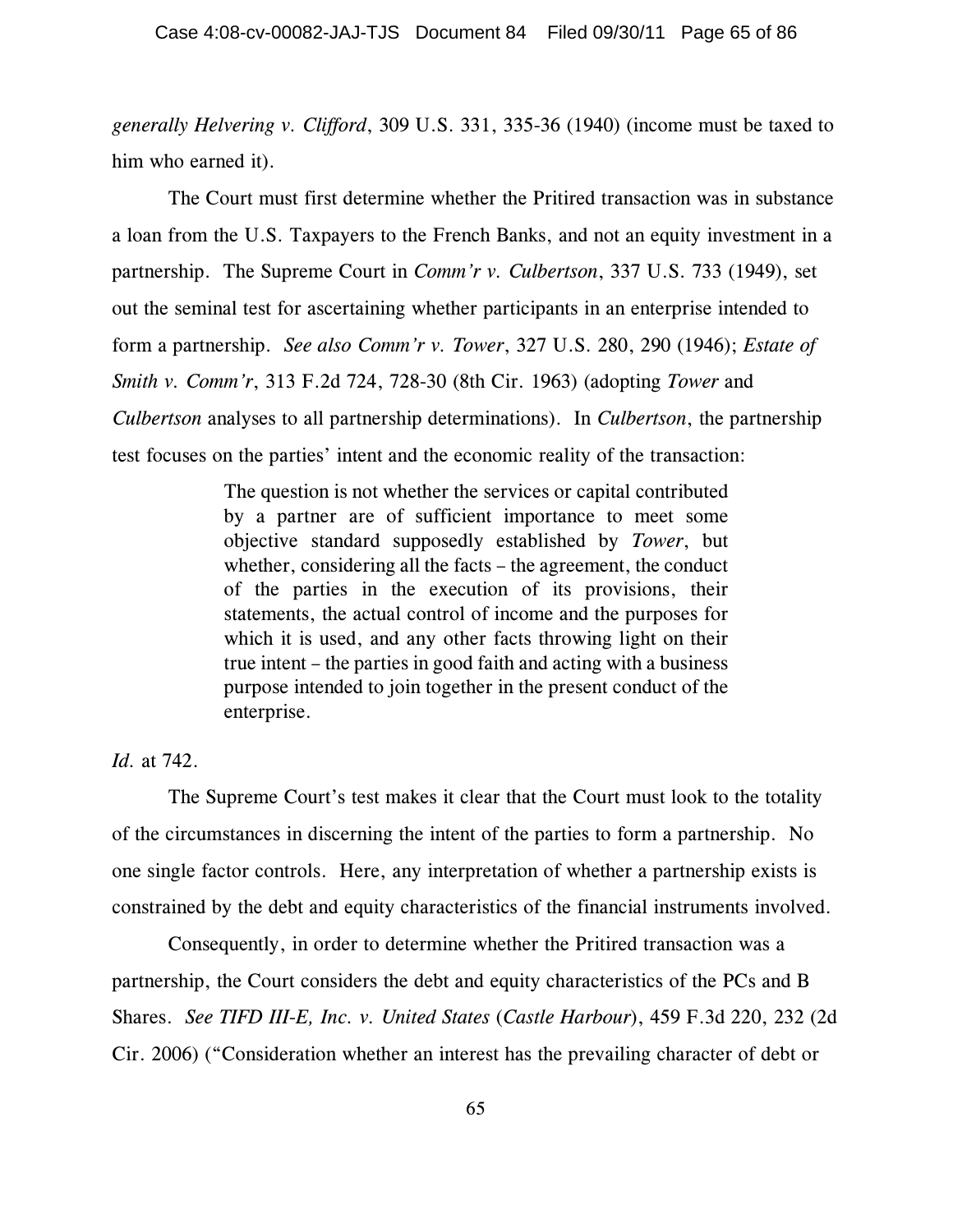*generally Helvering v. Clifford*, 309 U.S. 331, 335-36 (1940) (income must be taxed to him who earned it).

The Court must first determine whether the Pritired transaction was in substance a loan from the U.S. Taxpayers to the French Banks, and not an equity investment in a partnership. The Supreme Court in *Comm'r v. Culbertson*, 337 U.S. 733 (1949), set out the seminal test for ascertaining whether participants in an enterprise intended to form a partnership. *See also Comm'r v. Tower*, 327 U.S. 280, 290 (1946); *Estate of Smith v. Comm'r*, 313 F.2d 724, 728-30 (8th Cir. 1963) (adopting *Tower* and *Culbertson* analyses to all partnership determinations). In *Culbertson*, the partnership test focuses on the parties' intent and the economic reality of the transaction:

> The question is not whether the services or capital contributed by a partner are of sufficient importance to meet some objective standard supposedly established by *Tower*, but whether, considering all the facts – the agreement, the conduct of the parties in the execution of its provisions, their statements, the actual control of income and the purposes for which it is used, and any other facts throwing light on their true intent – the parties in good faith and acting with a business purpose intended to join together in the present conduct of the enterprise.

# *Id.* at 742.

The Supreme Court's test makes it clear that the Court must look to the totality of the circumstances in discerning the intent of the parties to form a partnership. No one single factor controls. Here, any interpretation of whether a partnership exists is constrained by the debt and equity characteristics of the financial instruments involved.

Consequently, in order to determine whether the Pritired transaction was a partnership, the Court considers the debt and equity characteristics of the PCs and B Shares. *See TIFD III-E, Inc. v. United States* (*Castle Harbour*), 459 F.3d 220, 232 (2d Cir. 2006) ("Consideration whether an interest has the prevailing character of debt or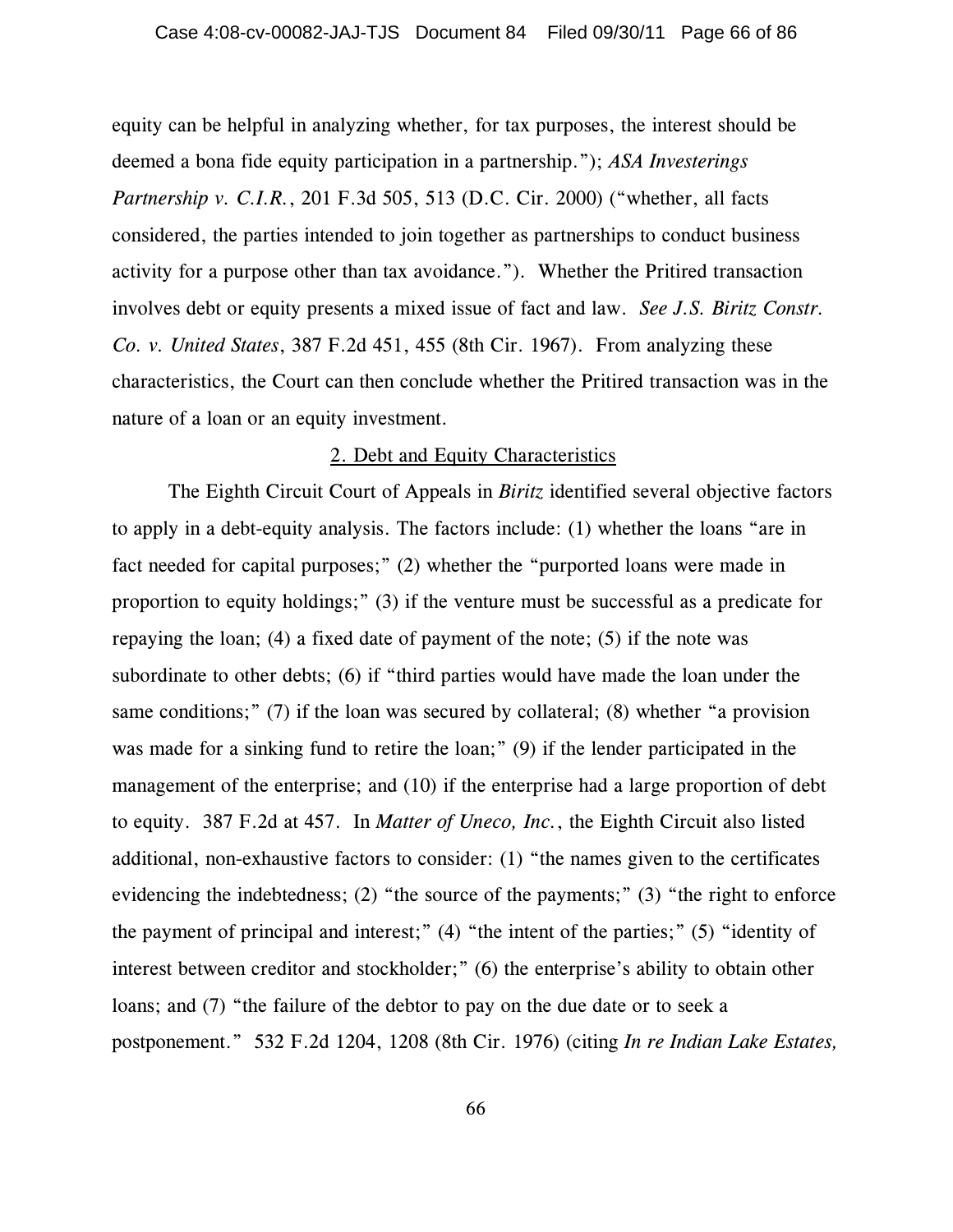equity can be helpful in analyzing whether, for tax purposes, the interest should be deemed a bona fide equity participation in a partnership."); *ASA Investerings Partnership v. C.I.R.*, 201 F.3d 505, 513 (D.C. Cir. 2000) ("whether, all facts considered, the parties intended to join together as partnerships to conduct business activity for a purpose other than tax avoidance."). Whether the Pritired transaction involves debt or equity presents a mixed issue of fact and law. *See J.S. Biritz Constr. Co. v. United States*, 387 F.2d 451, 455 (8th Cir. 1967). From analyzing these characteristics, the Court can then conclude whether the Pritired transaction was in the nature of a loan or an equity investment.

#### 2. Debt and Equity Characteristics

The Eighth Circuit Court of Appeals in *Biritz* identified several objective factors to apply in a debt-equity analysis. The factors include: (1) whether the loans "are in fact needed for capital purposes;" (2) whether the "purported loans were made in proportion to equity holdings;" (3) if the venture must be successful as a predicate for repaying the loan; (4) a fixed date of payment of the note; (5) if the note was subordinate to other debts; (6) if "third parties would have made the loan under the same conditions;" (7) if the loan was secured by collateral; (8) whether "a provision was made for a sinking fund to retire the loan;" (9) if the lender participated in the management of the enterprise; and (10) if the enterprise had a large proportion of debt to equity. 387 F.2d at 457. In *Matter of Uneco, Inc.*, the Eighth Circuit also listed additional, non-exhaustive factors to consider: (1) "the names given to the certificates evidencing the indebtedness; (2) "the source of the payments;" (3) "the right to enforce the payment of principal and interest;" (4) "the intent of the parties;" (5) "identity of interest between creditor and stockholder;" (6) the enterprise's ability to obtain other loans; and (7) "the failure of the debtor to pay on the due date or to seek a postponement." 532 F.2d 1204, 1208 (8th Cir. 1976) (citing *In re Indian Lake Estates,*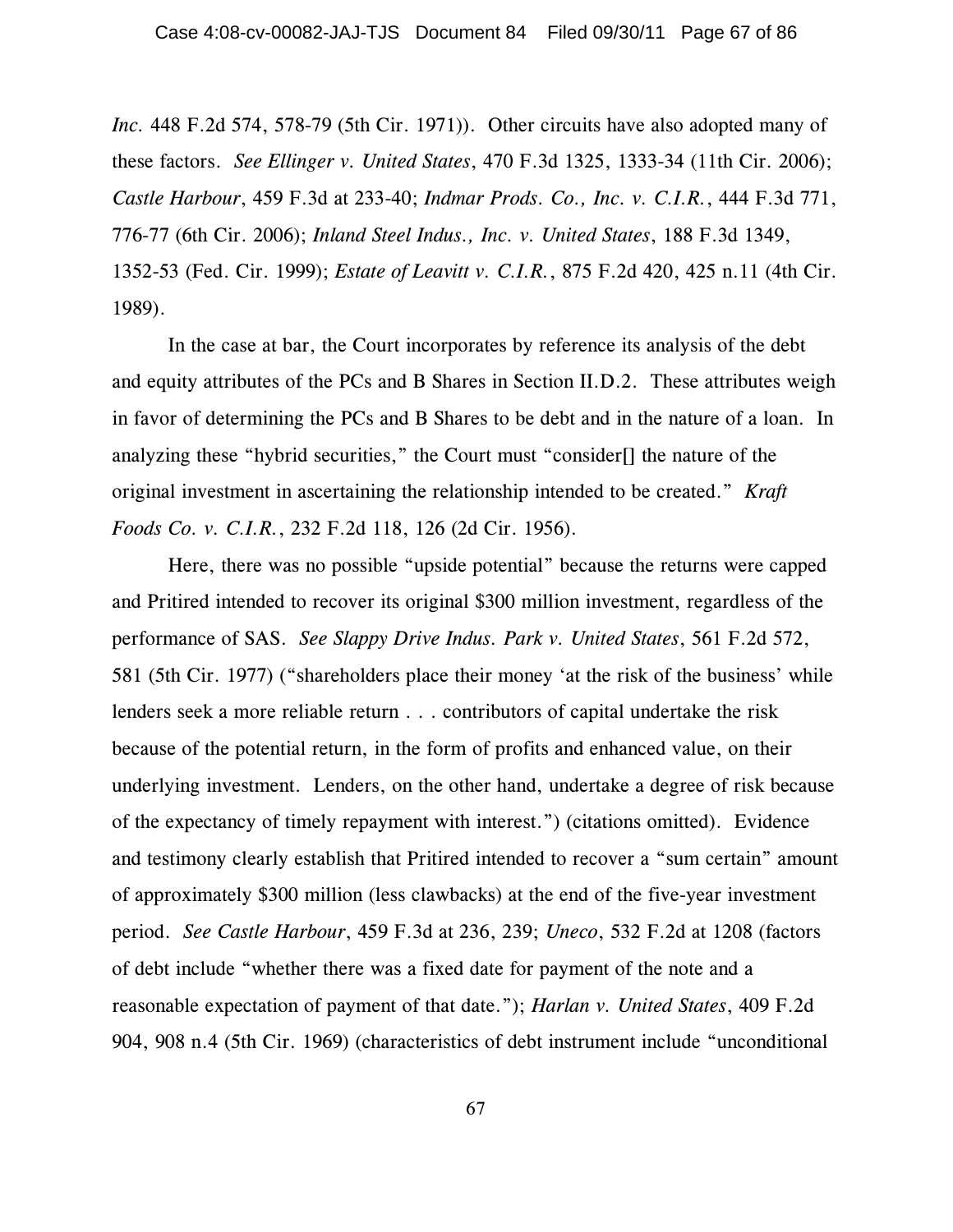*Inc.* 448 F.2d 574, 578-79 (5th Cir. 1971)). Other circuits have also adopted many of these factors. *See Ellinger v. United States*, 470 F.3d 1325, 1333-34 (11th Cir. 2006); *Castle Harbour*, 459 F.3d at 233-40; *Indmar Prods. Co., Inc. v. C.I.R.*, 444 F.3d 771, 776-77 (6th Cir. 2006); *Inland Steel Indus., Inc. v. United States*, 188 F.3d 1349, 1352-53 (Fed. Cir. 1999); *Estate of Leavitt v. C.I.R.*, 875 F.2d 420, 425 n.11 (4th Cir. 1989).

In the case at bar, the Court incorporates by reference its analysis of the debt and equity attributes of the PCs and B Shares in Section II.D.2. These attributes weigh in favor of determining the PCs and B Shares to be debt and in the nature of a loan. In analyzing these "hybrid securities," the Court must "consider[] the nature of the original investment in ascertaining the relationship intended to be created." *Kraft Foods Co. v. C.I.R.*, 232 F.2d 118, 126 (2d Cir. 1956).

Here, there was no possible "upside potential" because the returns were capped and Pritired intended to recover its original \$300 million investment, regardless of the performance of SAS. *See Slappy Drive Indus. Park v. United States*, 561 F.2d 572, 581 (5th Cir. 1977) ("shareholders place their money 'at the risk of the business' while lenders seek a more reliable return . . . contributors of capital undertake the risk because of the potential return, in the form of profits and enhanced value, on their underlying investment. Lenders, on the other hand, undertake a degree of risk because of the expectancy of timely repayment with interest.") (citations omitted). Evidence and testimony clearly establish that Pritired intended to recover a "sum certain" amount of approximately \$300 million (less clawbacks) at the end of the five-year investment period. *See Castle Harbour*, 459 F.3d at 236, 239; *Uneco*, 532 F.2d at 1208 (factors of debt include "whether there was a fixed date for payment of the note and a reasonable expectation of payment of that date."); *Harlan v. United States*, 409 F.2d 904, 908 n.4 (5th Cir. 1969) (characteristics of debt instrument include "unconditional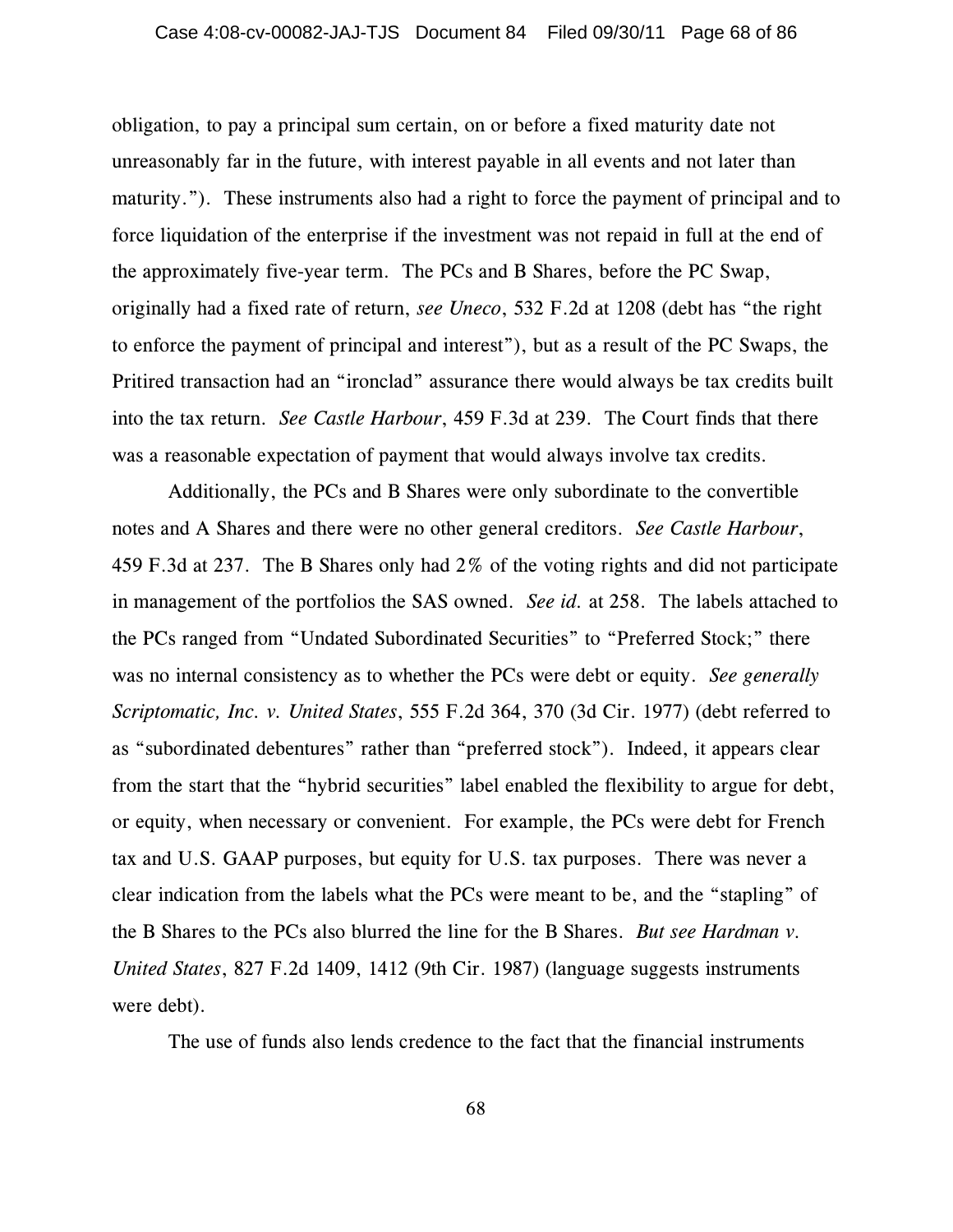obligation, to pay a principal sum certain, on or before a fixed maturity date not unreasonably far in the future, with interest payable in all events and not later than maturity."). These instruments also had a right to force the payment of principal and to force liquidation of the enterprise if the investment was not repaid in full at the end of the approximately five-year term. The PCs and B Shares, before the PC Swap, originally had a fixed rate of return, *see Uneco*, 532 F.2d at 1208 (debt has "the right to enforce the payment of principal and interest"), but as a result of the PC Swaps, the Pritired transaction had an "ironclad" assurance there would always be tax credits built into the tax return. *See Castle Harbour*, 459 F.3d at 239. The Court finds that there was a reasonable expectation of payment that would always involve tax credits.

Additionally, the PCs and B Shares were only subordinate to the convertible notes and A Shares and there were no other general creditors. *See Castle Harbour*, 459 F.3d at 237. The B Shares only had 2% of the voting rights and did not participate in management of the portfolios the SAS owned. *See id.* at 258. The labels attached to the PCs ranged from "Undated Subordinated Securities" to "Preferred Stock;" there was no internal consistency as to whether the PCs were debt or equity. *See generally Scriptomatic, Inc. v. United States*, 555 F.2d 364, 370 (3d Cir. 1977) (debt referred to as "subordinated debentures" rather than "preferred stock"). Indeed, it appears clear from the start that the "hybrid securities" label enabled the flexibility to argue for debt, or equity, when necessary or convenient. For example, the PCs were debt for French tax and U.S. GAAP purposes, but equity for U.S. tax purposes. There was never a clear indication from the labels what the PCs were meant to be, and the "stapling" of the B Shares to the PCs also blurred the line for the B Shares. *But see Hardman v. United States*, 827 F.2d 1409, 1412 (9th Cir. 1987) (language suggests instruments were debt).

The use of funds also lends credence to the fact that the financial instruments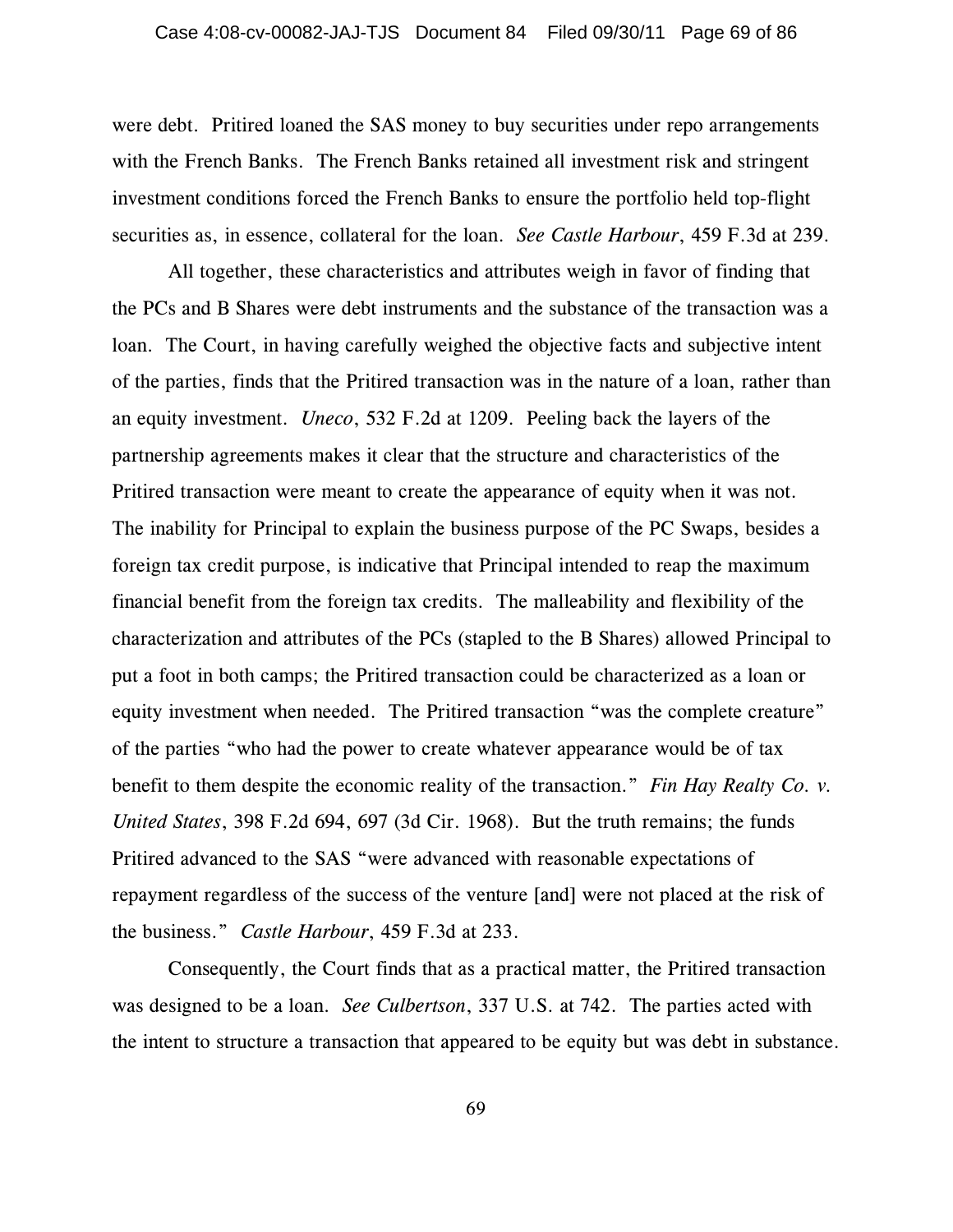were debt. Pritired loaned the SAS money to buy securities under repo arrangements with the French Banks. The French Banks retained all investment risk and stringent investment conditions forced the French Banks to ensure the portfolio held top-flight securities as, in essence, collateral for the loan. *See Castle Harbour*, 459 F.3d at 239.

 All together, these characteristics and attributes weigh in favor of finding that the PCs and B Shares were debt instruments and the substance of the transaction was a loan. The Court, in having carefully weighed the objective facts and subjective intent of the parties, finds that the Pritired transaction was in the nature of a loan, rather than an equity investment. *Uneco*, 532 F.2d at 1209. Peeling back the layers of the partnership agreements makes it clear that the structure and characteristics of the Pritired transaction were meant to create the appearance of equity when it was not. The inability for Principal to explain the business purpose of the PC Swaps, besides a foreign tax credit purpose, is indicative that Principal intended to reap the maximum financial benefit from the foreign tax credits. The malleability and flexibility of the characterization and attributes of the PCs (stapled to the B Shares) allowed Principal to put a foot in both camps; the Pritired transaction could be characterized as a loan or equity investment when needed. The Pritired transaction "was the complete creature" of the parties "who had the power to create whatever appearance would be of tax benefit to them despite the economic reality of the transaction." *Fin Hay Realty Co. v. United States*, 398 F.2d 694, 697 (3d Cir. 1968). But the truth remains; the funds Pritired advanced to the SAS "were advanced with reasonable expectations of repayment regardless of the success of the venture [and] were not placed at the risk of the business." *Castle Harbour*, 459 F.3d at 233.

Consequently, the Court finds that as a practical matter, the Pritired transaction was designed to be a loan. *See Culbertson*, 337 U.S. at 742. The parties acted with the intent to structure a transaction that appeared to be equity but was debt in substance.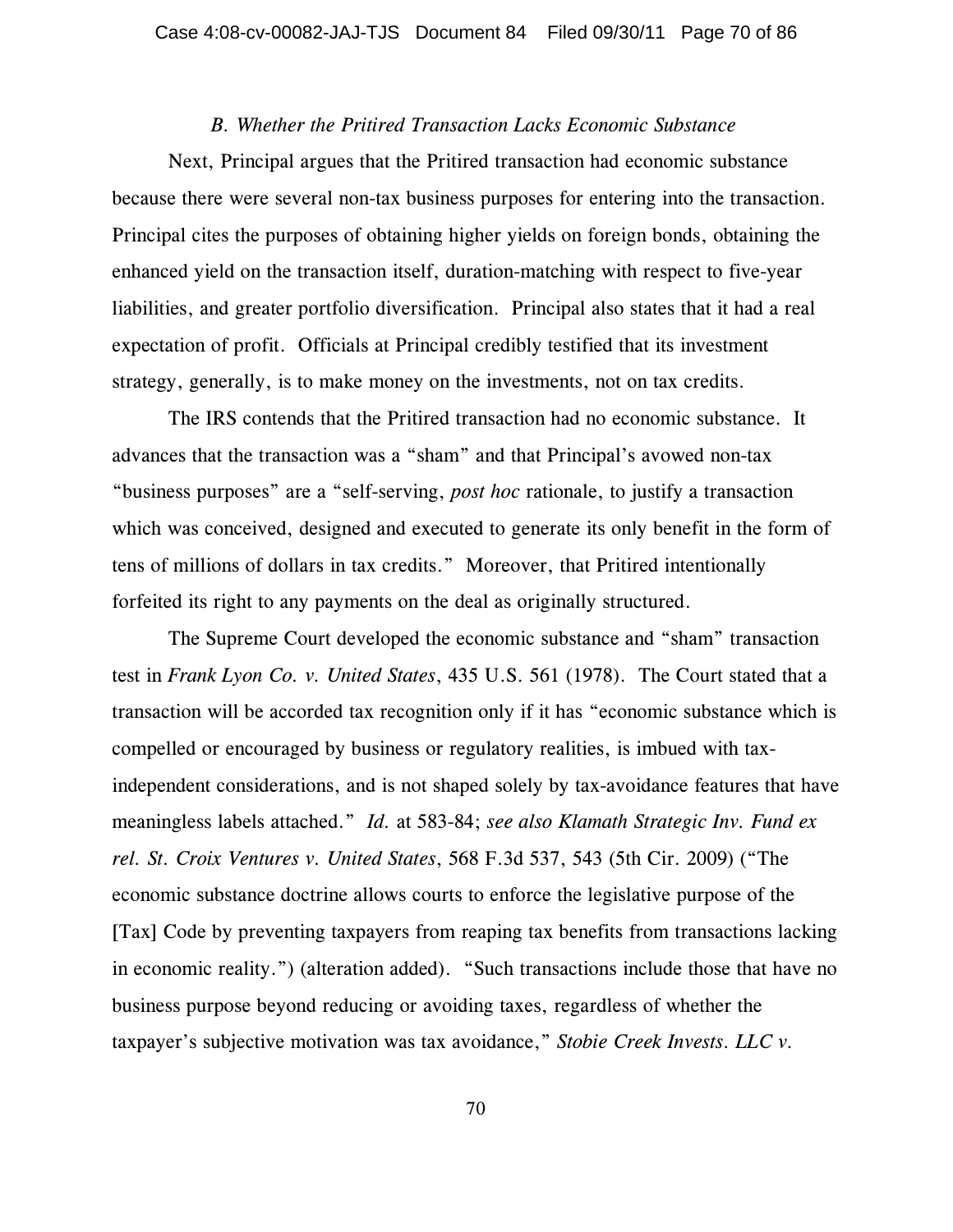#### *B. Whether the Pritired Transaction Lacks Economic Substance*

Next, Principal argues that the Pritired transaction had economic substance because there were several non-tax business purposes for entering into the transaction. Principal cites the purposes of obtaining higher yields on foreign bonds, obtaining the enhanced yield on the transaction itself, duration-matching with respect to five-year liabilities, and greater portfolio diversification. Principal also states that it had a real expectation of profit. Officials at Principal credibly testified that its investment strategy, generally, is to make money on the investments, not on tax credits.

The IRS contends that the Pritired transaction had no economic substance. It advances that the transaction was a "sham" and that Principal's avowed non-tax "business purposes" are a "self-serving, *post hoc* rationale, to justify a transaction which was conceived, designed and executed to generate its only benefit in the form of tens of millions of dollars in tax credits." Moreover, that Pritired intentionally forfeited its right to any payments on the deal as originally structured.

The Supreme Court developed the economic substance and "sham" transaction test in *Frank Lyon Co. v. United States*, 435 U.S. 561 (1978). The Court stated that a transaction will be accorded tax recognition only if it has "economic substance which is compelled or encouraged by business or regulatory realities, is imbued with taxindependent considerations, and is not shaped solely by tax-avoidance features that have meaningless labels attached." *Id.* at 583-84; *see also Klamath Strategic Inv. Fund ex rel. St. Croix Ventures v. United States*, 568 F.3d 537, 543 (5th Cir. 2009) ("The economic substance doctrine allows courts to enforce the legislative purpose of the [Tax] Code by preventing taxpayers from reaping tax benefits from transactions lacking in economic reality.") (alteration added). "Such transactions include those that have no business purpose beyond reducing or avoiding taxes, regardless of whether the taxpayer's subjective motivation was tax avoidance," *Stobie Creek Invests. LLC v.*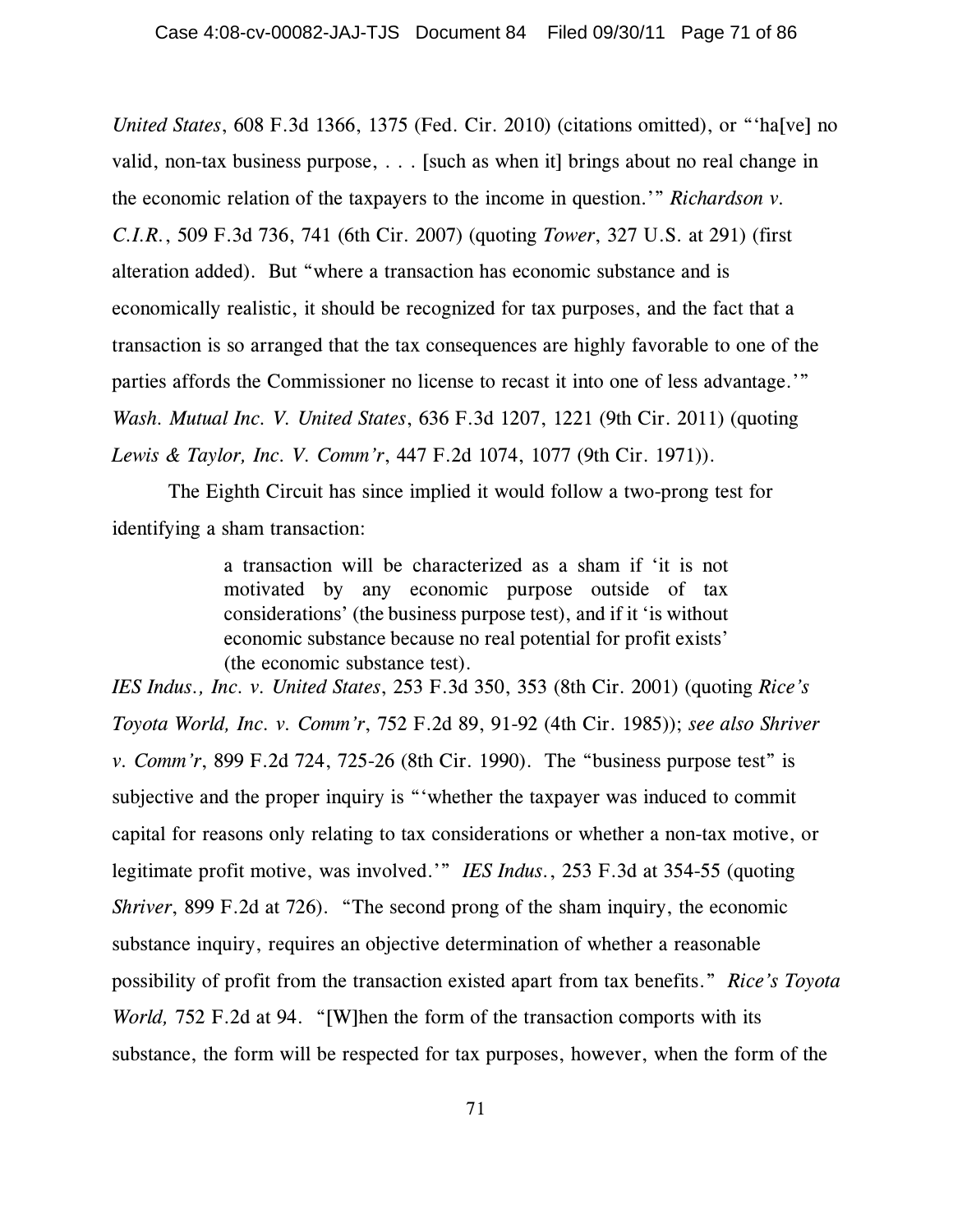*United States*, 608 F.3d 1366, 1375 (Fed. Cir. 2010) (citations omitted), or "'ha[ve] no valid, non-tax business purpose, . . . [such as when it] brings about no real change in the economic relation of the taxpayers to the income in question.'" *Richardson v. C.I.R.*, 509 F.3d 736, 741 (6th Cir. 2007) (quoting *Tower*, 327 U.S. at 291) (first alteration added). But "where a transaction has economic substance and is economically realistic, it should be recognized for tax purposes, and the fact that a transaction is so arranged that the tax consequences are highly favorable to one of the parties affords the Commissioner no license to recast it into one of less advantage.'" *Wash. Mutual Inc. V. United States*, 636 F.3d 1207, 1221 (9th Cir. 2011) (quoting *Lewis & Taylor, Inc. V. Comm'r*, 447 F.2d 1074, 1077 (9th Cir. 1971)).

The Eighth Circuit has since implied it would follow a two-prong test for identifying a sham transaction:

> a transaction will be characterized as a sham if 'it is not motivated by any economic purpose outside of tax considerations' (the business purpose test), and if it 'is without economic substance because no real potential for profit exists' (the economic substance test).

*IES Indus., Inc. v. United States*, 253 F.3d 350, 353 (8th Cir. 2001) (quoting *Rice's Toyota World, Inc. v. Comm'r*, 752 F.2d 89, 91-92 (4th Cir. 1985)); *see also Shriver v. Comm'r*, 899 F.2d 724, 725-26 (8th Cir. 1990). The "business purpose test" is subjective and the proper inquiry is "'whether the taxpayer was induced to commit capital for reasons only relating to tax considerations or whether a non-tax motive, or legitimate profit motive, was involved.'" *IES Indus.*, 253 F.3d at 354-55 (quoting *Shriver*, 899 F.2d at 726). "The second prong of the sham inquiry, the economic substance inquiry, requires an objective determination of whether a reasonable possibility of profit from the transaction existed apart from tax benefits." *Rice's Toyota World,* 752 F.2d at 94. "[W]hen the form of the transaction comports with its substance, the form will be respected for tax purposes, however, when the form of the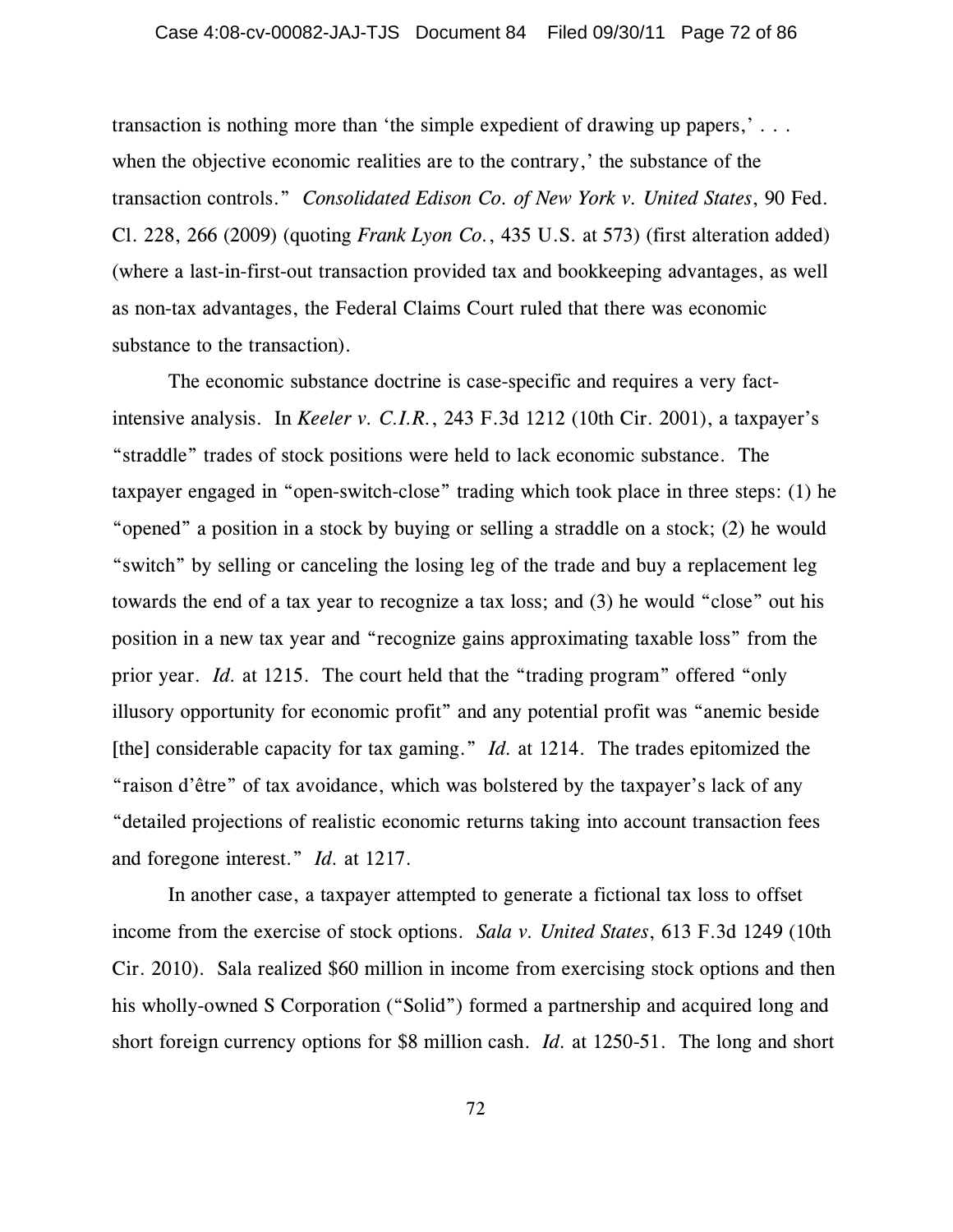transaction is nothing more than 'the simple expedient of drawing up papers,' . . . when the objective economic realities are to the contrary,' the substance of the transaction controls." *Consolidated Edison Co. of New York v. United States*, 90 Fed. Cl. 228, 266 (2009) (quoting *Frank Lyon Co.*, 435 U.S. at 573) (first alteration added) (where a last-in-first-out transaction provided tax and bookkeeping advantages, as well as non-tax advantages, the Federal Claims Court ruled that there was economic substance to the transaction).

The economic substance doctrine is case-specific and requires a very factintensive analysis. In *Keeler v. C.I.R.*, 243 F.3d 1212 (10th Cir. 2001), a taxpayer's "straddle" trades of stock positions were held to lack economic substance. The taxpayer engaged in "open-switch-close" trading which took place in three steps: (1) he "opened" a position in a stock by buying or selling a straddle on a stock; (2) he would "switch" by selling or canceling the losing leg of the trade and buy a replacement leg towards the end of a tax year to recognize a tax loss; and (3) he would "close" out his position in a new tax year and "recognize gains approximating taxable loss" from the prior year. *Id.* at 1215. The court held that the "trading program" offered "only illusory opportunity for economic profit" and any potential profit was "anemic beside [the] considerable capacity for tax gaming." *Id.* at 1214. The trades epitomized the "raison d'être" of tax avoidance, which was bolstered by the taxpayer's lack of any "detailed projections of realistic economic returns taking into account transaction fees and foregone interest." *Id.* at 1217.

In another case, a taxpayer attempted to generate a fictional tax loss to offset income from the exercise of stock options. *Sala v. United States*, 613 F.3d 1249 (10th Cir. 2010). Sala realized \$60 million in income from exercising stock options and then his wholly-owned S Corporation ("Solid") formed a partnership and acquired long and short foreign currency options for \$8 million cash. *Id.* at 1250-51. The long and short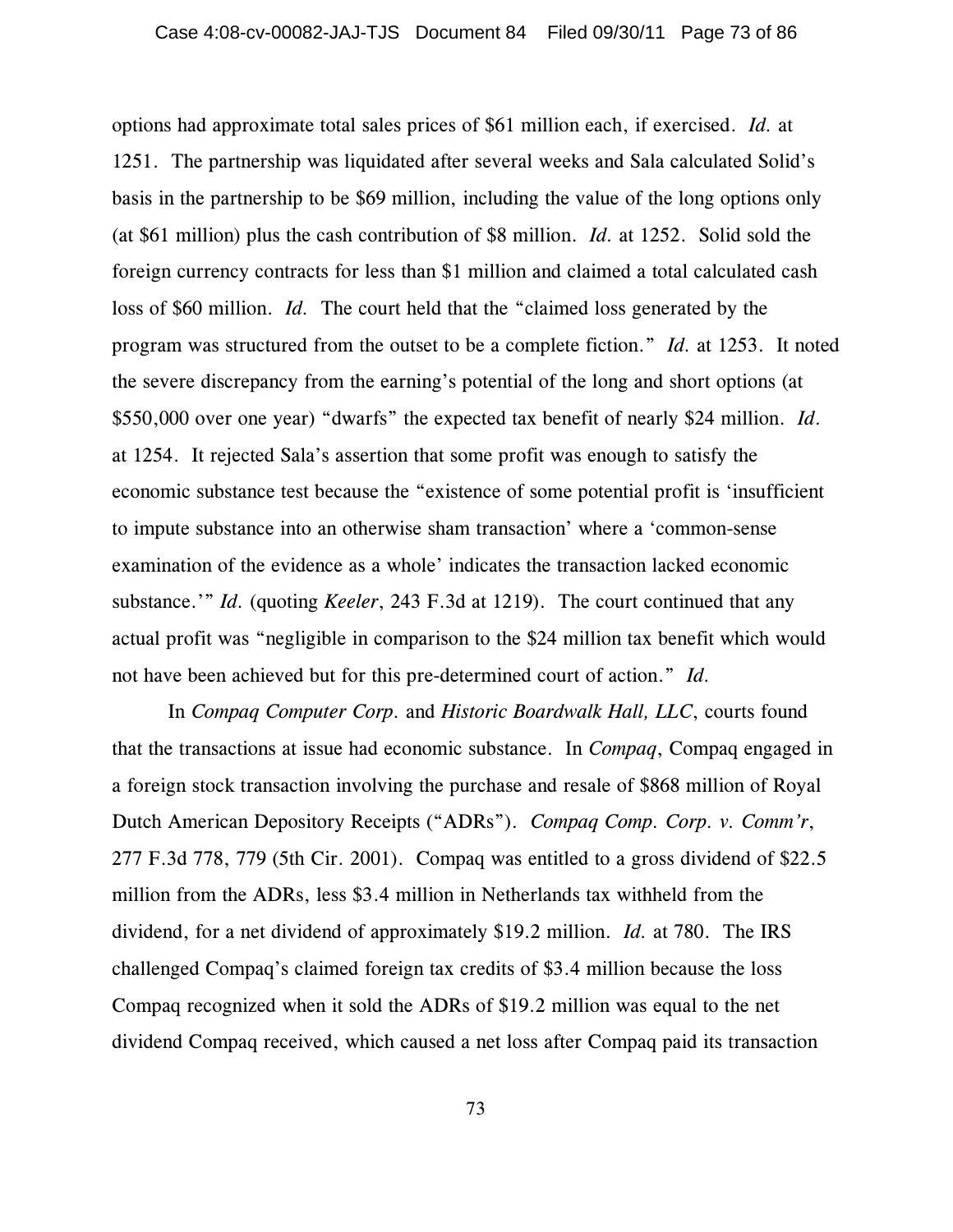options had approximate total sales prices of \$61 million each, if exercised. *Id.* at 1251. The partnership was liquidated after several weeks and Sala calculated Solid's basis in the partnership to be \$69 million, including the value of the long options only (at \$61 million) plus the cash contribution of \$8 million. *Id.* at 1252. Solid sold the foreign currency contracts for less than \$1 million and claimed a total calculated cash loss of \$60 million. *Id.* The court held that the "claimed loss generated by the program was structured from the outset to be a complete fiction." *Id.* at 1253. It noted the severe discrepancy from the earning's potential of the long and short options (at \$550,000 over one year) "dwarfs" the expected tax benefit of nearly \$24 million. *Id*. at 1254. It rejected Sala's assertion that some profit was enough to satisfy the economic substance test because the "existence of some potential profit is 'insufficient to impute substance into an otherwise sham transaction' where a 'common-sense examination of the evidence as a whole' indicates the transaction lacked economic substance.'" *Id.* (quoting *Keeler*, 243 F.3d at 1219). The court continued that any actual profit was "negligible in comparison to the \$24 million tax benefit which would not have been achieved but for this pre-determined court of action." *Id.*

In *Compaq Computer Corp.* and *Historic Boardwalk Hall, LLC*, courts found that the transactions at issue had economic substance. In *Compaq*, Compaq engaged in a foreign stock transaction involving the purchase and resale of \$868 million of Royal Dutch American Depository Receipts ("ADRs"). *Compaq Comp. Corp. v. Comm'r*, 277 F.3d 778, 779 (5th Cir. 2001). Compaq was entitled to a gross dividend of \$22.5 million from the ADRs, less \$3.4 million in Netherlands tax withheld from the dividend, for a net dividend of approximately \$19.2 million. *Id.* at 780. The IRS challenged Compaq's claimed foreign tax credits of \$3.4 million because the loss Compaq recognized when it sold the ADRs of \$19.2 million was equal to the net dividend Compaq received, which caused a net loss after Compaq paid its transaction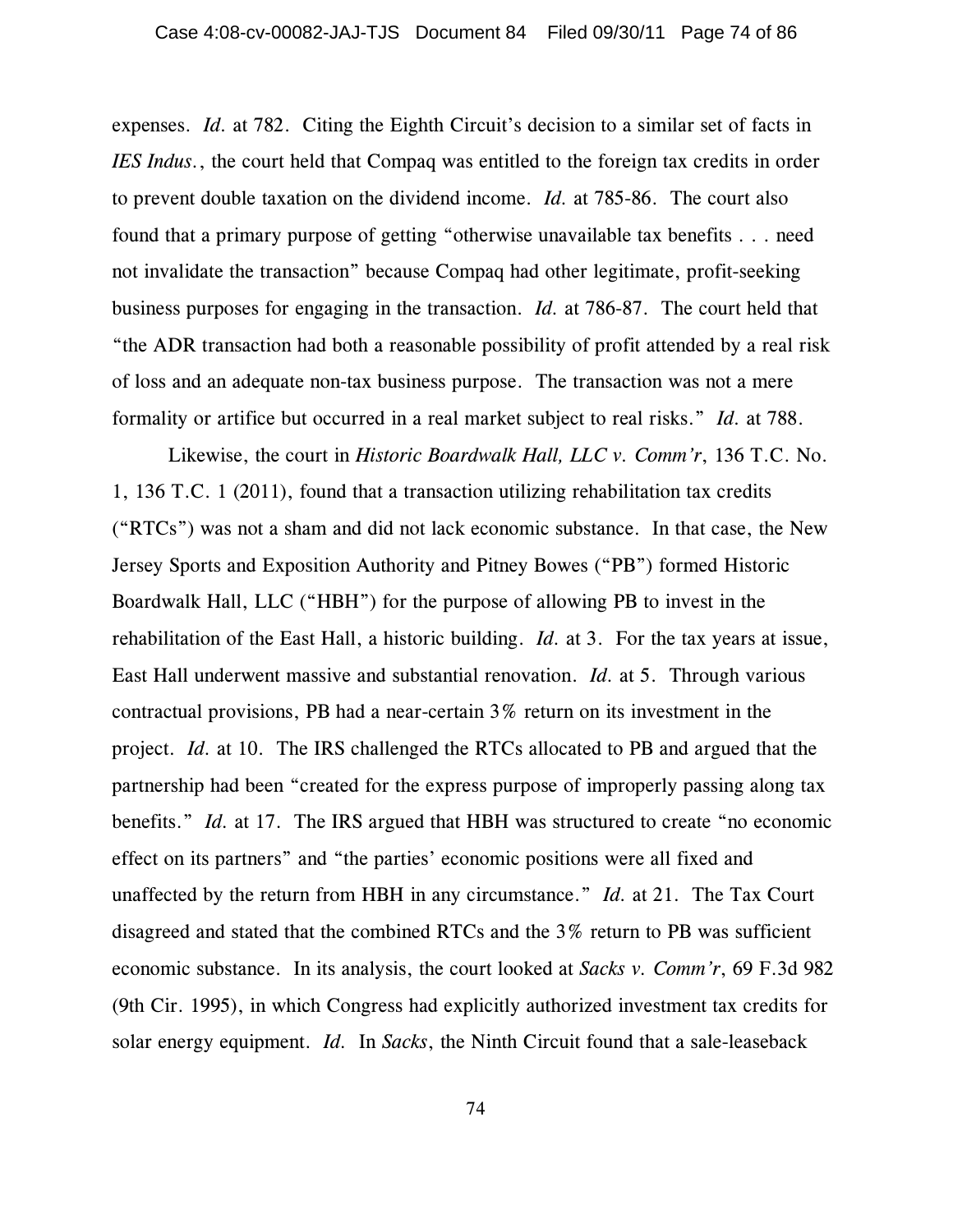expenses. *Id.* at 782. Citing the Eighth Circuit's decision to a similar set of facts in *IES Indus.*, the court held that Compaq was entitled to the foreign tax credits in order to prevent double taxation on the dividend income. *Id.* at 785-86. The court also found that a primary purpose of getting "otherwise unavailable tax benefits . . . need not invalidate the transaction" because Compaq had other legitimate, profit-seeking business purposes for engaging in the transaction. *Id.* at 786-87. The court held that "the ADR transaction had both a reasonable possibility of profit attended by a real risk of loss and an adequate non-tax business purpose. The transaction was not a mere formality or artifice but occurred in a real market subject to real risks." *Id.* at 788.

Likewise, the court in *Historic Boardwalk Hall, LLC v. Comm'r*, 136 T.C. No. 1, 136 T.C. 1 (2011), found that a transaction utilizing rehabilitation tax credits ("RTCs") was not a sham and did not lack economic substance. In that case, the New Jersey Sports and Exposition Authority and Pitney Bowes ("PB") formed Historic Boardwalk Hall, LLC ("HBH") for the purpose of allowing PB to invest in the rehabilitation of the East Hall, a historic building. *Id.* at 3. For the tax years at issue, East Hall underwent massive and substantial renovation. *Id.* at 5. Through various contractual provisions, PB had a near-certain 3% return on its investment in the project. *Id.* at 10. The IRS challenged the RTCs allocated to PB and argued that the partnership had been "created for the express purpose of improperly passing along tax benefits." *Id.* at 17. The IRS argued that HBH was structured to create "no economic effect on its partners" and "the parties' economic positions were all fixed and unaffected by the return from HBH in any circumstance." *Id.* at 21. The Tax Court disagreed and stated that the combined RTCs and the 3% return to PB was sufficient economic substance. In its analysis, the court looked at *Sacks v. Comm'r*, 69 F.3d 982 (9th Cir. 1995), in which Congress had explicitly authorized investment tax credits for solar energy equipment. *Id.* In *Sacks*, the Ninth Circuit found that a sale-leaseback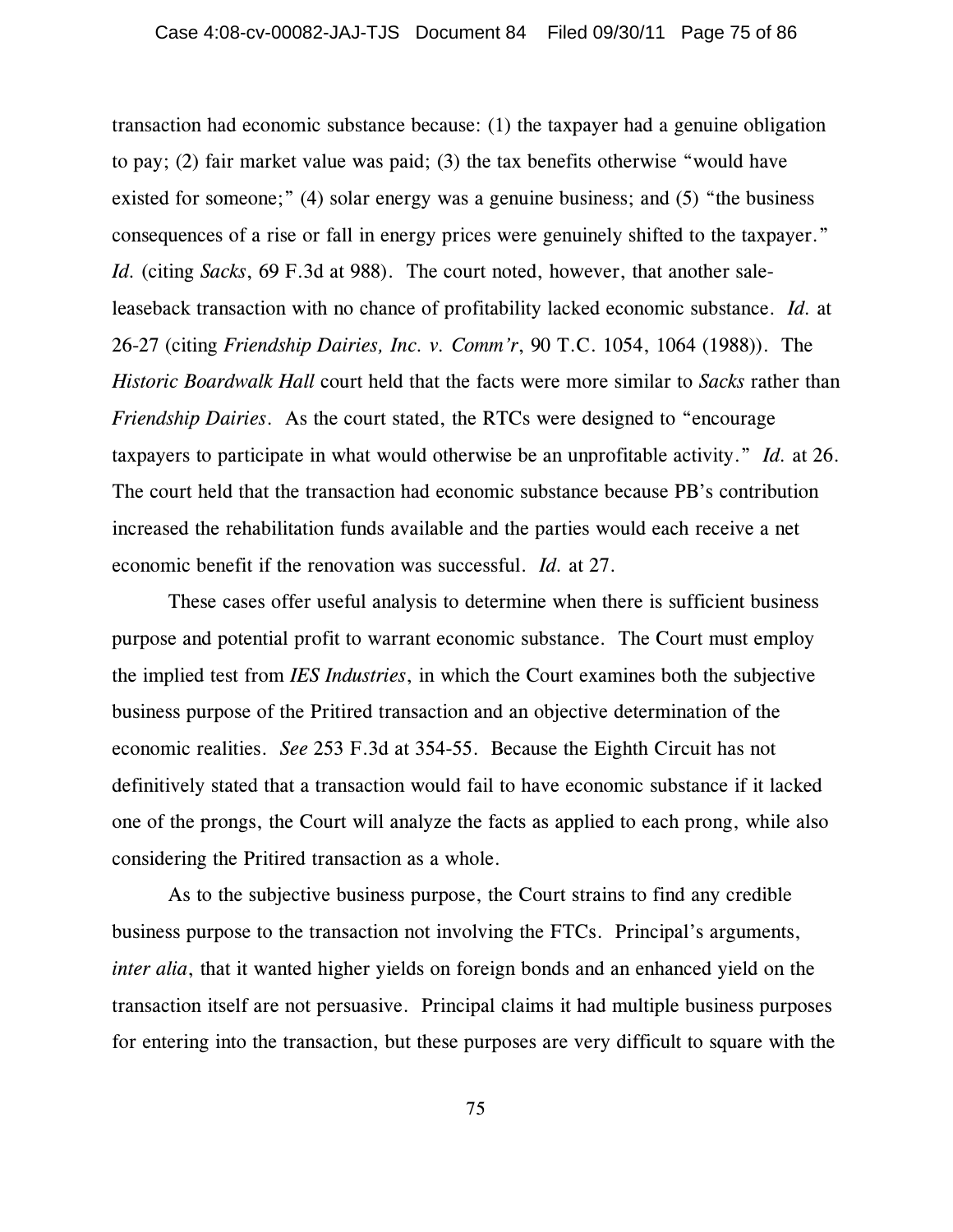transaction had economic substance because: (1) the taxpayer had a genuine obligation to pay; (2) fair market value was paid; (3) the tax benefits otherwise "would have existed for someone;" (4) solar energy was a genuine business; and (5) "the business consequences of a rise or fall in energy prices were genuinely shifted to the taxpayer." *Id.* (citing *Sacks*, 69 F.3d at 988). The court noted, however, that another saleleaseback transaction with no chance of profitability lacked economic substance. *Id.* at 26-27 (citing *Friendship Dairies, Inc. v. Comm'r*, 90 T.C. 1054, 1064 (1988)). The *Historic Boardwalk Hall* court held that the facts were more similar to *Sacks* rather than *Friendship Dairies*. As the court stated, the RTCs were designed to "encourage taxpayers to participate in what would otherwise be an unprofitable activity." *Id.* at 26. The court held that the transaction had economic substance because PB's contribution increased the rehabilitation funds available and the parties would each receive a net economic benefit if the renovation was successful. *Id.* at 27.

These cases offer useful analysis to determine when there is sufficient business purpose and potential profit to warrant economic substance. The Court must employ the implied test from *IES Industries*, in which the Court examines both the subjective business purpose of the Pritired transaction and an objective determination of the economic realities. *See* 253 F.3d at 354-55. Because the Eighth Circuit has not definitively stated that a transaction would fail to have economic substance if it lacked one of the prongs, the Court will analyze the facts as applied to each prong, while also considering the Pritired transaction as a whole.

As to the subjective business purpose, the Court strains to find any credible business purpose to the transaction not involving the FTCs. Principal's arguments, *inter alia*, that it wanted higher yields on foreign bonds and an enhanced yield on the transaction itself are not persuasive. Principal claims it had multiple business purposes for entering into the transaction, but these purposes are very difficult to square with the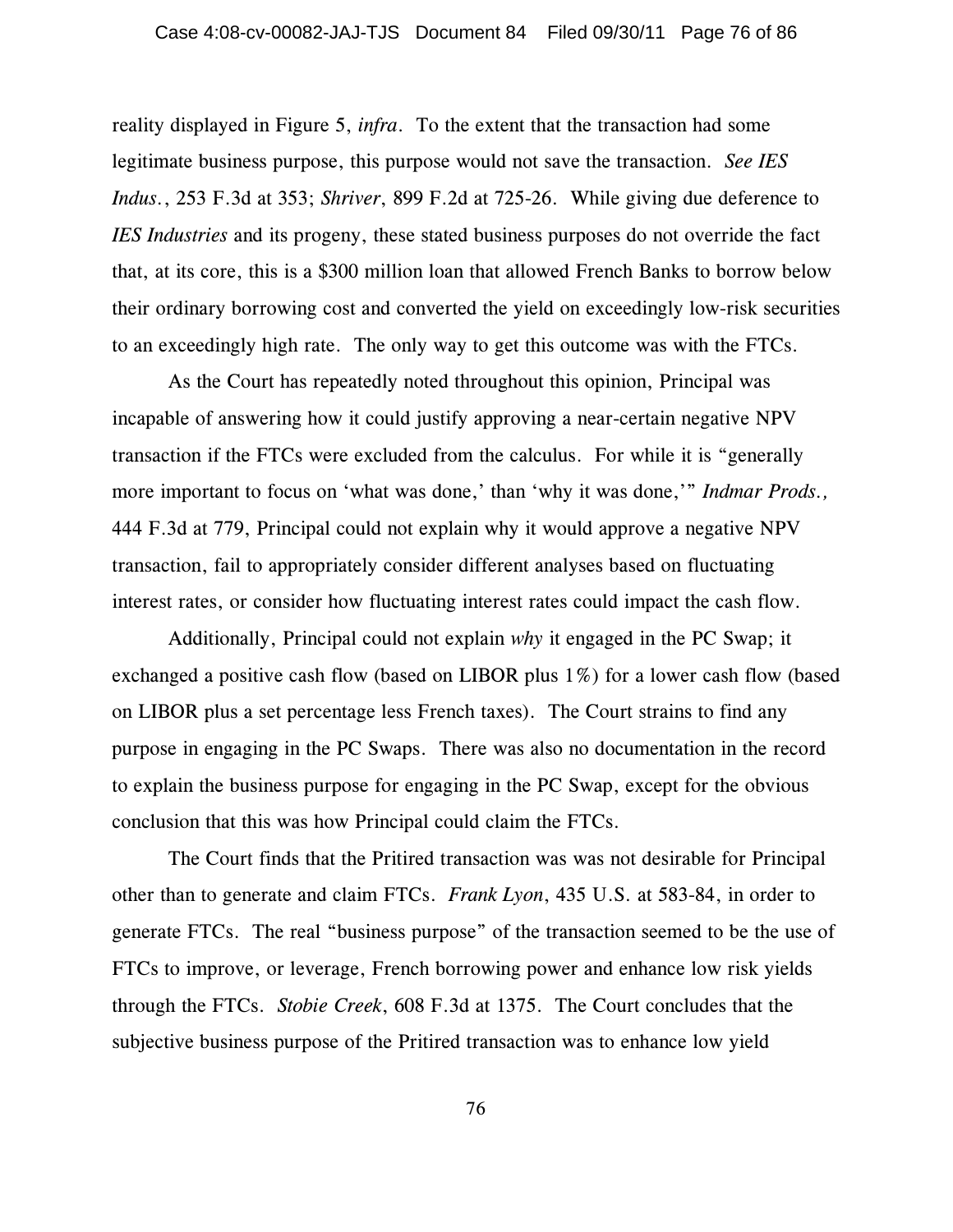reality displayed in Figure 5, *infra*. To the extent that the transaction had some legitimate business purpose, this purpose would not save the transaction. *See IES Indus.*, 253 F.3d at 353; *Shriver*, 899 F.2d at 725-26. While giving due deference to *IES Industries* and its progeny, these stated business purposes do not override the fact that, at its core, this is a \$300 million loan that allowed French Banks to borrow below their ordinary borrowing cost and converted the yield on exceedingly low-risk securities to an exceedingly high rate. The only way to get this outcome was with the FTCs.

As the Court has repeatedly noted throughout this opinion, Principal was incapable of answering how it could justify approving a near-certain negative NPV transaction if the FTCs were excluded from the calculus. For while it is "generally more important to focus on 'what was done,' than 'why it was done,'" *Indmar Prods.,* 444 F.3d at 779, Principal could not explain why it would approve a negative NPV transaction, fail to appropriately consider different analyses based on fluctuating interest rates, or consider how fluctuating interest rates could impact the cash flow.

Additionally, Principal could not explain *why* it engaged in the PC Swap; it exchanged a positive cash flow (based on LIBOR plus 1%) for a lower cash flow (based on LIBOR plus a set percentage less French taxes). The Court strains to find any purpose in engaging in the PC Swaps. There was also no documentation in the record to explain the business purpose for engaging in the PC Swap, except for the obvious conclusion that this was how Principal could claim the FTCs.

The Court finds that the Pritired transaction was was not desirable for Principal other than to generate and claim FTCs. *Frank Lyon*, 435 U.S. at 583-84, in order to generate FTCs. The real "business purpose" of the transaction seemed to be the use of FTCs to improve, or leverage, French borrowing power and enhance low risk yields through the FTCs. *Stobie Creek*, 608 F.3d at 1375. The Court concludes that the subjective business purpose of the Pritired transaction was to enhance low yield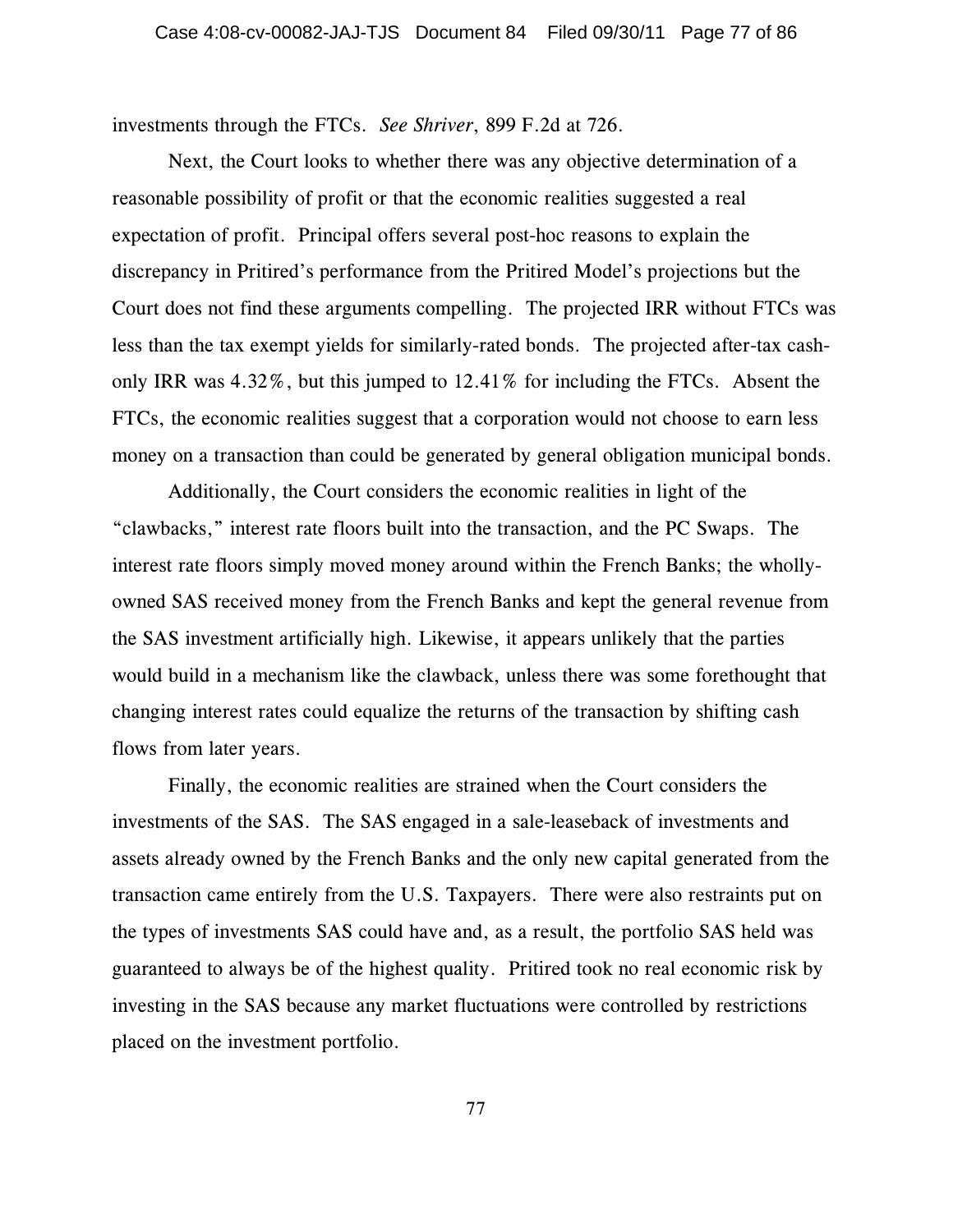investments through the FTCs. *See Shriver*, 899 F.2d at 726.

Next, the Court looks to whether there was any objective determination of a reasonable possibility of profit or that the economic realities suggested a real expectation of profit. Principal offers several post-hoc reasons to explain the discrepancy in Pritired's performance from the Pritired Model's projections but the Court does not find these arguments compelling. The projected IRR without FTCs was less than the tax exempt yields for similarly-rated bonds. The projected after-tax cashonly IRR was 4.32%, but this jumped to 12.41% for including the FTCs. Absent the FTCs, the economic realities suggest that a corporation would not choose to earn less money on a transaction than could be generated by general obligation municipal bonds.

 Additionally, the Court considers the economic realities in light of the "clawbacks," interest rate floors built into the transaction, and the PC Swaps. The interest rate floors simply moved money around within the French Banks; the whollyowned SAS received money from the French Banks and kept the general revenue from the SAS investment artificially high. Likewise, it appears unlikely that the parties would build in a mechanism like the clawback, unless there was some forethought that changing interest rates could equalize the returns of the transaction by shifting cash flows from later years.

Finally, the economic realities are strained when the Court considers the investments of the SAS. The SAS engaged in a sale-leaseback of investments and assets already owned by the French Banks and the only new capital generated from the transaction came entirely from the U.S. Taxpayers. There were also restraints put on the types of investments SAS could have and, as a result, the portfolio SAS held was guaranteed to always be of the highest quality. Pritired took no real economic risk by investing in the SAS because any market fluctuations were controlled by restrictions placed on the investment portfolio.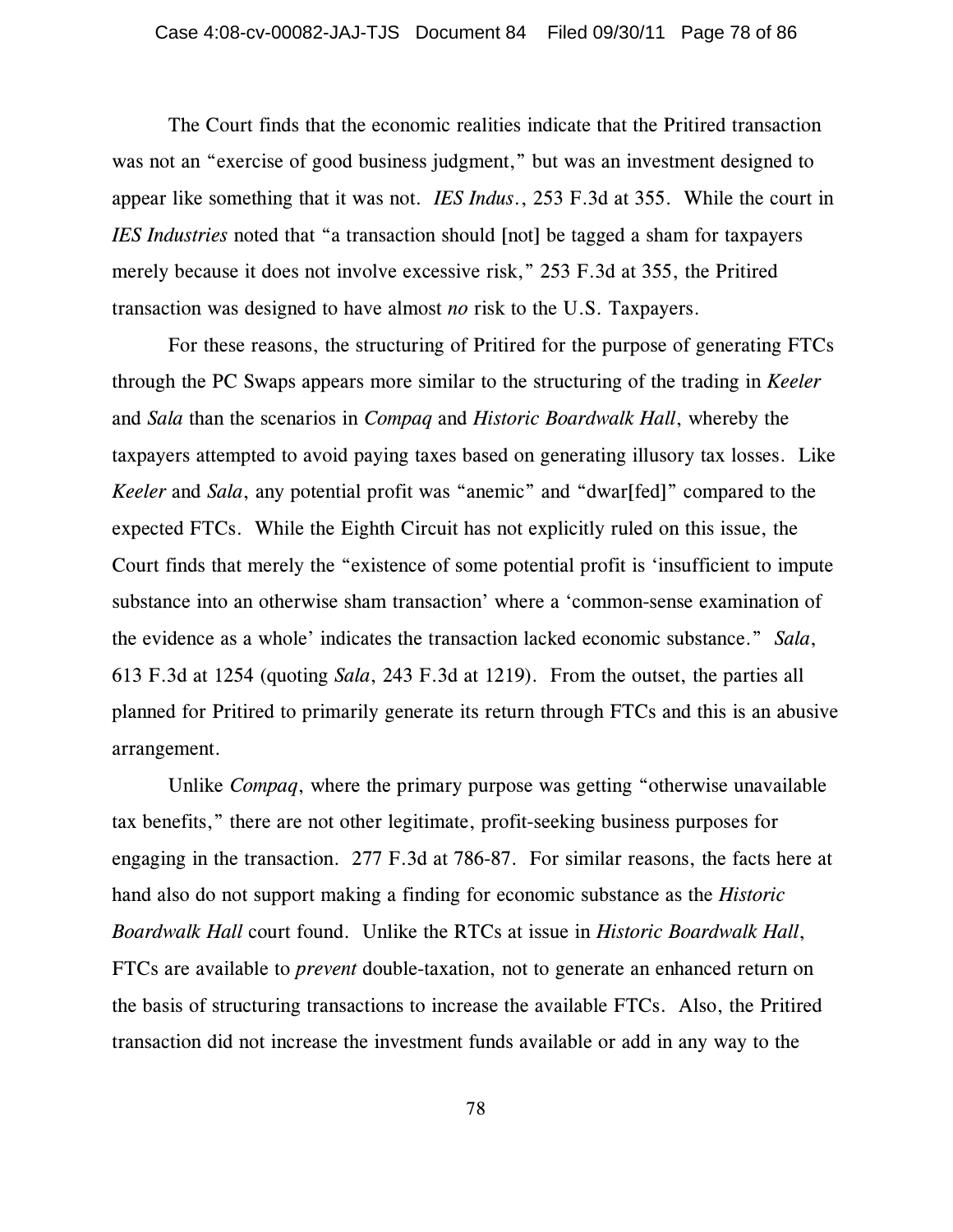The Court finds that the economic realities indicate that the Pritired transaction was not an "exercise of good business judgment," but was an investment designed to appear like something that it was not. *IES Indus*., 253 F.3d at 355. While the court in *IES Industries* noted that "a transaction should [not] be tagged a sham for taxpayers merely because it does not involve excessive risk," 253 F.3d at 355, the Pritired transaction was designed to have almost *no* risk to the U.S. Taxpayers.

For these reasons, the structuring of Pritired for the purpose of generating FTCs through the PC Swaps appears more similar to the structuring of the trading in *Keeler* and *Sala* than the scenarios in *Compaq* and *Historic Boardwalk Hall*, whereby the taxpayers attempted to avoid paying taxes based on generating illusory tax losses. Like *Keeler* and *Sala*, any potential profit was "anemic" and "dwar[fed]" compared to the expected FTCs. While the Eighth Circuit has not explicitly ruled on this issue, the Court finds that merely the "existence of some potential profit is 'insufficient to impute substance into an otherwise sham transaction' where a 'common-sense examination of the evidence as a whole' indicates the transaction lacked economic substance." *Sala*, 613 F.3d at 1254 (quoting *Sala*, 243 F.3d at 1219). From the outset, the parties all planned for Pritired to primarily generate its return through FTCs and this is an abusive arrangement.

Unlike *Compaq*, where the primary purpose was getting "otherwise unavailable tax benefits," there are not other legitimate, profit-seeking business purposes for engaging in the transaction. 277 F.3d at 786-87. For similar reasons, the facts here at hand also do not support making a finding for economic substance as the *Historic Boardwalk Hall* court found. Unlike the RTCs at issue in *Historic Boardwalk Hall*, FTCs are available to *prevent* double-taxation, not to generate an enhanced return on the basis of structuring transactions to increase the available FTCs. Also, the Pritired transaction did not increase the investment funds available or add in any way to the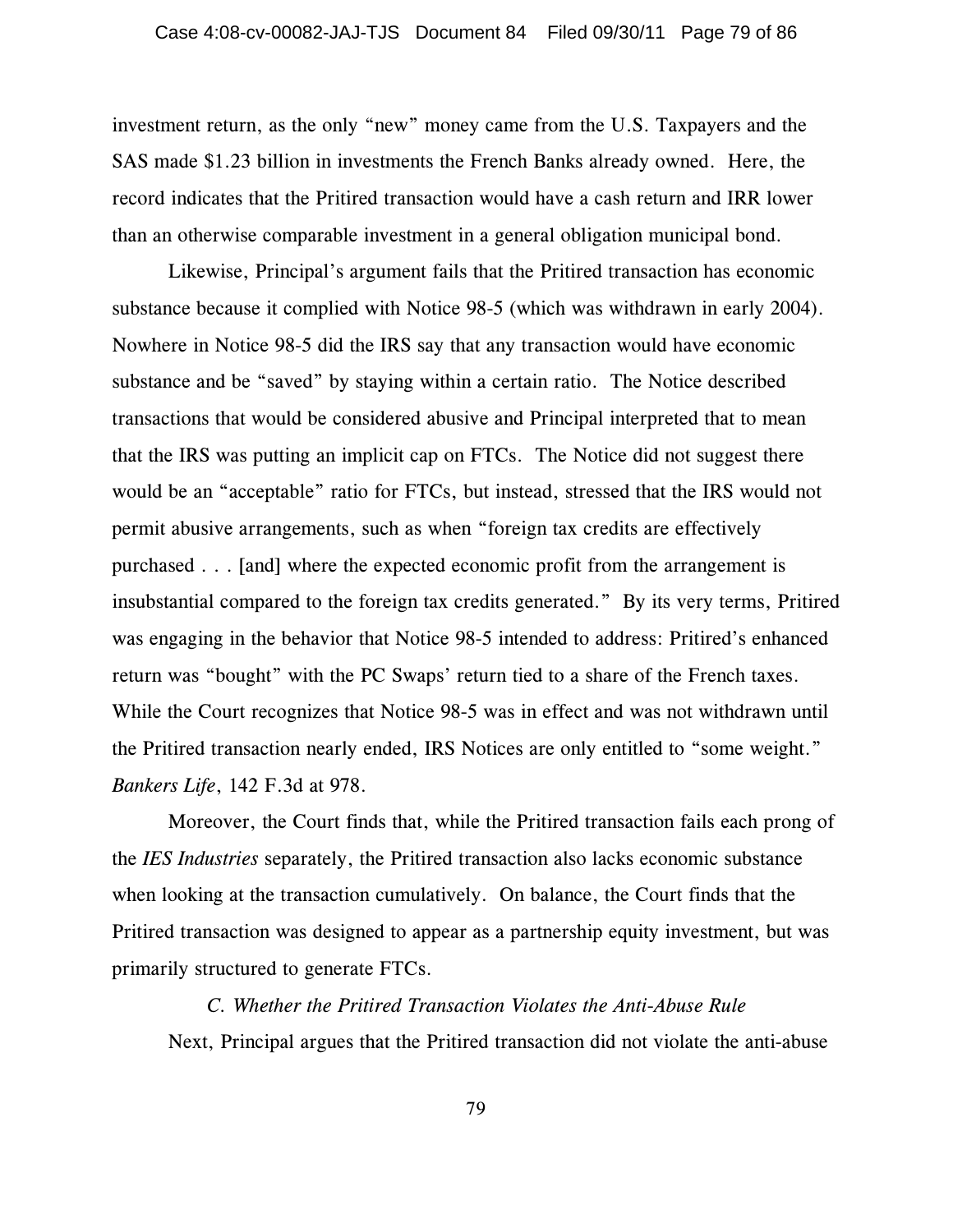investment return, as the only "new" money came from the U.S. Taxpayers and the SAS made \$1.23 billion in investments the French Banks already owned. Here, the record indicates that the Pritired transaction would have a cash return and IRR lower than an otherwise comparable investment in a general obligation municipal bond.

Likewise, Principal's argument fails that the Pritired transaction has economic substance because it complied with Notice 98-5 (which was withdrawn in early 2004). Nowhere in Notice 98-5 did the IRS say that any transaction would have economic substance and be "saved" by staying within a certain ratio. The Notice described transactions that would be considered abusive and Principal interpreted that to mean that the IRS was putting an implicit cap on FTCs. The Notice did not suggest there would be an "acceptable" ratio for FTCs, but instead, stressed that the IRS would not permit abusive arrangements, such as when "foreign tax credits are effectively purchased . . . [and] where the expected economic profit from the arrangement is insubstantial compared to the foreign tax credits generated." By its very terms, Pritired was engaging in the behavior that Notice 98-5 intended to address: Pritired's enhanced return was "bought" with the PC Swaps' return tied to a share of the French taxes. While the Court recognizes that Notice 98-5 was in effect and was not withdrawn until the Pritired transaction nearly ended, IRS Notices are only entitled to "some weight." *Bankers Life*, 142 F.3d at 978.

Moreover, the Court finds that, while the Pritired transaction fails each prong of the *IES Industries* separately, the Pritired transaction also lacks economic substance when looking at the transaction cumulatively. On balance, the Court finds that the Pritired transaction was designed to appear as a partnership equity investment, but was primarily structured to generate FTCs.

*C. Whether the Pritired Transaction Violates the Anti-Abuse Rule* Next, Principal argues that the Pritired transaction did not violate the anti-abuse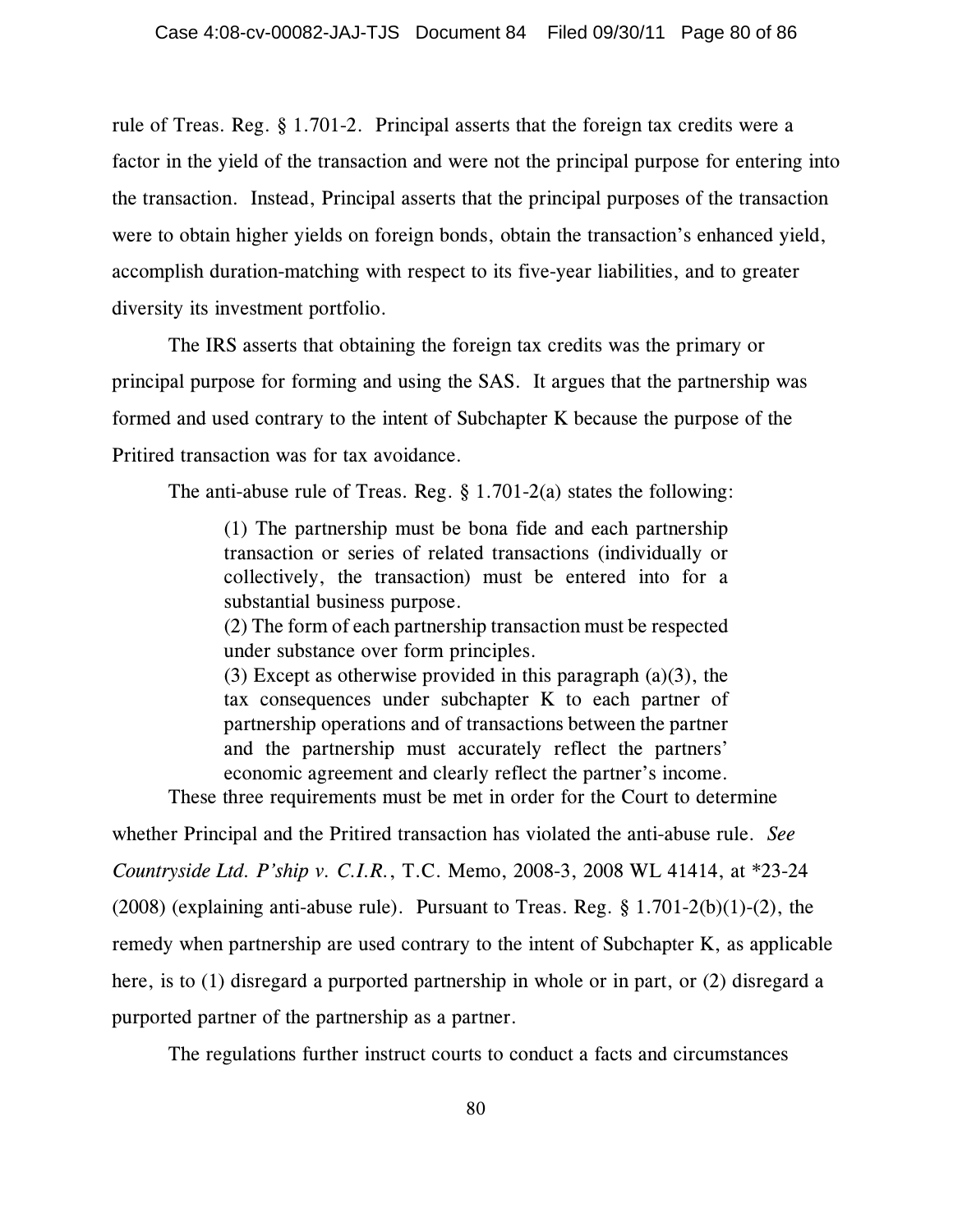rule of Treas. Reg. § 1.701-2. Principal asserts that the foreign tax credits were a factor in the yield of the transaction and were not the principal purpose for entering into the transaction. Instead, Principal asserts that the principal purposes of the transaction were to obtain higher yields on foreign bonds, obtain the transaction's enhanced yield, accomplish duration-matching with respect to its five-year liabilities, and to greater diversity its investment portfolio.

The IRS asserts that obtaining the foreign tax credits was the primary or principal purpose for forming and using the SAS. It argues that the partnership was formed and used contrary to the intent of Subchapter K because the purpose of the Pritired transaction was for tax avoidance.

The anti-abuse rule of Treas. Reg.  $\S 1.701-2(a)$  states the following:

(1) The partnership must be bona fide and each partnership transaction or series of related transactions (individually or collectively, the transaction) must be entered into for a substantial business purpose.

(2) The form of each partnership transaction must be respected under substance over form principles.

(3) Except as otherwise provided in this paragraph  $(a)(3)$ , the tax consequences under subchapter K to each partner of partnership operations and of transactions between the partner and the partnership must accurately reflect the partners' economic agreement and clearly reflect the partner's income.

These three requirements must be met in order for the Court to determine

whether Principal and the Pritired transaction has violated the anti-abuse rule. *See Countryside Ltd. P'ship v. C.I.R.*, T.C. Memo, 2008-3, 2008 WL 41414, at \*23-24 (2008) (explaining anti-abuse rule). Pursuant to Treas. Reg. § 1.701-2(b)(1)-(2), the remedy when partnership are used contrary to the intent of Subchapter K, as applicable here, is to (1) disregard a purported partnership in whole or in part, or (2) disregard a purported partner of the partnership as a partner.

The regulations further instruct courts to conduct a facts and circumstances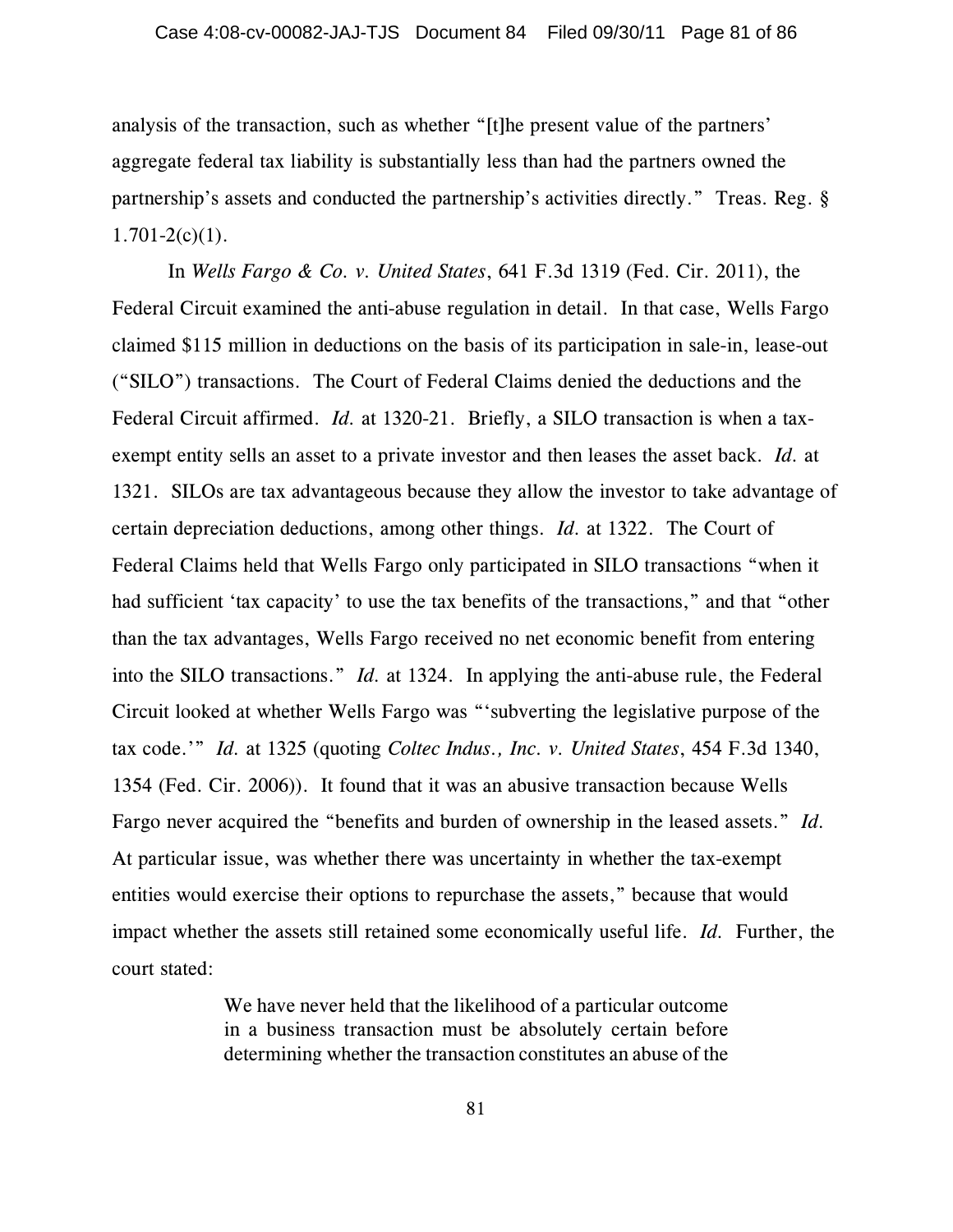analysis of the transaction, such as whether "[t]he present value of the partners' aggregate federal tax liability is substantially less than had the partners owned the partnership's assets and conducted the partnership's activities directly." Treas. Reg. §  $1.701-2(c)(1)$ .

In *Wells Fargo & Co. v. United States*, 641 F.3d 1319 (Fed. Cir. 2011), the Federal Circuit examined the anti-abuse regulation in detail. In that case, Wells Fargo claimed \$115 million in deductions on the basis of its participation in sale-in, lease-out ("SILO") transactions. The Court of Federal Claims denied the deductions and the Federal Circuit affirmed. *Id.* at 1320-21. Briefly, a SILO transaction is when a taxexempt entity sells an asset to a private investor and then leases the asset back. *Id.* at 1321. SILOs are tax advantageous because they allow the investor to take advantage of certain depreciation deductions, among other things. *Id.* at 1322. The Court of Federal Claims held that Wells Fargo only participated in SILO transactions "when it had sufficient 'tax capacity' to use the tax benefits of the transactions," and that "other than the tax advantages, Wells Fargo received no net economic benefit from entering into the SILO transactions." *Id.* at 1324. In applying the anti-abuse rule, the Federal Circuit looked at whether Wells Fargo was "'subverting the legislative purpose of the tax code.'" *Id.* at 1325 (quoting *Coltec Indus., Inc. v. United States*, 454 F.3d 1340, 1354 (Fed. Cir. 2006)). It found that it was an abusive transaction because Wells Fargo never acquired the "benefits and burden of ownership in the leased assets." *Id.* At particular issue, was whether there was uncertainty in whether the tax-exempt entities would exercise their options to repurchase the assets," because that would impact whether the assets still retained some economically useful life. *Id.* Further, the court stated:

> We have never held that the likelihood of a particular outcome in a business transaction must be absolutely certain before determining whether the transaction constitutes an abuse of the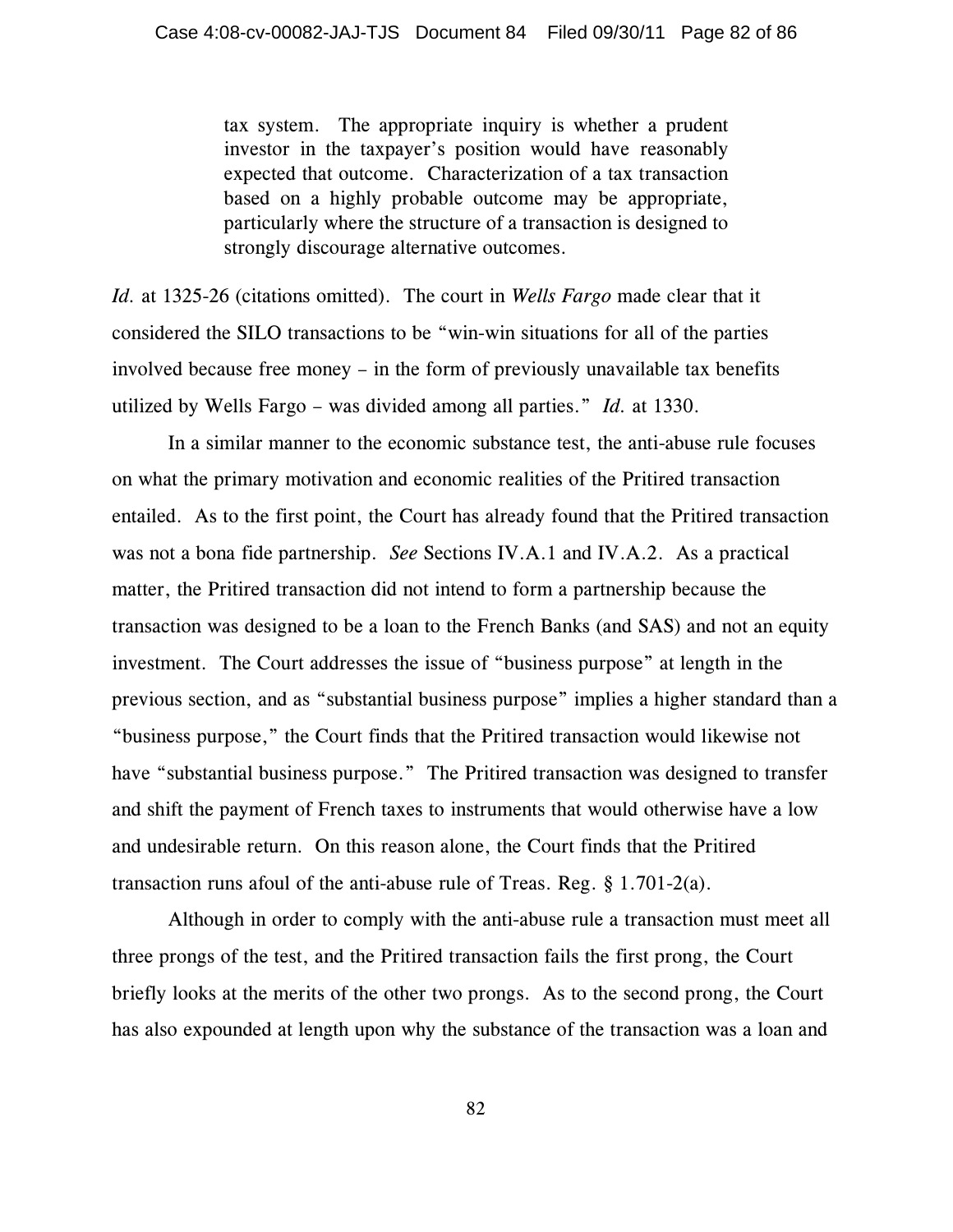tax system. The appropriate inquiry is whether a prudent investor in the taxpayer's position would have reasonably expected that outcome. Characterization of a tax transaction based on a highly probable outcome may be appropriate, particularly where the structure of a transaction is designed to strongly discourage alternative outcomes.

*Id.* at 1325-26 (citations omitted). The court in *Wells Fargo* made clear that it considered the SILO transactions to be "win-win situations for all of the parties involved because free money – in the form of previously unavailable tax benefits utilized by Wells Fargo – was divided among all parties." *Id.* at 1330.

In a similar manner to the economic substance test, the anti-abuse rule focuses on what the primary motivation and economic realities of the Pritired transaction entailed. As to the first point, the Court has already found that the Pritired transaction was not a bona fide partnership. *See* Sections IV.A.1 and IV.A.2. As a practical matter, the Pritired transaction did not intend to form a partnership because the transaction was designed to be a loan to the French Banks (and SAS) and not an equity investment. The Court addresses the issue of "business purpose" at length in the previous section, and as "substantial business purpose" implies a higher standard than a "business purpose," the Court finds that the Pritired transaction would likewise not have "substantial business purpose." The Pritired transaction was designed to transfer and shift the payment of French taxes to instruments that would otherwise have a low and undesirable return. On this reason alone, the Court finds that the Pritired transaction runs afoul of the anti-abuse rule of Treas. Reg. § 1.701-2(a).

Although in order to comply with the anti-abuse rule a transaction must meet all three prongs of the test, and the Pritired transaction fails the first prong, the Court briefly looks at the merits of the other two prongs. As to the second prong, the Court has also expounded at length upon why the substance of the transaction was a loan and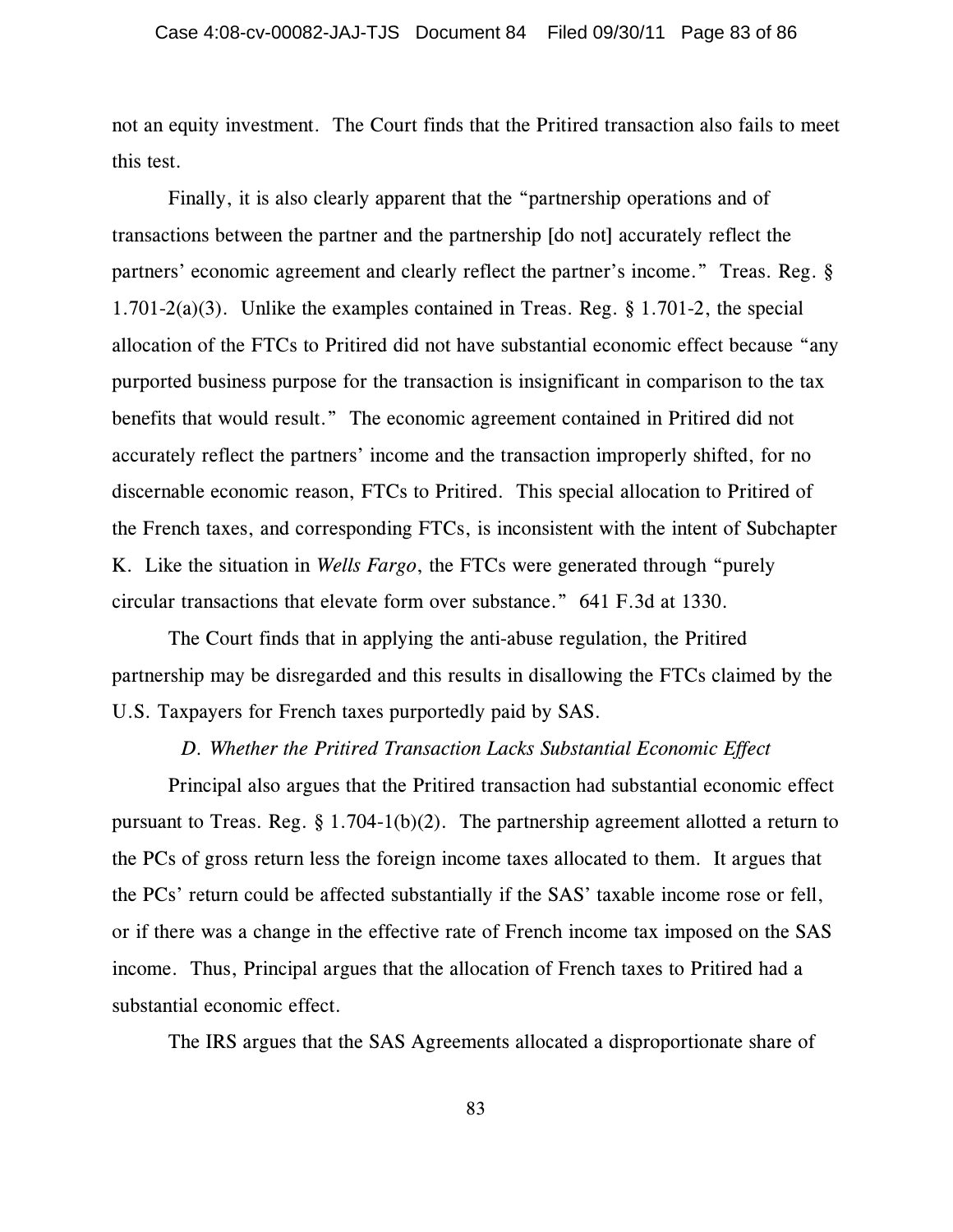not an equity investment. The Court finds that the Pritired transaction also fails to meet this test.

Finally, it is also clearly apparent that the "partnership operations and of transactions between the partner and the partnership [do not] accurately reflect the partners' economic agreement and clearly reflect the partner's income." Treas. Reg. § 1.701-2(a)(3). Unlike the examples contained in Treas. Reg. § 1.701-2, the special allocation of the FTCs to Pritired did not have substantial economic effect because "any purported business purpose for the transaction is insignificant in comparison to the tax benefits that would result." The economic agreement contained in Pritired did not accurately reflect the partners' income and the transaction improperly shifted, for no discernable economic reason, FTCs to Pritired. This special allocation to Pritired of the French taxes, and corresponding FTCs, is inconsistent with the intent of Subchapter K. Like the situation in *Wells Fargo*, the FTCs were generated through "purely circular transactions that elevate form over substance." 641 F.3d at 1330.

The Court finds that in applying the anti-abuse regulation, the Pritired partnership may be disregarded and this results in disallowing the FTCs claimed by the U.S. Taxpayers for French taxes purportedly paid by SAS.

## *D. Whether the Pritired Transaction Lacks Substantial Economic Effect*

Principal also argues that the Pritired transaction had substantial economic effect pursuant to Treas. Reg. § 1.704-1(b)(2). The partnership agreement allotted a return to the PCs of gross return less the foreign income taxes allocated to them. It argues that the PCs' return could be affected substantially if the SAS' taxable income rose or fell, or if there was a change in the effective rate of French income tax imposed on the SAS income. Thus, Principal argues that the allocation of French taxes to Pritired had a substantial economic effect.

The IRS argues that the SAS Agreements allocated a disproportionate share of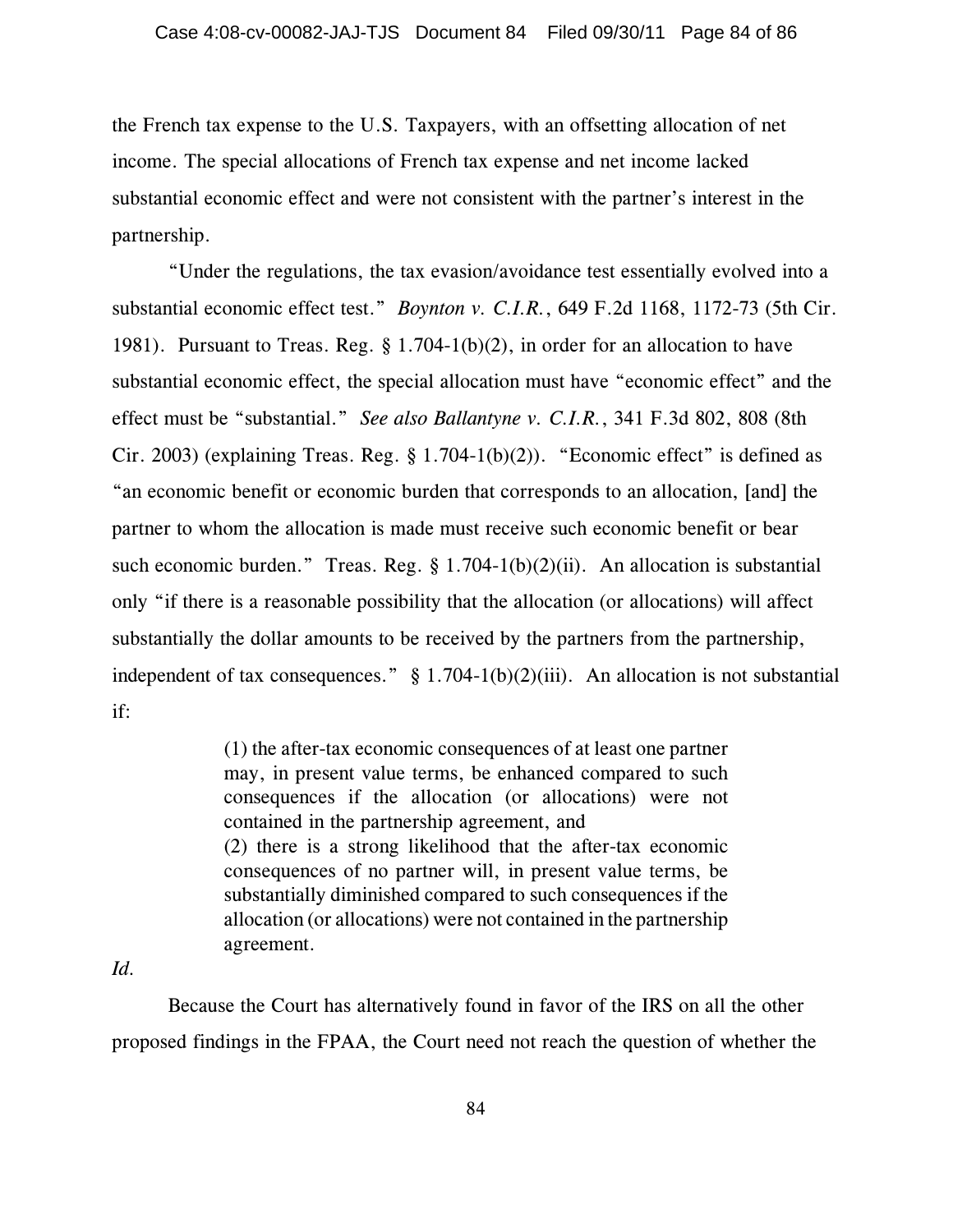the French tax expense to the U.S. Taxpayers, with an offsetting allocation of net income. The special allocations of French tax expense and net income lacked substantial economic effect and were not consistent with the partner's interest in the partnership.

"Under the regulations, the tax evasion/avoidance test essentially evolved into a substantial economic effect test." *Boynton v. C.I.R.*, 649 F.2d 1168, 1172-73 (5th Cir. 1981). Pursuant to Treas. Reg. § 1.704-1(b)(2), in order for an allocation to have substantial economic effect, the special allocation must have "economic effect" and the effect must be "substantial." *See also Ballantyne v. C.I.R.*, 341 F.3d 802, 808 (8th Cir. 2003) (explaining Treas. Reg. § 1.704-1(b)(2)). "Economic effect" is defined as "an economic benefit or economic burden that corresponds to an allocation, [and] the partner to whom the allocation is made must receive such economic benefit or bear such economic burden." Treas. Reg. § 1.704-1(b)(2)(ii). An allocation is substantial only "if there is a reasonable possibility that the allocation (or allocations) will affect substantially the dollar amounts to be received by the partners from the partnership, independent of tax consequences."  $\S$  1.704-1(b)(2)(iii). An allocation is not substantial if:

> (1) the after-tax economic consequences of at least one partner may, in present value terms, be enhanced compared to such consequences if the allocation (or allocations) were not contained in the partnership agreement, and (2) there is a strong likelihood that the after-tax economic consequences of no partner will, in present value terms, be substantially diminished compared to such consequences if the allocation (or allocations) were not contained in the partnership agreement.

## *Id.*

Because the Court has alternatively found in favor of the IRS on all the other proposed findings in the FPAA, the Court need not reach the question of whether the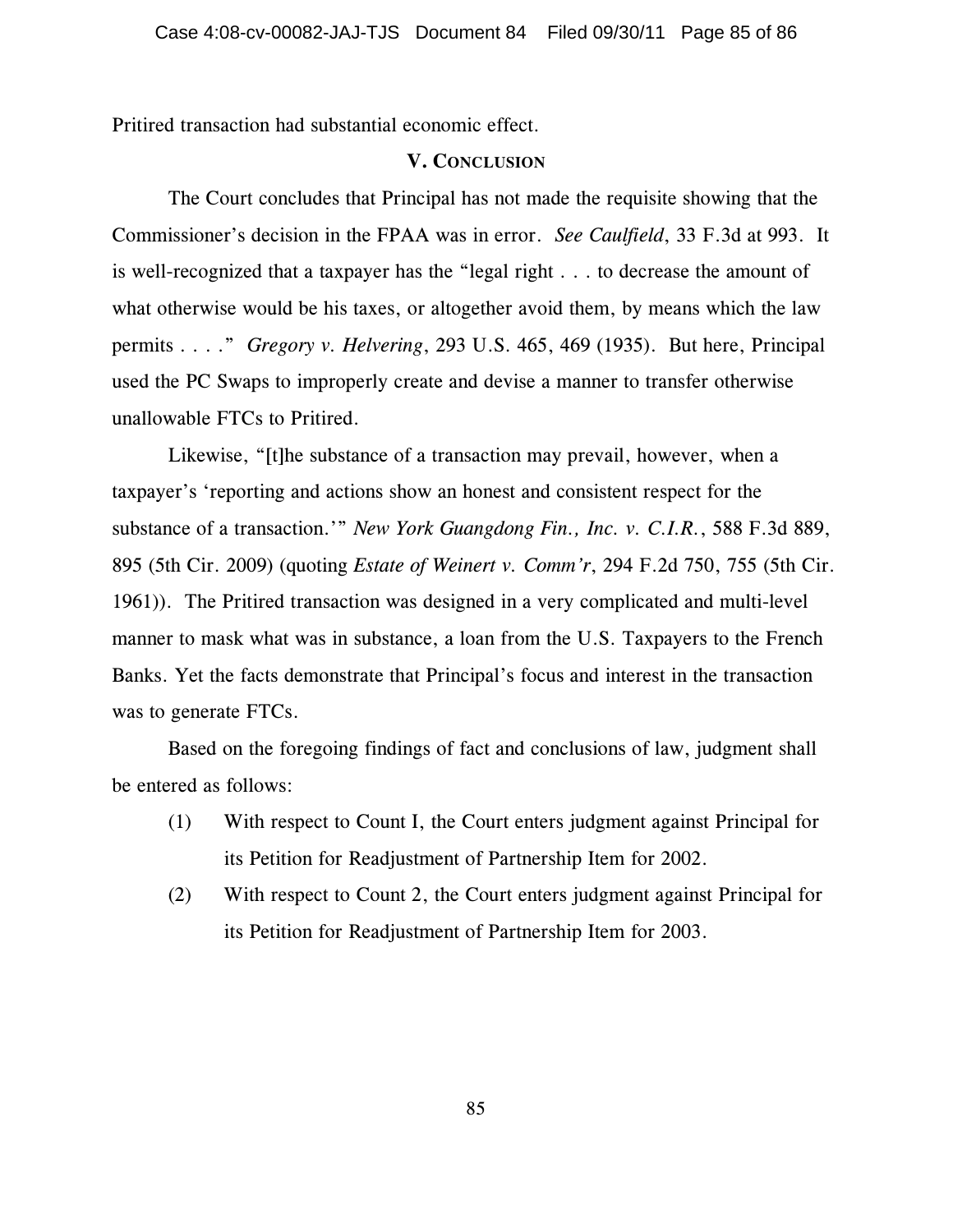Pritired transaction had substantial economic effect.

## **V. CONCLUSION**

The Court concludes that Principal has not made the requisite showing that the Commissioner's decision in the FPAA was in error. *See Caulfield*, 33 F.3d at 993. It is well-recognized that a taxpayer has the "legal right . . . to decrease the amount of what otherwise would be his taxes, or altogether avoid them, by means which the law permits . . . ." *Gregory v. Helvering*, 293 U.S. 465, 469 (1935). But here, Principal used the PC Swaps to improperly create and devise a manner to transfer otherwise unallowable FTCs to Pritired.

Likewise, "[t]he substance of a transaction may prevail, however, when a taxpayer's 'reporting and actions show an honest and consistent respect for the substance of a transaction.'" *New York Guangdong Fin., Inc. v. C.I.R.*, 588 F.3d 889, 895 (5th Cir. 2009) (quoting *Estate of Weinert v. Comm'r*, 294 F.2d 750, 755 (5th Cir. 1961)). The Pritired transaction was designed in a very complicated and multi-level manner to mask what was in substance, a loan from the U.S. Taxpayers to the French Banks. Yet the facts demonstrate that Principal's focus and interest in the transaction was to generate FTCs.

Based on the foregoing findings of fact and conclusions of law, judgment shall be entered as follows:

- (1) With respect to Count I, the Court enters judgment against Principal for its Petition for Readjustment of Partnership Item for 2002.
- (2) With respect to Count 2, the Court enters judgment against Principal for its Petition for Readjustment of Partnership Item for 2003.